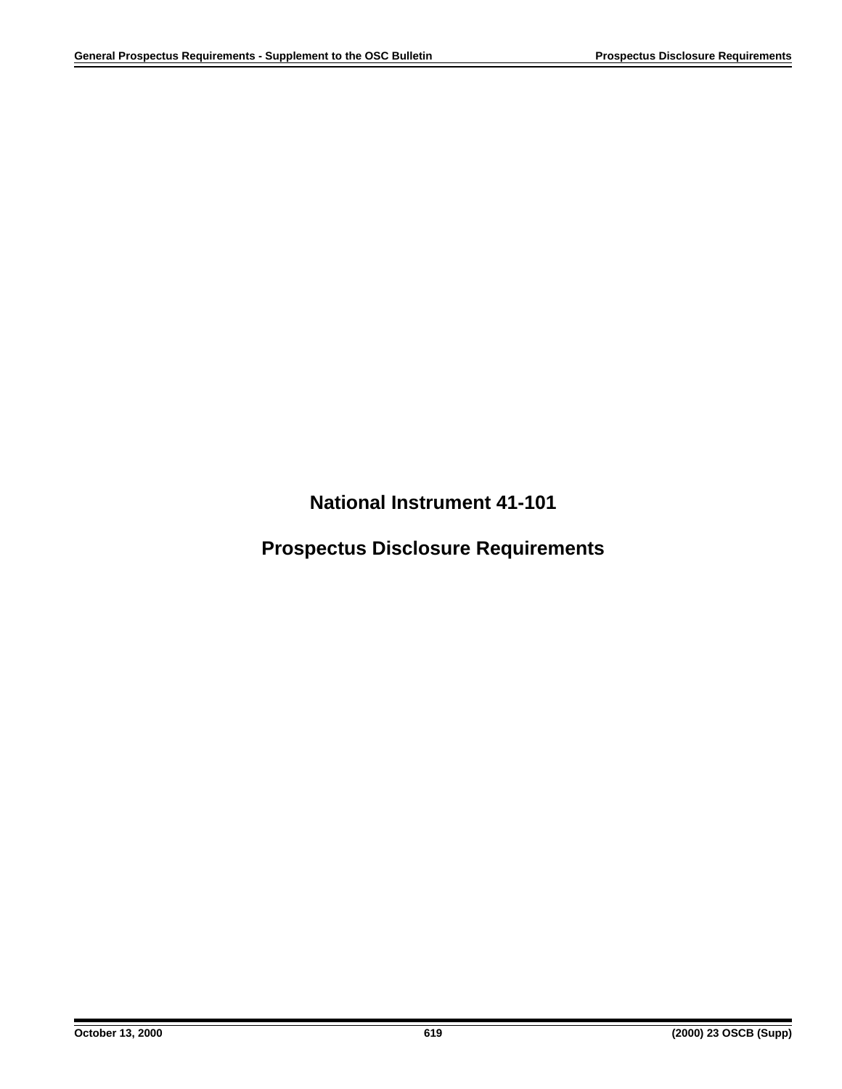# **National Instrument 41-101**

# **Prospectus Disclosure Requirements**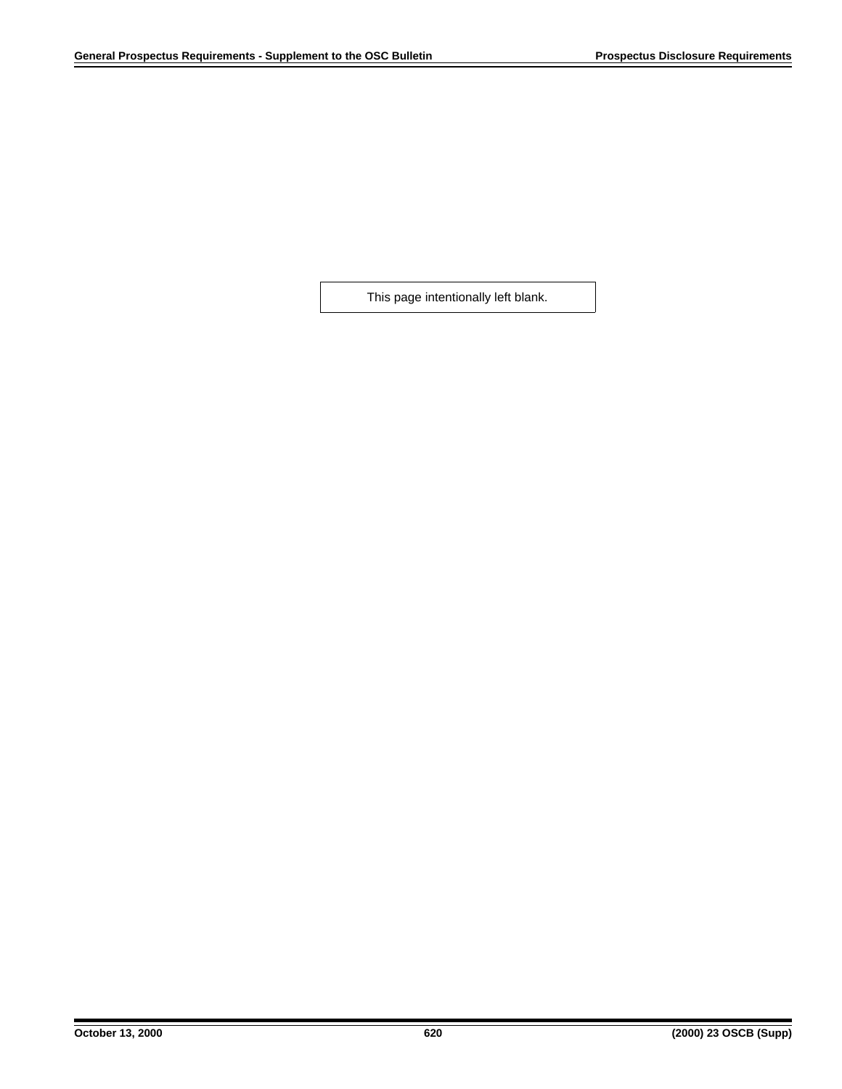This page intentionally left blank.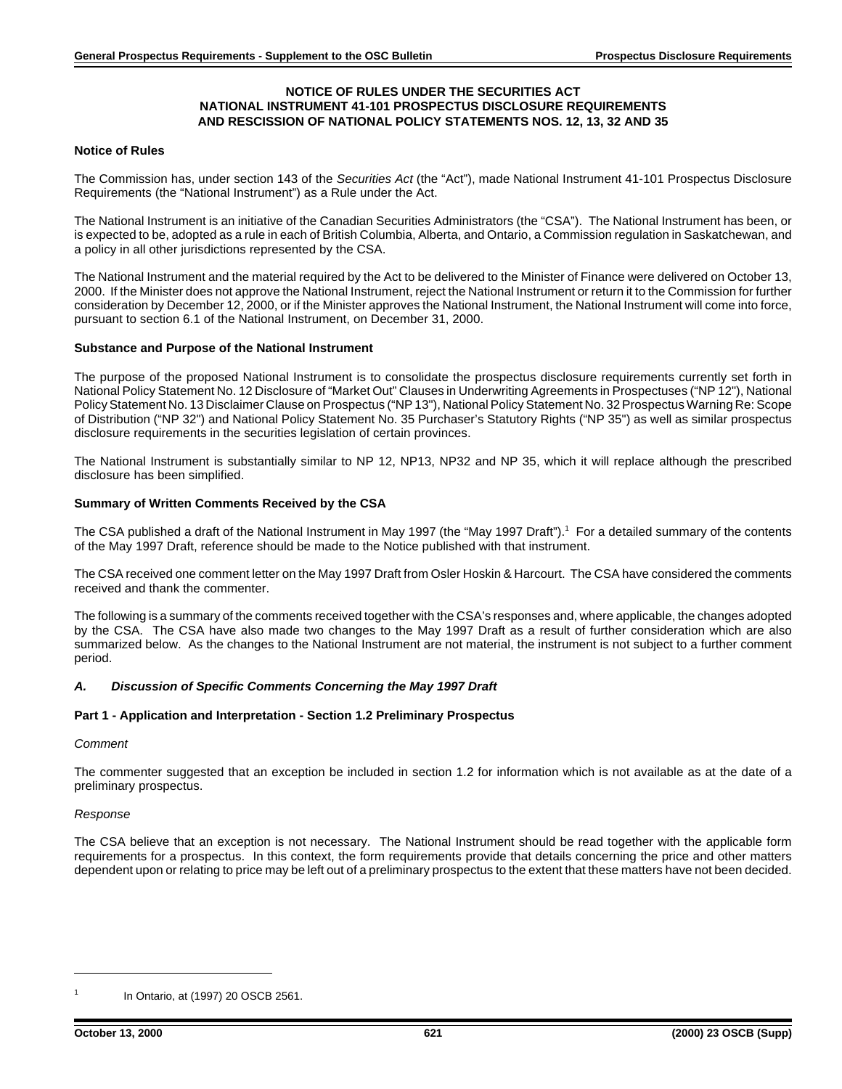# **NOTICE OF RULES UNDER THE SECURITIES ACT NATIONAL INSTRUMENT 41-101 PROSPECTUS DISCLOSURE REQUIREMENTS AND RESCISSION OF NATIONAL POLICY STATEMENTS NOS. 12, 13, 32 AND 35**

# **Notice of Rules**

The Commission has, under section 143 of the *Securities Act* (the "Act"), made National Instrument 41-101 Prospectus Disclosure Requirements (the "National Instrument") as a Rule under the Act.

The National Instrument is an initiative of the Canadian Securities Administrators (the "CSA"). The National Instrument has been, or is expected to be, adopted as a rule in each of British Columbia, Alberta, and Ontario, a Commission regulation in Saskatchewan, and a policy in all other jurisdictions represented by the CSA.

The National Instrument and the material required by the Act to be delivered to the Minister of Finance were delivered on October 13, 2000. If the Minister does not approve the National Instrument, reject the National Instrument or return it to the Commission for further consideration by December 12, 2000, or if the Minister approves the National Instrument, the National Instrument will come into force, pursuant to section 6.1 of the National Instrument, on December 31, 2000.

## **Substance and Purpose of the National Instrument**

The purpose of the proposed National Instrument is to consolidate the prospectus disclosure requirements currently set forth in National Policy Statement No. 12 Disclosure of "Market Out" Clauses in Underwriting Agreements in Prospectuses ("NP 12"), National Policy Statement No. 13 Disclaimer Clause on Prospectus ("NP 13"), National Policy Statement No. 32 Prospectus Warning Re: Scope of Distribution ("NP 32") and National Policy Statement No. 35 Purchaser's Statutory Rights ("NP 35") as well as similar prospectus disclosure requirements in the securities legislation of certain provinces.

The National Instrument is substantially similar to NP 12, NP13, NP32 and NP 35, which it will replace although the prescribed disclosure has been simplified.

## **Summary of Written Comments Received by the CSA**

The CSA published a draft of the National Instrument in May 1997 (the "May 1997 Draft").<sup>1</sup> For a detailed summary of the contents of the May 1997 Draft, reference should be made to the Notice published with that instrument.

The CSA received one comment letter on the May 1997 Draft from Osler Hoskin & Harcourt. The CSA have considered the comments received and thank the commenter.

The following is a summary of the comments received together with the CSA's responses and, where applicable, the changes adopted by the CSA. The CSA have also made two changes to the May 1997 Draft as a result of further consideration which are also summarized below. As the changes to the National Instrument are not material, the instrument is not subject to a further comment period.

# *A. Discussion of Specific Comments Concerning the May 1997 Draft*

# **Part 1 - Application and Interpretation - Section 1.2 Preliminary Prospectus**

#### *Comment*

The commenter suggested that an exception be included in section 1.2 for information which is not available as at the date of a preliminary prospectus.

#### *Response*

The CSA believe that an exception is not necessary. The National Instrument should be read together with the applicable form requirements for a prospectus. In this context, the form requirements provide that details concerning the price and other matters dependent upon or relating to price may be left out of a preliminary prospectus to the extent that these matters have not been decided.

1

In Ontario, at (1997) 20 OSCB 2561.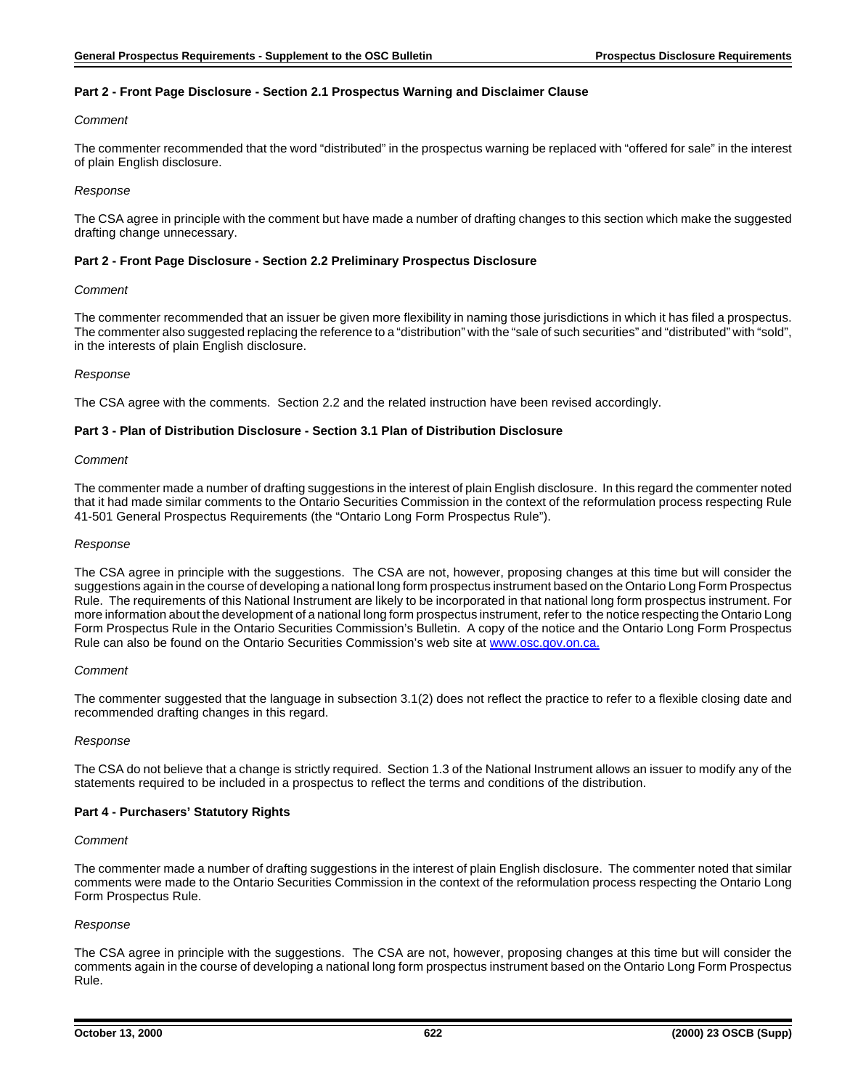# **Part 2 - Front Page Disclosure - Section 2.1 Prospectus Warning and Disclaimer Clause**

## *Comment*

The commenter recommended that the word "distributed" in the prospectus warning be replaced with "offered for sale" in the interest of plain English disclosure.

## *Response*

The CSA agree in principle with the comment but have made a number of drafting changes to this section which make the suggested drafting change unnecessary.

## **Part 2 - Front Page Disclosure - Section 2.2 Preliminary Prospectus Disclosure**

## *Comment*

The commenter recommended that an issuer be given more flexibility in naming those jurisdictions in which it has filed a prospectus. The commenter also suggested replacing the reference to a "distribution" with the "sale of such securities" and "distributed" with "sold", in the interests of plain English disclosure.

## *Response*

The CSA agree with the comments. Section 2.2 and the related instruction have been revised accordingly.

## **Part 3 - Plan of Distribution Disclosure - Section 3.1 Plan of Distribution Disclosure**

#### *Comment*

The commenter made a number of drafting suggestions in the interest of plain English disclosure. In this regard the commenter noted that it had made similar comments to the Ontario Securities Commission in the context of the reformulation process respecting Rule 41-501 General Prospectus Requirements (the "Ontario Long Form Prospectus Rule").

## *Response*

The CSA agree in principle with the suggestions. The CSA are not, however, proposing changes at this time but will consider the suggestions again in the course of developing a national long form prospectus instrument based on the Ontario Long Form Prospectus Rule. The requirements of this National Instrument are likely to be incorporated in that national long form prospectus instrument. For more information about the development of a national long form prospectus instrument, refer to the notice respecting the Ontario Long Form Prospectus Rule in the Ontario Securities Commission's Bulletin. A copy of the notice and the Ontario Long Form Prospectus Rule can also be found on the Ontario Securities Commission's web site at www.osc.gov.on.ca.

#### *Comment*

The commenter suggested that the language in subsection 3.1(2) does not reflect the practice to refer to a flexible closing date and recommended drafting changes in this regard.

#### *Response*

The CSA do not believe that a change is strictly required. Section 1.3 of the National Instrument allows an issuer to modify any of the statements required to be included in a prospectus to reflect the terms and conditions of the distribution.

# **Part 4 - Purchasers' Statutory Rights**

## *Comment*

The commenter made a number of drafting suggestions in the interest of plain English disclosure. The commenter noted that similar comments were made to the Ontario Securities Commission in the context of the reformulation process respecting the Ontario Long Form Prospectus Rule.

#### *Response*

The CSA agree in principle with the suggestions. The CSA are not, however, proposing changes at this time but will consider the comments again in the course of developing a national long form prospectus instrument based on the Ontario Long Form Prospectus Rule.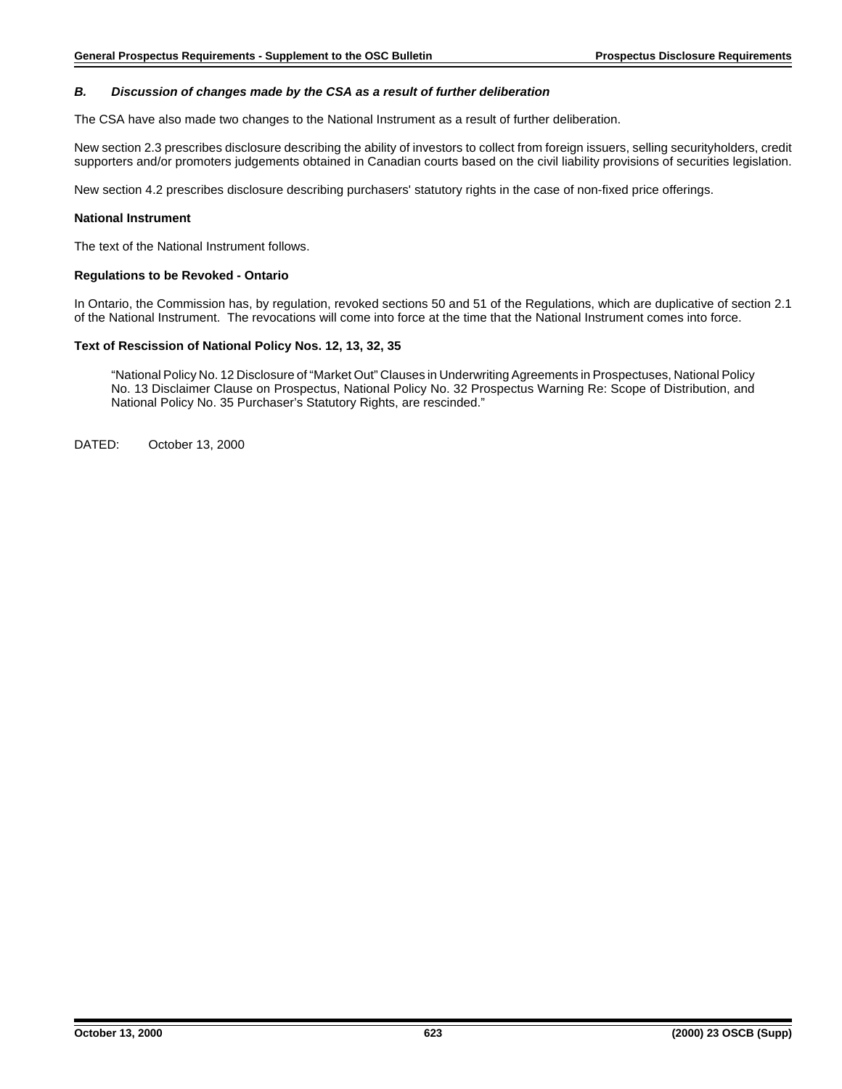## *B. Discussion of changes made by the CSA as a result of further deliberation*

The CSA have also made two changes to the National Instrument as a result of further deliberation.

New section 2.3 prescribes disclosure describing the ability of investors to collect from foreign issuers, selling securityholders, credit supporters and/or promoters judgements obtained in Canadian courts based on the civil liability provisions of securities legislation.

New section 4.2 prescribes disclosure describing purchasers' statutory rights in the case of non-fixed price offerings.

## **National Instrument**

The text of the National Instrument follows.

#### **Regulations to be Revoked - Ontario**

In Ontario, the Commission has, by regulation, revoked sections 50 and 51 of the Regulations, which are duplicative of section 2.1 of the National Instrument. The revocations will come into force at the time that the National Instrument comes into force.

## **Text of Rescission of National Policy Nos. 12, 13, 32, 35**

"National Policy No. 12 Disclosure of "Market Out" Clauses in Underwriting Agreements in Prospectuses, National Policy No. 13 Disclaimer Clause on Prospectus, National Policy No. 32 Prospectus Warning Re: Scope of Distribution, and National Policy No. 35 Purchaser's Statutory Rights, are rescinded."

DATED: October 13, 2000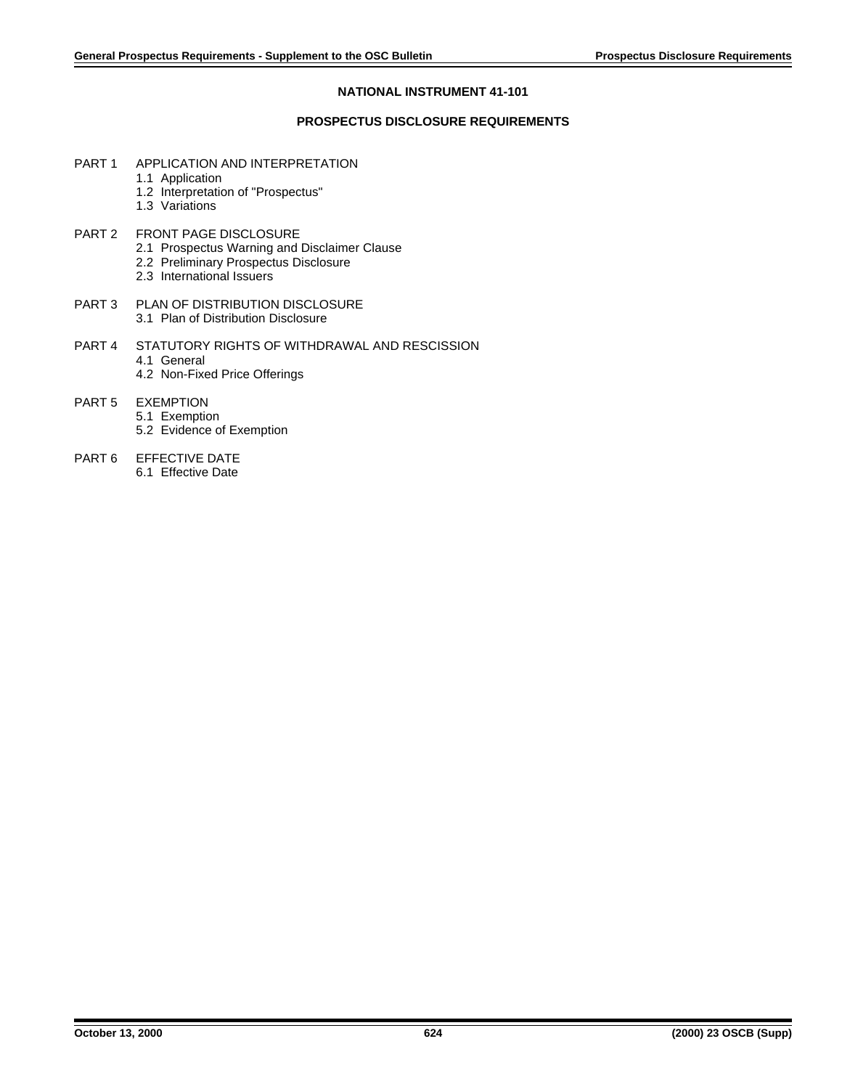# **NATIONAL INSTRUMENT 41-101**

# **PROSPECTUS DISCLOSURE REQUIREMENTS**

- PART 1 APPLICATION AND INTERPRETATION
	- 1.1 Application
	- 1.2 Interpretation of "Prospectus"
	- 1.3 Variations
- PART 2 FRONT PAGE DISCLOSURE
	- 2.1 Prospectus Warning and Disclaimer Clause
	- 2.2 Preliminary Prospectus Disclosure
	- 2.3 International Issuers
- PART 3 PLAN OF DISTRIBUTION DISCLOSURE 3.1 Plan of Distribution Disclosure
- PART 4 STATUTORY RIGHTS OF WITHDRAWAL AND RESCISSION 4.1 General
	- 4.2 Non-Fixed Price Offerings
- PART 5 EXEMPTION
	- 5.1 Exemption
		- 5.2 Evidence of Exemption
- PART 6 EFFECTIVE DATE
	- 6.1 Effective Date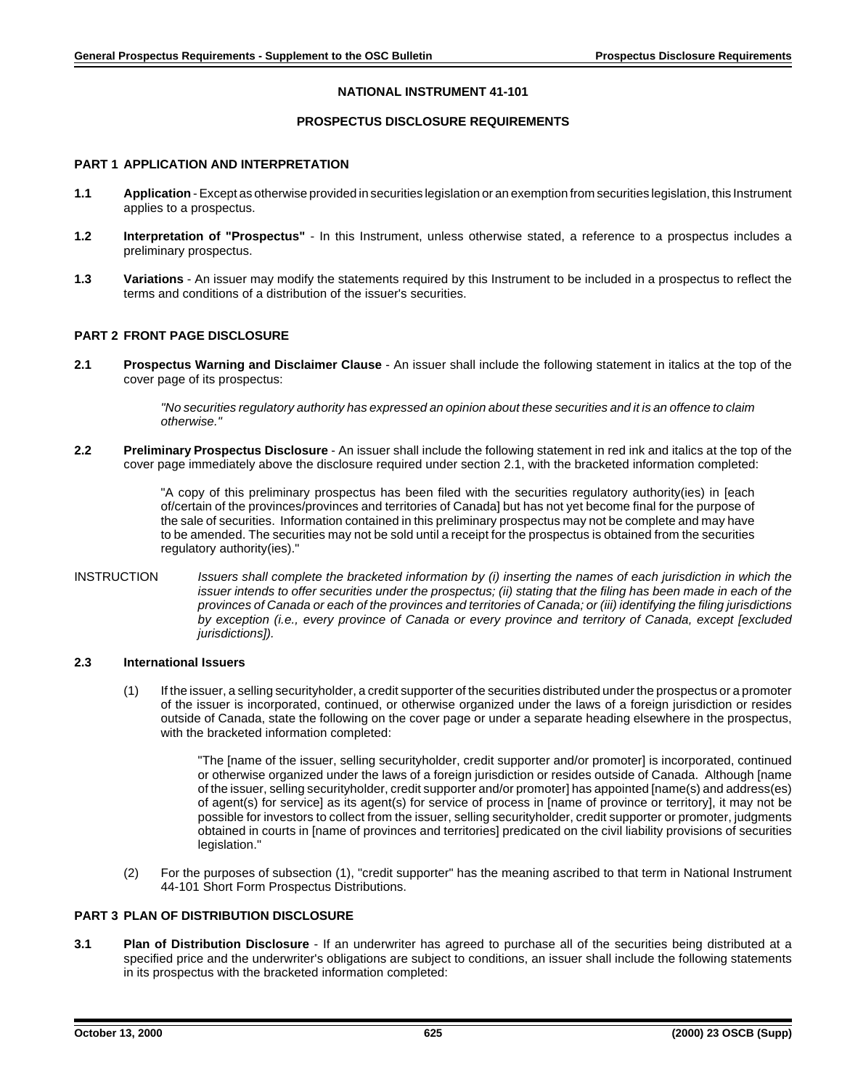# **NATIONAL INSTRUMENT 41-101**

# **PROSPECTUS DISCLOSURE REQUIREMENTS**

# **PART 1 APPLICATION AND INTERPRETATION**

- **1.1 Application** Except as otherwise provided in securities legislation or an exemption from securities legislation, this Instrument applies to a prospectus.
- **1.2 Interpretation of "Prospectus"** In this Instrument, unless otherwise stated, a reference to a prospectus includes a preliminary prospectus.
- **1.3 Variations** An issuer may modify the statements required by this Instrument to be included in a prospectus to reflect the terms and conditions of a distribution of the issuer's securities.

# **PART 2 FRONT PAGE DISCLOSURE**

**2.1 Prospectus Warning and Disclaimer Clause** - An issuer shall include the following statement in italics at the top of the cover page of its prospectus:

> *"No securities regulatory authority has expressed an opinion about these securities and it is an offence to claim otherwise."*

**2.2 Preliminary Prospectus Disclosure** - An issuer shall include the following statement in red ink and italics at the top of the cover page immediately above the disclosure required under section 2.1, with the bracketed information completed:

> "A copy of this preliminary prospectus has been filed with the securities regulatory authority(ies) in [each of/certain of the provinces/provinces and territories of Canada] but has not yet become final for the purpose of the sale of securities. Information contained in this preliminary prospectus may not be complete and may have to be amended. The securities may not be sold until a receipt for the prospectus is obtained from the securities regulatory authority(ies)."

INSTRUCTION *Issuers shall complete the bracketed information by (i) inserting the names of each jurisdiction in which the issuer intends to offer securities under the prospectus; (ii) stating that the filing has been made in each of the provinces of Canada or each of the provinces and territories of Canada; or (iii) identifying the filing jurisdictions by exception (i.e., every province of Canada or every province and territory of Canada, except [excluded jurisdictions]).*

# **2.3 International Issuers**

(1) If the issuer, a selling securityholder, a credit supporter of the securities distributed under the prospectus or a promoter of the issuer is incorporated, continued, or otherwise organized under the laws of a foreign jurisdiction or resides outside of Canada, state the following on the cover page or under a separate heading elsewhere in the prospectus, with the bracketed information completed:

> "The [name of the issuer, selling securityholder, credit supporter and/or promoter] is incorporated, continued or otherwise organized under the laws of a foreign jurisdiction or resides outside of Canada. Although [name of the issuer, selling securityholder, credit supporter and/or promoter] has appointed [name(s) and address(es) of agent(s) for service] as its agent(s) for service of process in [name of province or territory], it may not be possible for investors to collect from the issuer, selling securityholder, credit supporter or promoter, judgments obtained in courts in [name of provinces and territories] predicated on the civil liability provisions of securities legislation."

(2) For the purposes of subsection (1), "credit supporter" has the meaning ascribed to that term in National Instrument 44-101 Short Form Prospectus Distributions.

# **PART 3 PLAN OF DISTRIBUTION DISCLOSURE**

**3.1 Plan of Distribution Disclosure** - If an underwriter has agreed to purchase all of the securities being distributed at a specified price and the underwriter's obligations are subject to conditions, an issuer shall include the following statements in its prospectus with the bracketed information completed: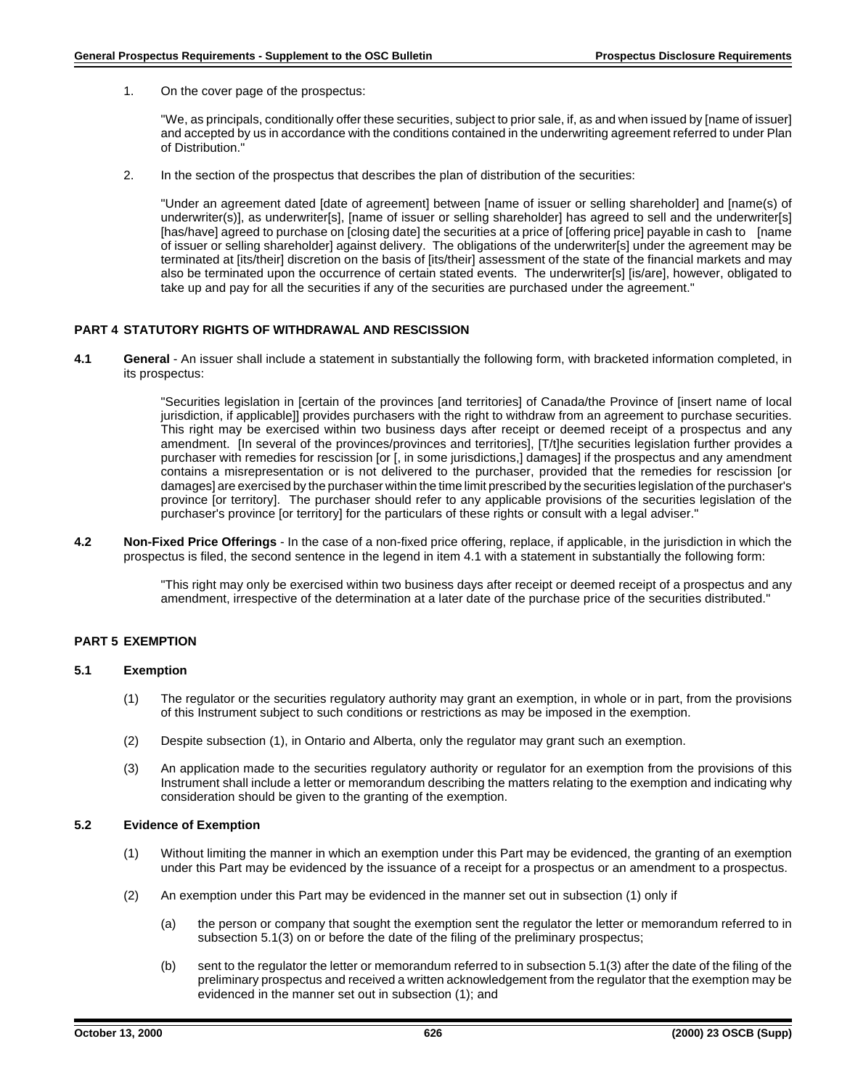1. On the cover page of the prospectus:

"We, as principals, conditionally offer these securities, subject to prior sale, if, as and when issued by [name of issuer] and accepted by us in accordance with the conditions contained in the underwriting agreement referred to under Plan of Distribution."

2. In the section of the prospectus that describes the plan of distribution of the securities:

"Under an agreement dated [date of agreement] between [name of issuer or selling shareholder] and [name(s) of underwriter(s)], as underwriter[s], [name of issuer or selling shareholder] has agreed to sell and the underwriter[s] [has/have] agreed to purchase on [closing date] the securities at a price of [offering price] payable in cash to [name of issuer or selling shareholder] against delivery. The obligations of the underwriter[s] under the agreement may be terminated at [its/their] discretion on the basis of [its/their] assessment of the state of the financial markets and may also be terminated upon the occurrence of certain stated events. The underwriter[s] [is/are], however, obligated to take up and pay for all the securities if any of the securities are purchased under the agreement."

# **PART 4 STATUTORY RIGHTS OF WITHDRAWAL AND RESCISSION**

**4.1 General** - An issuer shall include a statement in substantially the following form, with bracketed information completed, in its prospectus:

> "Securities legislation in [certain of the provinces [and territories] of Canada/the Province of [insert name of local jurisdiction, if applicable]] provides purchasers with the right to withdraw from an agreement to purchase securities. This right may be exercised within two business days after receipt or deemed receipt of a prospectus and any amendment. [In several of the provinces/provinces and territories], [T/t]he securities legislation further provides a purchaser with remedies for rescission [or [, in some jurisdictions,] damages] if the prospectus and any amendment contains a misrepresentation or is not delivered to the purchaser, provided that the remedies for rescission [or damages] are exercised by the purchaser within the time limit prescribed by the securities legislation of the purchaser's province [or territory]. The purchaser should refer to any applicable provisions of the securities legislation of the purchaser's province [or territory] for the particulars of these rights or consult with a legal adviser."

**4.2 Non-Fixed Price Offerings** - In the case of a non-fixed price offering, replace, if applicable, in the jurisdiction in which the prospectus is filed, the second sentence in the legend in item 4.1 with a statement in substantially the following form:

> "This right may only be exercised within two business days after receipt or deemed receipt of a prospectus and any amendment, irrespective of the determination at a later date of the purchase price of the securities distributed."

# **PART 5 EXEMPTION**

## **5.1 Exemption**

- (1) The regulator or the securities regulatory authority may grant an exemption, in whole or in part, from the provisions of this Instrument subject to such conditions or restrictions as may be imposed in the exemption.
- (2) Despite subsection (1), in Ontario and Alberta, only the regulator may grant such an exemption.
- (3) An application made to the securities regulatory authority or regulator for an exemption from the provisions of this Instrument shall include a letter or memorandum describing the matters relating to the exemption and indicating why consideration should be given to the granting of the exemption.

# **5.2 Evidence of Exemption**

- (1) Without limiting the manner in which an exemption under this Part may be evidenced, the granting of an exemption under this Part may be evidenced by the issuance of a receipt for a prospectus or an amendment to a prospectus.
- (2) An exemption under this Part may be evidenced in the manner set out in subsection (1) only if
	- (a) the person or company that sought the exemption sent the regulator the letter or memorandum referred to in subsection 5.1(3) on or before the date of the filing of the preliminary prospectus;
	- (b) sent to the regulator the letter or memorandum referred to in subsection 5.1(3) after the date of the filing of the preliminary prospectus and received a written acknowledgement from the regulator that the exemption may be evidenced in the manner set out in subsection (1); and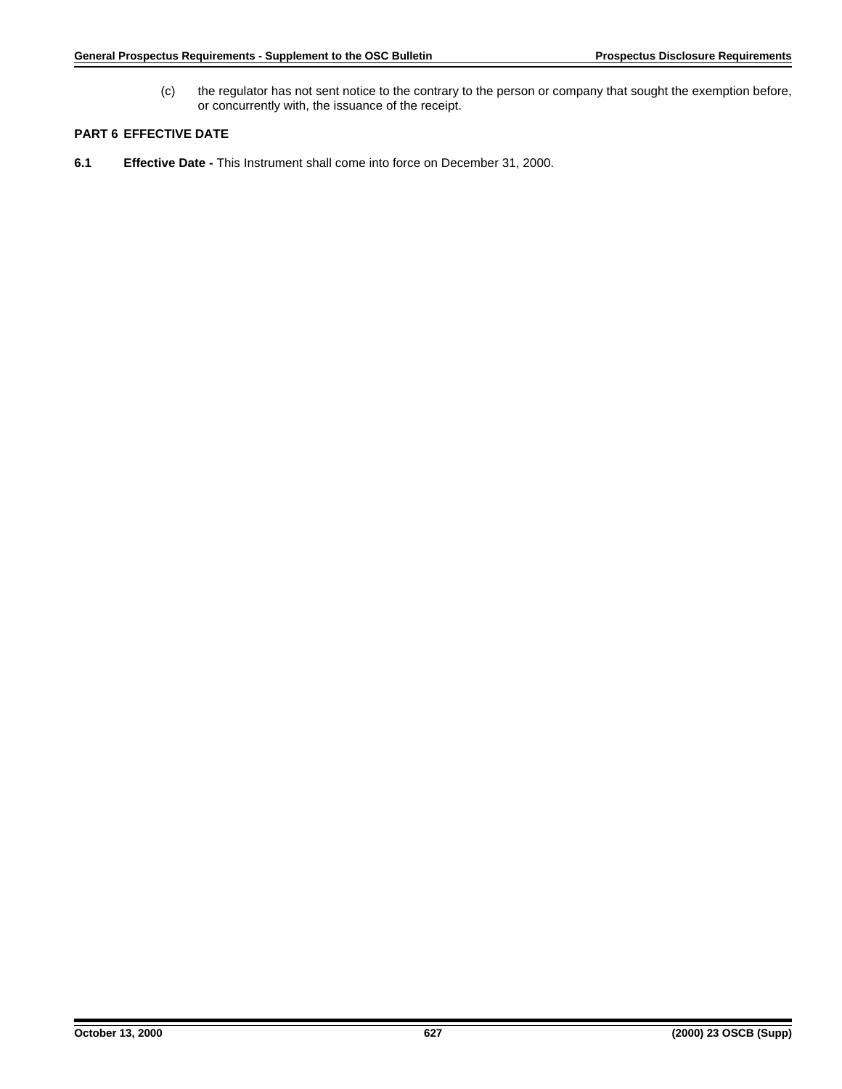(c) the regulator has not sent notice to the contrary to the person or company that sought the exemption before, or concurrently with, the issuance of the receipt.

# **PART 6 EFFECTIVE DATE**

**6.1 Effective Date -** This Instrument shall come into force on December 31, 2000.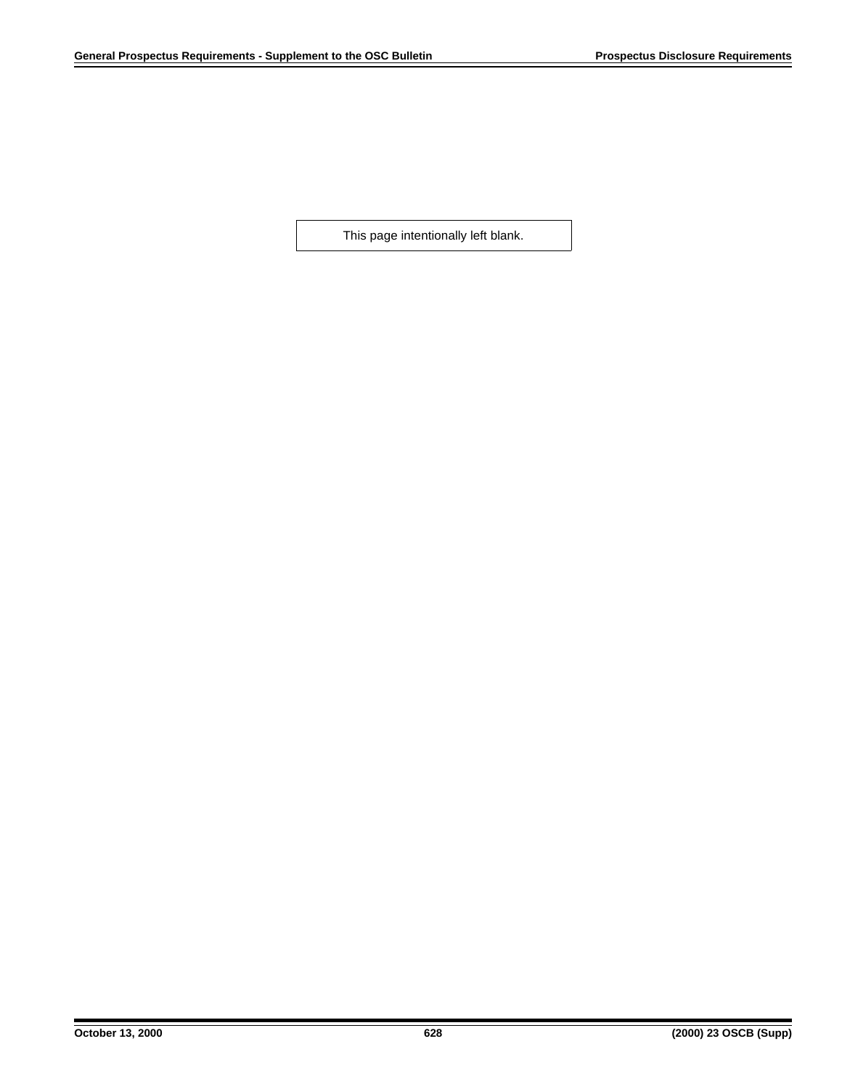This page intentionally left blank.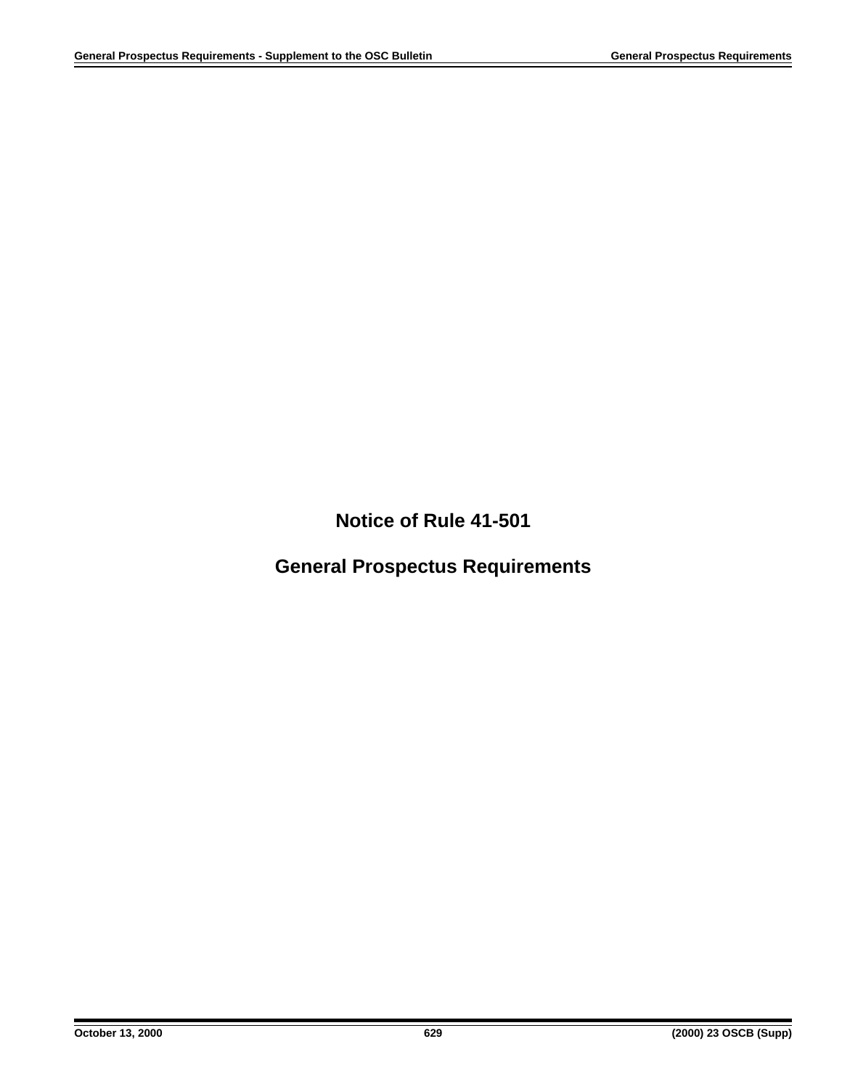**Notice of Rule 41-501**

**General Prospectus Requirements**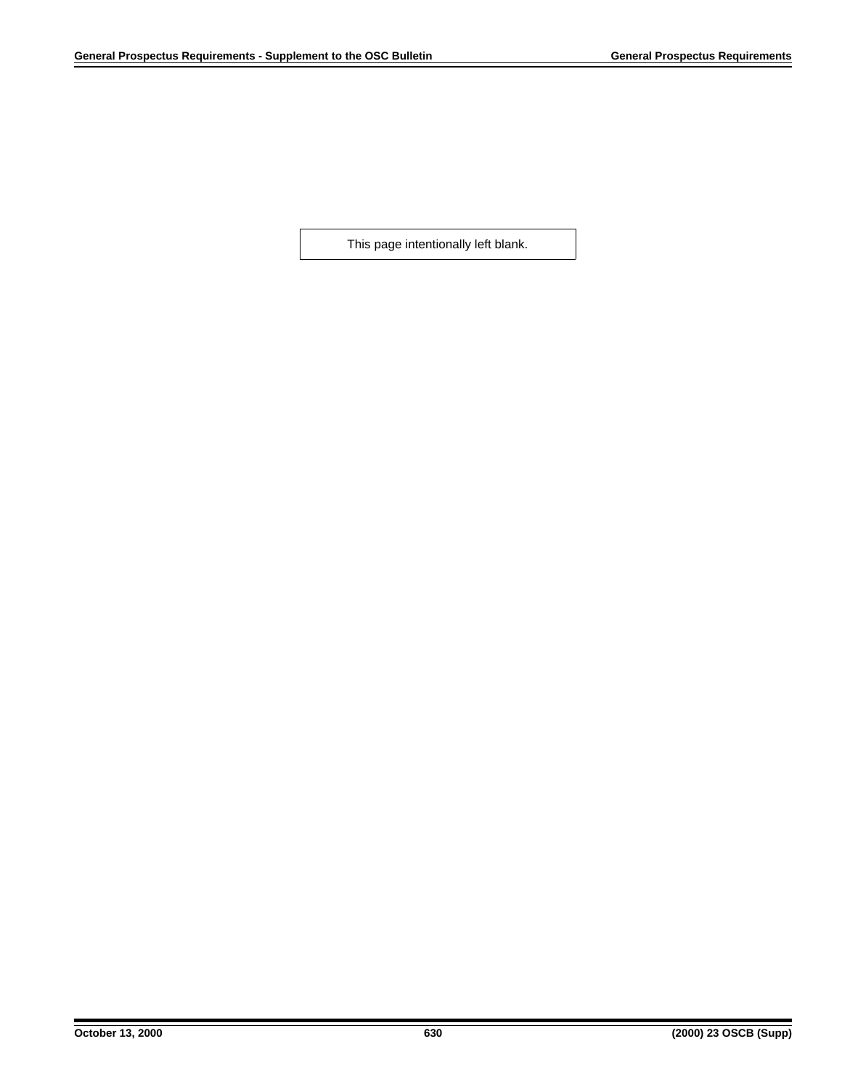This page intentionally left blank.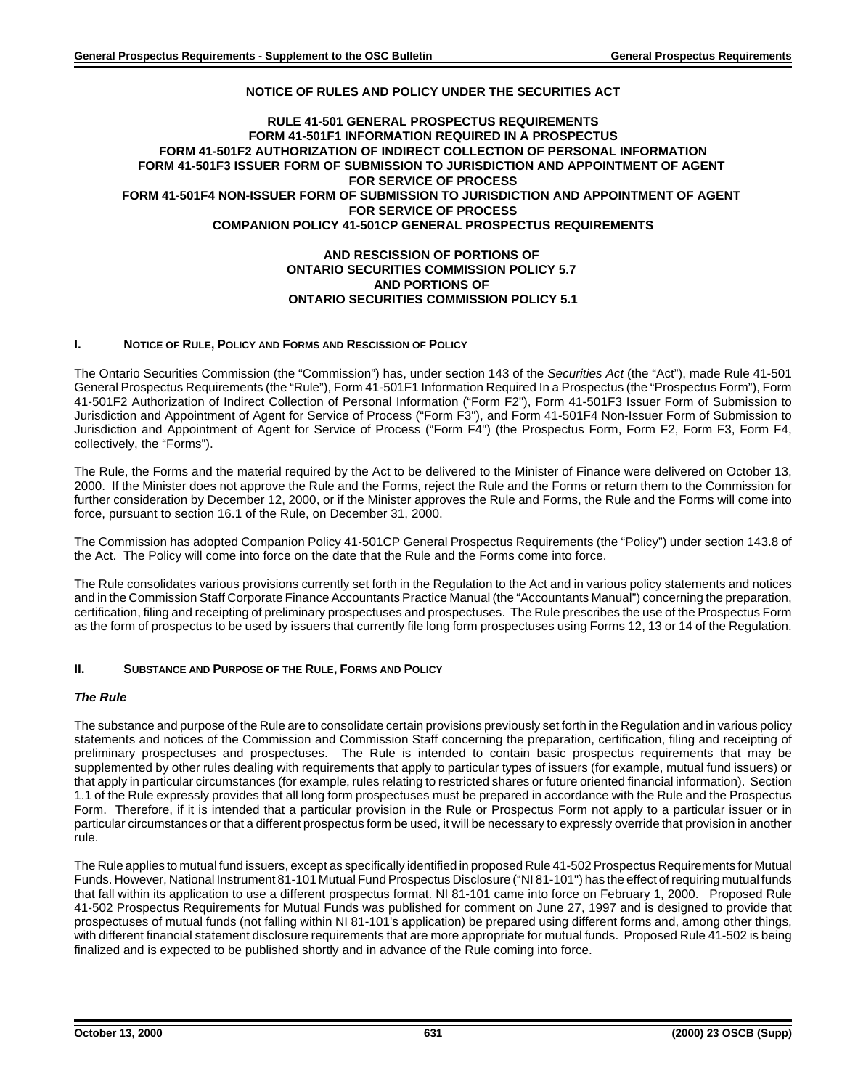# **NOTICE OF RULES AND POLICY UNDER THE SECURITIES ACT**

# **RULE 41-501 GENERAL PROSPECTUS REQUIREMENTS FORM 41-501F1 INFORMATION REQUIRED IN A PROSPECTUS FORM 41-501F2 AUTHORIZATION OF INDIRECT COLLECTION OF PERSONAL INFORMATION FORM 41-501F3 ISSUER FORM OF SUBMISSION TO JURISDICTION AND APPOINTMENT OF AGENT FOR SERVICE OF PROCESS FORM 41-501F4 NON-ISSUER FORM OF SUBMISSION TO JURISDICTION AND APPOINTMENT OF AGENT FOR SERVICE OF PROCESS COMPANION POLICY 41-501CP GENERAL PROSPECTUS REQUIREMENTS**

## **AND RESCISSION OF PORTIONS OF ONTARIO SECURITIES COMMISSION POLICY 5.7 AND PORTIONS OF ONTARIO SECURITIES COMMISSION POLICY 5.1**

# **I. NOTICE OF RULE, POLICY AND FORMS AND RESCISSION OF POLICY**

The Ontario Securities Commission (the "Commission") has, under section 143 of the *Securities Act* (the "Act"), made Rule 41-501 General Prospectus Requirements (the "Rule"), Form 41-501F1 Information Required In a Prospectus (the "Prospectus Form"), Form 41-501F2 Authorization of Indirect Collection of Personal Information ("Form F2"), Form 41-501F3 Issuer Form of Submission to Jurisdiction and Appointment of Agent for Service of Process ("Form F3"), and Form 41-501F4 Non-Issuer Form of Submission to Jurisdiction and Appointment of Agent for Service of Process ("Form F4") (the Prospectus Form, Form F2, Form F3, Form F4, collectively, the "Forms").

The Rule, the Forms and the material required by the Act to be delivered to the Minister of Finance were delivered on October 13, 2000. If the Minister does not approve the Rule and the Forms, reject the Rule and the Forms or return them to the Commission for further consideration by December 12, 2000, or if the Minister approves the Rule and Forms, the Rule and the Forms will come into force, pursuant to section 16.1 of the Rule, on December 31, 2000.

The Commission has adopted Companion Policy 41-501CP General Prospectus Requirements (the "Policy") under section 143.8 of the Act. The Policy will come into force on the date that the Rule and the Forms come into force.

The Rule consolidates various provisions currently set forth in the Regulation to the Act and in various policy statements and notices and in the Commission Staff Corporate Finance Accountants Practice Manual (the "Accountants Manual") concerning the preparation, certification, filing and receipting of preliminary prospectuses and prospectuses. The Rule prescribes the use of the Prospectus Form as the form of prospectus to be used by issuers that currently file long form prospectuses using Forms 12, 13 or 14 of the Regulation.

# **II. SUBSTANCE AND PURPOSE OF THE RULE, FORMS AND POLICY**

# *The Rule*

The substance and purpose of the Rule are to consolidate certain provisions previously set forth in the Regulation and in various policy statements and notices of the Commission and Commission Staff concerning the preparation, certification, filing and receipting of preliminary prospectuses and prospectuses. The Rule is intended to contain basic prospectus requirements that may be supplemented by other rules dealing with requirements that apply to particular types of issuers (for example, mutual fund issuers) or that apply in particular circumstances (for example, rules relating to restricted shares or future oriented financial information). Section 1.1 of the Rule expressly provides that all long form prospectuses must be prepared in accordance with the Rule and the Prospectus Form. Therefore, if it is intended that a particular provision in the Rule or Prospectus Form not apply to a particular issuer or in particular circumstances or that a different prospectus form be used, it will be necessary to expressly override that provision in another rule.

The Rule applies to mutual fund issuers, except as specifically identified in proposed Rule 41-502 Prospectus Requirements for Mutual Funds. However, National Instrument 81-101 Mutual Fund Prospectus Disclosure ("NI 81-101") has the effect of requiring mutual funds that fall within its application to use a different prospectus format. NI 81-101 came into force on February 1, 2000. Proposed Rule 41-502 Prospectus Requirements for Mutual Funds was published for comment on June 27, 1997 and is designed to provide that prospectuses of mutual funds (not falling within NI 81-101's application) be prepared using different forms and, among other things, with different financial statement disclosure requirements that are more appropriate for mutual funds. Proposed Rule 41-502 is being finalized and is expected to be published shortly and in advance of the Rule coming into force.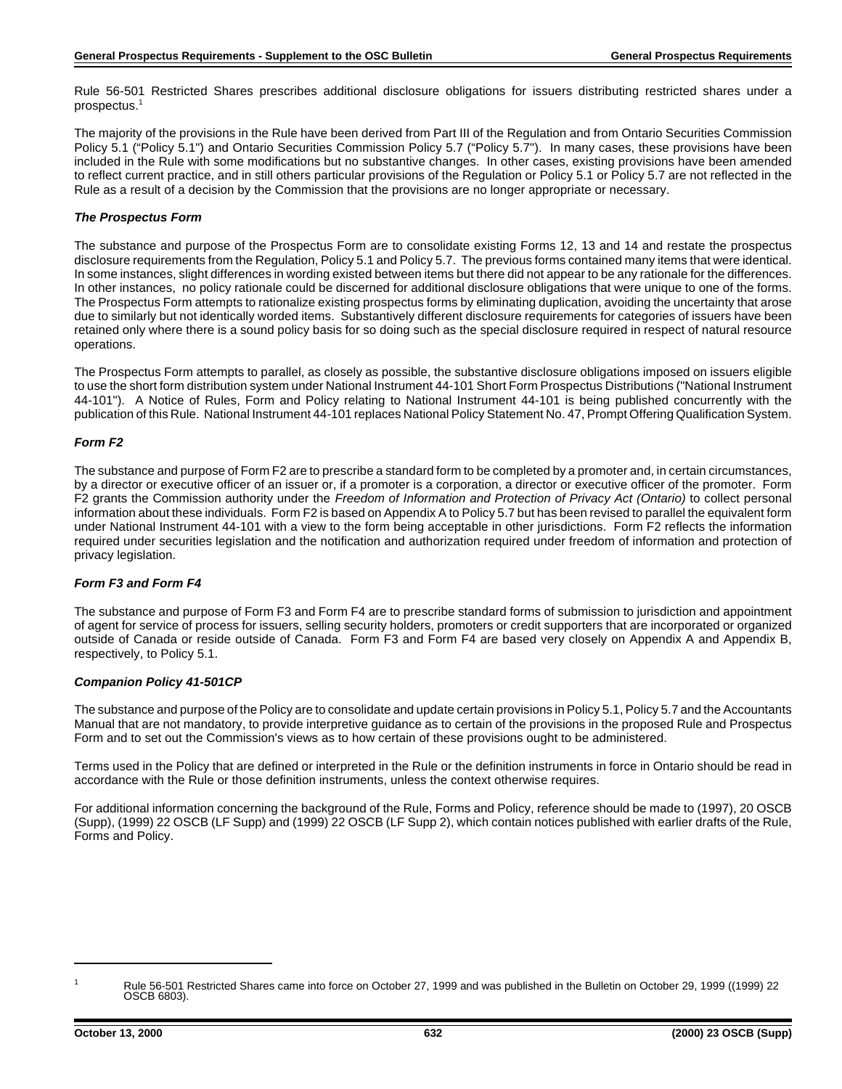Rule 56-501 Restricted Shares prescribes additional disclosure obligations for issuers distributing restricted shares under a prospectus.<sup>1</sup>

The majority of the provisions in the Rule have been derived from Part III of the Regulation and from Ontario Securities Commission Policy 5.1 ("Policy 5.1") and Ontario Securities Commission Policy 5.7 ("Policy 5.7"). In many cases, these provisions have been included in the Rule with some modifications but no substantive changes. In other cases, existing provisions have been amended to reflect current practice, and in still others particular provisions of the Regulation or Policy 5.1 or Policy 5.7 are not reflected in the Rule as a result of a decision by the Commission that the provisions are no longer appropriate or necessary.

# *The Prospectus Form*

The substance and purpose of the Prospectus Form are to consolidate existing Forms 12, 13 and 14 and restate the prospectus disclosure requirements from the Regulation, Policy 5.1 and Policy 5.7. The previous forms contained many items that were identical. In some instances, slight differences in wording existed between items but there did not appear to be any rationale for the differences. In other instances, no policy rationale could be discerned for additional disclosure obligations that were unique to one of the forms. The Prospectus Form attempts to rationalize existing prospectus forms by eliminating duplication, avoiding the uncertainty that arose due to similarly but not identically worded items. Substantively different disclosure requirements for categories of issuers have been retained only where there is a sound policy basis for so doing such as the special disclosure required in respect of natural resource operations.

The Prospectus Form attempts to parallel, as closely as possible, the substantive disclosure obligations imposed on issuers eligible to use the short form distribution system under National Instrument 44-101 Short Form Prospectus Distributions ("National Instrument 44-101"). A Notice of Rules, Form and Policy relating to National Instrument 44-101 is being published concurrently with the publication of this Rule. National Instrument 44-101 replaces National Policy Statement No. 47, Prompt Offering Qualification System.

# *Form F2*

The substance and purpose of Form F2 are to prescribe a standard form to be completed by a promoter and, in certain circumstances, by a director or executive officer of an issuer or, if a promoter is a corporation, a director or executive officer of the promoter. Form F2 grants the Commission authority under the *Freedom of Information and Protection of Privacy Act (Ontario)* to collect personal information about these individuals. Form F2 is based on Appendix A to Policy 5.7 but has been revised to parallel the equivalent form under National Instrument 44-101 with a view to the form being acceptable in other jurisdictions. Form F2 reflects the information required under securities legislation and the notification and authorization required under freedom of information and protection of privacy legislation.

# *Form F3 and Form F4*

The substance and purpose of Form F3 and Form F4 are to prescribe standard forms of submission to jurisdiction and appointment of agent for service of process for issuers, selling security holders, promoters or credit supporters that are incorporated or organized outside of Canada or reside outside of Canada. Form F3 and Form F4 are based very closely on Appendix A and Appendix B, respectively, to Policy 5.1.

# *Companion Policy 41-501CP*

The substance and purpose of the Policy are to consolidate and update certain provisions in Policy 5.1, Policy 5.7 and the Accountants Manual that are not mandatory, to provide interpretive guidance as to certain of the provisions in the proposed Rule and Prospectus Form and to set out the Commission's views as to how certain of these provisions ought to be administered.

Terms used in the Policy that are defined or interpreted in the Rule or the definition instruments in force in Ontario should be read in accordance with the Rule or those definition instruments, unless the context otherwise requires.

For additional information concerning the background of the Rule, Forms and Policy, reference should be made to (1997), 20 OSCB (Supp), (1999) 22 OSCB (LF Supp) and (1999) 22 OSCB (LF Supp 2), which contain notices published with earlier drafts of the Rule, Forms and Policy.

<sup>1</sup> Rule 56-501 Restricted Shares came into force on October 27, 1999 and was published in the Bulletin on October 29, 1999 ((1999) 22 OSCB 6803).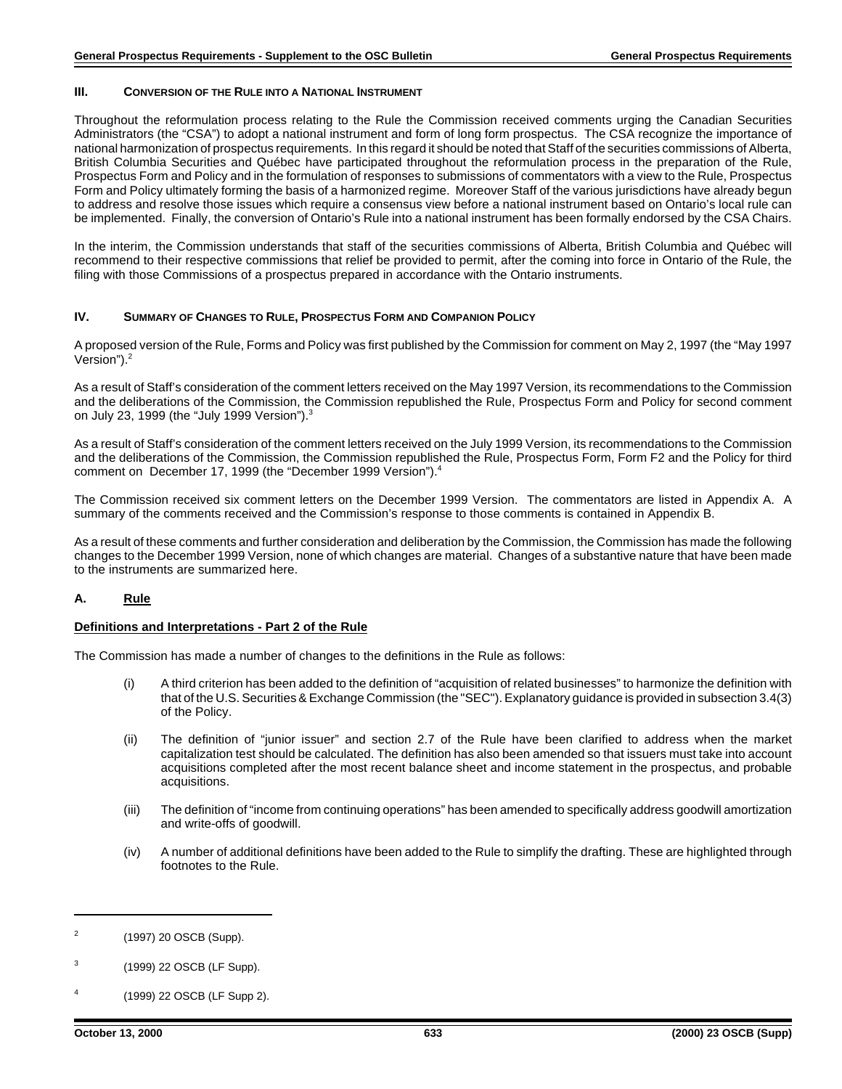# **III. CONVERSION OF THE RULE INTO A NATIONAL INSTRUMENT**

Throughout the reformulation process relating to the Rule the Commission received comments urging the Canadian Securities Administrators (the "CSA") to adopt a national instrument and form of long form prospectus. The CSA recognize the importance of national harmonization of prospectus requirements. In this regard it should be noted that Staff of the securities commissions of Alberta, British Columbia Securities and Québec have participated throughout the reformulation process in the preparation of the Rule, Prospectus Form and Policy and in the formulation of responses to submissions of commentators with a view to the Rule, Prospectus Form and Policy ultimately forming the basis of a harmonized regime. Moreover Staff of the various jurisdictions have already begun to address and resolve those issues which require a consensus view before a national instrument based on Ontario's local rule can be implemented. Finally, the conversion of Ontario's Rule into a national instrument has been formally endorsed by the CSA Chairs.

In the interim, the Commission understands that staff of the securities commissions of Alberta, British Columbia and Québec will recommend to their respective commissions that relief be provided to permit, after the coming into force in Ontario of the Rule, the filing with those Commissions of a prospectus prepared in accordance with the Ontario instruments.

# **IV. SUMMARY OF CHANGES TO RULE, PROSPECTUS FORM AND COMPANION POLICY**

A proposed version of the Rule, Forms and Policy was first published by the Commission for comment on May 2, 1997 (the "May 1997 Version").<sup>2</sup>

As a result of Staff's consideration of the comment letters received on the May 1997 Version, its recommendations to the Commission and the deliberations of the Commission, the Commission republished the Rule, Prospectus Form and Policy for second comment on July 23, 1999 (the "July 1999 Version").<sup>3</sup>

As a result of Staff's consideration of the comment letters received on the July 1999 Version, its recommendations to the Commission and the deliberations of the Commission, the Commission republished the Rule, Prospectus Form, Form F2 and the Policy for third comment on December 17, 1999 (the "December 1999 Version").<sup>4</sup>

The Commission received six comment letters on the December 1999 Version. The commentators are listed in Appendix A. A summary of the comments received and the Commission's response to those comments is contained in Appendix B.

As a result of these comments and further consideration and deliberation by the Commission, the Commission has made the following changes to the December 1999 Version, none of which changes are material. Changes of a substantive nature that have been made to the instruments are summarized here.

# **A. Rule**

# **Definitions and Interpretations - Part 2 of the Rule**

The Commission has made a number of changes to the definitions in the Rule as follows:

- (i) A third criterion has been added to the definition of "acquisition of related businesses" to harmonize the definition with that of the U.S. Securities & Exchange Commission (the "SEC"). Explanatory guidance is provided in subsection 3.4(3) of the Policy.
- (ii) The definition of "junior issuer" and section 2.7 of the Rule have been clarified to address when the market capitalization test should be calculated. The definition has also been amended so that issuers must take into account acquisitions completed after the most recent balance sheet and income statement in the prospectus, and probable acquisitions.
- (iii) The definition of "income from continuing operations" has been amended to specifically address goodwill amortization and write-offs of goodwill.
- (iv) A number of additional definitions have been added to the Rule to simplify the drafting. These are highlighted through footnotes to the Rule.

<sup>2</sup> (1997) 20 OSCB (Supp).

<sup>3</sup> (1999) 22 OSCB (LF Supp).

<sup>4</sup> (1999) 22 OSCB (LF Supp 2).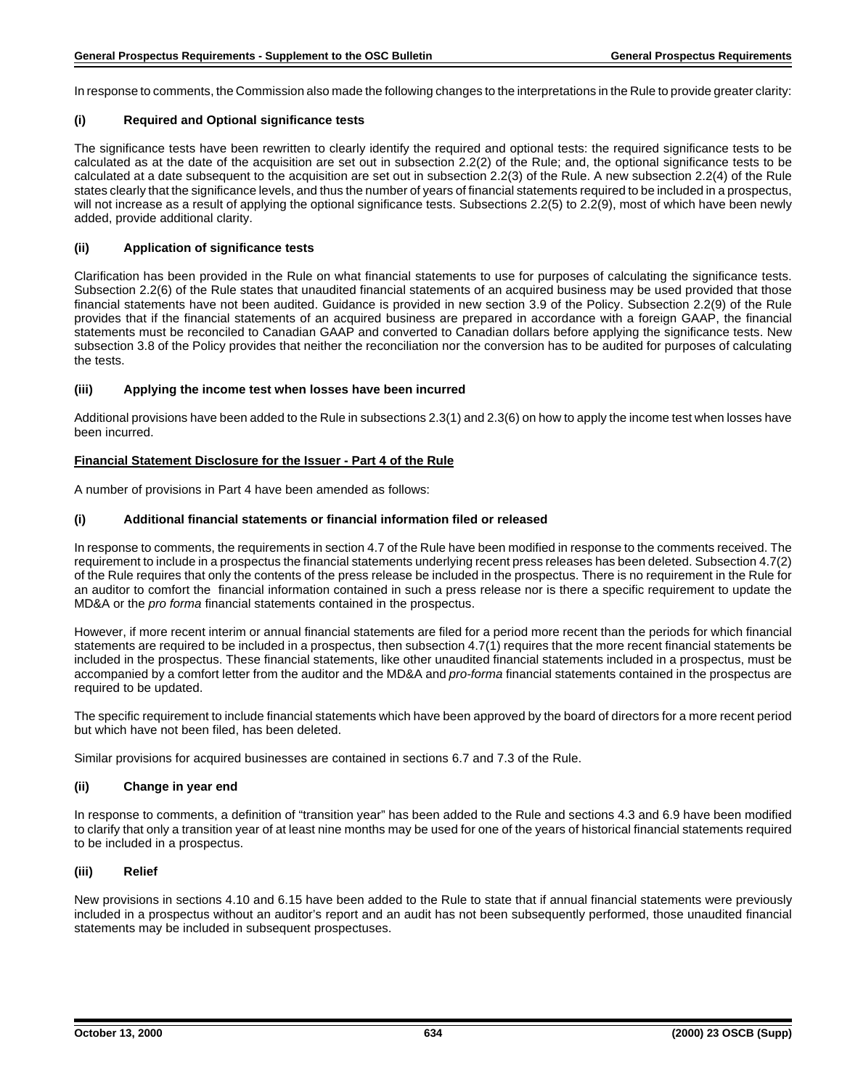In response to comments, the Commission also made the following changes to the interpretations in the Rule to provide greater clarity:

# **(i) Required and Optional significance tests**

The significance tests have been rewritten to clearly identify the required and optional tests: the required significance tests to be calculated as at the date of the acquisition are set out in subsection 2.2(2) of the Rule; and, the optional significance tests to be calculated at a date subsequent to the acquisition are set out in subsection 2.2(3) of the Rule. A new subsection 2.2(4) of the Rule states clearly that the significance levels, and thus the number of years of financial statements required to be included in a prospectus, will not increase as a result of applying the optional significance tests. Subsections 2.2(5) to 2.2(9), most of which have been newly added, provide additional clarity.

# **(ii) Application of significance tests**

Clarification has been provided in the Rule on what financial statements to use for purposes of calculating the significance tests. Subsection 2.2(6) of the Rule states that unaudited financial statements of an acquired business may be used provided that those financial statements have not been audited. Guidance is provided in new section 3.9 of the Policy. Subsection 2.2(9) of the Rule provides that if the financial statements of an acquired business are prepared in accordance with a foreign GAAP, the financial statements must be reconciled to Canadian GAAP and converted to Canadian dollars before applying the significance tests. New subsection 3.8 of the Policy provides that neither the reconciliation nor the conversion has to be audited for purposes of calculating the tests.

# **(iii) Applying the income test when losses have been incurred**

Additional provisions have been added to the Rule in subsections 2.3(1) and 2.3(6) on how to apply the income test when losses have been incurred.

# **Financial Statement Disclosure for the Issuer - Part 4 of the Rule**

A number of provisions in Part 4 have been amended as follows:

# **(i) Additional financial statements or financial information filed or released**

In response to comments, the requirements in section 4.7 of the Rule have been modified in response to the comments received. The requirement to include in a prospectus the financial statements underlying recent press releases has been deleted. Subsection 4.7(2) of the Rule requires that only the contents of the press release be included in the prospectus. There is no requirement in the Rule for an auditor to comfort the financial information contained in such a press release nor is there a specific requirement to update the MD&A or the *pro forma* financial statements contained in the prospectus.

However, if more recent interim or annual financial statements are filed for a period more recent than the periods for which financial statements are required to be included in a prospectus, then subsection 4.7(1) requires that the more recent financial statements be included in the prospectus. These financial statements, like other unaudited financial statements included in a prospectus, must be accompanied by a comfort letter from the auditor and the MD&A and *pro-forma* financial statements contained in the prospectus are required to be updated.

The specific requirement to include financial statements which have been approved by the board of directors for a more recent period but which have not been filed, has been deleted.

Similar provisions for acquired businesses are contained in sections 6.7 and 7.3 of the Rule.

# **(ii) Change in year end**

In response to comments, a definition of "transition year" has been added to the Rule and sections 4.3 and 6.9 have been modified to clarify that only a transition year of at least nine months may be used for one of the years of historical financial statements required to be included in a prospectus.

# **(iii) Relief**

New provisions in sections 4.10 and 6.15 have been added to the Rule to state that if annual financial statements were previously included in a prospectus without an auditor's report and an audit has not been subsequently performed, those unaudited financial statements may be included in subsequent prospectuses.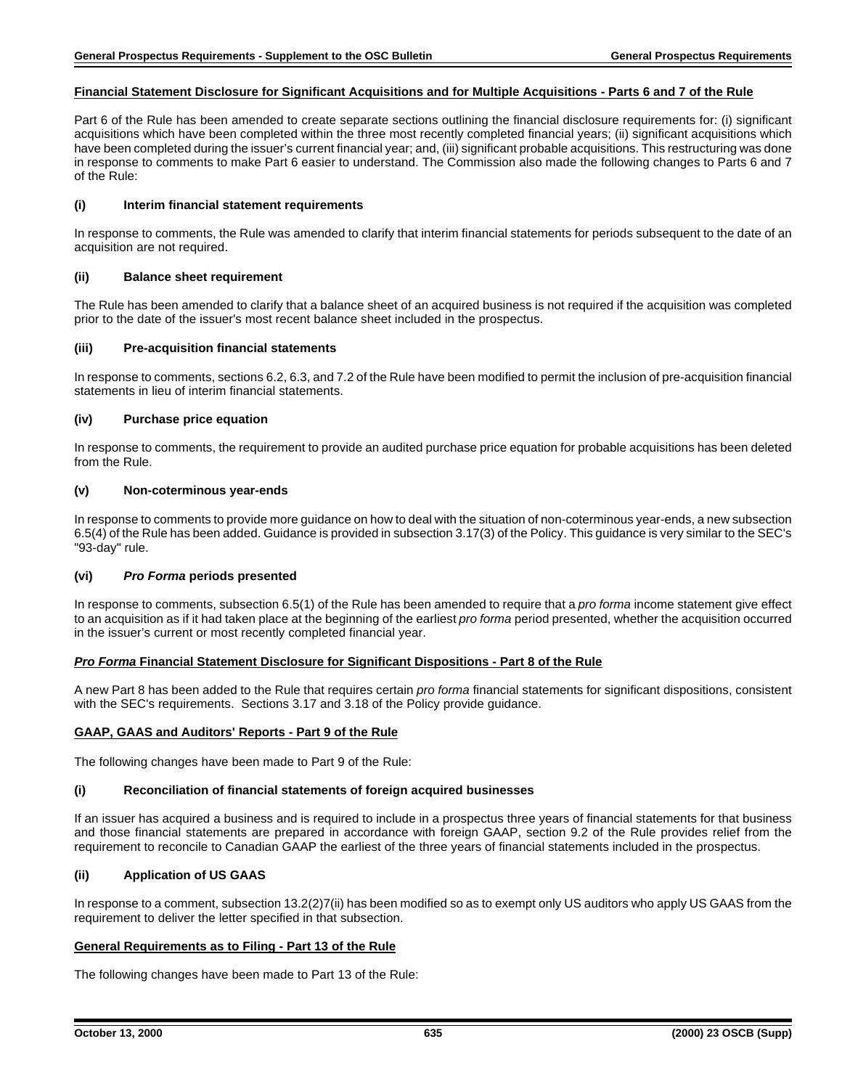## **Financial Statement Disclosure for Significant Acquisitions and for Multiple Acquisitions - Parts 6 and 7 of the Rule**

Part 6 of the Rule has been amended to create separate sections outlining the financial disclosure requirements for: (i) significant acquisitions which have been completed within the three most recently completed financial years; (ii) significant acquisitions which have been completed during the issuer's current financial year; and, (iii) significant probable acquisitions. This restructuring was done in response to comments to make Part 6 easier to understand. The Commission also made the following changes to Parts 6 and 7 of the Rule:

#### **(i) Interim financial statement requirements**

In response to comments, the Rule was amended to clarify that interim financial statements for periods subsequent to the date of an acquisition are not required.

### **(ii) Balance sheet requirement**

The Rule has been amended to clarify that a balance sheet of an acquired business is not required if the acquisition was completed prior to the date of the issuer's most recent balance sheet included in the prospectus.

## **(iii) Pre-acquisition financial statements**

In response to comments, sections 6.2, 6.3, and 7.2 of the Rule have been modified to permit the inclusion of pre-acquisition financial statements in lieu of interim financial statements.

## **(iv) Purchase price equation**

In response to comments, the requirement to provide an audited purchase price equation for probable acquisitions has been deleted from the Rule.

## **(v) Non-coterminous year-ends**

In response to comments to provide more guidance on how to deal with the situation of non-coterminous year-ends, a new subsection 6.5(4) of the Rule has been added. Guidance is provided in subsection 3.17(3) of the Policy. This guidance is very similar to the SEC's "93-day" rule.

#### **(vi)** *Pro Forma* **periods presented**

In response to comments, subsection 6.5(1) of the Rule has been amended to require that a *pro forma* income statement give effect to an acquisition as if it had taken place at the beginning of the earliest *pro forma* period presented, whether the acquisition occurred in the issuer's current or most recently completed financial year.

# *Pro Forma* **Financial Statement Disclosure for Significant Dispositions - Part 8 of the Rule**

A new Part 8 has been added to the Rule that requires certain *pro forma* financial statements for significant dispositions, consistent with the SEC's requirements. Sections 3.17 and 3.18 of the Policy provide guidance.

#### **GAAP, GAAS and Auditors' Reports - Part 9 of the Rule**

The following changes have been made to Part 9 of the Rule:

#### **(i) Reconciliation of financial statements of foreign acquired businesses**

If an issuer has acquired a business and is required to include in a prospectus three years of financial statements for that business and those financial statements are prepared in accordance with foreign GAAP, section 9.2 of the Rule provides relief from the requirement to reconcile to Canadian GAAP the earliest of the three years of financial statements included in the prospectus.

## **(ii) Application of US GAAS**

In response to a comment, subsection 13.2(2)7(ii) has been modified so as to exempt only US auditors who apply US GAAS from the requirement to deliver the letter specified in that subsection.

## **General Requirements as to Filing - Part 13 of the Rule**

The following changes have been made to Part 13 of the Rule: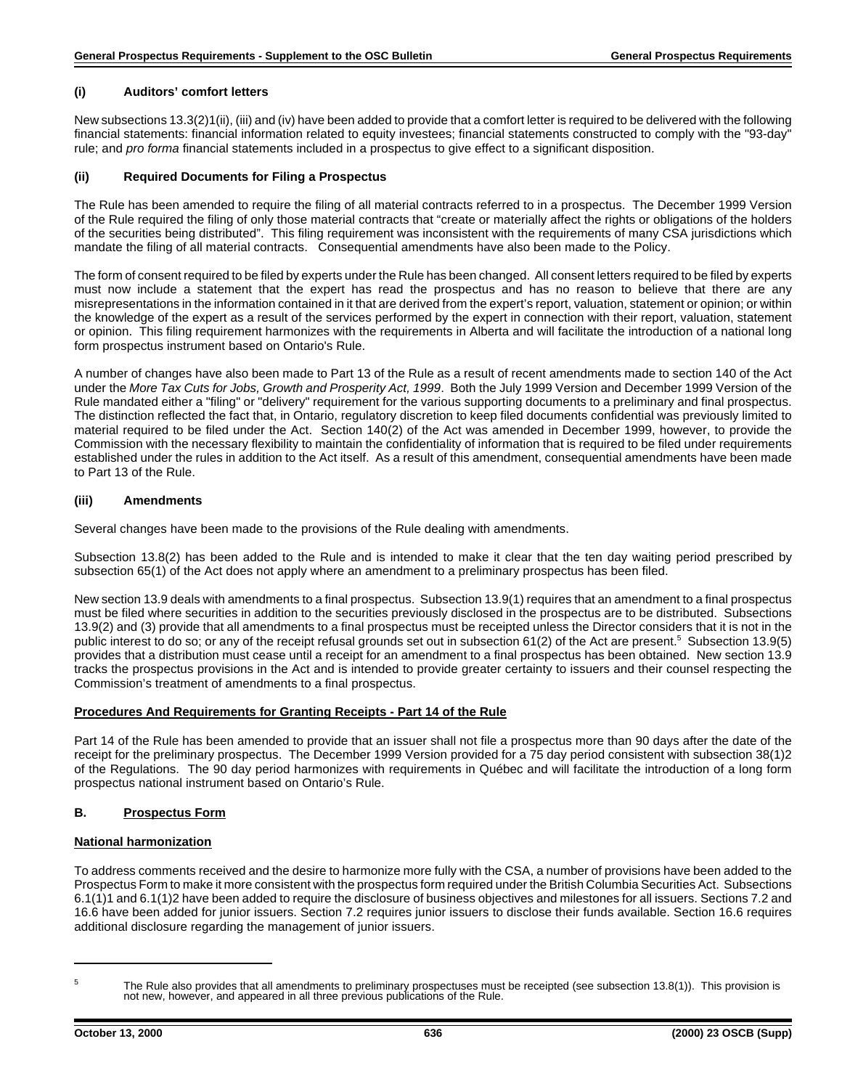# **(i) Auditors' comfort letters**

New subsections 13.3(2)1(ii), (iii) and (iv) have been added to provide that a comfort letter is required to be delivered with the following financial statements: financial information related to equity investees; financial statements constructed to comply with the "93-day" rule; and *pro forma* financial statements included in a prospectus to give effect to a significant disposition.

## **(ii) Required Documents for Filing a Prospectus**

The Rule has been amended to require the filing of all material contracts referred to in a prospectus. The December 1999 Version of the Rule required the filing of only those material contracts that "create or materially affect the rights or obligations of the holders of the securities being distributed". This filing requirement was inconsistent with the requirements of many CSA jurisdictions which mandate the filing of all material contracts. Consequential amendments have also been made to the Policy.

The form of consent required to be filed by experts under the Rule has been changed. All consent letters required to be filed by experts must now include a statement that the expert has read the prospectus and has no reason to believe that there are any misrepresentations in the information contained in it that are derived from the expert's report, valuation, statement or opinion; or within the knowledge of the expert as a result of the services performed by the expert in connection with their report, valuation, statement or opinion. This filing requirement harmonizes with the requirements in Alberta and will facilitate the introduction of a national long form prospectus instrument based on Ontario's Rule.

A number of changes have also been made to Part 13 of the Rule as a result of recent amendments made to section 140 of the Act under the *More Tax Cuts for Jobs, Growth and Prosperity Act, 1999*. Both the July 1999 Version and December 1999 Version of the Rule mandated either a "filing" or "delivery" requirement for the various supporting documents to a preliminary and final prospectus. The distinction reflected the fact that, in Ontario, regulatory discretion to keep filed documents confidential was previously limited to material required to be filed under the Act. Section 140(2) of the Act was amended in December 1999, however, to provide the Commission with the necessary flexibility to maintain the confidentiality of information that is required to be filed under requirements established under the rules in addition to the Act itself. As a result of this amendment, consequential amendments have been made to Part 13 of the Rule.

## **(iii) Amendments**

Several changes have been made to the provisions of the Rule dealing with amendments.

Subsection 13.8(2) has been added to the Rule and is intended to make it clear that the ten day waiting period prescribed by subsection 65(1) of the Act does not apply where an amendment to a preliminary prospectus has been filed.

New section 13.9 deals with amendments to a final prospectus. Subsection 13.9(1) requires that an amendment to a final prospectus must be filed where securities in addition to the securities previously disclosed in the prospectus are to be distributed. Subsections 13.9(2) and (3) provide that all amendments to a final prospectus must be receipted unless the Director considers that it is not in the public interest to do so; or any of the receipt refusal grounds set out in subsection 61(2) of the Act are present.<sup>5</sup> Subsection 13.9(5) provides that a distribution must cease until a receipt for an amendment to a final prospectus has been obtained. New section 13.9 tracks the prospectus provisions in the Act and is intended to provide greater certainty to issuers and their counsel respecting the Commission's treatment of amendments to a final prospectus.

# **Procedures And Requirements for Granting Receipts - Part 14 of the Rule**

Part 14 of the Rule has been amended to provide that an issuer shall not file a prospectus more than 90 days after the date of the receipt for the preliminary prospectus. The December 1999 Version provided for a 75 day period consistent with subsection 38(1)2 of the Regulations. The 90 day period harmonizes with requirements in Québec and will facilitate the introduction of a long form prospectus national instrument based on Ontario's Rule.

# **B. Prospectus Form**

# **National harmonization**

To address comments received and the desire to harmonize more fully with the CSA, a number of provisions have been added to the Prospectus Form to make it more consistent with the prospectus form required under the British Columbia Securities Act. Subsections 6.1(1)1 and 6.1(1)2 have been added to require the disclosure of business objectives and milestones for all issuers. Sections 7.2 and 16.6 have been added for junior issuers. Section 7.2 requires junior issuers to disclose their funds available. Section 16.6 requires additional disclosure regarding the management of junior issuers.

<sup>5</sup>

The Rule also provides that all amendments to preliminary prospectuses must be receipted (see subsection 13.8(1)). This provision is not new, however, and appeared in all three previous publications of the Rule.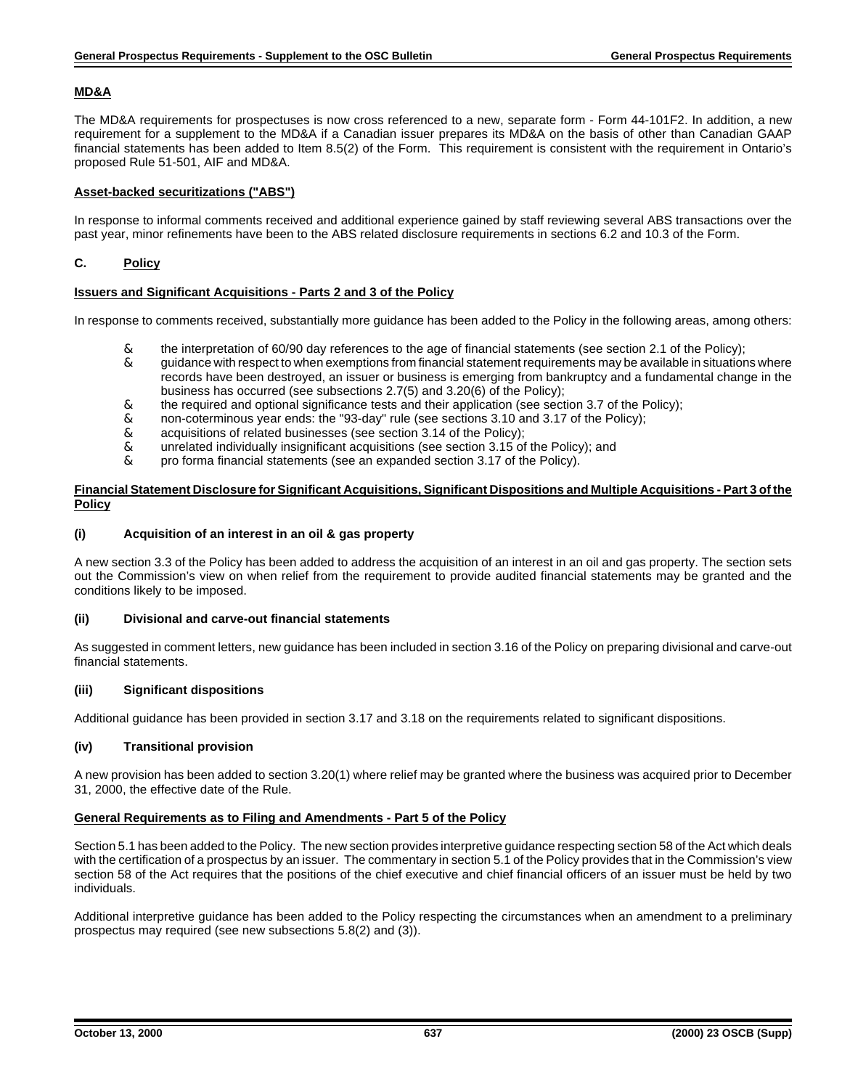# **MD&A**

The MD&A requirements for prospectuses is now cross referenced to a new, separate form - Form 44-101F2. In addition, a new requirement for a supplement to the MD&A if a Canadian issuer prepares its MD&A on the basis of other than Canadian GAAP financial statements has been added to Item 8.5(2) of the Form. This requirement is consistent with the requirement in Ontario's proposed Rule 51-501, AIF and MD&A.

## **Asset-backed securitizations ("ABS")**

In response to informal comments received and additional experience gained by staff reviewing several ABS transactions over the past year, minor refinements have been to the ABS related disclosure requirements in sections 6.2 and 10.3 of the Form.

# **C. Policy**

# **Issuers and Significant Acquisitions - Parts 2 and 3 of the Policy**

In response to comments received, substantially more guidance has been added to the Policy in the following areas, among others:

- & the interpretation of 60/90 day references to the age of financial statements (see section 2.1 of the Policy);
- & guidance with respect to when exemptions from financial statement requirements may be available in situations where records have been destroyed, an issuer or business is emerging from bankruptcy and a fundamental change in the business has occurred (see subsections 2.7(5) and 3.20(6) of the Policy);
- & the required and optional significance tests and their application (see section 3.7 of the Policy);
- & non-coterminous year ends: the "93-day" rule (see sections 3.10 and 3.17 of the Policy);
- & acquisitions of related businesses (see section 3.14 of the Policy);
- & unrelated individually insignificant acquisitions (see section 3.15 of the Policy); and
- & pro forma financial statements (see an expanded section 3.17 of the Policy).

## **Financial Statement Disclosure for Significant Acquisitions, Significant Dispositions and Multiple Acquisitions - Part 3 of the Policy**

## **(i) Acquisition of an interest in an oil & gas property**

A new section 3.3 of the Policy has been added to address the acquisition of an interest in an oil and gas property. The section sets out the Commission's view on when relief from the requirement to provide audited financial statements may be granted and the conditions likely to be imposed.

# **(ii) Divisional and carve-out financial statements**

As suggested in comment letters, new guidance has been included in section 3.16 of the Policy on preparing divisional and carve-out financial statements.

# **(iii) Significant dispositions**

Additional guidance has been provided in section 3.17 and 3.18 on the requirements related to significant dispositions.

#### **(iv) Transitional provision**

A new provision has been added to section 3.20(1) where relief may be granted where the business was acquired prior to December 31, 2000, the effective date of the Rule.

#### **General Requirements as to Filing and Amendments - Part 5 of the Policy**

Section 5.1 has been added to the Policy. The new section provides interpretive guidance respecting section 58 of the Act which deals with the certification of a prospectus by an issuer. The commentary in section 5.1 of the Policy provides that in the Commission's view section 58 of the Act requires that the positions of the chief executive and chief financial officers of an issuer must be held by two individuals.

Additional interpretive guidance has been added to the Policy respecting the circumstances when an amendment to a preliminary prospectus may required (see new subsections 5.8(2) and (3)).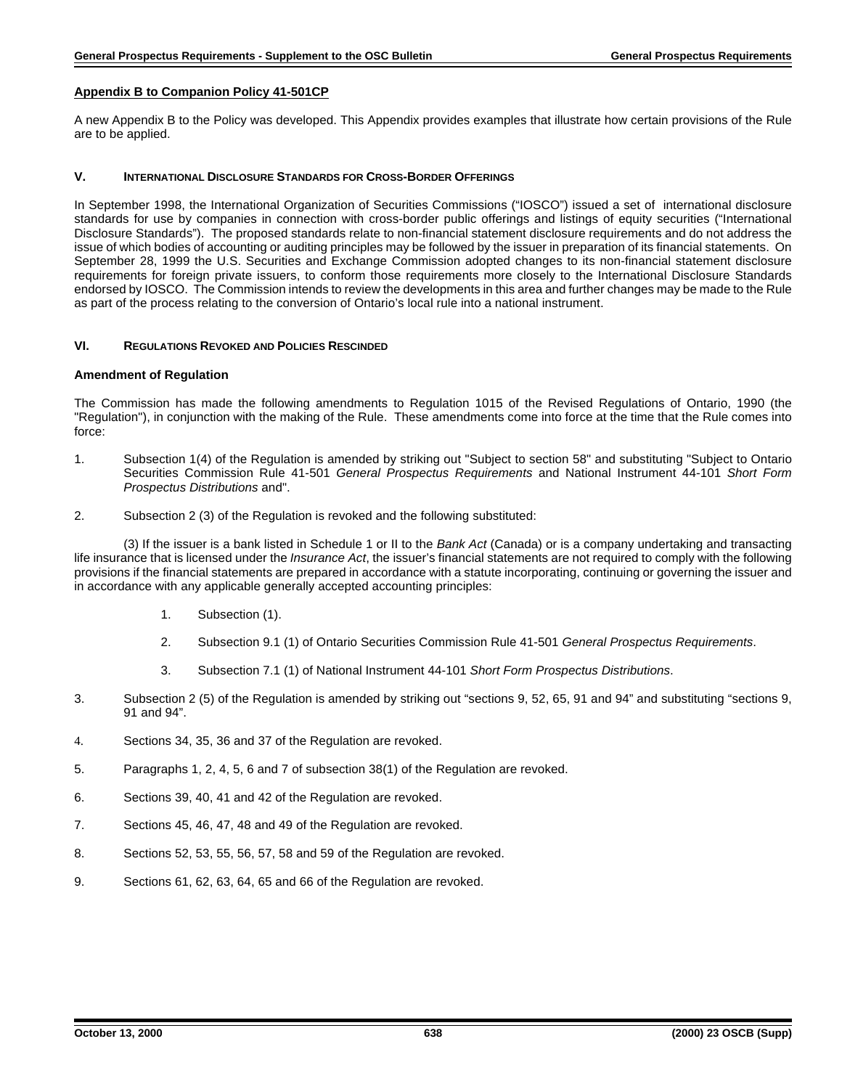## **Appendix B to Companion Policy 41-501CP**

A new Appendix B to the Policy was developed. This Appendix provides examples that illustrate how certain provisions of the Rule are to be applied.

## **V. INTERNATIONAL DISCLOSURE STANDARDS FOR CROSS-BORDER OFFERINGS**

In September 1998, the International Organization of Securities Commissions ("IOSCO") issued a set of international disclosure standards for use by companies in connection with cross-border public offerings and listings of equity securities ("International Disclosure Standards"). The proposed standards relate to non-financial statement disclosure requirements and do not address the issue of which bodies of accounting or auditing principles may be followed by the issuer in preparation of its financial statements. On September 28, 1999 the U.S. Securities and Exchange Commission adopted changes to its non-financial statement disclosure requirements for foreign private issuers, to conform those requirements more closely to the International Disclosure Standards endorsed by IOSCO. The Commission intends to review the developments in this area and further changes may be made to the Rule as part of the process relating to the conversion of Ontario's local rule into a national instrument.

## **VI. REGULATIONS REVOKED AND POLICIES RESCINDED**

## **Amendment of Regulation**

The Commission has made the following amendments to Regulation 1015 of the Revised Regulations of Ontario, 1990 (the "Regulation"), in conjunction with the making of the Rule. These amendments come into force at the time that the Rule comes into force:

- 1. Subsection 1(4) of the Regulation is amended by striking out "Subject to section 58" and substituting "Subject to Ontario Securities Commission Rule 41-501 *General Prospectus Requirements* and National Instrument 44-101 *Short Form Prospectus Distributions* and".
- 2. Subsection 2 (3) of the Regulation is revoked and the following substituted:

(3) If the issuer is a bank listed in Schedule 1 or II to the *Bank Act* (Canada) or is a company undertaking and transacting life insurance that is licensed under the *Insurance Act*, the issuer's financial statements are not required to comply with the following provisions if the financial statements are prepared in accordance with a statute incorporating, continuing or governing the issuer and in accordance with any applicable generally accepted accounting principles:

- 1. Subsection (1).
- 2. Subsection 9.1 (1) of Ontario Securities Commission Rule 41-501 *General Prospectus Requirements*.
- 3. Subsection 7.1 (1) of National Instrument 44-101 *Short Form Prospectus Distributions*.
- 3. Subsection 2 (5) of the Regulation is amended by striking out "sections 9, 52, 65, 91 and 94" and substituting "sections 9, 91 and 94".
- 4. Sections 34, 35, 36 and 37 of the Regulation are revoked.
- 5. Paragraphs 1, 2, 4, 5, 6 and 7 of subsection 38(1) of the Regulation are revoked.
- 6. Sections 39, 40, 41 and 42 of the Regulation are revoked.
- 7. Sections 45, 46, 47, 48 and 49 of the Regulation are revoked.
- 8. Sections 52, 53, 55, 56, 57, 58 and 59 of the Regulation are revoked.
- 9. Sections 61, 62, 63, 64, 65 and 66 of the Regulation are revoked.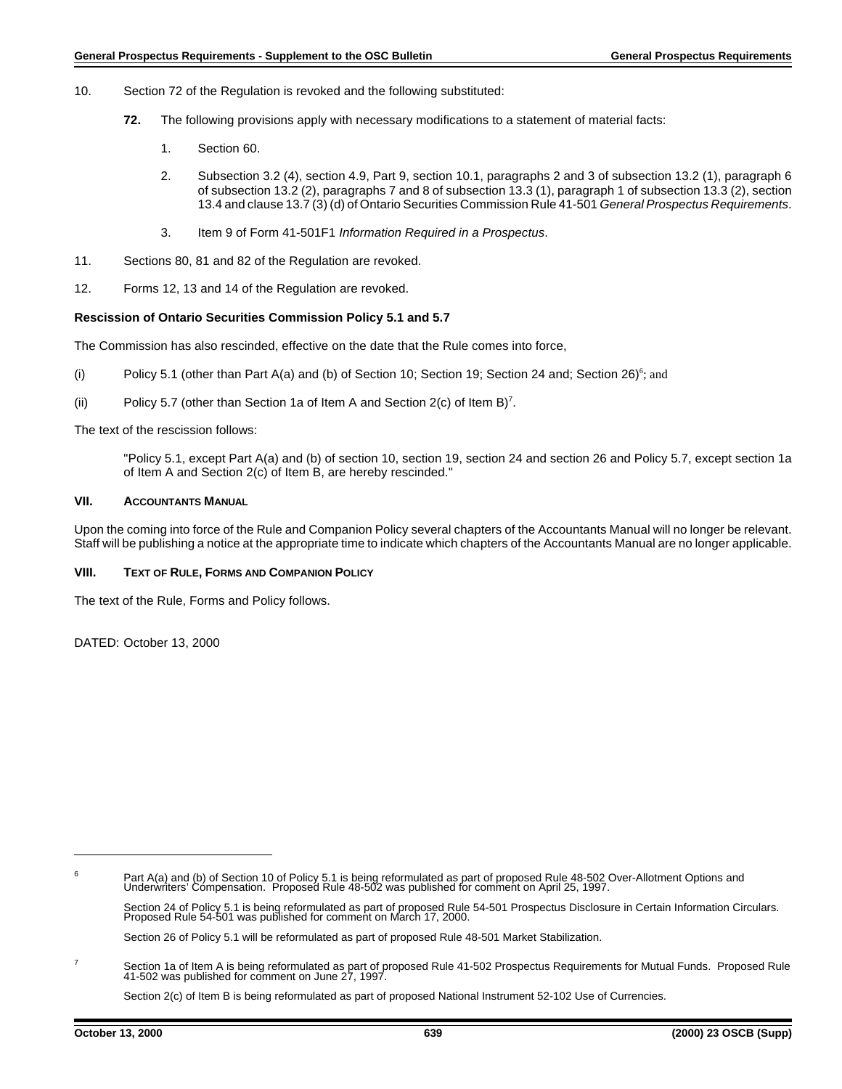- 10. Section 72 of the Regulation is revoked and the following substituted:
	- **72.** The following provisions apply with necessary modifications to a statement of material facts:
		- 1. Section 60.
		- 2. Subsection 3.2 (4), section 4.9, Part 9, section 10.1, paragraphs 2 and 3 of subsection 13.2 (1), paragraph 6 of subsection 13.2 (2), paragraphs 7 and 8 of subsection 13.3 (1), paragraph 1 of subsection 13.3 (2), section 13.4 and clause 13.7 (3) (d) of Ontario Securities Commission Rule 41-501 *General Prospectus Requirements*.
		- 3. Item 9 of Form 41-501F1 *Information Required in a Prospectus*.
- 11. Sections 80, 81 and 82 of the Regulation are revoked.
- 12. Forms 12, 13 and 14 of the Regulation are revoked.

## **Rescission of Ontario Securities Commission Policy 5.1 and 5.7**

The Commission has also rescinded, effective on the date that the Rule comes into force,

- (i) Policy 5.1 (other than Part A(a) and (b) of Section 10; Section 19; Section 24 and; Section 26)<sup>6</sup>; and
- (ii) Policy 5.7 (other than Section 1a of Item A and Section  $2(c)$  of Item B)<sup>7</sup>.

The text of the rescission follows:

"Policy 5.1, except Part A(a) and (b) of section 10, section 19, section 24 and section 26 and Policy 5.7, except section 1a of Item A and Section 2(c) of Item B, are hereby rescinded."

# **VII. ACCOUNTANTS MANUAL**

Upon the coming into force of the Rule and Companion Policy several chapters of the Accountants Manual will no longer be relevant. Staff will be publishing a notice at the appropriate time to indicate which chapters of the Accountants Manual are no longer applicable.

## **VIII. TEXT OF RULE, FORMS AND COMPANION POLICY**

The text of the Rule, Forms and Policy follows.

DATED: October 13, 2000

Section 26 of Policy 5.1 will be reformulated as part of proposed Rule 48-501 Market Stabilization.

Section 2(c) of Item B is being reformulated as part of proposed National Instrument 52-102 Use of Currencies.

<sup>&</sup>lt;sup>6</sup> Part A(a) and (b) of Section 10 of Policy 5.1 is being reformulated as part of proposed Rule 48-502 Over-Allotment Options and<br>Underwriters' Compensation. Proposed Rule 48-502 was published for comment on April 25, 199

Section 24 of Policy 5.1 is being reformulated as part of proposed Rule 54-501 Prospectus Disclosure in Certain Information Circulars. Proposed Rule 54-501 was published for comment on March 17, 2000.

<sup>&</sup>lt;sup>7</sup> Section 1a of Item A is being reformulated as part of proposed Rule 41-502 Prospectus Requirements for Mutual Funds. Proposed Rule<br>41-502 was published for comment on June 27, 1997.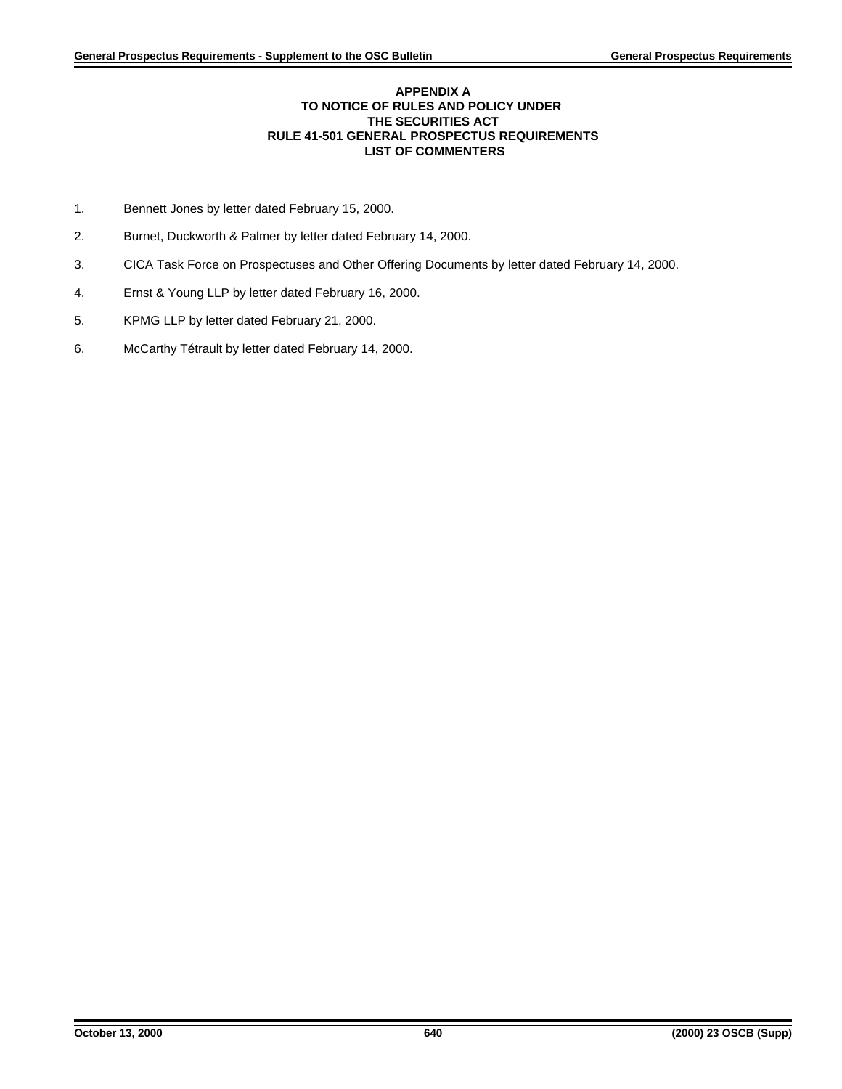# **APPENDIX A TO NOTICE OF RULES AND POLICY UNDER THE SECURITIES ACT RULE 41-501 GENERAL PROSPECTUS REQUIREMENTS LIST OF COMMENTERS**

- 1. Bennett Jones by letter dated February 15, 2000.
- 2. Burnet, Duckworth & Palmer by letter dated February 14, 2000.
- 3. CICA Task Force on Prospectuses and Other Offering Documents by letter dated February 14, 2000.
- 4. Ernst & Young LLP by letter dated February 16, 2000.
- 5. KPMG LLP by letter dated February 21, 2000.
- 6. McCarthy Tétrault by letter dated February 14, 2000.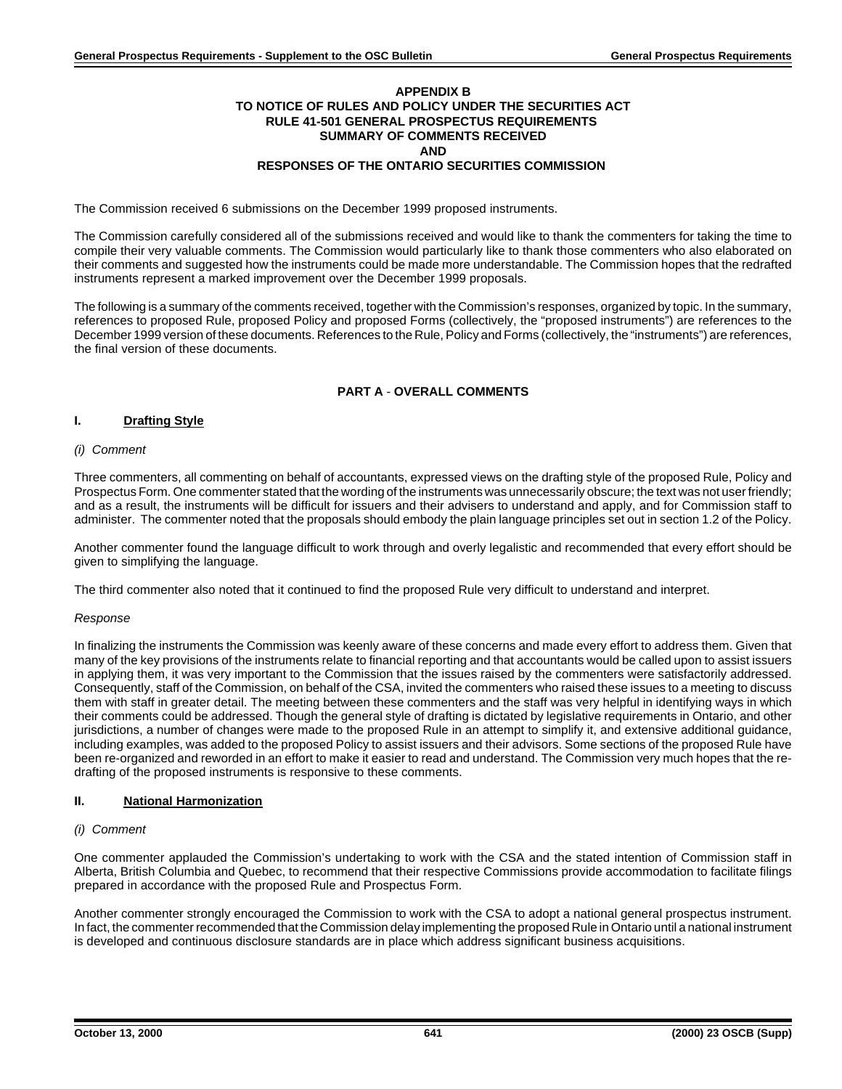# **APPENDIX B TO NOTICE OF RULES AND POLICY UNDER THE SECURITIES ACT RULE 41-501 GENERAL PROSPECTUS REQUIREMENTS SUMMARY OF COMMENTS RECEIVED AND RESPONSES OF THE ONTARIO SECURITIES COMMISSION**

The Commission received 6 submissions on the December 1999 proposed instruments.

The Commission carefully considered all of the submissions received and would like to thank the commenters for taking the time to compile their very valuable comments. The Commission would particularly like to thank those commenters who also elaborated on their comments and suggested how the instruments could be made more understandable. The Commission hopes that the redrafted instruments represent a marked improvement over the December 1999 proposals.

The following is a summary of the comments received, together with the Commission's responses, organized by topic. In the summary, references to proposed Rule, proposed Policy and proposed Forms (collectively, the "proposed instruments") are references to the December 1999 version of these documents. References to the Rule, Policy and Forms (collectively, the "instruments") are references, the final version of these documents.

# **PART A** - **OVERALL COMMENTS**

# **I. Drafting Style**

## *(i) Comment*

Three commenters, all commenting on behalf of accountants, expressed views on the drafting style of the proposed Rule, Policy and Prospectus Form. One commenter stated that the wording of the instruments was unnecessarily obscure; the text was not user friendly; and as a result, the instruments will be difficult for issuers and their advisers to understand and apply, and for Commission staff to administer. The commenter noted that the proposals should embody the plain language principles set out in section 1.2 of the Policy.

Another commenter found the language difficult to work through and overly legalistic and recommended that every effort should be given to simplifying the language.

The third commenter also noted that it continued to find the proposed Rule very difficult to understand and interpret.

# *Response*

In finalizing the instruments the Commission was keenly aware of these concerns and made every effort to address them. Given that many of the key provisions of the instruments relate to financial reporting and that accountants would be called upon to assist issuers in applying them, it was very important to the Commission that the issues raised by the commenters were satisfactorily addressed. Consequently, staff of the Commission, on behalf of the CSA, invited the commenters who raised these issues to a meeting to discuss them with staff in greater detail. The meeting between these commenters and the staff was very helpful in identifying ways in which their comments could be addressed. Though the general style of drafting is dictated by legislative requirements in Ontario, and other jurisdictions, a number of changes were made to the proposed Rule in an attempt to simplify it, and extensive additional guidance, including examples, was added to the proposed Policy to assist issuers and their advisors. Some sections of the proposed Rule have been re-organized and reworded in an effort to make it easier to read and understand. The Commission very much hopes that the redrafting of the proposed instruments is responsive to these comments.

# **II. National Harmonization**

# *(i) Comment*

One commenter applauded the Commission's undertaking to work with the CSA and the stated intention of Commission staff in Alberta, British Columbia and Quebec, to recommend that their respective Commissions provide accommodation to facilitate filings prepared in accordance with the proposed Rule and Prospectus Form.

Another commenter strongly encouraged the Commission to work with the CSA to adopt a national general prospectus instrument. In fact, the commenter recommended that the Commission delay implementing the proposed Rule in Ontario until a national instrument is developed and continuous disclosure standards are in place which address significant business acquisitions.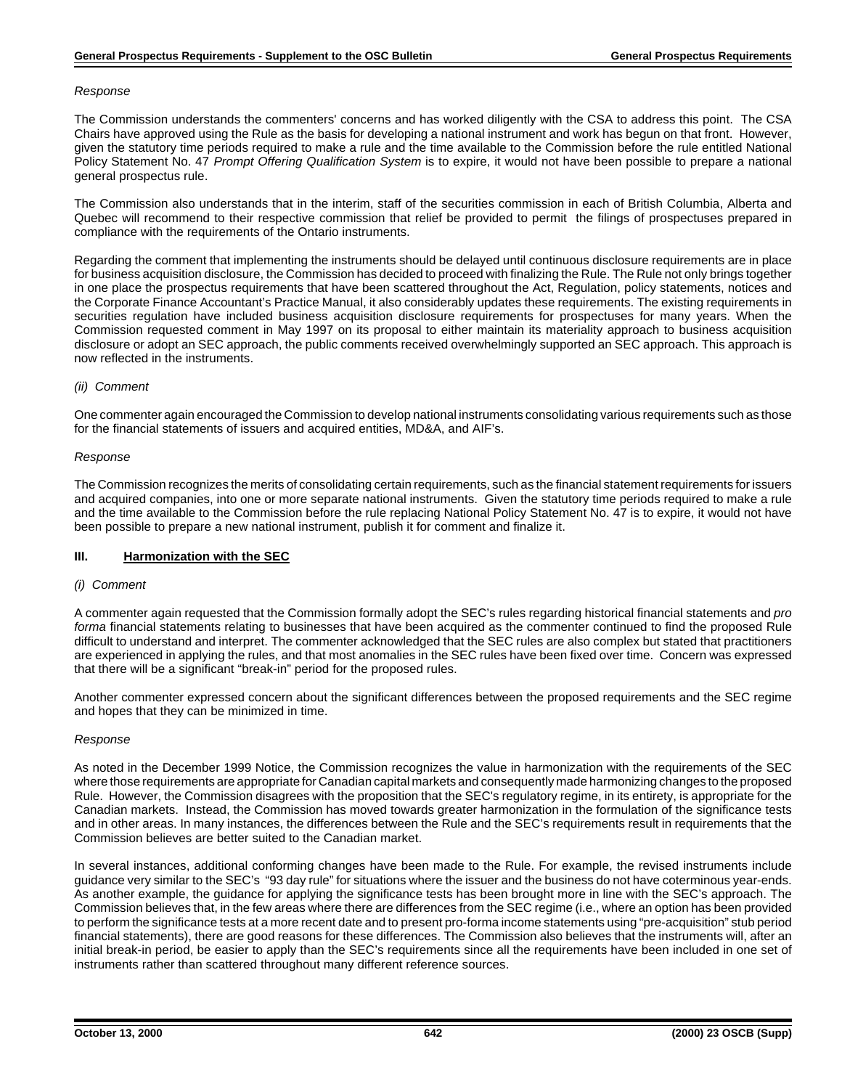## *Response*

The Commission understands the commenters' concerns and has worked diligently with the CSA to address this point. The CSA Chairs have approved using the Rule as the basis for developing a national instrument and work has begun on that front. However, given the statutory time periods required to make a rule and the time available to the Commission before the rule entitled National Policy Statement No. 47 *Prompt Offering Qualification System* is to expire, it would not have been possible to prepare a national general prospectus rule.

The Commission also understands that in the interim, staff of the securities commission in each of British Columbia, Alberta and Quebec will recommend to their respective commission that relief be provided to permit the filings of prospectuses prepared in compliance with the requirements of the Ontario instruments.

Regarding the comment that implementing the instruments should be delayed until continuous disclosure requirements are in place for business acquisition disclosure, the Commission has decided to proceed with finalizing the Rule. The Rule not only brings together in one place the prospectus requirements that have been scattered throughout the Act, Regulation, policy statements, notices and the Corporate Finance Accountant's Practice Manual, it also considerably updates these requirements. The existing requirements in securities regulation have included business acquisition disclosure requirements for prospectuses for many years. When the Commission requested comment in May 1997 on its proposal to either maintain its materiality approach to business acquisition disclosure or adopt an SEC approach, the public comments received overwhelmingly supported an SEC approach. This approach is now reflected in the instruments.

# *(ii) Comment*

One commenter again encouraged the Commission to develop national instruments consolidating various requirements such as those for the financial statements of issuers and acquired entities, MD&A, and AIF's.

## *Response*

The Commission recognizes the merits of consolidating certain requirements, such as the financial statement requirements for issuers and acquired companies, into one or more separate national instruments. Given the statutory time periods required to make a rule and the time available to the Commission before the rule replacing National Policy Statement No. 47 is to expire, it would not have been possible to prepare a new national instrument, publish it for comment and finalize it.

# **III. Harmonization with the SEC**

#### *(i) Comment*

A commenter again requested that the Commission formally adopt the SEC's rules regarding historical financial statements and *pro forma* financial statements relating to businesses that have been acquired as the commenter continued to find the proposed Rule difficult to understand and interpret. The commenter acknowledged that the SEC rules are also complex but stated that practitioners are experienced in applying the rules, and that most anomalies in the SEC rules have been fixed over time. Concern was expressed that there will be a significant "break-in" period for the proposed rules.

Another commenter expressed concern about the significant differences between the proposed requirements and the SEC regime and hopes that they can be minimized in time.

#### *Response*

As noted in the December 1999 Notice, the Commission recognizes the value in harmonization with the requirements of the SEC where those requirements are appropriate for Canadian capital markets and consequently made harmonizing changes to the proposed Rule. However, the Commission disagrees with the proposition that the SEC's regulatory regime, in its entirety, is appropriate for the Canadian markets. Instead, the Commission has moved towards greater harmonization in the formulation of the significance tests and in other areas. In many instances, the differences between the Rule and the SEC's requirements result in requirements that the Commission believes are better suited to the Canadian market.

In several instances, additional conforming changes have been made to the Rule. For example, the revised instruments include guidance very similar to the SEC's "93 day rule" for situations where the issuer and the business do not have coterminous year-ends. As another example, the guidance for applying the significance tests has been brought more in line with the SEC's approach. The Commission believes that, in the few areas where there are differences from the SEC regime (i.e., where an option has been provided to perform the significance tests at a more recent date and to present pro-forma income statements using "pre-acquisition" stub period financial statements), there are good reasons for these differences. The Commission also believes that the instruments will, after an initial break-in period, be easier to apply than the SEC's requirements since all the requirements have been included in one set of instruments rather than scattered throughout many different reference sources.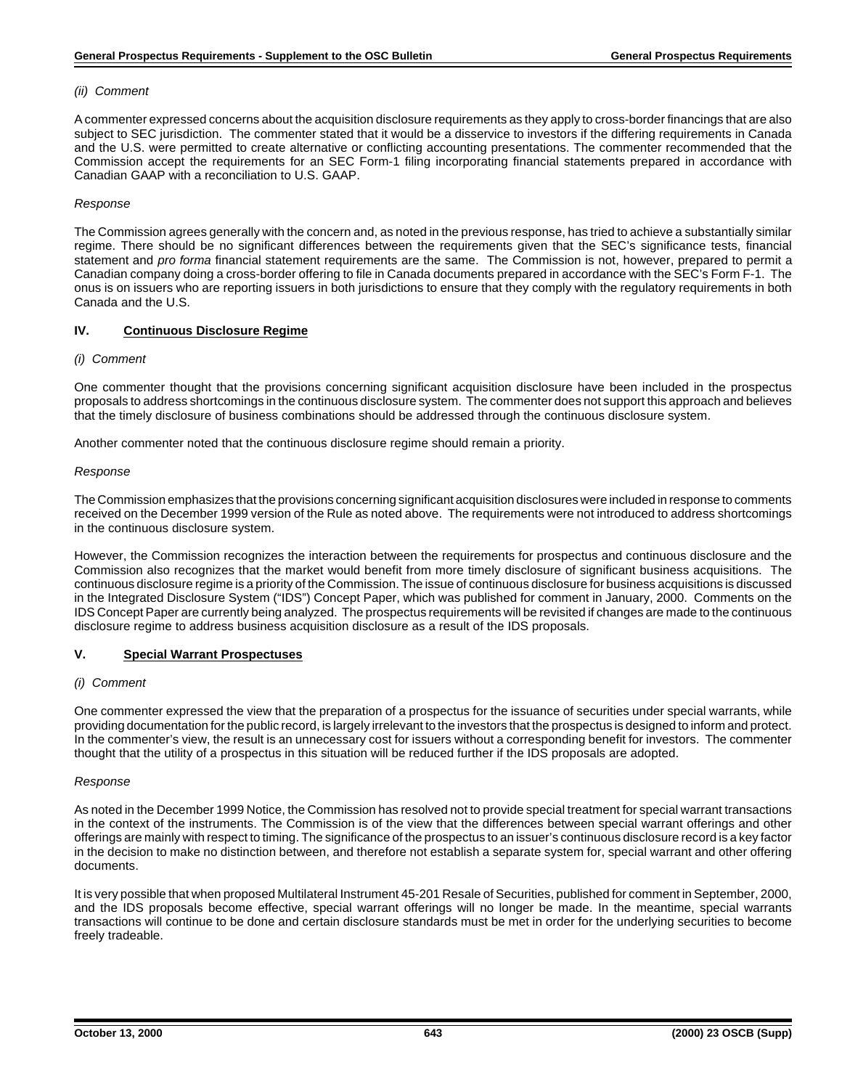# *(ii) Comment*

A commenter expressed concerns about the acquisition disclosure requirements as they apply to cross-border financings that are also subject to SEC jurisdiction. The commenter stated that it would be a disservice to investors if the differing requirements in Canada and the U.S. were permitted to create alternative or conflicting accounting presentations. The commenter recommended that the Commission accept the requirements for an SEC Form-1 filing incorporating financial statements prepared in accordance with Canadian GAAP with a reconciliation to U.S. GAAP.

# *Response*

The Commission agrees generally with the concern and, as noted in the previous response, has tried to achieve a substantially similar regime. There should be no significant differences between the requirements given that the SEC's significance tests, financial statement and *pro forma* financial statement requirements are the same. The Commission is not, however, prepared to permit a Canadian company doing a cross-border offering to file in Canada documents prepared in accordance with the SEC's Form F-1. The onus is on issuers who are reporting issuers in both jurisdictions to ensure that they comply with the regulatory requirements in both Canada and the U.S.

# **IV. Continuous Disclosure Regime**

# *(i) Comment*

One commenter thought that the provisions concerning significant acquisition disclosure have been included in the prospectus proposals to address shortcomings in the continuous disclosure system. The commenter does not support this approach and believes that the timely disclosure of business combinations should be addressed through the continuous disclosure system.

Another commenter noted that the continuous disclosure regime should remain a priority.

# *Response*

The Commission emphasizes that the provisions concerning significant acquisition disclosures were included in response to comments received on the December 1999 version of the Rule as noted above. The requirements were not introduced to address shortcomings in the continuous disclosure system.

However, the Commission recognizes the interaction between the requirements for prospectus and continuous disclosure and the Commission also recognizes that the market would benefit from more timely disclosure of significant business acquisitions. The continuous disclosure regime is a priority of the Commission. The issue of continuous disclosure for business acquisitions is discussed in the Integrated Disclosure System ("IDS") Concept Paper, which was published for comment in January, 2000. Comments on the IDS Concept Paper are currently being analyzed. The prospectus requirements will be revisited if changes are made to the continuous disclosure regime to address business acquisition disclosure as a result of the IDS proposals.

# **V. Special Warrant Prospectuses**

# *(i) Comment*

One commenter expressed the view that the preparation of a prospectus for the issuance of securities under special warrants, while providing documentation for the public record, is largely irrelevant to the investors that the prospectus is designed to inform and protect. In the commenter's view, the result is an unnecessary cost for issuers without a corresponding benefit for investors. The commenter thought that the utility of a prospectus in this situation will be reduced further if the IDS proposals are adopted.

# *Response*

As noted in the December 1999 Notice, the Commission has resolved not to provide special treatment for special warrant transactions in the context of the instruments. The Commission is of the view that the differences between special warrant offerings and other offerings are mainly with respect to timing. The significance of the prospectus to an issuer's continuous disclosure record is a key factor in the decision to make no distinction between, and therefore not establish a separate system for, special warrant and other offering documents.

It is very possible that when proposed Multilateral Instrument 45-201 Resale of Securities, published for comment in September, 2000, and the IDS proposals become effective, special warrant offerings will no longer be made. In the meantime, special warrants transactions will continue to be done and certain disclosure standards must be met in order for the underlying securities to become freely tradeable.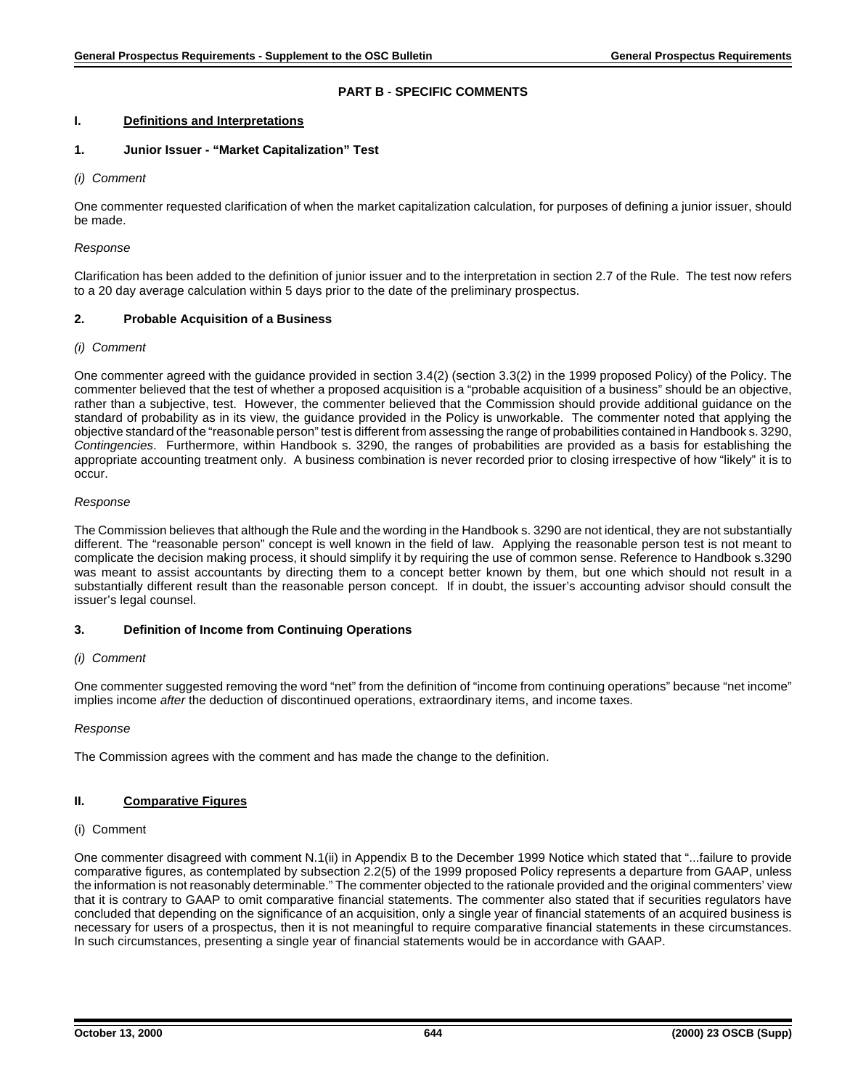# **PART B** - **SPECIFIC COMMENTS**

# **I. Definitions and Interpretations**

# **1. Junior Issuer - "Market Capitalization" Test**

*(i) Comment*

One commenter requested clarification of when the market capitalization calculation, for purposes of defining a junior issuer, should be made.

## *Response*

Clarification has been added to the definition of junior issuer and to the interpretation in section 2.7 of the Rule. The test now refers to a 20 day average calculation within 5 days prior to the date of the preliminary prospectus.

# **2. Probable Acquisition of a Business**

## *(i) Comment*

One commenter agreed with the guidance provided in section 3.4(2) (section 3.3(2) in the 1999 proposed Policy) of the Policy. The commenter believed that the test of whether a proposed acquisition is a "probable acquisition of a business" should be an objective, rather than a subjective, test. However, the commenter believed that the Commission should provide additional guidance on the standard of probability as in its view, the guidance provided in the Policy is unworkable. The commenter noted that applying the objective standard of the "reasonable person" test is different from assessing the range of probabilities contained in Handbook s. 3290, *Contingencies*. Furthermore, within Handbook s. 3290, the ranges of probabilities are provided as a basis for establishing the appropriate accounting treatment only. A business combination is never recorded prior to closing irrespective of how "likely" it is to occur.

## *Response*

The Commission believes that although the Rule and the wording in the Handbook s. 3290 are not identical, they are not substantially different. The "reasonable person" concept is well known in the field of law. Applying the reasonable person test is not meant to complicate the decision making process, it should simplify it by requiring the use of common sense. Reference to Handbook s.3290 was meant to assist accountants by directing them to a concept better known by them, but one which should not result in a substantially different result than the reasonable person concept. If in doubt, the issuer's accounting advisor should consult the issuer's legal counsel.

# **3. Definition of Income from Continuing Operations**

#### *(i) Comment*

One commenter suggested removing the word "net" from the definition of "income from continuing operations" because "net income" implies income *after* the deduction of discontinued operations, extraordinary items, and income taxes.

#### *Response*

The Commission agrees with the comment and has made the change to the definition.

# **II. Comparative Figures**

#### (i) Comment

One commenter disagreed with comment N.1(ii) in Appendix B to the December 1999 Notice which stated that "...failure to provide comparative figures, as contemplated by subsection 2.2(5) of the 1999 proposed Policy represents a departure from GAAP, unless the information is not reasonably determinable." The commenter objected to the rationale provided and the original commenters' view that it is contrary to GAAP to omit comparative financial statements. The commenter also stated that if securities regulators have concluded that depending on the significance of an acquisition, only a single year of financial statements of an acquired business is necessary for users of a prospectus, then it is not meaningful to require comparative financial statements in these circumstances. In such circumstances, presenting a single year of financial statements would be in accordance with GAAP.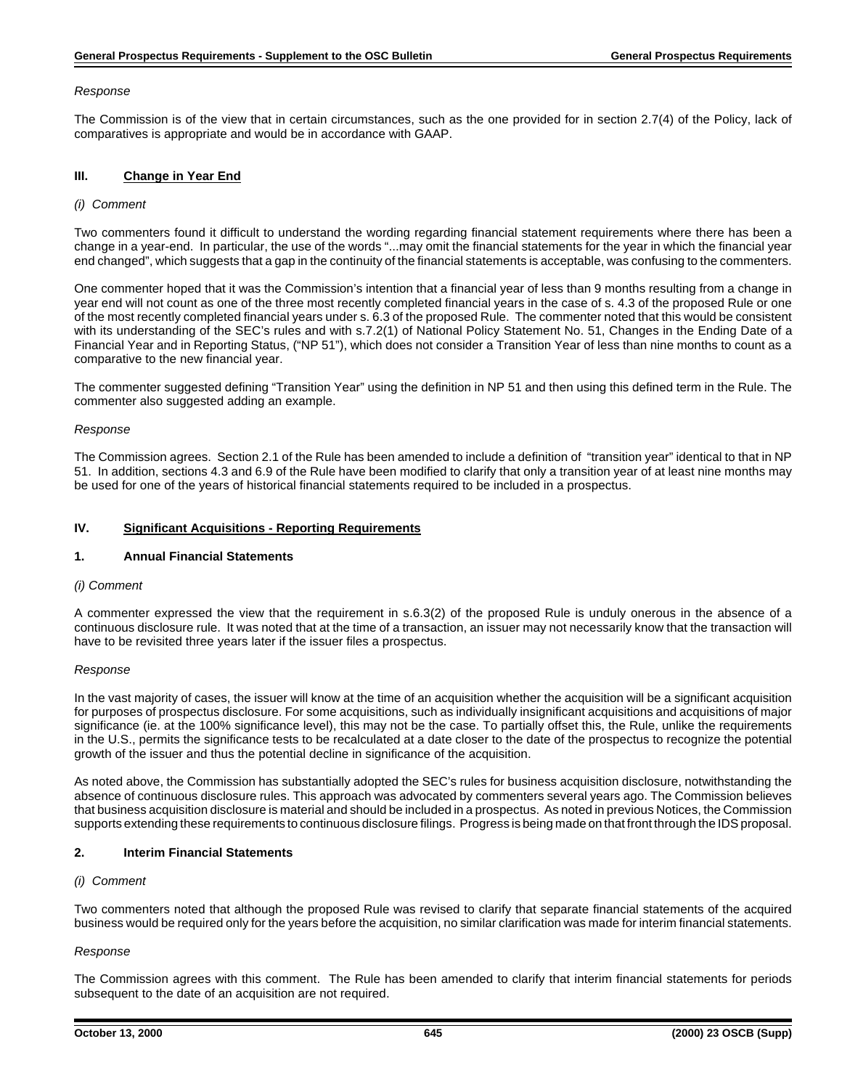#### *Response*

The Commission is of the view that in certain circumstances, such as the one provided for in section 2.7(4) of the Policy, lack of comparatives is appropriate and would be in accordance with GAAP.

# **III. Change in Year End**

## *(i) Comment*

Two commenters found it difficult to understand the wording regarding financial statement requirements where there has been a change in a year-end. In particular, the use of the words "...may omit the financial statements for the year in which the financial year end changed", which suggests that a gap in the continuity of the financial statements is acceptable, was confusing to the commenters.

One commenter hoped that it was the Commission's intention that a financial year of less than 9 months resulting from a change in year end will not count as one of the three most recently completed financial years in the case of s. 4.3 of the proposed Rule or one of the most recently completed financial years under s. 6.3 of the proposed Rule. The commenter noted that this would be consistent with its understanding of the SEC's rules and with s.7.2(1) of National Policy Statement No. 51, Changes in the Ending Date of a Financial Year and in Reporting Status, ("NP 51"), which does not consider a Transition Year of less than nine months to count as a comparative to the new financial year.

The commenter suggested defining "Transition Year" using the definition in NP 51 and then using this defined term in the Rule. The commenter also suggested adding an example.

#### *Response*

The Commission agrees. Section 2.1 of the Rule has been amended to include a definition of "transition year" identical to that in NP 51. In addition, sections 4.3 and 6.9 of the Rule have been modified to clarify that only a transition year of at least nine months may be used for one of the years of historical financial statements required to be included in a prospectus.

## **IV. Significant Acquisitions - Reporting Requirements**

#### **1. Annual Financial Statements**

#### *(i) Comment*

A commenter expressed the view that the requirement in s.6.3(2) of the proposed Rule is unduly onerous in the absence of a continuous disclosure rule. It was noted that at the time of a transaction, an issuer may not necessarily know that the transaction will have to be revisited three years later if the issuer files a prospectus.

#### *Response*

In the vast majority of cases, the issuer will know at the time of an acquisition whether the acquisition will be a significant acquisition for purposes of prospectus disclosure. For some acquisitions, such as individually insignificant acquisitions and acquisitions of major significance (ie. at the 100% significance level), this may not be the case. To partially offset this, the Rule, unlike the requirements in the U.S., permits the significance tests to be recalculated at a date closer to the date of the prospectus to recognize the potential growth of the issuer and thus the potential decline in significance of the acquisition.

As noted above, the Commission has substantially adopted the SEC's rules for business acquisition disclosure, notwithstanding the absence of continuous disclosure rules. This approach was advocated by commenters several years ago. The Commission believes that business acquisition disclosure is material and should be included in a prospectus. As noted in previous Notices, the Commission supports extending these requirements to continuous disclosure filings. Progress is being made on that front through the IDS proposal.

#### **2. Interim Financial Statements**

#### *(i) Comment*

Two commenters noted that although the proposed Rule was revised to clarify that separate financial statements of the acquired business would be required only for the years before the acquisition, no similar clarification was made for interim financial statements.

#### *Response*

The Commission agrees with this comment. The Rule has been amended to clarify that interim financial statements for periods subsequent to the date of an acquisition are not required.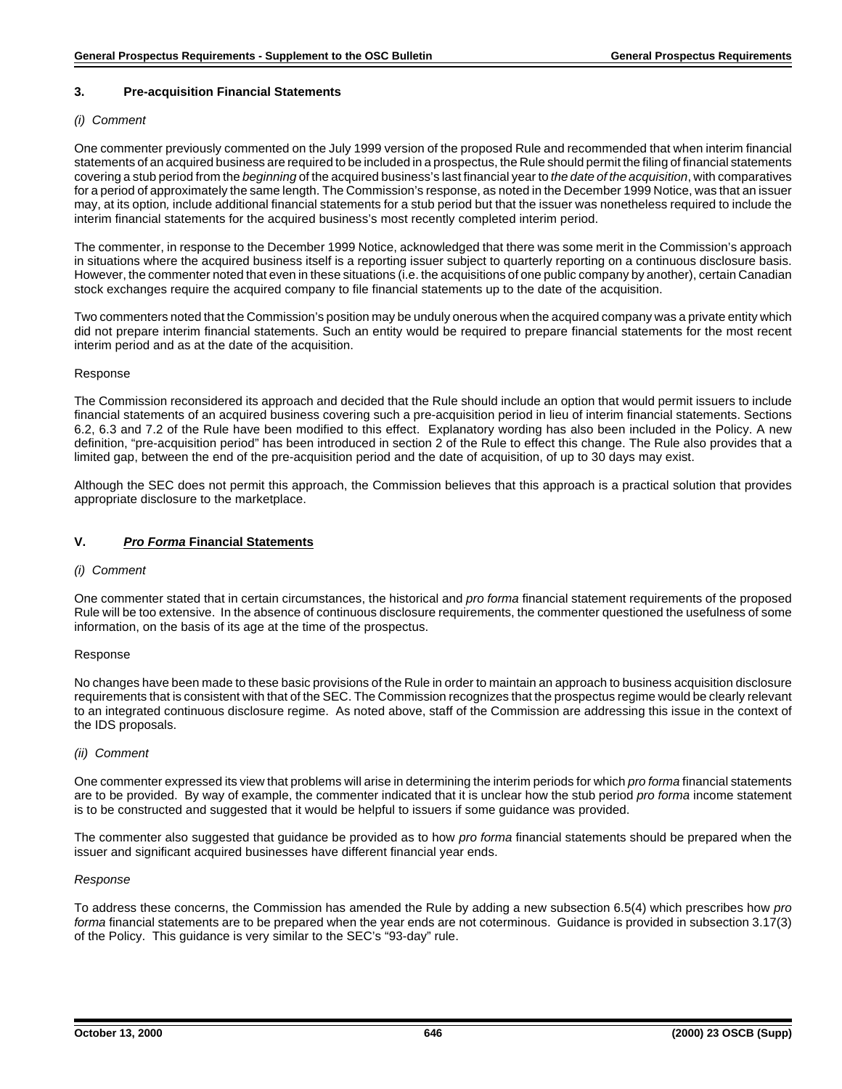## **3. Pre-acquisition Financial Statements**

### *(i) Comment*

One commenter previously commented on the July 1999 version of the proposed Rule and recommended that when interim financial statements of an acquired business are required to be included in a prospectus, the Rule should permit the filing of financial statements covering a stub period from the *beginning* of the acquired business's last financial year to *the date of the acquisition*, with comparatives for a period of approximately the same length. The Commission's response, as noted in the December 1999 Notice, was that an issuer may, at its option*,* include additional financial statements for a stub period but that the issuer was nonetheless required to include the interim financial statements for the acquired business's most recently completed interim period.

The commenter, in response to the December 1999 Notice, acknowledged that there was some merit in the Commission's approach in situations where the acquired business itself is a reporting issuer subject to quarterly reporting on a continuous disclosure basis. However, the commenter noted that even in these situations (i.e. the acquisitions of one public company by another), certain Canadian stock exchanges require the acquired company to file financial statements up to the date of the acquisition.

Two commenters noted that the Commission's position may be unduly onerous when the acquired company was a private entity which did not prepare interim financial statements. Such an entity would be required to prepare financial statements for the most recent interim period and as at the date of the acquisition.

## Response

The Commission reconsidered its approach and decided that the Rule should include an option that would permit issuers to include financial statements of an acquired business covering such a pre-acquisition period in lieu of interim financial statements. Sections 6.2, 6.3 and 7.2 of the Rule have been modified to this effect. Explanatory wording has also been included in the Policy. A new definition, "pre-acquisition period" has been introduced in section 2 of the Rule to effect this change. The Rule also provides that a limited gap, between the end of the pre-acquisition period and the date of acquisition, of up to 30 days may exist.

Although the SEC does not permit this approach, the Commission believes that this approach is a practical solution that provides appropriate disclosure to the marketplace.

## **V.** *Pro Forma* **Financial Statements**

#### *(i) Comment*

One commenter stated that in certain circumstances, the historical and *pro forma* financial statement requirements of the proposed Rule will be too extensive. In the absence of continuous disclosure requirements, the commenter questioned the usefulness of some information, on the basis of its age at the time of the prospectus.

# Response

No changes have been made to these basic provisions of the Rule in order to maintain an approach to business acquisition disclosure requirements that is consistent with that of the SEC. The Commission recognizes that the prospectus regime would be clearly relevant to an integrated continuous disclosure regime. As noted above, staff of the Commission are addressing this issue in the context of the IDS proposals.

# *(ii) Comment*

One commenter expressed its view that problems will arise in determining the interim periods for which *pro forma* financial statements are to be provided. By way of example, the commenter indicated that it is unclear how the stub period *pro forma* income statement is to be constructed and suggested that it would be helpful to issuers if some guidance was provided.

The commenter also suggested that guidance be provided as to how *pro forma* financial statements should be prepared when the issuer and significant acquired businesses have different financial year ends.

#### *Response*

To address these concerns, the Commission has amended the Rule by adding a new subsection 6.5(4) which prescribes how *pro forma* financial statements are to be prepared when the year ends are not coterminous. Guidance is provided in subsection 3.17(3) of the Policy. This guidance is very similar to the SEC's "93-day" rule.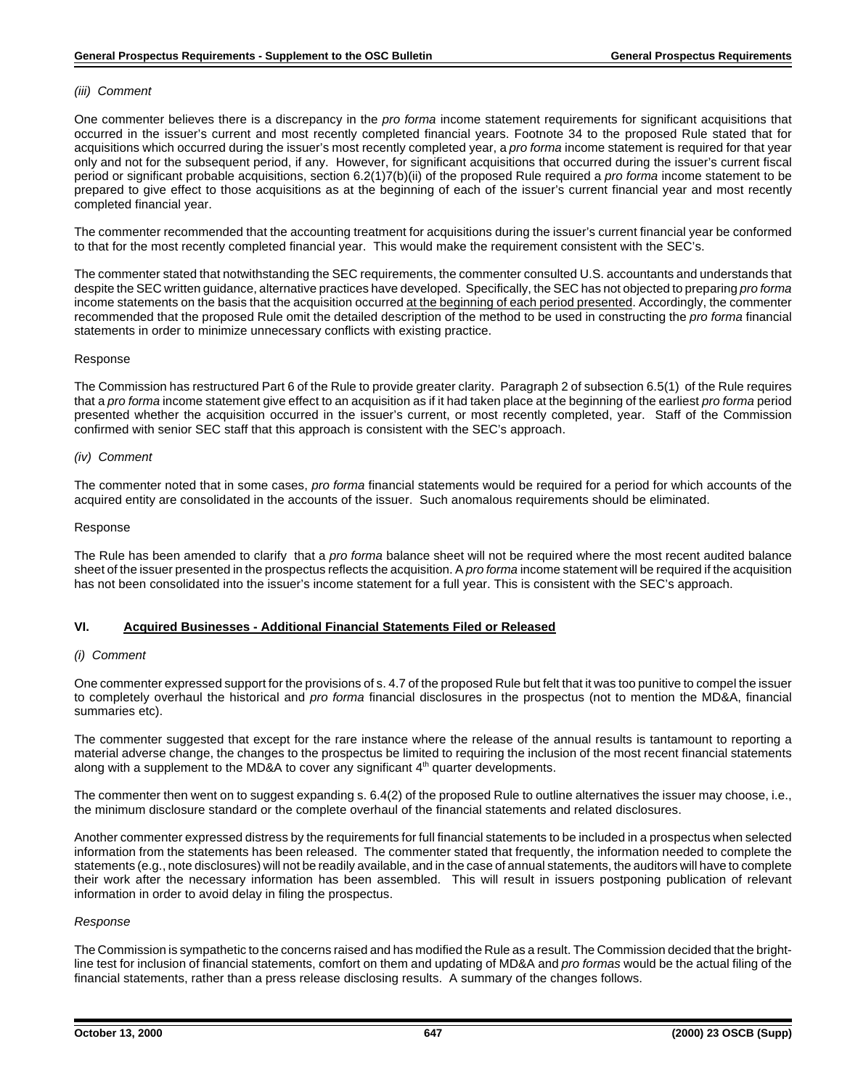#### *(iii) Comment*

One commenter believes there is a discrepancy in the *pro forma* income statement requirements for significant acquisitions that occurred in the issuer's current and most recently completed financial years. Footnote 34 to the proposed Rule stated that for acquisitions which occurred during the issuer's most recently completed year, a *pro forma* income statement is required for that year only and not for the subsequent period, if any. However, for significant acquisitions that occurred during the issuer's current fiscal period or significant probable acquisitions, section 6.2(1)7(b)(ii) of the proposed Rule required a *pro forma* income statement to be prepared to give effect to those acquisitions as at the beginning of each of the issuer's current financial year and most recently completed financial year.

The commenter recommended that the accounting treatment for acquisitions during the issuer's current financial year be conformed to that for the most recently completed financial year. This would make the requirement consistent with the SEC's.

The commenter stated that notwithstanding the SEC requirements, the commenter consulted U.S. accountants and understands that despite the SEC written guidance, alternative practices have developed. Specifically, the SEC has not objected to preparing *pro forma* income statements on the basis that the acquisition occurred at the beginning of each period presented. Accordingly, the commenter recommended that the proposed Rule omit the detailed description of the method to be used in constructing the *pro forma* financial statements in order to minimize unnecessary conflicts with existing practice.

#### Response

The Commission has restructured Part 6 of the Rule to provide greater clarity. Paragraph 2 of subsection 6.5(1) of the Rule requires that a *pro forma* income statement give effect to an acquisition as if it had taken place at the beginning of the earliest *pro forma* period presented whether the acquisition occurred in the issuer's current, or most recently completed, year. Staff of the Commission confirmed with senior SEC staff that this approach is consistent with the SEC's approach.

#### *(iv) Comment*

The commenter noted that in some cases, *pro forma* financial statements would be required for a period for which accounts of the acquired entity are consolidated in the accounts of the issuer. Such anomalous requirements should be eliminated.

#### Response

The Rule has been amended to clarify that a *pro forma* balance sheet will not be required where the most recent audited balance sheet of the issuer presented in the prospectus reflects the acquisition. A *pro forma* income statement will be required if the acquisition has not been consolidated into the issuer's income statement for a full year. This is consistent with the SEC's approach.

## **VI. Acquired Businesses - Additional Financial Statements Filed or Released**

# *(i) Comment*

One commenter expressed support for the provisions of s. 4.7 of the proposed Rule but felt that it was too punitive to compel the issuer to completely overhaul the historical and *pro forma* financial disclosures in the prospectus (not to mention the MD&A, financial summaries etc).

The commenter suggested that except for the rare instance where the release of the annual results is tantamount to reporting a material adverse change, the changes to the prospectus be limited to requiring the inclusion of the most recent financial statements along with a supplement to the MD&A to cover any significant  $4<sup>th</sup>$  quarter developments.

The commenter then went on to suggest expanding s. 6.4(2) of the proposed Rule to outline alternatives the issuer may choose, i.e., the minimum disclosure standard or the complete overhaul of the financial statements and related disclosures.

Another commenter expressed distress by the requirements for full financial statements to be included in a prospectus when selected information from the statements has been released. The commenter stated that frequently, the information needed to complete the statements (e.g., note disclosures) will not be readily available, and in the case of annual statements, the auditors will have to complete their work after the necessary information has been assembled. This will result in issuers postponing publication of relevant information in order to avoid delay in filing the prospectus.

#### *Response*

The Commission is sympathetic to the concerns raised and has modified the Rule as a result. The Commission decided that the brightline test for inclusion of financial statements, comfort on them and updating of MD&A and *pro formas* would be the actual filing of the financial statements, rather than a press release disclosing results. A summary of the changes follows.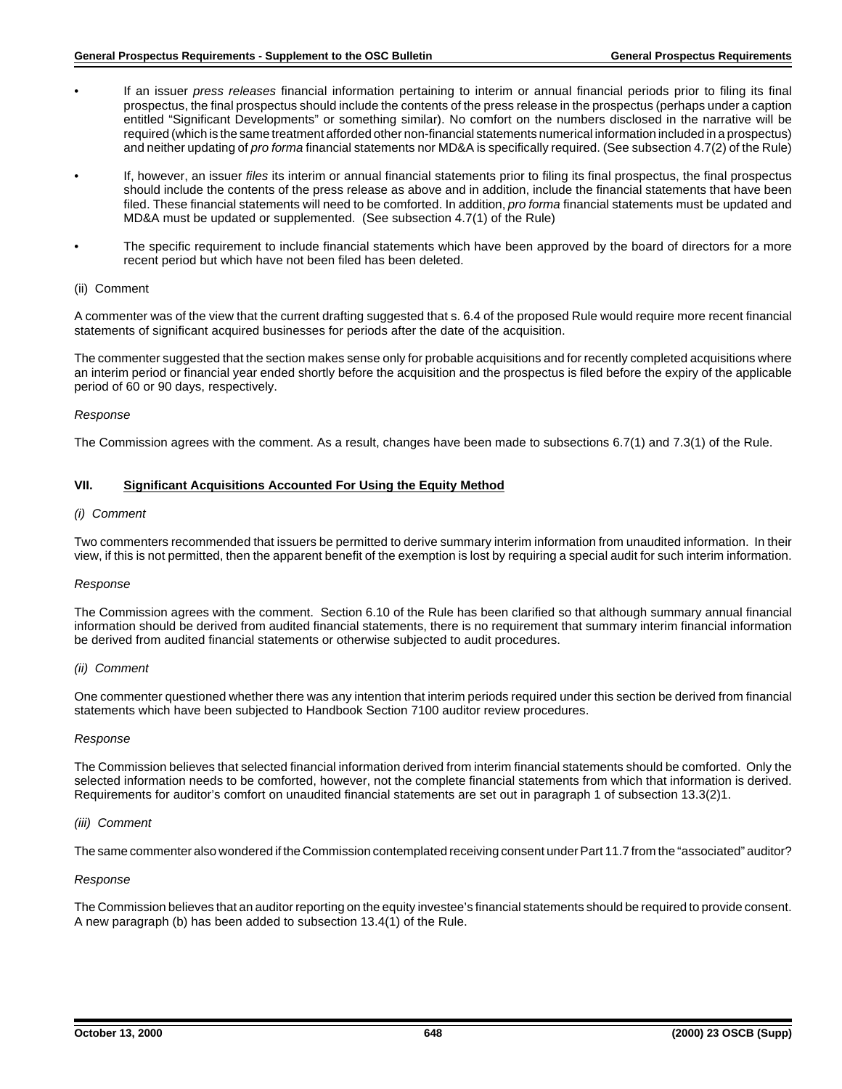- If an issuer *press releases* financial information pertaining to interim or annual financial periods prior to filing its final prospectus, the final prospectus should include the contents of the press release in the prospectus (perhaps under a caption entitled "Significant Developments" or something similar). No comfort on the numbers disclosed in the narrative will be required (which is the same treatment afforded other non-financial statements numerical information included in a prospectus) and neither updating of *pro forma* financial statements nor MD&A is specifically required. (See subsection 4.7(2) of the Rule)
- If, however, an issuer *files* its interim or annual financial statements prior to filing its final prospectus, the final prospectus should include the contents of the press release as above and in addition, include the financial statements that have been filed. These financial statements will need to be comforted. In addition, *pro forma* financial statements must be updated and MD&A must be updated or supplemented. (See subsection 4.7(1) of the Rule)
- The specific requirement to include financial statements which have been approved by the board of directors for a more recent period but which have not been filed has been deleted.

## (ii) Comment

A commenter was of the view that the current drafting suggested that s. 6.4 of the proposed Rule would require more recent financial statements of significant acquired businesses for periods after the date of the acquisition.

The commenter suggested that the section makes sense only for probable acquisitions and for recently completed acquisitions where an interim period or financial year ended shortly before the acquisition and the prospectus is filed before the expiry of the applicable period of 60 or 90 days, respectively.

## *Response*

The Commission agrees with the comment. As a result, changes have been made to subsections 6.7(1) and 7.3(1) of the Rule.

# **VII. Significant Acquisitions Accounted For Using the Equity Method**

## *(i) Comment*

Two commenters recommended that issuers be permitted to derive summary interim information from unaudited information. In their view, if this is not permitted, then the apparent benefit of the exemption is lost by requiring a special audit for such interim information.

#### *Response*

The Commission agrees with the comment. Section 6.10 of the Rule has been clarified so that although summary annual financial information should be derived from audited financial statements, there is no requirement that summary interim financial information be derived from audited financial statements or otherwise subjected to audit procedures.

# *(ii) Comment*

One commenter questioned whether there was any intention that interim periods required under this section be derived from financial statements which have been subjected to Handbook Section 7100 auditor review procedures.

#### *Response*

The Commission believes that selected financial information derived from interim financial statements should be comforted. Only the selected information needs to be comforted, however, not the complete financial statements from which that information is derived. Requirements for auditor's comfort on unaudited financial statements are set out in paragraph 1 of subsection 13.3(2)1.

#### *(iii) Comment*

The same commenter also wondered if the Commission contemplated receiving consent under Part 11.7 from the "associated" auditor?

#### *Response*

The Commission believes that an auditor reporting on the equity investee's financial statements should be required to provide consent. A new paragraph (b) has been added to subsection 13.4(1) of the Rule.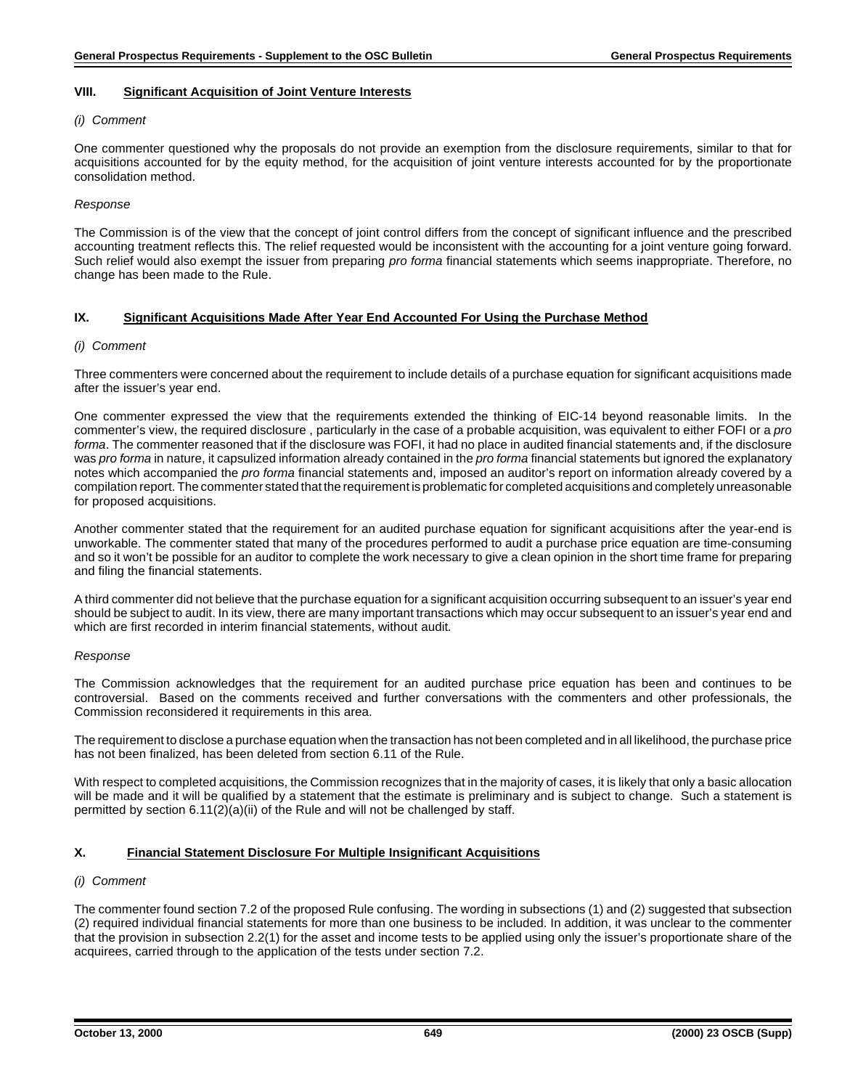# **VIII. Significant Acquisition of Joint Venture Interests**

### *(i) Comment*

One commenter questioned why the proposals do not provide an exemption from the disclosure requirements, similar to that for acquisitions accounted for by the equity method, for the acquisition of joint venture interests accounted for by the proportionate consolidation method.

## *Response*

The Commission is of the view that the concept of joint control differs from the concept of significant influence and the prescribed accounting treatment reflects this. The relief requested would be inconsistent with the accounting for a joint venture going forward. Such relief would also exempt the issuer from preparing *pro forma* financial statements which seems inappropriate. Therefore, no change has been made to the Rule.

# **IX. Significant Acquisitions Made After Year End Accounted For Using the Purchase Method**

## *(i) Comment*

Three commenters were concerned about the requirement to include details of a purchase equation for significant acquisitions made after the issuer's year end.

One commenter expressed the view that the requirements extended the thinking of EIC-14 beyond reasonable limits. In the commenter's view, the required disclosure , particularly in the case of a probable acquisition, was equivalent to either FOFI or a *pro forma*. The commenter reasoned that if the disclosure was FOFI, it had no place in audited financial statements and, if the disclosure was *pro forma* in nature, it capsulized information already contained in the *pro forma* financial statements but ignored the explanatory notes which accompanied the *pro forma* financial statements and, imposed an auditor's report on information already covered by a compilation report. The commenter stated that the requirement is problematic for completed acquisitions and completely unreasonable for proposed acquisitions.

Another commenter stated that the requirement for an audited purchase equation for significant acquisitions after the year-end is unworkable. The commenter stated that many of the procedures performed to audit a purchase price equation are time-consuming and so it won't be possible for an auditor to complete the work necessary to give a clean opinion in the short time frame for preparing and filing the financial statements.

A third commenter did not believe that the purchase equation for a significant acquisition occurring subsequent to an issuer's year end should be subject to audit. In its view, there are many important transactions which may occur subsequent to an issuer's year end and which are first recorded in interim financial statements, without audit*.*

# *Response*

The Commission acknowledges that the requirement for an audited purchase price equation has been and continues to be controversial. Based on the comments received and further conversations with the commenters and other professionals, the Commission reconsidered it requirements in this area.

The requirement to disclose a purchase equation when the transaction has not been completed and in all likelihood, the purchase price has not been finalized, has been deleted from section 6.11 of the Rule.

With respect to completed acquisitions, the Commission recognizes that in the majority of cases, it is likely that only a basic allocation will be made and it will be qualified by a statement that the estimate is preliminary and is subject to change. Such a statement is permitted by section 6.11(2)(a)(ii) of the Rule and will not be challenged by staff.

# **X. Financial Statement Disclosure For Multiple Insignificant Acquisitions**

# *(i) Comment*

The commenter found section 7.2 of the proposed Rule confusing. The wording in subsections (1) and (2) suggested that subsection (2) required individual financial statements for more than one business to be included. In addition, it was unclear to the commenter that the provision in subsection 2.2(1) for the asset and income tests to be applied using only the issuer's proportionate share of the acquirees, carried through to the application of the tests under section 7.2.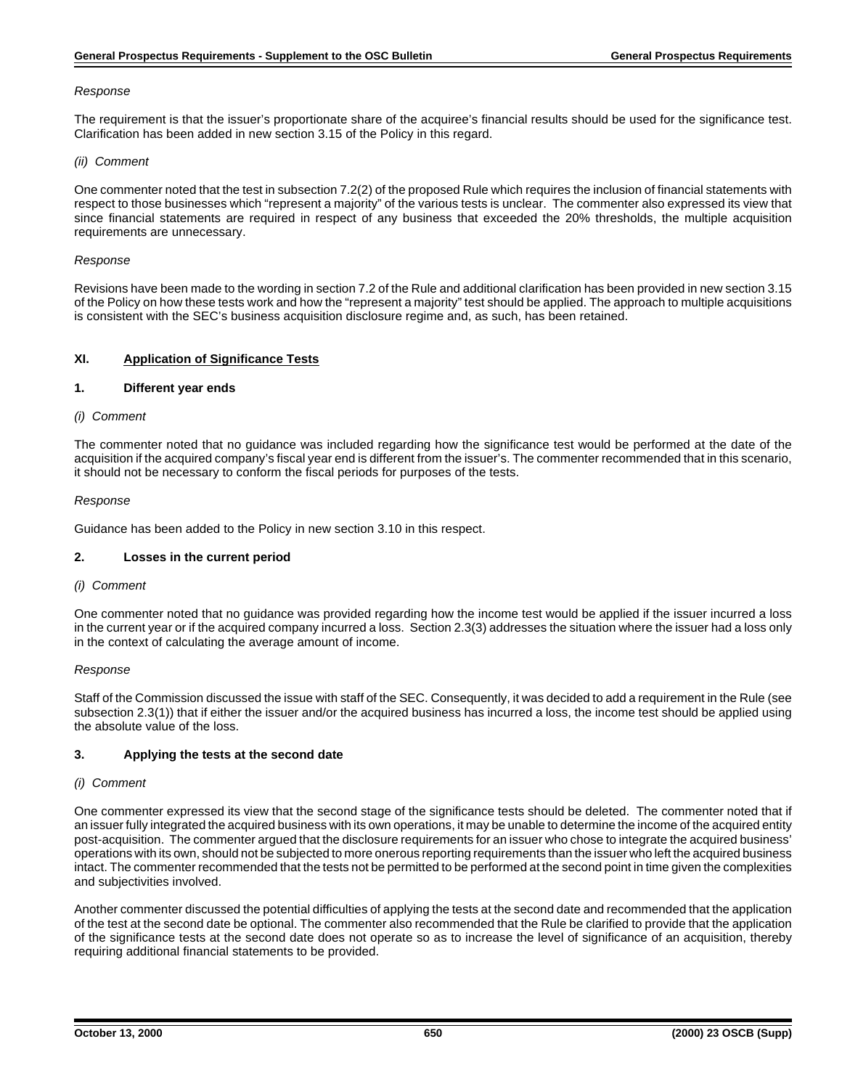### *Response*

The requirement is that the issuer's proportionate share of the acquiree's financial results should be used for the significance test. Clarification has been added in new section 3.15 of the Policy in this regard.

## *(ii) Comment*

One commenter noted that the test in subsection 7.2(2) of the proposed Rule which requires the inclusion of financial statements with respect to those businesses which "represent a majority" of the various tests is unclear. The commenter also expressed its view that since financial statements are required in respect of any business that exceeded the 20% thresholds, the multiple acquisition requirements are unnecessary.

#### *Response*

Revisions have been made to the wording in section 7.2 of the Rule and additional clarification has been provided in new section 3.15 of the Policy on how these tests work and how the "represent a majority" test should be applied. The approach to multiple acquisitions is consistent with the SEC's business acquisition disclosure regime and, as such, has been retained.

# **XI. Application of Significance Tests**

## **1. Different year ends**

## *(i) Comment*

The commenter noted that no guidance was included regarding how the significance test would be performed at the date of the acquisition if the acquired company's fiscal year end is different from the issuer's. The commenter recommended that in this scenario, it should not be necessary to conform the fiscal periods for purposes of the tests.

## *Response*

Guidance has been added to the Policy in new section 3.10 in this respect.

# **2. Losses in the current period**

#### *(i) Comment*

One commenter noted that no guidance was provided regarding how the income test would be applied if the issuer incurred a loss in the current year or if the acquired company incurred a loss. Section 2.3(3) addresses the situation where the issuer had a loss only in the context of calculating the average amount of income.

# *Response*

Staff of the Commission discussed the issue with staff of the SEC. Consequently, it was decided to add a requirement in the Rule (see subsection 2.3(1)) that if either the issuer and/or the acquired business has incurred a loss, the income test should be applied using the absolute value of the loss.

# **3. Applying the tests at the second date**

#### *(i) Comment*

One commenter expressed its view that the second stage of the significance tests should be deleted. The commenter noted that if an issuer fully integrated the acquired business with its own operations, it may be unable to determine the income of the acquired entity post-acquisition. The commenter argued that the disclosure requirements for an issuer who chose to integrate the acquired business' operations with its own, should not be subjected to more onerous reporting requirements than the issuer who left the acquired business intact. The commenter recommended that the tests not be permitted to be performed at the second point in time given the complexities and subjectivities involved.

Another commenter discussed the potential difficulties of applying the tests at the second date and recommended that the application of the test at the second date be optional. The commenter also recommended that the Rule be clarified to provide that the application of the significance tests at the second date does not operate so as to increase the level of significance of an acquisition, thereby requiring additional financial statements to be provided.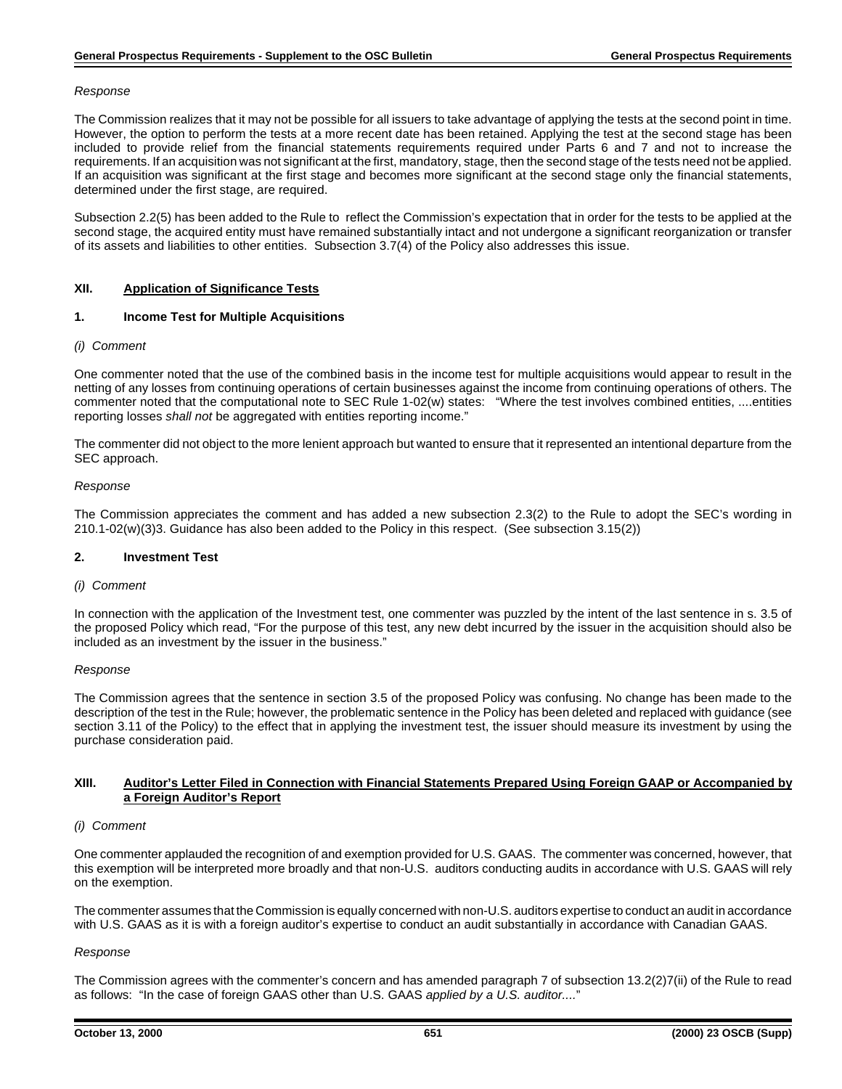#### *Response*

The Commission realizes that it may not be possible for all issuers to take advantage of applying the tests at the second point in time. However, the option to perform the tests at a more recent date has been retained. Applying the test at the second stage has been included to provide relief from the financial statements requirements required under Parts 6 and 7 and not to increase the requirements. If an acquisition was not significant at the first, mandatory, stage, then the second stage of the tests need not be applied. If an acquisition was significant at the first stage and becomes more significant at the second stage only the financial statements, determined under the first stage, are required.

Subsection 2.2(5) has been added to the Rule to reflect the Commission's expectation that in order for the tests to be applied at the second stage, the acquired entity must have remained substantially intact and not undergone a significant reorganization or transfer of its assets and liabilities to other entities. Subsection 3.7(4) of the Policy also addresses this issue.

# **XII. Application of Significance Tests**

## **1. Income Test for Multiple Acquisitions**

## *(i) Comment*

One commenter noted that the use of the combined basis in the income test for multiple acquisitions would appear to result in the netting of any losses from continuing operations of certain businesses against the income from continuing operations of others. The commenter noted that the computational note to SEC Rule 1-02(w) states: "Where the test involves combined entities, ....entities reporting losses *shall not* be aggregated with entities reporting income."

The commenter did not object to the more lenient approach but wanted to ensure that it represented an intentional departure from the SEC approach.

## *Response*

The Commission appreciates the comment and has added a new subsection 2.3(2) to the Rule to adopt the SEC's wording in 210.1-02(w)(3)3. Guidance has also been added to the Policy in this respect. (See subsection 3.15(2))

# **2. Investment Test**

#### *(i) Comment*

In connection with the application of the Investment test, one commenter was puzzled by the intent of the last sentence in s. 3.5 of the proposed Policy which read, "For the purpose of this test, any new debt incurred by the issuer in the acquisition should also be included as an investment by the issuer in the business."

# *Response*

The Commission agrees that the sentence in section 3.5 of the proposed Policy was confusing. No change has been made to the description of the test in the Rule; however, the problematic sentence in the Policy has been deleted and replaced with guidance (see section 3.11 of the Policy) to the effect that in applying the investment test, the issuer should measure its investment by using the purchase consideration paid.

# **XIII. Auditor's Letter Filed in Connection with Financial Statements Prepared Using Foreign GAAP or Accompanied by a Foreign Auditor's Report**

#### *(i) Comment*

One commenter applauded the recognition of and exemption provided for U.S. GAAS. The commenter was concerned, however, that this exemption will be interpreted more broadly and that non-U.S. auditors conducting audits in accordance with U.S. GAAS will rely on the exemption.

The commenter assumes that the Commission is equally concerned with non-U.S. auditors expertise to conduct an audit in accordance with U.S. GAAS as it is with a foreign auditor's expertise to conduct an audit substantially in accordance with Canadian GAAS.

#### *Response*

The Commission agrees with the commenter's concern and has amended paragraph 7 of subsection 13.2(2)7(ii) of the Rule to read as follows: "In the case of foreign GAAS other than U.S. GAAS *applied by a U.S. auditor....*"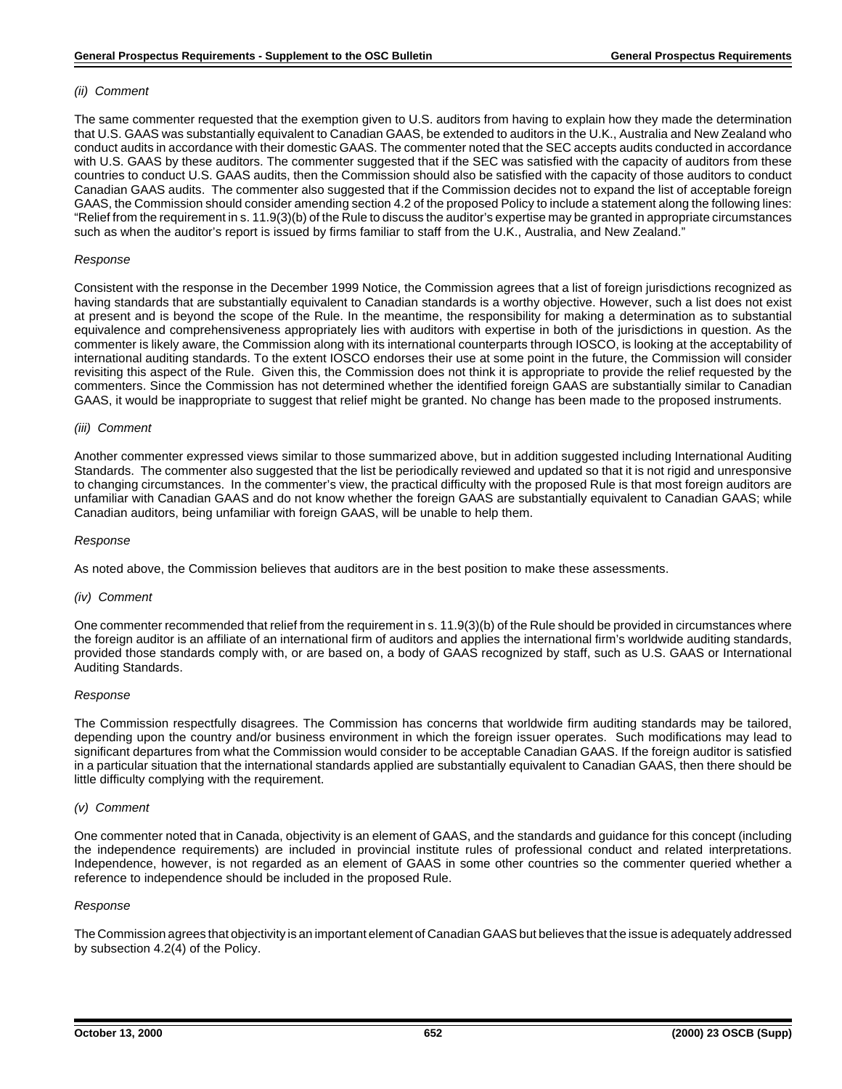### *(ii) Comment*

The same commenter requested that the exemption given to U.S. auditors from having to explain how they made the determination that U.S. GAAS was substantially equivalent to Canadian GAAS, be extended to auditors in the U.K., Australia and New Zealand who conduct audits in accordance with their domestic GAAS. The commenter noted that the SEC accepts audits conducted in accordance with U.S. GAAS by these auditors. The commenter suggested that if the SEC was satisfied with the capacity of auditors from these countries to conduct U.S. GAAS audits, then the Commission should also be satisfied with the capacity of those auditors to conduct Canadian GAAS audits. The commenter also suggested that if the Commission decides not to expand the list of acceptable foreign GAAS, the Commission should consider amending section 4.2 of the proposed Policy to include a statement along the following lines: "Relief from the requirement in s. 11.9(3)(b) of the Rule to discuss the auditor's expertise may be granted in appropriate circumstances such as when the auditor's report is issued by firms familiar to staff from the U.K., Australia, and New Zealand."

## *Response*

Consistent with the response in the December 1999 Notice, the Commission agrees that a list of foreign jurisdictions recognized as having standards that are substantially equivalent to Canadian standards is a worthy objective. However, such a list does not exist at present and is beyond the scope of the Rule. In the meantime, the responsibility for making a determination as to substantial equivalence and comprehensiveness appropriately lies with auditors with expertise in both of the jurisdictions in question. As the commenter is likely aware, the Commission along with its international counterparts through IOSCO, is looking at the acceptability of international auditing standards. To the extent IOSCO endorses their use at some point in the future, the Commission will consider revisiting this aspect of the Rule. Given this, the Commission does not think it is appropriate to provide the relief requested by the commenters. Since the Commission has not determined whether the identified foreign GAAS are substantially similar to Canadian GAAS, it would be inappropriate to suggest that relief might be granted. No change has been made to the proposed instruments.

## *(iii) Comment*

Another commenter expressed views similar to those summarized above, but in addition suggested including International Auditing Standards. The commenter also suggested that the list be periodically reviewed and updated so that it is not rigid and unresponsive to changing circumstances. In the commenter's view, the practical difficulty with the proposed Rule is that most foreign auditors are unfamiliar with Canadian GAAS and do not know whether the foreign GAAS are substantially equivalent to Canadian GAAS; while Canadian auditors, being unfamiliar with foreign GAAS, will be unable to help them.

#### *Response*

As noted above, the Commission believes that auditors are in the best position to make these assessments.

#### *(iv) Comment*

One commenter recommended that relief from the requirement in s. 11.9(3)(b) of the Rule should be provided in circumstances where the foreign auditor is an affiliate of an international firm of auditors and applies the international firm's worldwide auditing standards, provided those standards comply with, or are based on, a body of GAAS recognized by staff, such as U.S. GAAS or International Auditing Standards.

#### *Response*

The Commission respectfully disagrees. The Commission has concerns that worldwide firm auditing standards may be tailored, depending upon the country and/or business environment in which the foreign issuer operates. Such modifications may lead to significant departures from what the Commission would consider to be acceptable Canadian GAAS. If the foreign auditor is satisfied in a particular situation that the international standards applied are substantially equivalent to Canadian GAAS, then there should be little difficulty complying with the requirement.

## *(v) Comment*

One commenter noted that in Canada, objectivity is an element of GAAS, and the standards and guidance for this concept (including the independence requirements) are included in provincial institute rules of professional conduct and related interpretations. Independence, however, is not regarded as an element of GAAS in some other countries so the commenter queried whether a reference to independence should be included in the proposed Rule.

#### *Response*

The Commission agrees that objectivity is an important element of Canadian GAAS but believes that the issue is adequately addressed by subsection 4.2(4) of the Policy.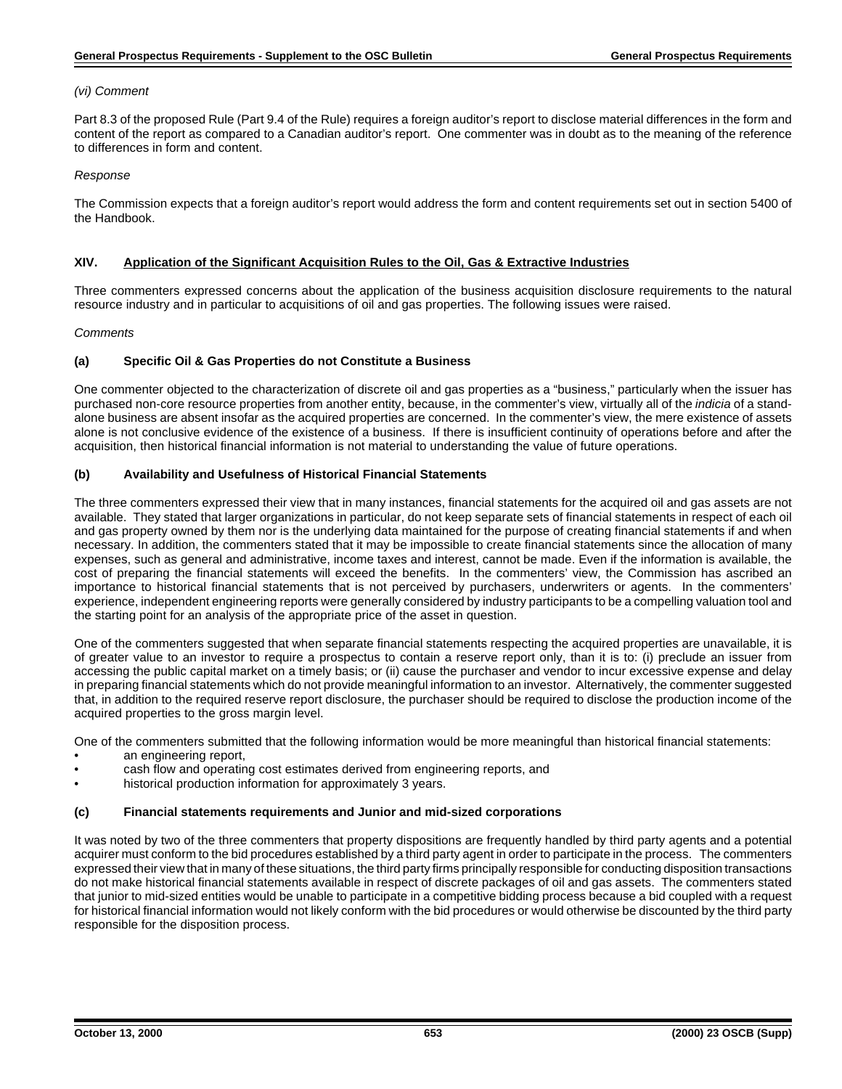# *(vi) Comment*

Part 8.3 of the proposed Rule (Part 9.4 of the Rule) requires a foreign auditor's report to disclose material differences in the form and content of the report as compared to a Canadian auditor's report. One commenter was in doubt as to the meaning of the reference to differences in form and content.

# *Response*

The Commission expects that a foreign auditor's report would address the form and content requirements set out in section 5400 of the Handbook.

# **XIV. Application of the Significant Acquisition Rules to the Oil, Gas & Extractive Industries**

Three commenters expressed concerns about the application of the business acquisition disclosure requirements to the natural resource industry and in particular to acquisitions of oil and gas properties. The following issues were raised.

# *Comments*

# **(a) Specific Oil & Gas Properties do not Constitute a Business**

One commenter objected to the characterization of discrete oil and gas properties as a "business," particularly when the issuer has purchased non-core resource properties from another entity, because, in the commenter's view, virtually all of the *indicia* of a standalone business are absent insofar as the acquired properties are concerned. In the commenter's view, the mere existence of assets alone is not conclusive evidence of the existence of a business. If there is insufficient continuity of operations before and after the acquisition, then historical financial information is not material to understanding the value of future operations.

# **(b) Availability and Usefulness of Historical Financial Statements**

The three commenters expressed their view that in many instances, financial statements for the acquired oil and gas assets are not available. They stated that larger organizations in particular, do not keep separate sets of financial statements in respect of each oil and gas property owned by them nor is the underlying data maintained for the purpose of creating financial statements if and when necessary. In addition, the commenters stated that it may be impossible to create financial statements since the allocation of many expenses, such as general and administrative, income taxes and interest, cannot be made. Even if the information is available, the cost of preparing the financial statements will exceed the benefits. In the commenters' view, the Commission has ascribed an importance to historical financial statements that is not perceived by purchasers, underwriters or agents. In the commenters' experience, independent engineering reports were generally considered by industry participants to be a compelling valuation tool and the starting point for an analysis of the appropriate price of the asset in question.

One of the commenters suggested that when separate financial statements respecting the acquired properties are unavailable, it is of greater value to an investor to require a prospectus to contain a reserve report only, than it is to: (i) preclude an issuer from accessing the public capital market on a timely basis; or (ii) cause the purchaser and vendor to incur excessive expense and delay in preparing financial statements which do not provide meaningful information to an investor. Alternatively, the commenter suggested that, in addition to the required reserve report disclosure, the purchaser should be required to disclose the production income of the acquired properties to the gross margin level.

One of the commenters submitted that the following information would be more meaningful than historical financial statements:

- an engineering report,
- cash flow and operating cost estimates derived from engineering reports, and
- historical production information for approximately 3 years.

# **(c) Financial statements requirements and Junior and mid-sized corporations**

It was noted by two of the three commenters that property dispositions are frequently handled by third party agents and a potential acquirer must conform to the bid procedures established by a third party agent in order to participate in the process. The commenters expressed their view that in many of these situations, the third party firms principally responsible for conducting disposition transactions do not make historical financial statements available in respect of discrete packages of oil and gas assets. The commenters stated that junior to mid-sized entities would be unable to participate in a competitive bidding process because a bid coupled with a request for historical financial information would not likely conform with the bid procedures or would otherwise be discounted by the third party responsible for the disposition process.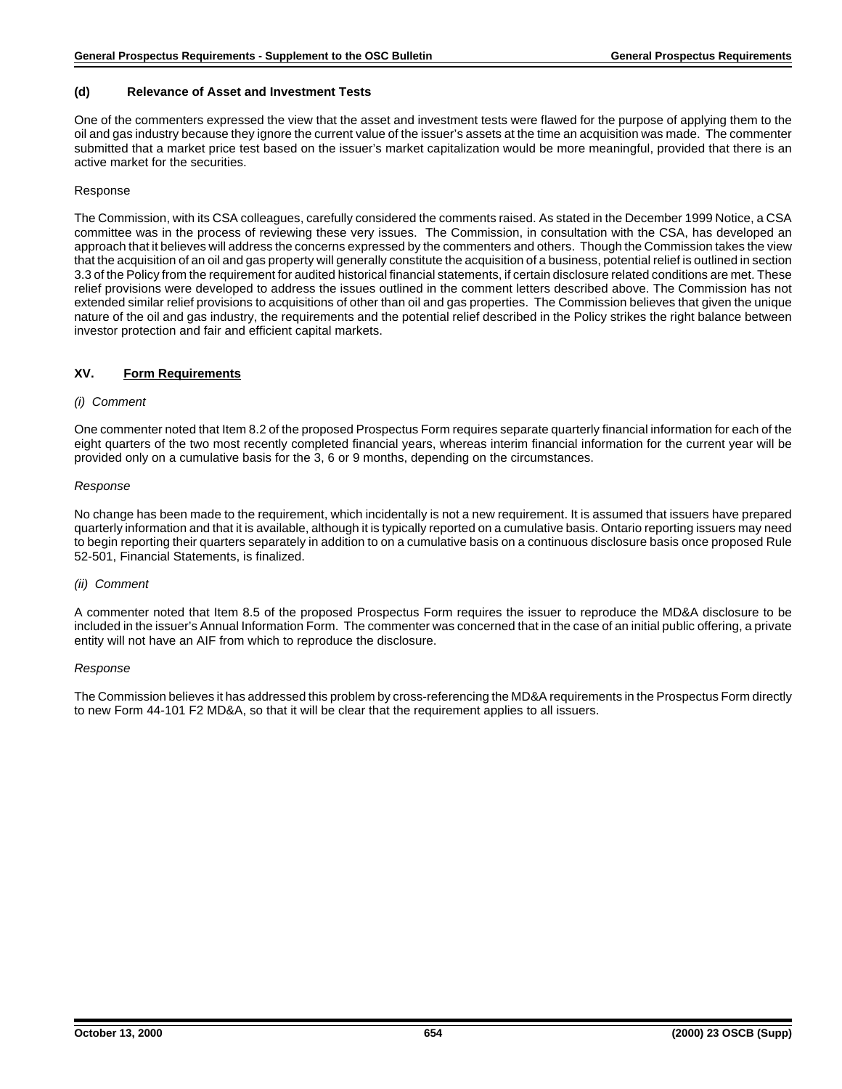## **(d) Relevance of Asset and Investment Tests**

One of the commenters expressed the view that the asset and investment tests were flawed for the purpose of applying them to the oil and gas industry because they ignore the current value of the issuer's assets at the time an acquisition was made. The commenter submitted that a market price test based on the issuer's market capitalization would be more meaningful, provided that there is an active market for the securities.

#### Response

The Commission, with its CSA colleagues, carefully considered the comments raised. As stated in the December 1999 Notice, a CSA committee was in the process of reviewing these very issues. The Commission, in consultation with the CSA, has developed an approach that it believes will address the concerns expressed by the commenters and others. Though the Commission takes the view that the acquisition of an oil and gas property will generally constitute the acquisition of a business, potential relief is outlined in section 3.3 of the Policy from the requirement for audited historical financial statements, if certain disclosure related conditions are met. These relief provisions were developed to address the issues outlined in the comment letters described above. The Commission has not extended similar relief provisions to acquisitions of other than oil and gas properties. The Commission believes that given the unique nature of the oil and gas industry, the requirements and the potential relief described in the Policy strikes the right balance between investor protection and fair and efficient capital markets.

# **XV. Form Requirements**

#### *(i) Comment*

One commenter noted that Item 8.2 of the proposed Prospectus Form requires separate quarterly financial information for each of the eight quarters of the two most recently completed financial years, whereas interim financial information for the current year will be provided only on a cumulative basis for the 3, 6 or 9 months, depending on the circumstances.

## *Response*

No change has been made to the requirement, which incidentally is not a new requirement. It is assumed that issuers have prepared quarterly information and that it is available, although it is typically reported on a cumulative basis. Ontario reporting issuers may need to begin reporting their quarters separately in addition to on a cumulative basis on a continuous disclosure basis once proposed Rule 52-501, Financial Statements, is finalized.

#### *(ii) Comment*

A commenter noted that Item 8.5 of the proposed Prospectus Form requires the issuer to reproduce the MD&A disclosure to be included in the issuer's Annual Information Form. The commenter was concerned that in the case of an initial public offering, a private entity will not have an AIF from which to reproduce the disclosure.

#### *Response*

The Commission believes it has addressed this problem by cross-referencing the MD&A requirements in the Prospectus Form directly to new Form 44-101 F2 MD&A, so that it will be clear that the requirement applies to all issuers.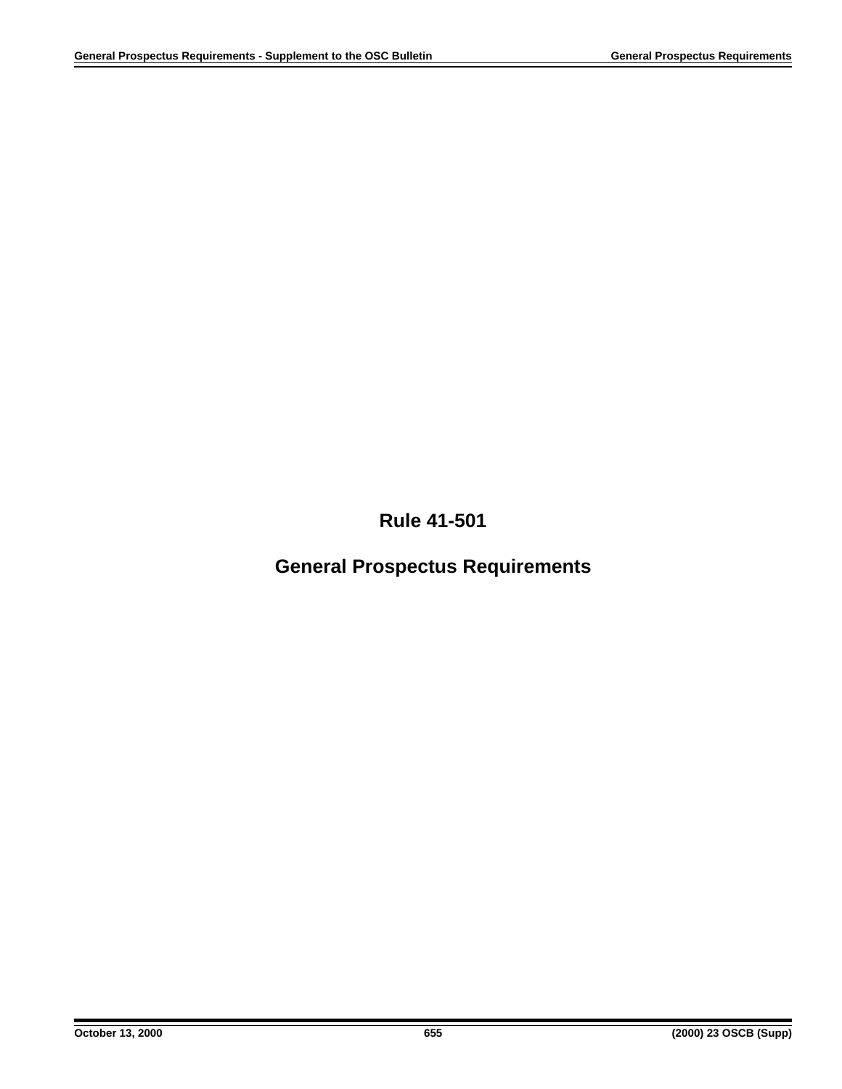**Rule 41-501**

**General Prospectus Requirements**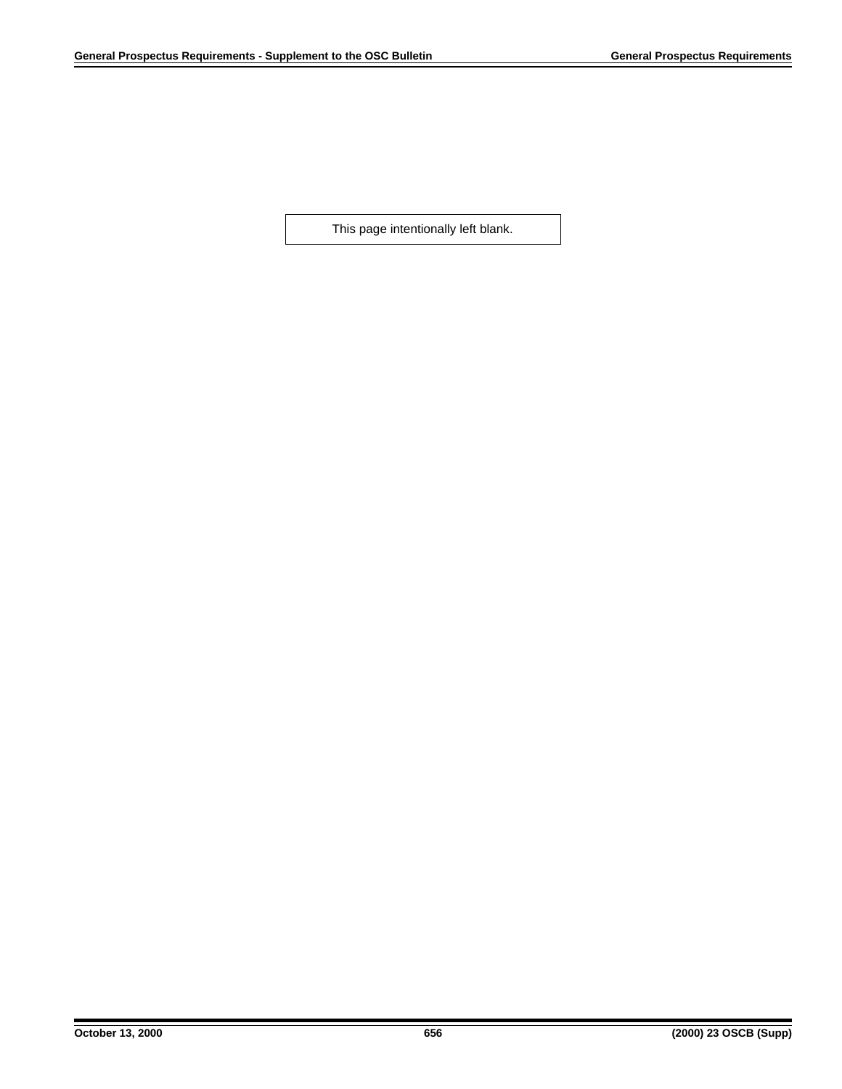This page intentionally left blank.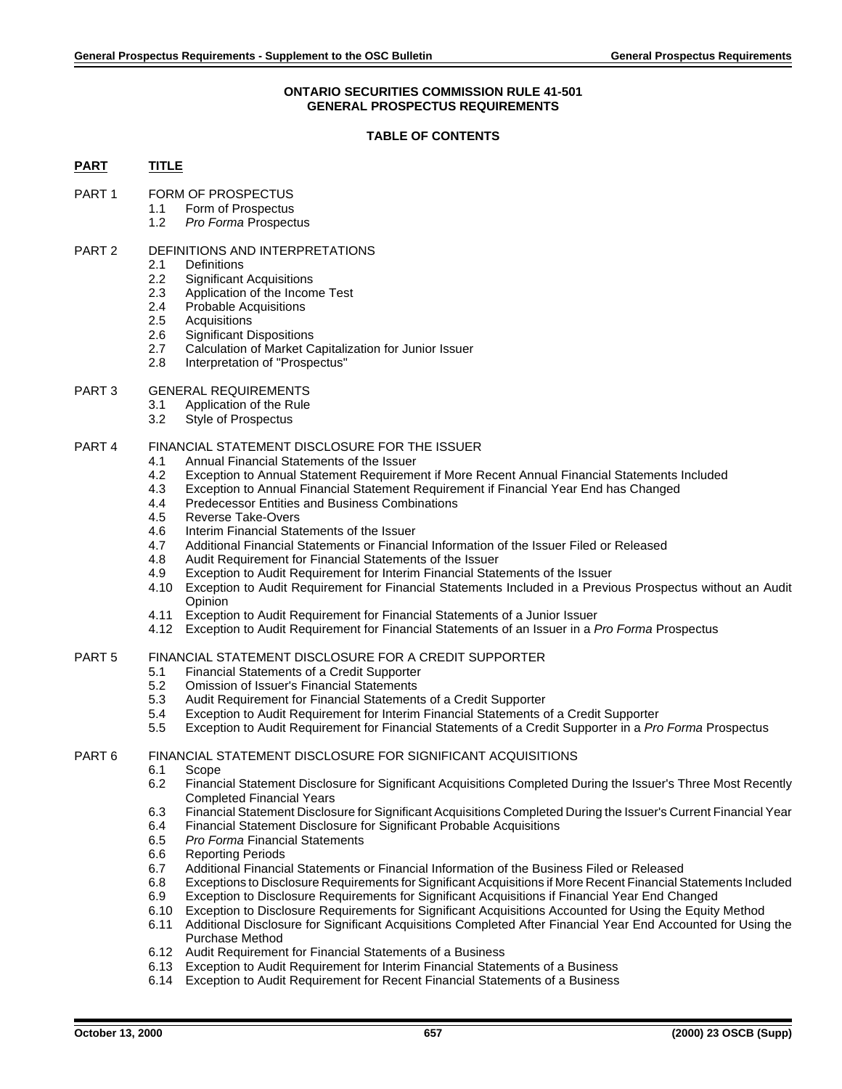# **ONTARIO SECURITIES COMMISSION RULE 41-501 GENERAL PROSPECTUS REQUIREMENTS**

# **TABLE OF CONTENTS**

# **PART TITLE**

- PART 1 FORM OF PROSPECTUS
	- 1.1 Form of Prospectus
	- 1.2 *Pro Forma* Prospectus

#### PART 2 DEFINITIONS AND INTERPRETATIONS

- 2.1 Definitions
	- 2.2 Significant Acquisitions
	- 2.3 Application of the Income Test
	- 2.4 Probable Acquisitions<br>2.5 Acquisitions
	- **Acquisitions**
- 2.6 Significant Dispositions
- 2.7 Calculation of Market Capitalization for Junior Issuer
- 2.8 Interpretation of "Prospectus"

#### PART 3 GENERAL REQUIREMENTS

- 3.1 Application of the Rule
	- 3.2 Style of Prospectus

# PART 4 FINANCIAL STATEMENT DISCLOSURE FOR THE ISSUER<br>4.1 Annual Financial Statements of the Issuer

- 4.1 Annual Financial Statements of the Issuer
- 4.2 Exception to Annual Statement Requirement if More Recent Annual Financial Statements Included
- 4.3 Exception to Annual Financial Statement Requirement if Financial Year End has Changed
- 4.4 Predecessor Entities and Business Combinations<br>4.5 Reverse Take-Overs
- 4.5 Reverse Take-Overs<br>4.6 Interim Financial Stat
- Interim Financial Statements of the Issuer
- 4.7 Additional Financial Statements or Financial Information of the Issuer Filed or Released
- 4.8 Audit Requirement for Financial Statements of the Issuer
- 4.9 Exception to Audit Requirement for Interim Financial Statements of the Issuer
- 4.10 Exception to Audit Requirement for Financial Statements Included in a Previous Prospectus without an Audit **Opinion**
- 4.11 Exception to Audit Requirement for Financial Statements of a Junior Issuer
- 4.12 Exception to Audit Requirement for Financial Statements of an Issuer in a *Pro Forma* Prospectus

#### PART 5 FINANCIAL STATEMENT DISCLOSURE FOR A CREDIT SUPPORTER

- 5.1 Financial Statements of a Credit Supporter
- 5.2 Omission of Issuer's Financial Statements
- 5.3 Audit Requirement for Financial Statements of a Credit Supporter
- 5.4 Exception to Audit Requirement for Interim Financial Statements of a Credit Supporter
- 5.5 Exception to Audit Requirement for Financial Statements of a Credit Supporter in a *Pro Forma* Prospectus

# PART 6 FINANCIAL STATEMENT DISCLOSURE FOR SIGNIFICANT ACQUISITIONS

- 6.1 Scope<br>6.2 Financ
- 6.2 Financial Statement Disclosure for Significant Acquisitions Completed During the Issuer's Three Most Recently Completed Financial Years
- 6.3 Financial Statement Disclosure for Significant Acquisitions Completed During the Issuer's Current Financial Year
- 6.4 Financial Statement Disclosure for Significant Probable Acquisitions
- 6.5 *Pro Forma* Financial Statements
- 6.6 Reporting Periods
- 6.7 Additional Financial Statements or Financial Information of the Business Filed or Released
- 6.8 Exceptions to Disclosure Requirements for Significant Acquisitions if More Recent Financial Statements Included
- 6.9 Exception to Disclosure Requirements for Significant Acquisitions if Financial Year End Changed
- 6.10 Exception to Disclosure Requirements for Significant Acquisitions Accounted for Using the Equity Method
- 6.11 Additional Disclosure for Significant Acquisitions Completed After Financial Year End Accounted for Using the Purchase Method
- 6.12 Audit Requirement for Financial Statements of a Business
- 6.13 Exception to Audit Requirement for Interim Financial Statements of a Business
- 6.14 Exception to Audit Requirement for Recent Financial Statements of a Business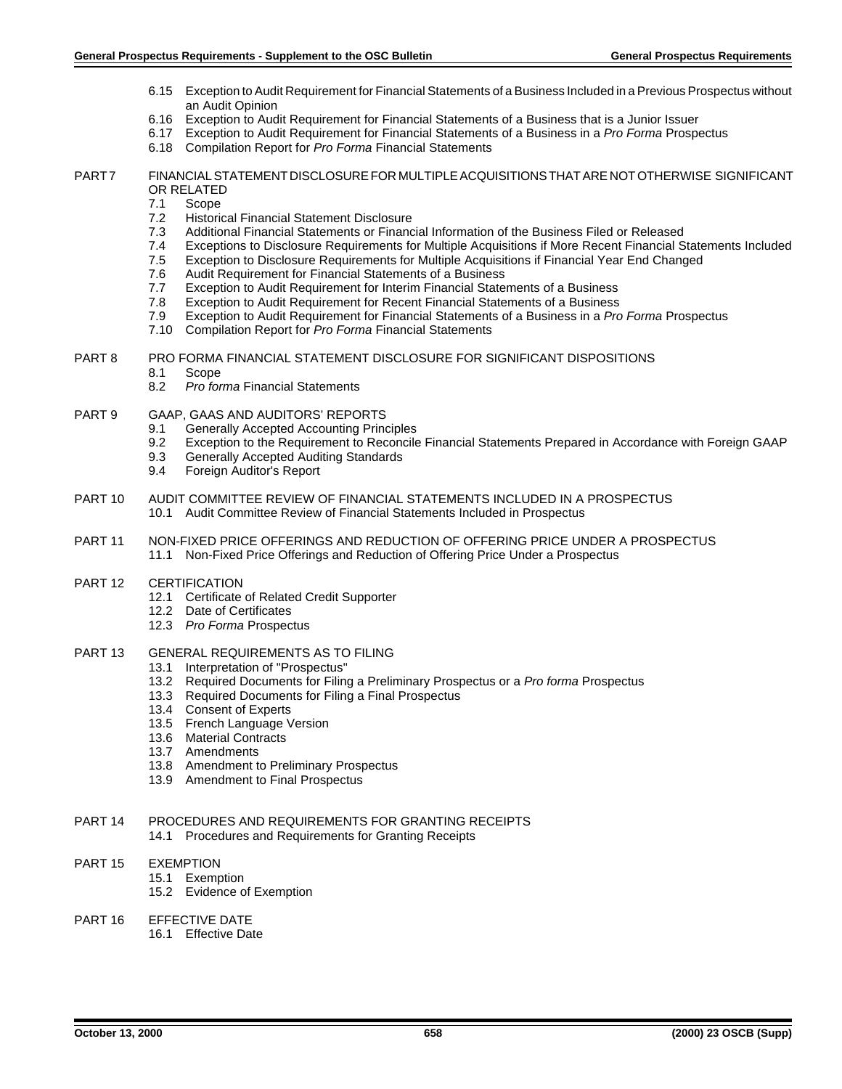- 6.15 Exception to Audit Requirement for Financial Statements of a Business Included in a Previous Prospectus without an Audit Opinion
- 6.16 Exception to Audit Requirement for Financial Statements of a Business that is a Junior Issuer
- 6.17 Exception to Audit Requirement for Financial Statements of a Business in a *Pro Forma* Prospectus
- 6.18 Compilation Report for *Pro Forma* Financial Statements

#### PART 7 FINANCIAL STATEMENT DISCLOSURE FOR MULTIPLE ACQUISITIONS THAT ARE NOT OTHERWISE SIGNIFICANT OR RELATED

- 7.1 Scope<br>7.2 Historio
- **Historical Financial Statement Disclosure**
- 7.3 Additional Financial Statements or Financial Information of the Business Filed or Released
- 7.4 Exceptions to Disclosure Requirements for Multiple Acquisitions if More Recent Financial Statements Included
- 7.5 Exception to Disclosure Requirements for Multiple Acquisitions if Financial Year End Changed
- 7.6 Audit Requirement for Financial Statements of a Business
- Exception to Audit Requirement for Interim Financial Statements of a Business
- 7.8 Exception to Audit Requirement for Recent Financial Statements of a Business
- 7.9 Exception to Audit Requirement for Financial Statements of a Business in a *Pro Forma* Prospectus
- 7.10 Compilation Report for *Pro Forma* Financial Statements
- PART 8 PRO FORMA FINANCIAL STATEMENT DISCLOSURE FOR SIGNIFICANT DISPOSITIONS
	- 8.1 Scope<br>8.2 *Pro for* 
		- 8.2 *Pro forma* Financial Statements

#### PART 9 GAAP, GAAS AND AUDITORS' REPORTS

- 9.1 Generally Accepted Accounting Principles
- 9.2 Exception to the Requirement to Reconcile Financial Statements Prepared in Accordance with Foreign GAAP
- 9.3 Generally Accepted Auditing Standards
- 9.4 Foreign Auditor's Report
- PART 10 AUDIT COMMITTEE REVIEW OF FINANCIAL STATEMENTS INCLUDED IN A PROSPECTUS 10.1 Audit Committee Review of Financial Statements Included in Prospectus
- PART 11 NON-FIXED PRICE OFFERINGS AND REDUCTION OF OFFERING PRICE UNDER A PROSPECTUS
	- 11.1 Non-Fixed Price Offerings and Reduction of Offering Price Under a Prospectus
- PART 12 CERTIFICATION
	- 12.1 Certificate of Related Credit Supporter
	- 12.2 Date of Certificates
	- 12.3 *Pro Forma* Prospectus

# PART 13 GENERAL REQUIREMENTS AS TO FILING

- 13.1 Interpretation of "Prospectus"
- 13.2 Required Documents for Filing a Preliminary Prospectus or a *Pro forma* Prospectus
- 13.3 Required Documents for Filing a Final Prospectus
- 13.4 Consent of Experts
- 13.5 French Language Version
- 13.6 Material Contracts
- 13.7 Amendments
- 13.8 Amendment to Preliminary Prospectus
- 13.9 Amendment to Final Prospectus

#### PART 14 PROCEDURES AND REQUIREMENTS FOR GRANTING RECEIPTS 14.1 Procedures and Requirements for Granting Receipts

- PART 15 EXEMPTION
	- 15.1 Exemption
		- 15.2 Evidence of Exemption
- PART 16 EFFECTIVE DATE
	- 16.1 Effective Date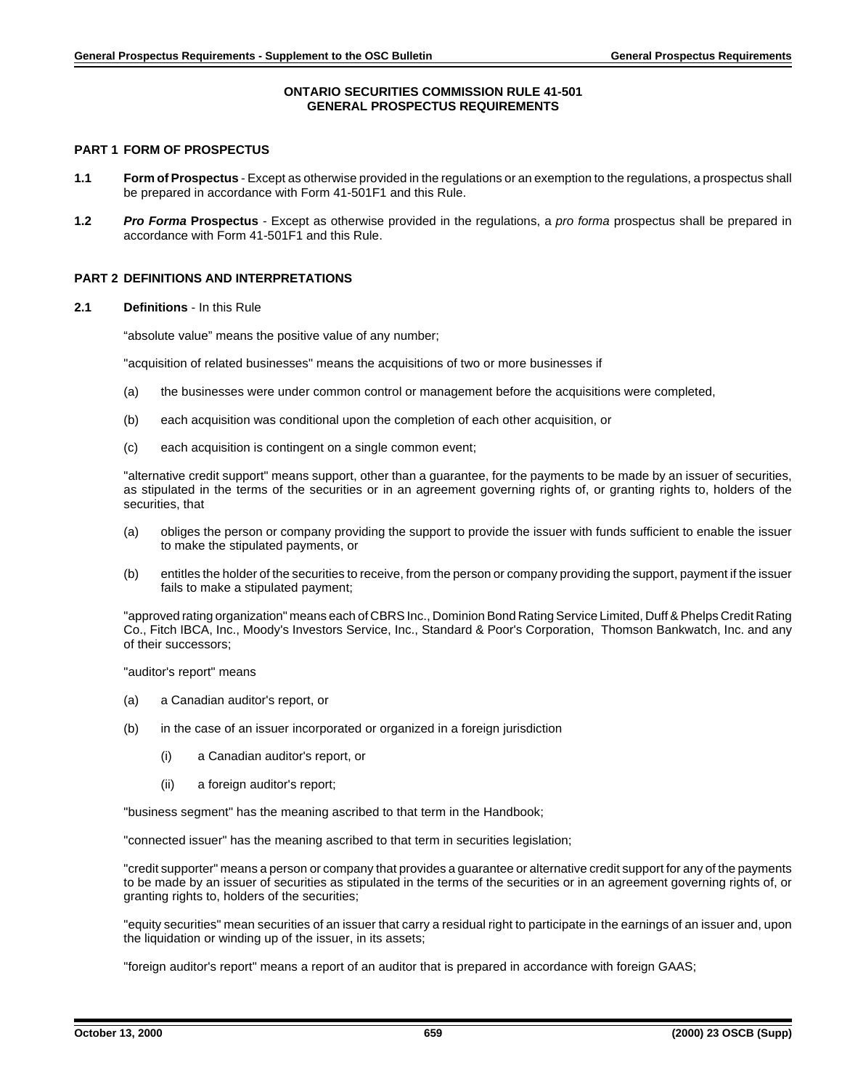# **ONTARIO SECURITIES COMMISSION RULE 41-501 GENERAL PROSPECTUS REQUIREMENTS**

# **PART 1 FORM OF PROSPECTUS**

- **1.1 Form of Prospectus** Except as otherwise provided in the regulations or an exemption to the regulations, a prospectus shall be prepared in accordance with Form 41-501F1 and this Rule.
- **1.2** *Pro Forma* **Prospectus** Except as otherwise provided in the regulations, a *pro forma* prospectus shall be prepared in accordance with Form 41-501F1 and this Rule.

# **PART 2 DEFINITIONS AND INTERPRETATIONS**

#### **2.1 Definitions** - In this Rule

"absolute value" means the positive value of any number;

"acquisition of related businesses" means the acquisitions of two or more businesses if

- (a) the businesses were under common control or management before the acquisitions were completed,
- (b) each acquisition was conditional upon the completion of each other acquisition, or
- (c) each acquisition is contingent on a single common event;

"alternative credit support" means support, other than a guarantee, for the payments to be made by an issuer of securities, as stipulated in the terms of the securities or in an agreement governing rights of, or granting rights to, holders of the securities, that

- (a) obliges the person or company providing the support to provide the issuer with funds sufficient to enable the issuer to make the stipulated payments, or
- (b) entitles the holder of the securities to receive, from the person or company providing the support, payment if the issuer fails to make a stipulated payment;

"approved rating organization" means each of CBRS Inc., Dominion Bond Rating Service Limited, Duff & Phelps Credit Rating Co., Fitch IBCA, Inc., Moody's Investors Service, Inc., Standard & Poor's Corporation, Thomson Bankwatch, Inc. and any of their successors;

"auditor's report" means

- (a) a Canadian auditor's report, or
- (b) in the case of an issuer incorporated or organized in a foreign jurisdiction
	- (i) a Canadian auditor's report, or
	- (ii) a foreign auditor's report;

"business segment" has the meaning ascribed to that term in the Handbook;

"connected issuer" has the meaning ascribed to that term in securities legislation;

"credit supporter" means a person or company that provides a guarantee or alternative credit support for any of the payments to be made by an issuer of securities as stipulated in the terms of the securities or in an agreement governing rights of, or granting rights to, holders of the securities;

"equity securities" mean securities of an issuer that carry a residual right to participate in the earnings of an issuer and, upon the liquidation or winding up of the issuer, in its assets;

"foreign auditor's report" means a report of an auditor that is prepared in accordance with foreign GAAS;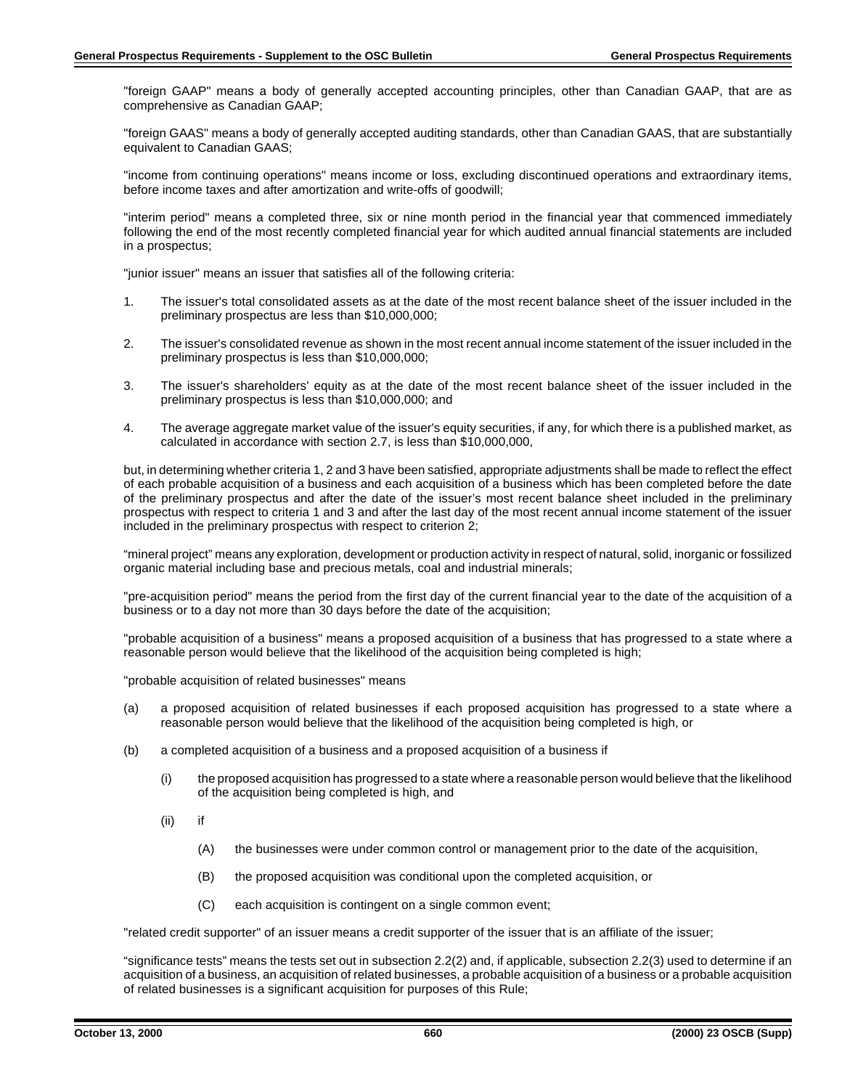"foreign GAAP" means a body of generally accepted accounting principles, other than Canadian GAAP, that are as comprehensive as Canadian GAAP;

"foreign GAAS" means a body of generally accepted auditing standards, other than Canadian GAAS, that are substantially equivalent to Canadian GAAS;

"income from continuing operations" means income or loss, excluding discontinued operations and extraordinary items, before income taxes and after amortization and write-offs of goodwill;

"interim period" means a completed three, six or nine month period in the financial year that commenced immediately following the end of the most recently completed financial year for which audited annual financial statements are included in a prospectus;

"junior issuer" means an issuer that satisfies all of the following criteria:

- 1. The issuer's total consolidated assets as at the date of the most recent balance sheet of the issuer included in the preliminary prospectus are less than \$10,000,000;
- 2. The issuer's consolidated revenue as shown in the most recent annual income statement of the issuer included in the preliminary prospectus is less than \$10,000,000;
- 3. The issuer's shareholders' equity as at the date of the most recent balance sheet of the issuer included in the preliminary prospectus is less than \$10,000,000; and
- 4. The average aggregate market value of the issuer's equity securities, if any, for which there is a published market, as calculated in accordance with section 2.7, is less than \$10,000,000,

but, in determining whether criteria 1, 2 and 3 have been satisfied, appropriate adjustments shall be made to reflect the effect of each probable acquisition of a business and each acquisition of a business which has been completed before the date of the preliminary prospectus and after the date of the issuer's most recent balance sheet included in the preliminary prospectus with respect to criteria 1 and 3 and after the last day of the most recent annual income statement of the issuer included in the preliminary prospectus with respect to criterion 2;

"mineral project" means any exploration, development or production activity in respect of natural, solid, inorganic or fossilized organic material including base and precious metals, coal and industrial minerals;

"pre-acquisition period" means the period from the first day of the current financial year to the date of the acquisition of a business or to a day not more than 30 days before the date of the acquisition;

"probable acquisition of a business" means a proposed acquisition of a business that has progressed to a state where a reasonable person would believe that the likelihood of the acquisition being completed is high;

"probable acquisition of related businesses" means

- (a) a proposed acquisition of related businesses if each proposed acquisition has progressed to a state where a reasonable person would believe that the likelihood of the acquisition being completed is high, or
- (b) a completed acquisition of a business and a proposed acquisition of a business if
	- (i) the proposed acquisition has progressed to a state where a reasonable person would believe that the likelihood of the acquisition being completed is high, and
	- (ii) if
		- (A) the businesses were under common control or management prior to the date of the acquisition,
		- (B) the proposed acquisition was conditional upon the completed acquisition, or
		- (C) each acquisition is contingent on a single common event;

"related credit supporter" of an issuer means a credit supporter of the issuer that is an affiliate of the issuer;

"significance tests" means the tests set out in subsection 2.2(2) and, if applicable, subsection 2.2(3) used to determine if an acquisition of a business, an acquisition of related businesses, a probable acquisition of a business or a probable acquisition of related businesses is a significant acquisition for purposes of this Rule;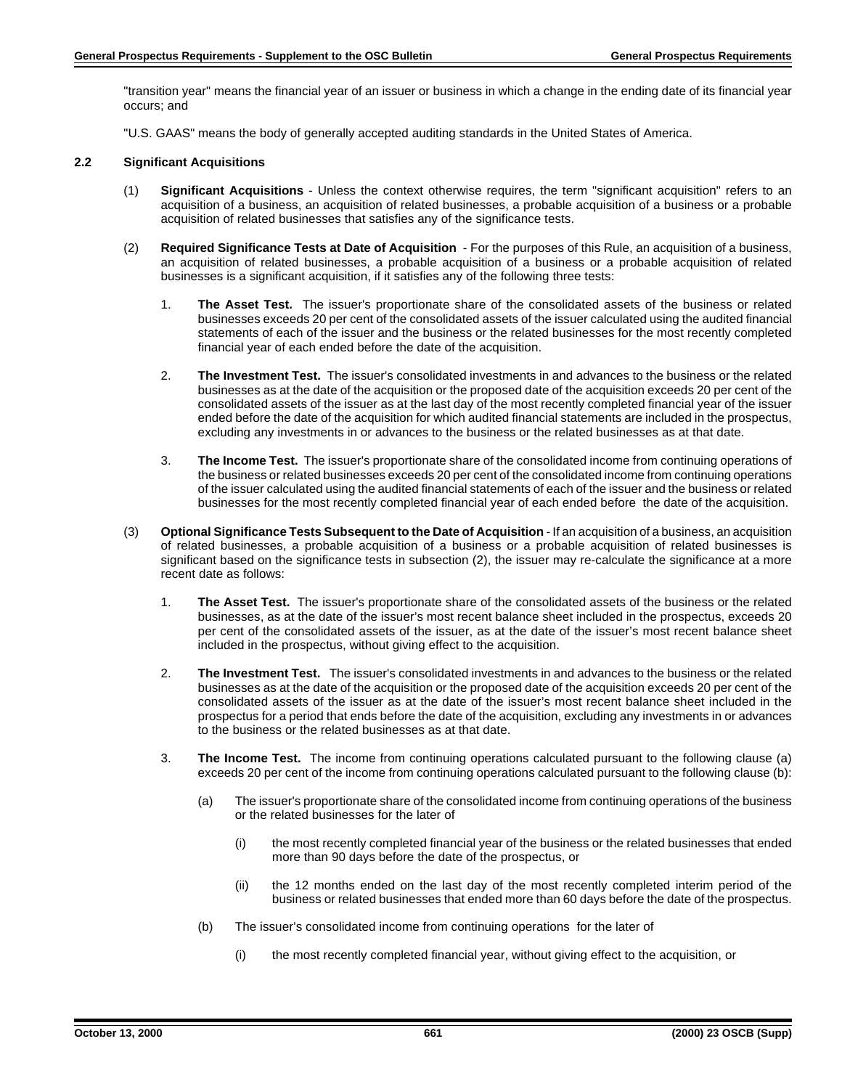"transition year" means the financial year of an issuer or business in which a change in the ending date of its financial year occurs; and

"U.S. GAAS" means the body of generally accepted auditing standards in the United States of America.

#### **2.2 Significant Acquisitions**

- (1) **Significant Acquisitions** Unless the context otherwise requires, the term "significant acquisition" refers to an acquisition of a business, an acquisition of related businesses, a probable acquisition of a business or a probable acquisition of related businesses that satisfies any of the significance tests.
- (2) **Required Significance Tests at Date of Acquisition** For the purposes of this Rule, an acquisition of a business, an acquisition of related businesses, a probable acquisition of a business or a probable acquisition of related businesses is a significant acquisition, if it satisfies any of the following three tests:
	- 1. **The Asset Test.** The issuer's proportionate share of the consolidated assets of the business or related businesses exceeds 20 per cent of the consolidated assets of the issuer calculated using the audited financial statements of each of the issuer and the business or the related businesses for the most recently completed financial year of each ended before the date of the acquisition.
	- 2. **The Investment Test.** The issuer's consolidated investments in and advances to the business or the related businesses as at the date of the acquisition or the proposed date of the acquisition exceeds 20 per cent of the consolidated assets of the issuer as at the last day of the most recently completed financial year of the issuer ended before the date of the acquisition for which audited financial statements are included in the prospectus, excluding any investments in or advances to the business or the related businesses as at that date.
	- 3. **The Income Test.** The issuer's proportionate share of the consolidated income from continuing operations of the business or related businesses exceeds 20 per cent of the consolidated income from continuing operations of the issuer calculated using the audited financial statements of each of the issuer and the business or related businesses for the most recently completed financial year of each ended before the date of the acquisition.
- (3) **Optional Significance Tests Subsequent to the Date of Acquisition** If an acquisition of a business, an acquisition of related businesses, a probable acquisition of a business or a probable acquisition of related businesses is significant based on the significance tests in subsection (2), the issuer may re-calculate the significance at a more recent date as follows:
	- 1. **The Asset Test.** The issuer's proportionate share of the consolidated assets of the business or the related businesses, as at the date of the issuer's most recent balance sheet included in the prospectus, exceeds 20 per cent of the consolidated assets of the issuer, as at the date of the issuer's most recent balance sheet included in the prospectus, without giving effect to the acquisition.
	- 2. **The Investment Test.** The issuer's consolidated investments in and advances to the business or the related businesses as at the date of the acquisition or the proposed date of the acquisition exceeds 20 per cent of the consolidated assets of the issuer as at the date of the issuer's most recent balance sheet included in the prospectus for a period that ends before the date of the acquisition, excluding any investments in or advances to the business or the related businesses as at that date.
	- 3. **The Income Test.** The income from continuing operations calculated pursuant to the following clause (a) exceeds 20 per cent of the income from continuing operations calculated pursuant to the following clause (b):
		- (a) The issuer's proportionate share of the consolidated income from continuing operations of the business or the related businesses for the later of
			- (i) the most recently completed financial year of the business or the related businesses that ended more than 90 days before the date of the prospectus, or
			- (ii) the 12 months ended on the last day of the most recently completed interim period of the business or related businesses that ended more than 60 days before the date of the prospectus.
		- (b) The issuer's consolidated income from continuing operations for the later of
			- (i) the most recently completed financial year, without giving effect to the acquisition, or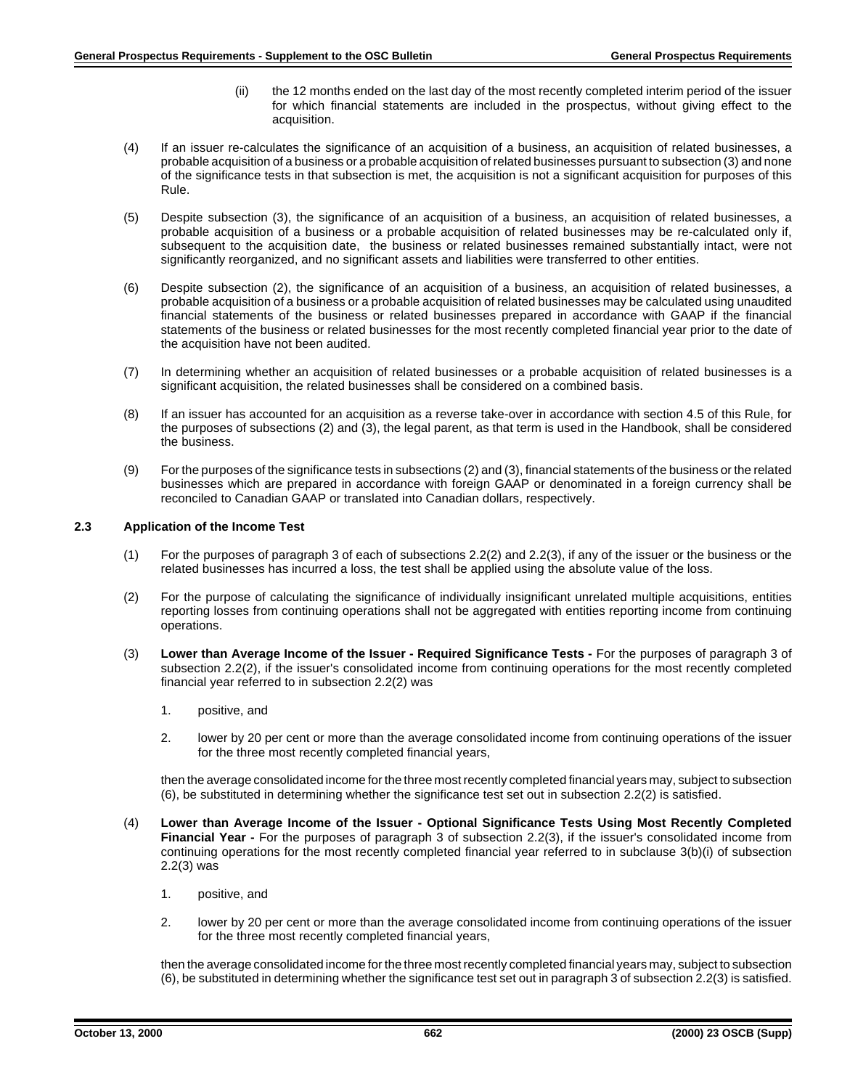- (ii) the 12 months ended on the last day of the most recently completed interim period of the issuer for which financial statements are included in the prospectus, without giving effect to the acquisition.
- (4) If an issuer re-calculates the significance of an acquisition of a business, an acquisition of related businesses, a probable acquisition of a business or a probable acquisition of related businesses pursuant to subsection (3) and none of the significance tests in that subsection is met, the acquisition is not a significant acquisition for purposes of this Rule.
- (5) Despite subsection (3), the significance of an acquisition of a business, an acquisition of related businesses, a probable acquisition of a business or a probable acquisition of related businesses may be re-calculated only if, subsequent to the acquisition date, the business or related businesses remained substantially intact, were not significantly reorganized, and no significant assets and liabilities were transferred to other entities.
- (6) Despite subsection (2), the significance of an acquisition of a business, an acquisition of related businesses, a probable acquisition of a business or a probable acquisition of related businesses may be calculated using unaudited financial statements of the business or related businesses prepared in accordance with GAAP if the financial statements of the business or related businesses for the most recently completed financial year prior to the date of the acquisition have not been audited.
- (7) In determining whether an acquisition of related businesses or a probable acquisition of related businesses is a significant acquisition, the related businesses shall be considered on a combined basis.
- (8) If an issuer has accounted for an acquisition as a reverse take-over in accordance with section 4.5 of this Rule, for the purposes of subsections (2) and (3), the legal parent, as that term is used in the Handbook, shall be considered the business.
- (9) For the purposes of the significance tests in subsections (2) and (3), financial statements of the business or the related businesses which are prepared in accordance with foreign GAAP or denominated in a foreign currency shall be reconciled to Canadian GAAP or translated into Canadian dollars, respectively.

# **2.3 Application of the Income Test**

- (1) For the purposes of paragraph 3 of each of subsections 2.2(2) and 2.2(3), if any of the issuer or the business or the related businesses has incurred a loss, the test shall be applied using the absolute value of the loss.
- (2) For the purpose of calculating the significance of individually insignificant unrelated multiple acquisitions, entities reporting losses from continuing operations shall not be aggregated with entities reporting income from continuing operations.
- (3) **Lower than Average Income of the Issuer Required Significance Tests** For the purposes of paragraph 3 of subsection 2.2(2), if the issuer's consolidated income from continuing operations for the most recently completed financial year referred to in subsection 2.2(2) was
	- 1. positive, and
	- 2. lower by 20 per cent or more than the average consolidated income from continuing operations of the issuer for the three most recently completed financial years,

then the average consolidated income for the three most recently completed financial years may, subject to subsection (6), be substituted in determining whether the significance test set out in subsection 2.2(2) is satisfied.

- (4) **Lower than Average Income of the Issuer Optional Significance Tests Using Most Recently Completed Financial Year -** For the purposes of paragraph 3 of subsection 2.2(3), if the issuer's consolidated income from continuing operations for the most recently completed financial year referred to in subclause 3(b)(i) of subsection 2.2(3) was
	- 1. positive, and
	- 2. lower by 20 per cent or more than the average consolidated income from continuing operations of the issuer for the three most recently completed financial years,

then the average consolidated income for the three most recently completed financial years may, subject to subsection (6), be substituted in determining whether the significance test set out in paragraph 3 of subsection 2.2(3) is satisfied.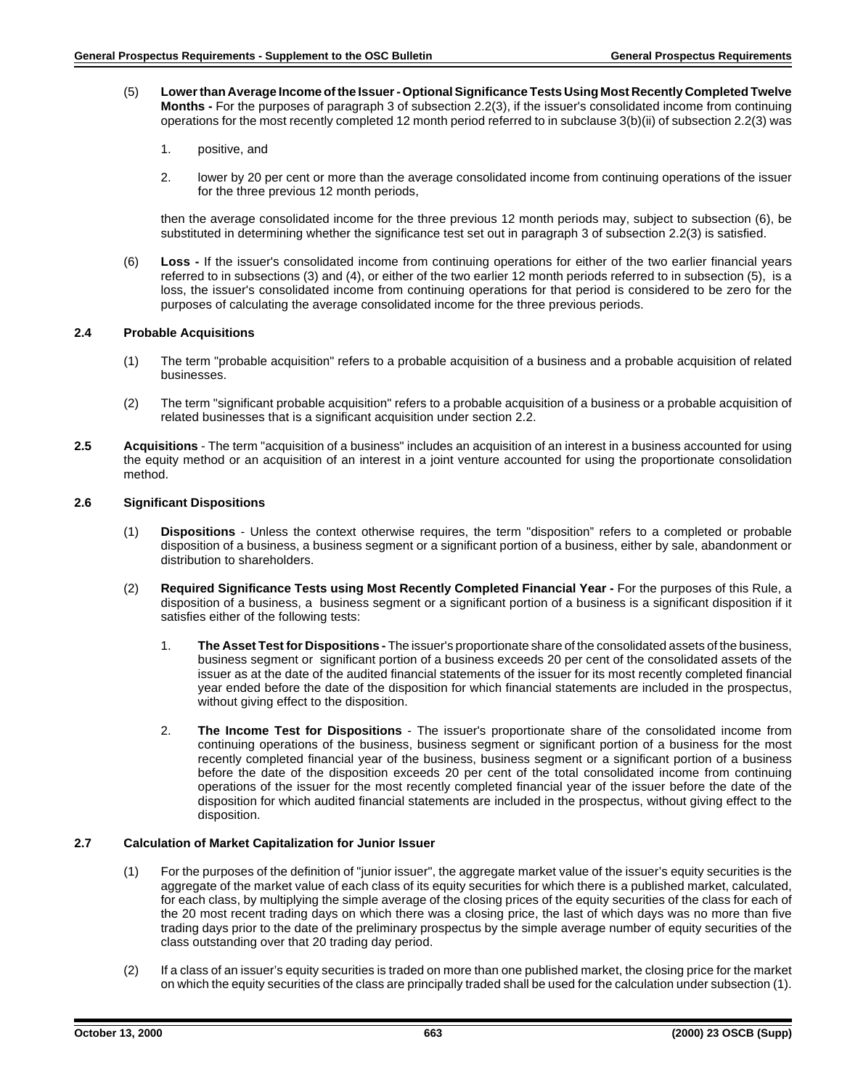- (5) **Lower than Average Income of the Issuer Optional Significance Tests Using Most Recently Completed Twelve Months -** For the purposes of paragraph 3 of subsection 2.2(3), if the issuer's consolidated income from continuing operations for the most recently completed 12 month period referred to in subclause 3(b)(ii) of subsection 2.2(3) was
	- 1. positive, and
	- 2. lower by 20 per cent or more than the average consolidated income from continuing operations of the issuer for the three previous 12 month periods,

then the average consolidated income for the three previous 12 month periods may, subject to subsection (6), be substituted in determining whether the significance test set out in paragraph 3 of subsection 2.2(3) is satisfied.

(6) **Loss -** If the issuer's consolidated income from continuing operations for either of the two earlier financial years referred to in subsections (3) and (4), or either of the two earlier 12 month periods referred to in subsection (5), is a loss, the issuer's consolidated income from continuing operations for that period is considered to be zero for the purposes of calculating the average consolidated income for the three previous periods.

# **2.4 Probable Acquisitions**

- (1) The term "probable acquisition" refers to a probable acquisition of a business and a probable acquisition of related businesses.
- (2) The term "significant probable acquisition" refers to a probable acquisition of a business or a probable acquisition of related businesses that is a significant acquisition under section 2.2.
- **2.5 Acquisitions** The term "acquisition of a business" includes an acquisition of an interest in a business accounted for using the equity method or an acquisition of an interest in a joint venture accounted for using the proportionate consolidation method.

# **2.6 Significant Dispositions**

- (1) **Dispositions** Unless the context otherwise requires, the term "disposition" refers to a completed or probable disposition of a business, a business segment or a significant portion of a business, either by sale, abandonment or distribution to shareholders.
- (2) **Required Significance Tests using Most Recently Completed Financial Year** For the purposes of this Rule, a disposition of a business, a business segment or a significant portion of a business is a significant disposition if it satisfies either of the following tests:
	- 1. **The Asset Test for Dispositions -** The issuer's proportionate share of the consolidated assets of the business, business segment or significant portion of a business exceeds 20 per cent of the consolidated assets of the issuer as at the date of the audited financial statements of the issuer for its most recently completed financial year ended before the date of the disposition for which financial statements are included in the prospectus, without giving effect to the disposition.
	- 2. **The Income Test for Dispositions** The issuer's proportionate share of the consolidated income from continuing operations of the business, business segment or significant portion of a business for the most recently completed financial year of the business, business segment or a significant portion of a business before the date of the disposition exceeds 20 per cent of the total consolidated income from continuing operations of the issuer for the most recently completed financial year of the issuer before the date of the disposition for which audited financial statements are included in the prospectus, without giving effect to the disposition.

# **2.7 Calculation of Market Capitalization for Junior Issuer**

- (1) For the purposes of the definition of "junior issuer", the aggregate market value of the issuer's equity securities is the aggregate of the market value of each class of its equity securities for which there is a published market, calculated, for each class, by multiplying the simple average of the closing prices of the equity securities of the class for each of the 20 most recent trading days on which there was a closing price, the last of which days was no more than five trading days prior to the date of the preliminary prospectus by the simple average number of equity securities of the class outstanding over that 20 trading day period.
- (2) If a class of an issuer's equity securities is traded on more than one published market, the closing price for the market on which the equity securities of the class are principally traded shall be used for the calculation under subsection (1).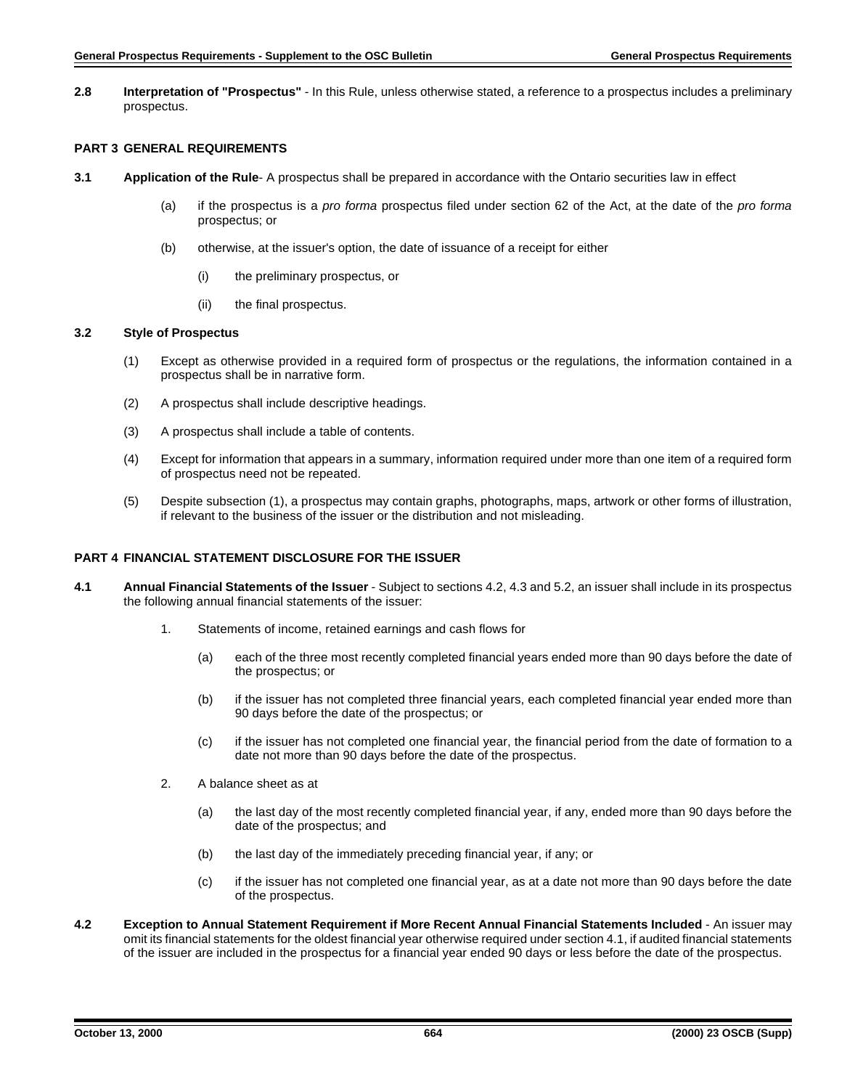**2.8 Interpretation of "Prospectus"** - In this Rule, unless otherwise stated, a reference to a prospectus includes a preliminary prospectus.

# **PART 3 GENERAL REQUIREMENTS**

- **3.1 Application of the Rule** A prospectus shall be prepared in accordance with the Ontario securities law in effect
	- (a) if the prospectus is a *pro forma* prospectus filed under section 62 of the Act, at the date of the *pro forma* prospectus; or
	- (b) otherwise, at the issuer's option, the date of issuance of a receipt for either
		- (i) the preliminary prospectus, or
		- (ii) the final prospectus.

# **3.2 Style of Prospectus**

- (1) Except as otherwise provided in a required form of prospectus or the regulations, the information contained in a prospectus shall be in narrative form.
- (2) A prospectus shall include descriptive headings.
- (3) A prospectus shall include a table of contents.
- (4) Except for information that appears in a summary, information required under more than one item of a required form of prospectus need not be repeated.
- (5) Despite subsection (1), a prospectus may contain graphs, photographs, maps, artwork or other forms of illustration, if relevant to the business of the issuer or the distribution and not misleading.

# **PART 4 FINANCIAL STATEMENT DISCLOSURE FOR THE ISSUER**

- **4.1 Annual Financial Statements of the Issuer** Subject to sections 4.2, 4.3 and 5.2, an issuer shall include in its prospectus the following annual financial statements of the issuer:
	- 1. Statements of income, retained earnings and cash flows for
		- (a) each of the three most recently completed financial years ended more than 90 days before the date of the prospectus; or
		- (b) if the issuer has not completed three financial years, each completed financial year ended more than 90 days before the date of the prospectus; or
		- (c) if the issuer has not completed one financial year, the financial period from the date of formation to a date not more than 90 days before the date of the prospectus.
	- 2. A balance sheet as at
		- (a) the last day of the most recently completed financial year, if any, ended more than 90 days before the date of the prospectus; and
		- (b) the last day of the immediately preceding financial year, if any; or
		- (c) if the issuer has not completed one financial year, as at a date not more than 90 days before the date of the prospectus.
- **4.2 Exception to Annual Statement Requirement if More Recent Annual Financial Statements Included** An issuer may omit its financial statements for the oldest financial year otherwise required under section 4.1, if audited financial statements of the issuer are included in the prospectus for a financial year ended 90 days or less before the date of the prospectus.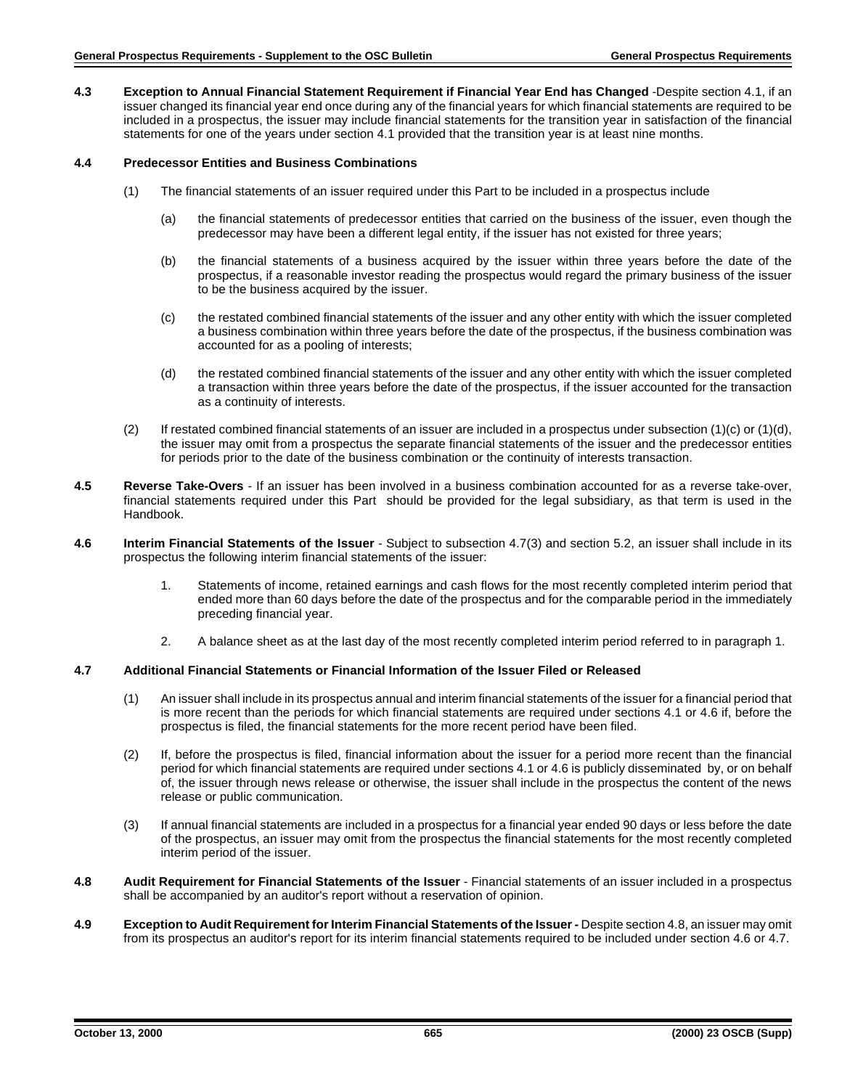**4.3 Exception to Annual Financial Statement Requirement if Financial Year End has Changed** -Despite section 4.1, if an issuer changed its financial year end once during any of the financial years for which financial statements are required to be included in a prospectus, the issuer may include financial statements for the transition year in satisfaction of the financial statements for one of the years under section 4.1 provided that the transition year is at least nine months.

#### **4.4 Predecessor Entities and Business Combinations**

- (1) The financial statements of an issuer required under this Part to be included in a prospectus include
	- (a) the financial statements of predecessor entities that carried on the business of the issuer, even though the predecessor may have been a different legal entity, if the issuer has not existed for three years;
	- (b) the financial statements of a business acquired by the issuer within three years before the date of the prospectus, if a reasonable investor reading the prospectus would regard the primary business of the issuer to be the business acquired by the issuer.
	- (c) the restated combined financial statements of the issuer and any other entity with which the issuer completed a business combination within three years before the date of the prospectus, if the business combination was accounted for as a pooling of interests;
	- (d) the restated combined financial statements of the issuer and any other entity with which the issuer completed a transaction within three years before the date of the prospectus, if the issuer accounted for the transaction as a continuity of interests.
- (2) If restated combined financial statements of an issuer are included in a prospectus under subsection  $(1)(c)$  or  $(1)(d)$ , the issuer may omit from a prospectus the separate financial statements of the issuer and the predecessor entities for periods prior to the date of the business combination or the continuity of interests transaction.
- **4.5 Reverse Take-Overs** If an issuer has been involved in a business combination accounted for as a reverse take-over, financial statements required under this Part should be provided for the legal subsidiary, as that term is used in the Handbook.
- **4.6 Interim Financial Statements of the Issuer** Subject to subsection 4.7(3) and section 5.2, an issuer shall include in its prospectus the following interim financial statements of the issuer:
	- 1. Statements of income, retained earnings and cash flows for the most recently completed interim period that ended more than 60 days before the date of the prospectus and for the comparable period in the immediately preceding financial year.
	- 2. A balance sheet as at the last day of the most recently completed interim period referred to in paragraph 1.

# **4.7 Additional Financial Statements or Financial Information of the Issuer Filed or Released**

- (1) An issuer shall include in its prospectus annual and interim financial statements of the issuer for a financial period that is more recent than the periods for which financial statements are required under sections 4.1 or 4.6 if, before the prospectus is filed, the financial statements for the more recent period have been filed.
- (2) If, before the prospectus is filed, financial information about the issuer for a period more recent than the financial period for which financial statements are required under sections 4.1 or 4.6 is publicly disseminated by, or on behalf of, the issuer through news release or otherwise, the issuer shall include in the prospectus the content of the news release or public communication.
- (3) If annual financial statements are included in a prospectus for a financial year ended 90 days or less before the date of the prospectus, an issuer may omit from the prospectus the financial statements for the most recently completed interim period of the issuer.
- **4.8 Audit Requirement for Financial Statements of the Issuer** Financial statements of an issuer included in a prospectus shall be accompanied by an auditor's report without a reservation of opinion.
- **4.9 Exception to Audit Requirement for Interim Financial Statements of the Issuer -** Despite section 4.8, an issuer may omit from its prospectus an auditor's report for its interim financial statements required to be included under section 4.6 or 4.7.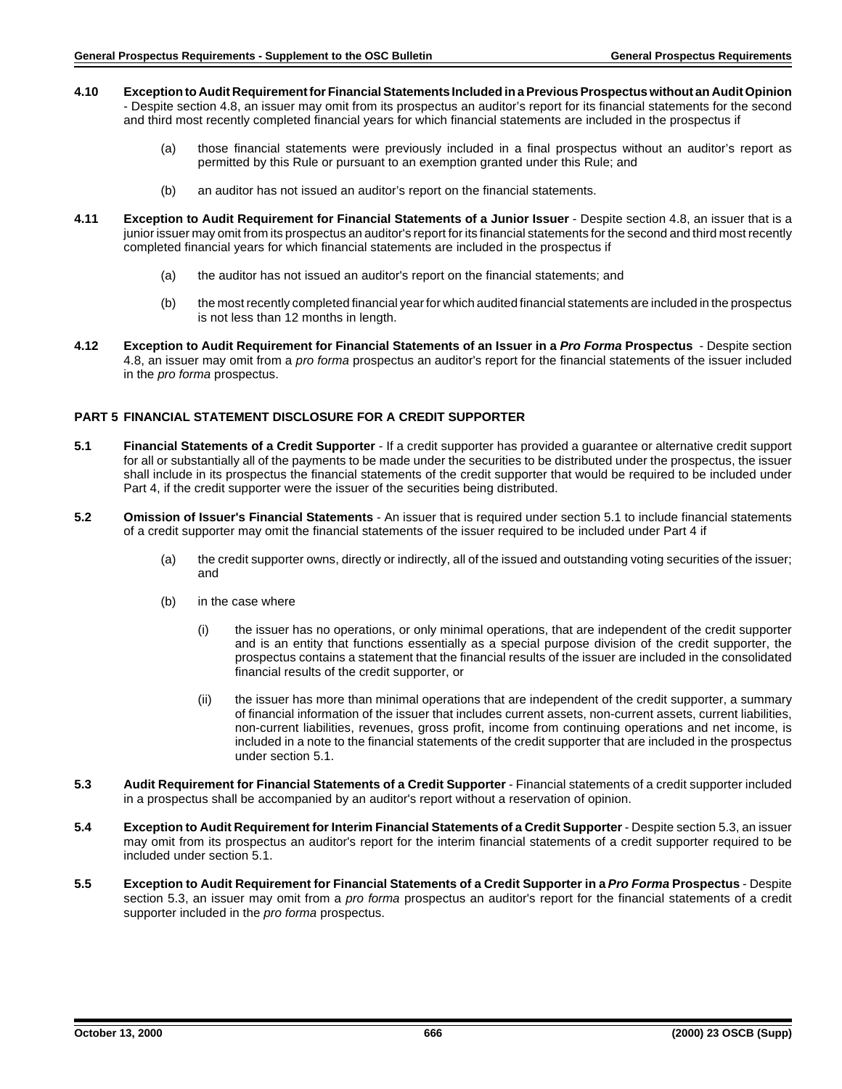- **4.10 Exception to Audit Requirement for Financial Statements Included in a Previous Prospectus without an Audit Opinion** - Despite section 4.8, an issuer may omit from its prospectus an auditor's report for its financial statements for the second and third most recently completed financial years for which financial statements are included in the prospectus if
	- (a) those financial statements were previously included in a final prospectus without an auditor's report as permitted by this Rule or pursuant to an exemption granted under this Rule; and
	- (b) an auditor has not issued an auditor's report on the financial statements.
- **4.11 Exception to Audit Requirement for Financial Statements of a Junior Issuer** Despite section 4.8, an issuer that is a junior issuer may omit from its prospectus an auditor's report for its financial statements for the second and third most recently completed financial years for which financial statements are included in the prospectus if
	- (a) the auditor has not issued an auditor's report on the financial statements; and
	- (b) the most recently completed financial year for which audited financial statements are included in the prospectus is not less than 12 months in length.
- **4.12 Exception to Audit Requirement for Financial Statements of an Issuer in a** *Pro Forma* **Prospectus** Despite section 4.8, an issuer may omit from a *pro forma* prospectus an auditor's report for the financial statements of the issuer included in the *pro forma* prospectus.

# **PART 5 FINANCIAL STATEMENT DISCLOSURE FOR A CREDIT SUPPORTER**

- **5.1 Financial Statements of a Credit Supporter** If a credit supporter has provided a guarantee or alternative credit support for all or substantially all of the payments to be made under the securities to be distributed under the prospectus, the issuer shall include in its prospectus the financial statements of the credit supporter that would be required to be included under Part 4, if the credit supporter were the issuer of the securities being distributed.
- **5.2 Omission of Issuer's Financial Statements** An issuer that is required under section 5.1 to include financial statements of a credit supporter may omit the financial statements of the issuer required to be included under Part 4 if
	- (a) the credit supporter owns, directly or indirectly, all of the issued and outstanding voting securities of the issuer; and
	- (b) in the case where
		- (i) the issuer has no operations, or only minimal operations, that are independent of the credit supporter and is an entity that functions essentially as a special purpose division of the credit supporter, the prospectus contains a statement that the financial results of the issuer are included in the consolidated financial results of the credit supporter, or
		- (ii) the issuer has more than minimal operations that are independent of the credit supporter, a summary of financial information of the issuer that includes current assets, non-current assets, current liabilities, non-current liabilities, revenues, gross profit, income from continuing operations and net income, is included in a note to the financial statements of the credit supporter that are included in the prospectus under section 5.1.
- **5.3 Audit Requirement for Financial Statements of a Credit Supporter** Financial statements of a credit supporter included in a prospectus shall be accompanied by an auditor's report without a reservation of opinion.
- **5.4 Exception to Audit Requirement for Interim Financial Statements of a Credit Supporter** Despite section 5.3, an issuer may omit from its prospectus an auditor's report for the interim financial statements of a credit supporter required to be included under section 5.1.
- **5.5 Exception to Audit Requirement for Financial Statements of a Credit Supporter in a** *Pro Forma* **Prospectus** Despite section 5.3, an issuer may omit from a *pro forma* prospectus an auditor's report for the financial statements of a credit supporter included in the *pro forma* prospectus.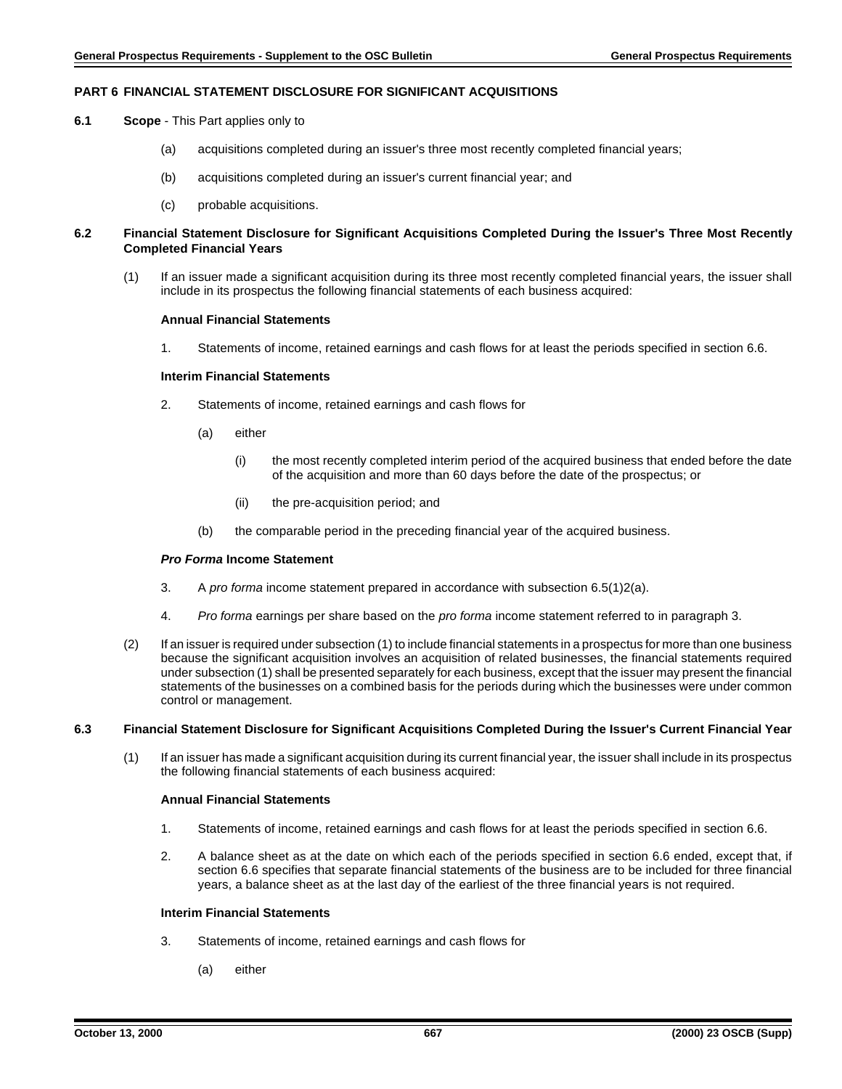# **PART 6 FINANCIAL STATEMENT DISCLOSURE FOR SIGNIFICANT ACQUISITIONS**

- **6.1 Scope** This Part applies only to
	- (a) acquisitions completed during an issuer's three most recently completed financial years;
	- (b) acquisitions completed during an issuer's current financial year; and
	- (c) probable acquisitions.

# **6.2 Financial Statement Disclosure for Significant Acquisitions Completed During the Issuer's Three Most Recently Completed Financial Years**

(1) If an issuer made a significant acquisition during its three most recently completed financial years, the issuer shall include in its prospectus the following financial statements of each business acquired:

#### **Annual Financial Statements**

1. Statements of income, retained earnings and cash flows for at least the periods specified in section 6.6.

#### **Interim Financial Statements**

- 2. Statements of income, retained earnings and cash flows for
	- (a) either
		- (i) the most recently completed interim period of the acquired business that ended before the date of the acquisition and more than 60 days before the date of the prospectus; or
		- (ii) the pre-acquisition period; and
	- (b) the comparable period in the preceding financial year of the acquired business.

#### *Pro Forma* **Income Statement**

- 3. A *pro forma* income statement prepared in accordance with subsection 6.5(1)2(a).
- 4. *Pro forma* earnings per share based on the *pro forma* income statement referred to in paragraph 3.
- (2) If an issuer is required under subsection (1) to include financial statements in a prospectus for more than one business because the significant acquisition involves an acquisition of related businesses, the financial statements required under subsection (1) shall be presented separately for each business, except that the issuer may present the financial statements of the businesses on a combined basis for the periods during which the businesses were under common control or management.

#### **6.3 Financial Statement Disclosure for Significant Acquisitions Completed During the Issuer's Current Financial Year**

(1) If an issuer has made a significant acquisition during its current financial year, the issuer shall include in its prospectus the following financial statements of each business acquired:

#### **Annual Financial Statements**

- 1. Statements of income, retained earnings and cash flows for at least the periods specified in section 6.6.
- 2. A balance sheet as at the date on which each of the periods specified in section 6.6 ended, except that, if section 6.6 specifies that separate financial statements of the business are to be included for three financial years, a balance sheet as at the last day of the earliest of the three financial years is not required.

#### **Interim Financial Statements**

- 3. Statements of income, retained earnings and cash flows for
	- (a) either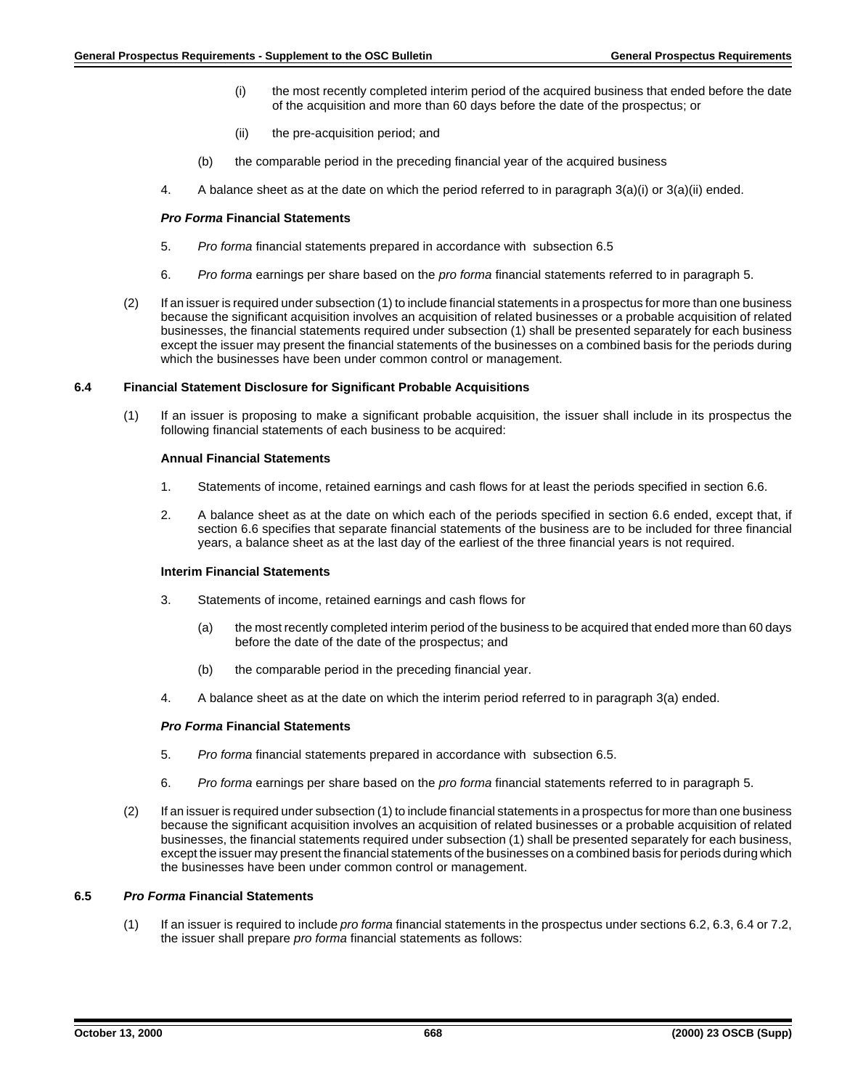- (i) the most recently completed interim period of the acquired business that ended before the date of the acquisition and more than 60 days before the date of the prospectus; or
- (ii) the pre-acquisition period; and
- (b) the comparable period in the preceding financial year of the acquired business
- 4. A balance sheet as at the date on which the period referred to in paragraph 3(a)(i) or 3(a)(ii) ended.

# *Pro Forma* **Financial Statements**

- 5. *Pro forma* financial statements prepared in accordance with subsection 6.5
- 6. *Pro forma* earnings per share based on the *pro forma* financial statements referred to in paragraph 5.
- (2) If an issuer is required under subsection (1) to include financial statements in a prospectus for more than one business because the significant acquisition involves an acquisition of related businesses or a probable acquisition of related businesses, the financial statements required under subsection (1) shall be presented separately for each business except the issuer may present the financial statements of the businesses on a combined basis for the periods during which the businesses have been under common control or management.

#### **6.4 Financial Statement Disclosure for Significant Probable Acquisitions**

(1) If an issuer is proposing to make a significant probable acquisition, the issuer shall include in its prospectus the following financial statements of each business to be acquired:

#### **Annual Financial Statements**

- 1. Statements of income, retained earnings and cash flows for at least the periods specified in section 6.6.
- 2. A balance sheet as at the date on which each of the periods specified in section 6.6 ended, except that, if section 6.6 specifies that separate financial statements of the business are to be included for three financial years, a balance sheet as at the last day of the earliest of the three financial years is not required.

# **Interim Financial Statements**

- 3. Statements of income, retained earnings and cash flows for
	- (a) the most recently completed interim period of the business to be acquired that ended more than 60 days before the date of the date of the prospectus; and
	- (b) the comparable period in the preceding financial year.
- 4. A balance sheet as at the date on which the interim period referred to in paragraph 3(a) ended.

# *Pro Forma* **Financial Statements**

- 5. *Pro forma* financial statements prepared in accordance with subsection 6.5.
- 6. *Pro forma* earnings per share based on the *pro forma* financial statements referred to in paragraph 5.
- (2) If an issuer is required under subsection (1) to include financial statements in a prospectus for more than one business because the significant acquisition involves an acquisition of related businesses or a probable acquisition of related businesses, the financial statements required under subsection (1) shall be presented separately for each business, except the issuer may present the financial statements of the businesses on a combined basis for periods during which the businesses have been under common control or management.

# **6.5** *Pro Forma* **Financial Statements**

(1) If an issuer is required to include *pro forma* financial statements in the prospectus under sections 6.2, 6.3, 6.4 or 7.2, the issuer shall prepare *pro forma* financial statements as follows: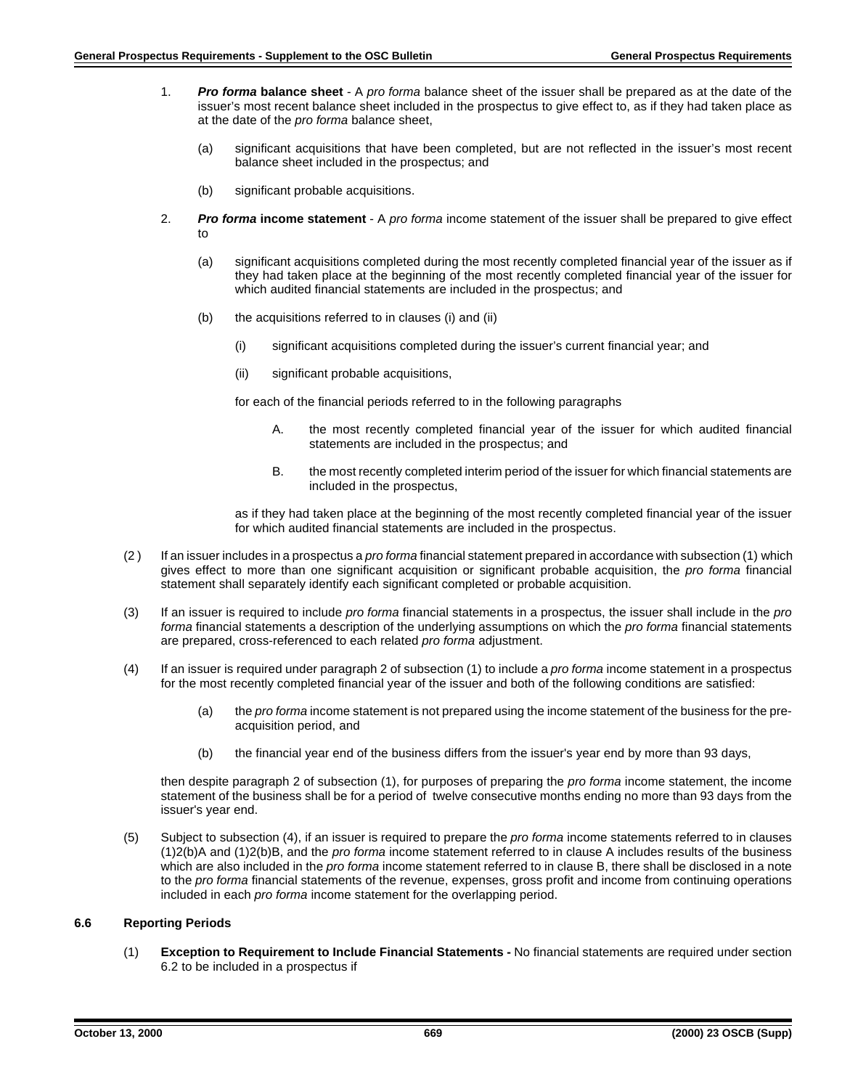- 1. *Pro forma* **balance sheet** A *pro forma* balance sheet of the issuer shall be prepared as at the date of the issuer's most recent balance sheet included in the prospectus to give effect to, as if they had taken place as at the date of the *pro forma* balance sheet,
	- (a) significant acquisitions that have been completed, but are not reflected in the issuer's most recent balance sheet included in the prospectus; and
	- (b) significant probable acquisitions.
- 2. *Pro forma* **income statement** A *pro forma* income statement of the issuer shall be prepared to give effect to
	- (a) significant acquisitions completed during the most recently completed financial year of the issuer as if they had taken place at the beginning of the most recently completed financial year of the issuer for which audited financial statements are included in the prospectus; and
	- (b) the acquisitions referred to in clauses (i) and (ii)
		- (i) significant acquisitions completed during the issuer's current financial year; and
		- (ii) significant probable acquisitions,

for each of the financial periods referred to in the following paragraphs

- A. the most recently completed financial year of the issuer for which audited financial statements are included in the prospectus; and
- B. the most recently completed interim period of the issuer for which financial statements are included in the prospectus,

as if they had taken place at the beginning of the most recently completed financial year of the issuer for which audited financial statements are included in the prospectus.

- (2 ) If an issuer includes in a prospectus a *pro forma* financial statement prepared in accordance with subsection (1) which gives effect to more than one significant acquisition or significant probable acquisition, the *pro forma* financial statement shall separately identify each significant completed or probable acquisition.
- (3) If an issuer is required to include *pro forma* financial statements in a prospectus, the issuer shall include in the *pro forma* financial statements a description of the underlying assumptions on which the *pro forma* financial statements are prepared, cross-referenced to each related *pro forma* adjustment.
- (4) If an issuer is required under paragraph 2 of subsection (1) to include a *pro forma* income statement in a prospectus for the most recently completed financial year of the issuer and both of the following conditions are satisfied:
	- (a) the *pro forma* income statement is not prepared using the income statement of the business for the preacquisition period, and
	- (b) the financial year end of the business differs from the issuer's year end by more than 93 days,

then despite paragraph 2 of subsection (1), for purposes of preparing the *pro forma* income statement, the income statement of the business shall be for a period of twelve consecutive months ending no more than 93 days from the issuer's year end.

(5) Subject to subsection (4), if an issuer is required to prepare the *pro forma* income statements referred to in clauses (1)2(b)A and (1)2(b)B, and the *pro forma* income statement referred to in clause A includes results of the business which are also included in the *pro forma* income statement referred to in clause B, there shall be disclosed in a note to the *pro forma* financial statements of the revenue, expenses, gross profit and income from continuing operations included in each *pro forma* income statement for the overlapping period.

# **6.6 Reporting Periods**

(1) **Exception to Requirement to Include Financial Statements -** No financial statements are required under section 6.2 to be included in a prospectus if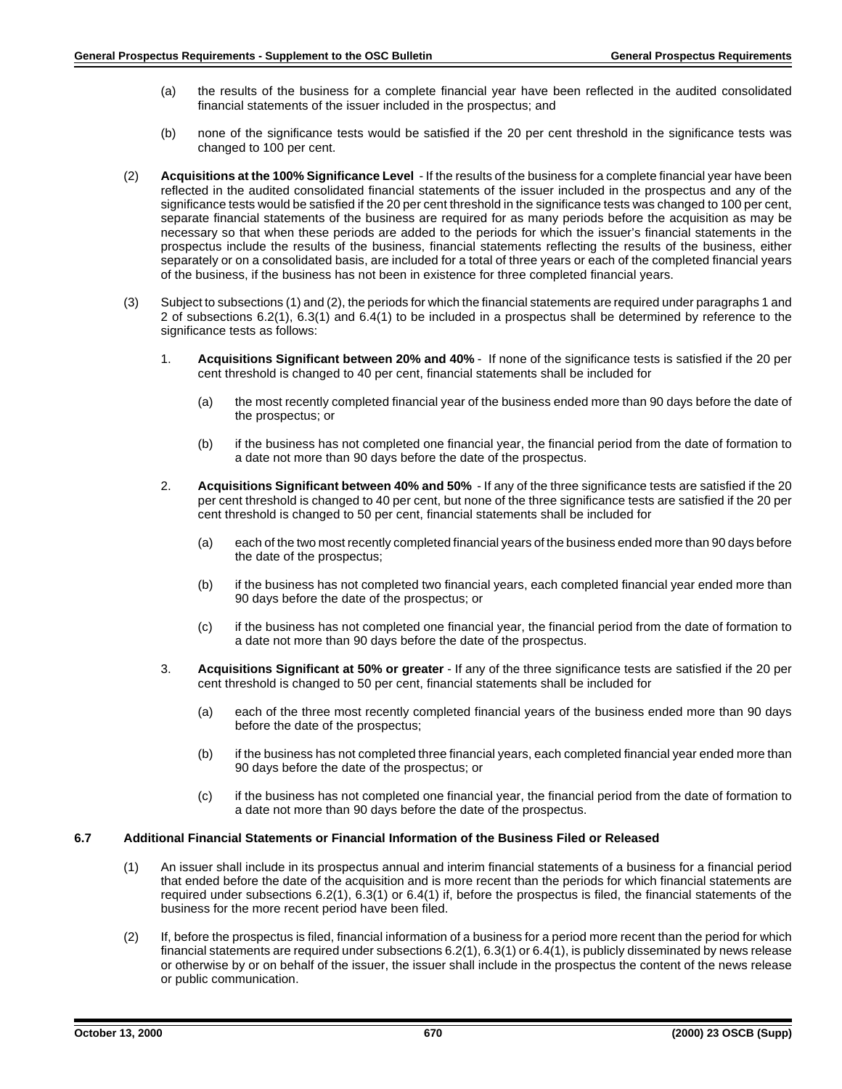- (a) the results of the business for a complete financial year have been reflected in the audited consolidated financial statements of the issuer included in the prospectus; and
- (b) none of the significance tests would be satisfied if the 20 per cent threshold in the significance tests was changed to 100 per cent.
- (2) **Acquisitions at the 100% Significance Level** If the results of the business for a complete financial year have been reflected in the audited consolidated financial statements of the issuer included in the prospectus and any of the significance tests would be satisfied if the 20 per cent threshold in the significance tests was changed to 100 per cent, separate financial statements of the business are required for as many periods before the acquisition as may be necessary so that when these periods are added to the periods for which the issuer's financial statements in the prospectus include the results of the business, financial statements reflecting the results of the business, either separately or on a consolidated basis, are included for a total of three years or each of the completed financial years of the business, if the business has not been in existence for three completed financial years.
- (3) Subject to subsections (1) and (2), the periods for which the financial statements are required under paragraphs 1 and 2 of subsections 6.2(1), 6.3(1) and 6.4(1) to be included in a prospectus shall be determined by reference to the significance tests as follows:
	- 1. **Acquisitions Significant between 20% and 40%** If none of the significance tests is satisfied if the 20 per cent threshold is changed to 40 per cent, financial statements shall be included for
		- (a) the most recently completed financial year of the business ended more than 90 days before the date of the prospectus; or
		- (b) if the business has not completed one financial year, the financial period from the date of formation to a date not more than 90 days before the date of the prospectus.
	- 2. **Acquisitions Significant between 40% and 50%** If any of the three significance tests are satisfied if the 20 per cent threshold is changed to 40 per cent, but none of the three significance tests are satisfied if the 20 per cent threshold is changed to 50 per cent, financial statements shall be included for
		- (a) each of the two most recently completed financial years of the business ended more than 90 days before the date of the prospectus;
		- (b) if the business has not completed two financial years, each completed financial year ended more than 90 days before the date of the prospectus; or
		- (c) if the business has not completed one financial year, the financial period from the date of formation to a date not more than 90 days before the date of the prospectus.
	- 3. **Acquisitions Significant at 50% or greater** If any of the three significance tests are satisfied if the 20 per cent threshold is changed to 50 per cent, financial statements shall be included for
		- (a) each of the three most recently completed financial years of the business ended more than 90 days before the date of the prospectus;
		- (b) if the business has not completed three financial years, each completed financial year ended more than 90 days before the date of the prospectus; or
		- (c) if the business has not completed one financial year, the financial period from the date of formation to a date not more than 90 days before the date of the prospectus.

# **6.7 Additional Financial Statements or Financial Information of the Business Filed or Released**

- (1) An issuer shall include in its prospectus annual and interim financial statements of a business for a financial period that ended before the date of the acquisition and is more recent than the periods for which financial statements are required under subsections 6.2(1), 6.3(1) or 6.4(1) if, before the prospectus is filed, the financial statements of the business for the more recent period have been filed.
- (2) If, before the prospectus is filed, financial information of a business for a period more recent than the period for which financial statements are required under subsections 6.2(1), 6.3(1) or 6.4(1), is publicly disseminated by news release or otherwise by or on behalf of the issuer, the issuer shall include in the prospectus the content of the news release or public communication.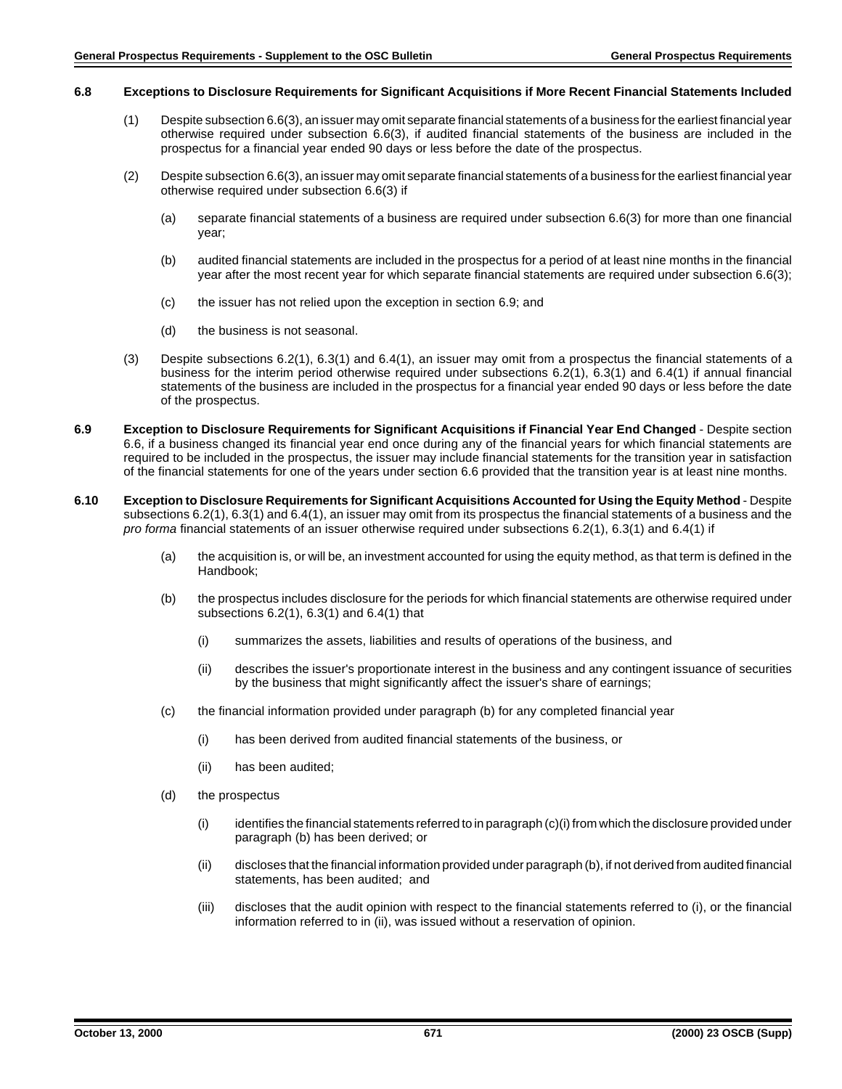**6.8 Exceptions to Disclosure Requirements for Significant Acquisitions if More Recent Financial Statements Included**

- (1) Despite subsection 6.6(3), an issuer may omit separate financial statements of a business for the earliest financial year otherwise required under subsection 6.6(3), if audited financial statements of the business are included in the prospectus for a financial year ended 90 days or less before the date of the prospectus.
- (2) Despite subsection 6.6(3), an issuer may omit separate financial statements of a business for the earliest financial year otherwise required under subsection 6.6(3) if
	- (a) separate financial statements of a business are required under subsection 6.6(3) for more than one financial year;
	- (b) audited financial statements are included in the prospectus for a period of at least nine months in the financial year after the most recent year for which separate financial statements are required under subsection 6.6(3);
	- (c) the issuer has not relied upon the exception in section 6.9; and
	- (d) the business is not seasonal.
- (3) Despite subsections 6.2(1), 6.3(1) and 6.4(1), an issuer may omit from a prospectus the financial statements of a business for the interim period otherwise required under subsections 6.2(1), 6.3(1) and 6.4(1) if annual financial statements of the business are included in the prospectus for a financial year ended 90 days or less before the date of the prospectus.
- **6.9 Exception to Disclosure Requirements for Significant Acquisitions if Financial Year End Changed** Despite section 6.6, if a business changed its financial year end once during any of the financial years for which financial statements are required to be included in the prospectus, the issuer may include financial statements for the transition year in satisfaction of the financial statements for one of the years under section 6.6 provided that the transition year is at least nine months.
- **6.10 Exception to Disclosure Requirements for Significant Acquisitions Accounted for Using the Equity Method** Despite subsections 6.2(1), 6.3(1) and 6.4(1), an issuer may omit from its prospectus the financial statements of a business and the *pro forma* financial statements of an issuer otherwise required under subsections 6.2(1), 6.3(1) and 6.4(1) if
	- (a) the acquisition is, or will be, an investment accounted for using the equity method, as that term is defined in the Handbook;
	- (b) the prospectus includes disclosure for the periods for which financial statements are otherwise required under subsections 6.2(1), 6.3(1) and 6.4(1) that
		- (i) summarizes the assets, liabilities and results of operations of the business, and
		- (ii) describes the issuer's proportionate interest in the business and any contingent issuance of securities by the business that might significantly affect the issuer's share of earnings;
	- (c) the financial information provided under paragraph (b) for any completed financial year
		- (i) has been derived from audited financial statements of the business, or
		- (ii) has been audited;
	- (d) the prospectus
		- $(i)$  identifies the financial statements referred to in paragraph  $(c)(i)$  from which the disclosure provided under paragraph (b) has been derived; or
		- (ii) discloses that the financial information provided under paragraph (b), if not derived from audited financial statements, has been audited; and
		- (iii) discloses that the audit opinion with respect to the financial statements referred to (i), or the financial information referred to in (ii), was issued without a reservation of opinion.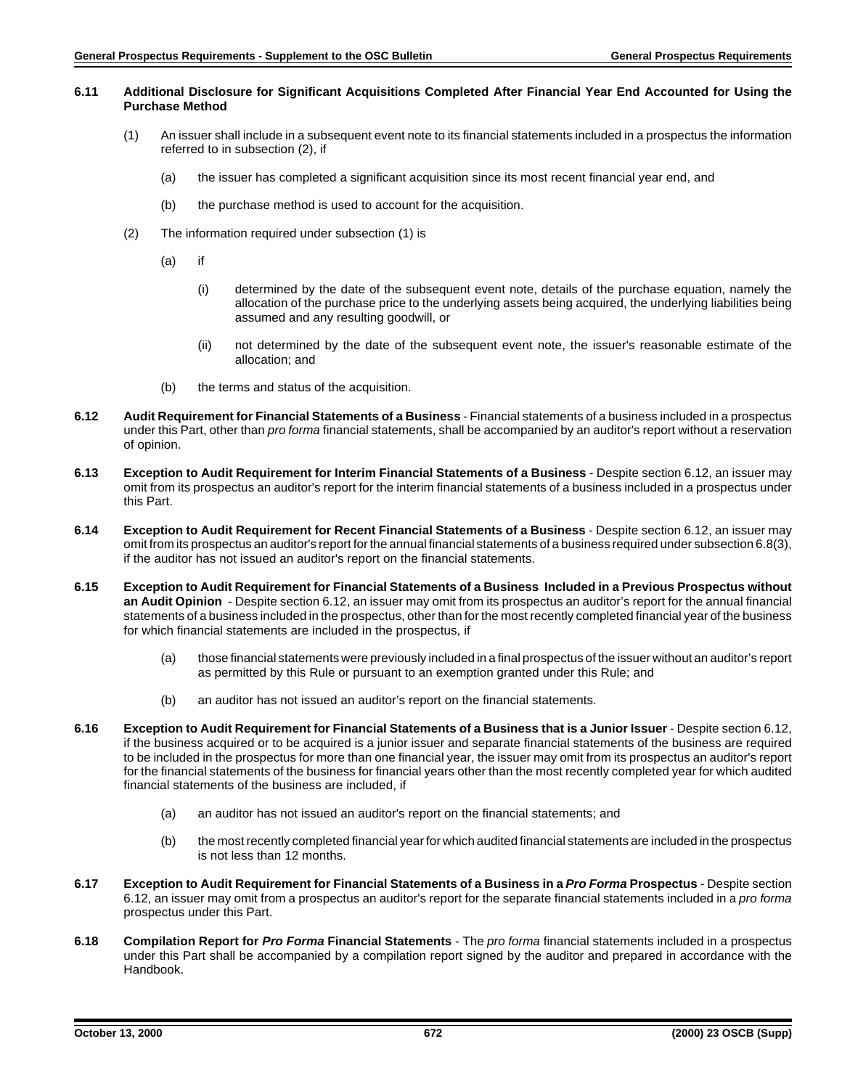#### **6.11 Additional Disclosure for Significant Acquisitions Completed After Financial Year End Accounted for Using the Purchase Method**

- (1) An issuer shall include in a subsequent event note to its financial statements included in a prospectus the information referred to in subsection (2), if
	- (a) the issuer has completed a significant acquisition since its most recent financial year end, and
	- (b) the purchase method is used to account for the acquisition.
- (2) The information required under subsection (1) is
	- (a) if
		- (i) determined by the date of the subsequent event note, details of the purchase equation, namely the allocation of the purchase price to the underlying assets being acquired, the underlying liabilities being assumed and any resulting goodwill, or
		- (ii) not determined by the date of the subsequent event note, the issuer's reasonable estimate of the allocation; and
	- (b) the terms and status of the acquisition.
- **6.12 Audit Requirement for Financial Statements of a Business** Financial statements of a business included in a prospectus under this Part, other than *pro forma* financial statements, shall be accompanied by an auditor's report without a reservation of opinion.
- **6.13 Exception to Audit Requirement for Interim Financial Statements of a Business** Despite section 6.12, an issuer may omit from its prospectus an auditor's report for the interim financial statements of a business included in a prospectus under this Part.
- **6.14 Exception to Audit Requirement for Recent Financial Statements of a Business** Despite section 6.12, an issuer may omit from its prospectus an auditor's report for the annual financial statements of a business required under subsection 6.8(3), if the auditor has not issued an auditor's report on the financial statements.
- **6.15 Exception to Audit Requirement for Financial Statements of a Business Included in a Previous Prospectus without an Audit Opinion** - Despite section 6.12, an issuer may omit from its prospectus an auditor's report for the annual financial statements of a business included in the prospectus, other than for the most recently completed financial year of the business for which financial statements are included in the prospectus, if
	- (a) those financial statements were previously included in a final prospectus of the issuer without an auditor's report as permitted by this Rule or pursuant to an exemption granted under this Rule; and
	- (b) an auditor has not issued an auditor's report on the financial statements.
- **6.16 Exception to Audit Requirement for Financial Statements of a Business that is a Junior Issuer** Despite section 6.12, if the business acquired or to be acquired is a junior issuer and separate financial statements of the business are required to be included in the prospectus for more than one financial year, the issuer may omit from its prospectus an auditor's report for the financial statements of the business for financial years other than the most recently completed year for which audited financial statements of the business are included, if
	- (a) an auditor has not issued an auditor's report on the financial statements; and
	- (b) the most recently completed financial year for which audited financial statements are included in the prospectus is not less than 12 months.
- **6.17 Exception to Audit Requirement for Financial Statements of a Business in a** *Pro Forma* **Prospectus** Despite section 6.12, an issuer may omit from a prospectus an auditor's report for the separate financial statements included in a *pro forma* prospectus under this Part.
- **6.18 Compilation Report for** *Pro Forma* **Financial Statements** The *pro forma* financial statements included in a prospectus under this Part shall be accompanied by a compilation report signed by the auditor and prepared in accordance with the Handbook.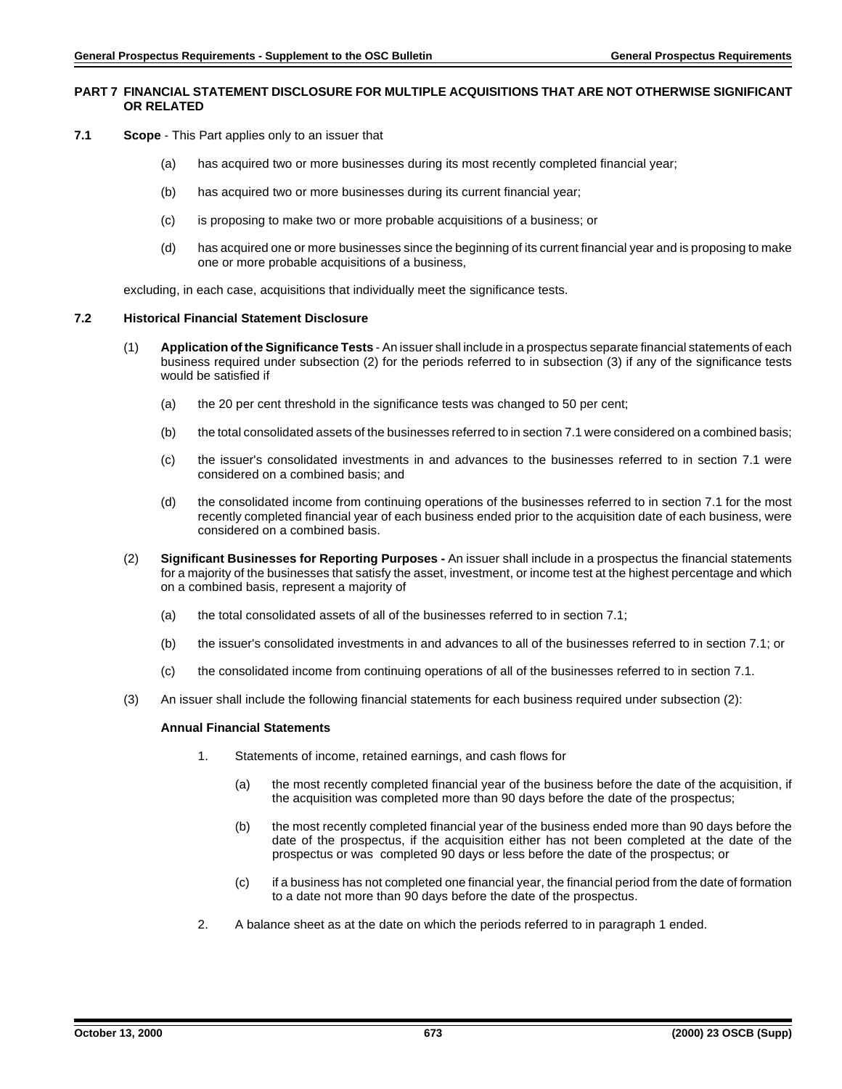# **PART 7 FINANCIAL STATEMENT DISCLOSURE FOR MULTIPLE ACQUISITIONS THAT ARE NOT OTHERWISE SIGNIFICANT OR RELATED**

- **7.1 Scope** This Part applies only to an issuer that
	- (a) has acquired two or more businesses during its most recently completed financial year;
	- (b) has acquired two or more businesses during its current financial year;
	- (c) is proposing to make two or more probable acquisitions of a business; or
	- (d) has acquired one or more businesses since the beginning of its current financial year and is proposing to make one or more probable acquisitions of a business,

excluding, in each case, acquisitions that individually meet the significance tests.

# **7.2 Historical Financial Statement Disclosure**

- (1) **Application of the Significance Tests** An issuer shall include in a prospectus separate financial statements of each business required under subsection (2) for the periods referred to in subsection (3) if any of the significance tests would be satisfied if
	- (a) the 20 per cent threshold in the significance tests was changed to 50 per cent;
	- (b) the total consolidated assets of the businesses referred to in section 7.1 were considered on a combined basis;
	- (c) the issuer's consolidated investments in and advances to the businesses referred to in section 7.1 were considered on a combined basis; and
	- (d) the consolidated income from continuing operations of the businesses referred to in section 7.1 for the most recently completed financial year of each business ended prior to the acquisition date of each business, were considered on a combined basis.
- (2) **Significant Businesses for Reporting Purposes** An issuer shall include in a prospectus the financial statements for a majority of the businesses that satisfy the asset, investment, or income test at the highest percentage and which on a combined basis, represent a majority of
	- (a) the total consolidated assets of all of the businesses referred to in section 7.1;
	- (b) the issuer's consolidated investments in and advances to all of the businesses referred to in section 7.1; or
	- (c) the consolidated income from continuing operations of all of the businesses referred to in section 7.1.
- (3) An issuer shall include the following financial statements for each business required under subsection (2):

#### **Annual Financial Statements**

- 1. Statements of income, retained earnings, and cash flows for
	- (a) the most recently completed financial year of the business before the date of the acquisition, if the acquisition was completed more than 90 days before the date of the prospectus;
	- (b) the most recently completed financial year of the business ended more than 90 days before the date of the prospectus, if the acquisition either has not been completed at the date of the prospectus or was completed 90 days or less before the date of the prospectus; or
	- (c) if a business has not completed one financial year, the financial period from the date of formation to a date not more than 90 days before the date of the prospectus.
- 2. A balance sheet as at the date on which the periods referred to in paragraph 1 ended.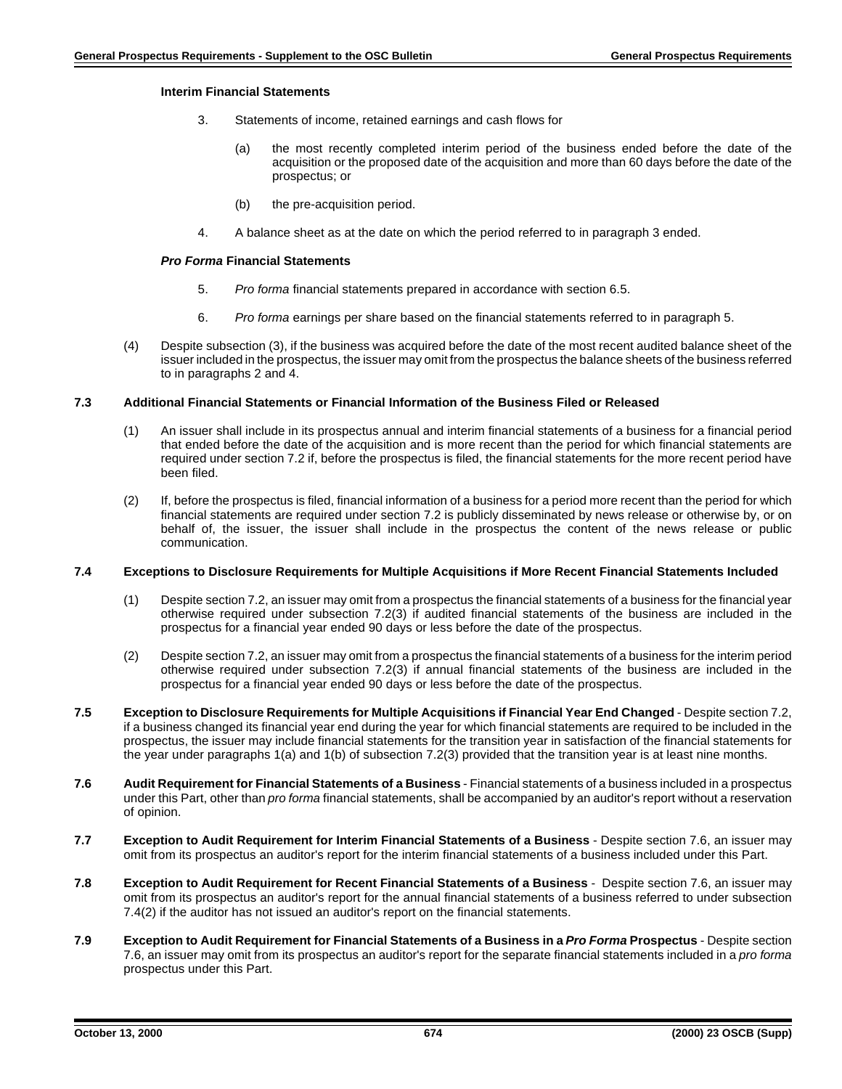# **Interim Financial Statements**

- 3. Statements of income, retained earnings and cash flows for
	- (a) the most recently completed interim period of the business ended before the date of the acquisition or the proposed date of the acquisition and more than 60 days before the date of the prospectus; or
	- (b) the pre-acquisition period.
- 4. A balance sheet as at the date on which the period referred to in paragraph 3 ended.

#### *Pro Forma* **Financial Statements**

- 5. *Pro forma* financial statements prepared in accordance with section 6.5.
- 6. *Pro forma* earnings per share based on the financial statements referred to in paragraph 5.
- (4) Despite subsection (3), if the business was acquired before the date of the most recent audited balance sheet of the issuer included in the prospectus, the issuer may omit from the prospectus the balance sheets of the business referred to in paragraphs 2 and 4.

# **7.3 Additional Financial Statements or Financial Information of the Business Filed or Released**

- (1) An issuer shall include in its prospectus annual and interim financial statements of a business for a financial period that ended before the date of the acquisition and is more recent than the period for which financial statements are required under section 7.2 if, before the prospectus is filed, the financial statements for the more recent period have been filed.
- (2) If, before the prospectus is filed, financial information of a business for a period more recent than the period for which financial statements are required under section 7.2 is publicly disseminated by news release or otherwise by, or on behalf of, the issuer, the issuer shall include in the prospectus the content of the news release or public communication.

#### **7.4 Exceptions to Disclosure Requirements for Multiple Acquisitions if More Recent Financial Statements Included**

- (1) Despite section 7.2, an issuer may omit from a prospectus the financial statements of a business for the financial year otherwise required under subsection 7.2(3) if audited financial statements of the business are included in the prospectus for a financial year ended 90 days or less before the date of the prospectus.
- (2) Despite section 7.2, an issuer may omit from a prospectus the financial statements of a business for the interim period otherwise required under subsection 7.2(3) if annual financial statements of the business are included in the prospectus for a financial year ended 90 days or less before the date of the prospectus.
- **7.5 Exception to Disclosure Requirements for Multiple Acquisitions if Financial Year End Changed** Despite section 7.2, if a business changed its financial year end during the year for which financial statements are required to be included in the prospectus, the issuer may include financial statements for the transition year in satisfaction of the financial statements for the year under paragraphs 1(a) and 1(b) of subsection 7.2(3) provided that the transition year is at least nine months.
- **7.6 Audit Requirement for Financial Statements of a Business** Financial statements of a business included in a prospectus under this Part, other than *pro forma* financial statements, shall be accompanied by an auditor's report without a reservation of opinion.
- **7.7 Exception to Audit Requirement for Interim Financial Statements of a Business** Despite section 7.6, an issuer may omit from its prospectus an auditor's report for the interim financial statements of a business included under this Part.
- **7.8 Exception to Audit Requirement for Recent Financial Statements of a Business** Despite section 7.6, an issuer may omit from its prospectus an auditor's report for the annual financial statements of a business referred to under subsection 7.4(2) if the auditor has not issued an auditor's report on the financial statements.
- **7.9 Exception to Audit Requirement for Financial Statements of a Business in a** *Pro Forma* **Prospectus** Despite section 7.6, an issuer may omit from its prospectus an auditor's report for the separate financial statements included in a *pro forma* prospectus under this Part.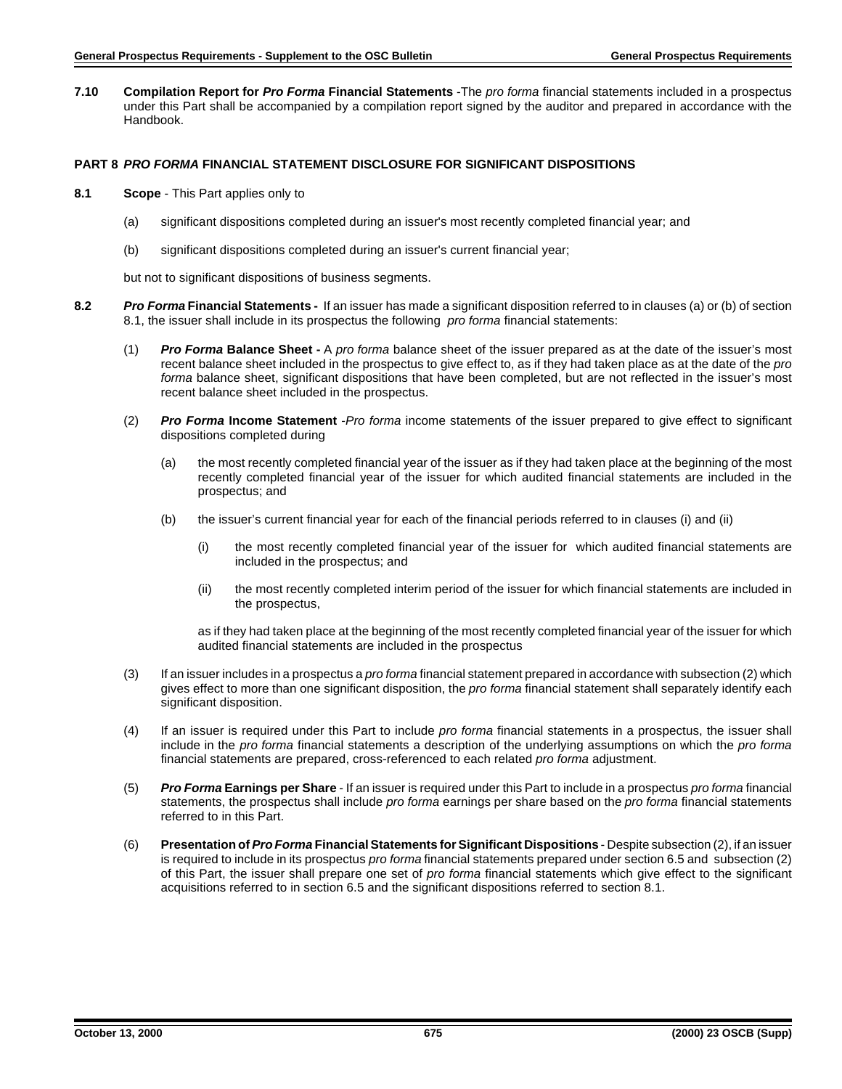**7.10 Compilation Report for** *Pro Forma* **Financial Statements** -The *pro forma* financial statements included in a prospectus under this Part shall be accompanied by a compilation report signed by the auditor and prepared in accordance with the Handbook.

# **PART 8** *PRO FORMA* **FINANCIAL STATEMENT DISCLOSURE FOR SIGNIFICANT DISPOSITIONS**

- **8.1 Scope** This Part applies only to
	- (a) significant dispositions completed during an issuer's most recently completed financial year; and
	- (b) significant dispositions completed during an issuer's current financial year;

but not to significant dispositions of business segments.

- **8.2** *Pro Forma* **Financial Statements -** If an issuer has made a significant disposition referred to in clauses (a) or (b) of section 8.1, the issuer shall include in its prospectus the following *pro forma* financial statements:
	- (1) *Pro Forma* **Balance Sheet -** A *pro forma* balance sheet of the issuer prepared as at the date of the issuer's most recent balance sheet included in the prospectus to give effect to, as if they had taken place as at the date of the *pro forma* balance sheet, significant dispositions that have been completed, but are not reflected in the issuer's most recent balance sheet included in the prospectus.
	- (2) *Pro Forma* **Income Statement** -*Pro forma* income statements of the issuer prepared to give effect to significant dispositions completed during
		- (a) the most recently completed financial year of the issuer as if they had taken place at the beginning of the most recently completed financial year of the issuer for which audited financial statements are included in the prospectus; and
		- (b) the issuer's current financial year for each of the financial periods referred to in clauses (i) and (ii)
			- (i) the most recently completed financial year of the issuer for which audited financial statements are included in the prospectus; and
			- (ii) the most recently completed interim period of the issuer for which financial statements are included in the prospectus,

as if they had taken place at the beginning of the most recently completed financial year of the issuer for which audited financial statements are included in the prospectus

- (3) If an issuer includes in a prospectus a *pro forma* financial statement prepared in accordance with subsection (2) which gives effect to more than one significant disposition, the *pro forma* financial statement shall separately identify each significant disposition.
- (4) If an issuer is required under this Part to include *pro forma* financial statements in a prospectus, the issuer shall include in the *pro forma* financial statements a description of the underlying assumptions on which the *pro forma* financial statements are prepared, cross-referenced to each related *pro forma* adjustment.
- (5) *Pro Forma* **Earnings per Share** If an issuer is required under this Part to include in a prospectus *pro forma* financial statements, the prospectus shall include *pro forma* earnings per share based on the *pro forma* financial statements referred to in this Part.
- (6) **Presentation of** *Pro Forma* **Financial Statements for Significant Dispositions** Despite subsection (2), if an issuer is required to include in its prospectus *pro forma* financial statements prepared under section 6.5 and subsection (2) of this Part, the issuer shall prepare one set of *pro forma* financial statements which give effect to the significant acquisitions referred to in section 6.5 and the significant dispositions referred to section 8.1.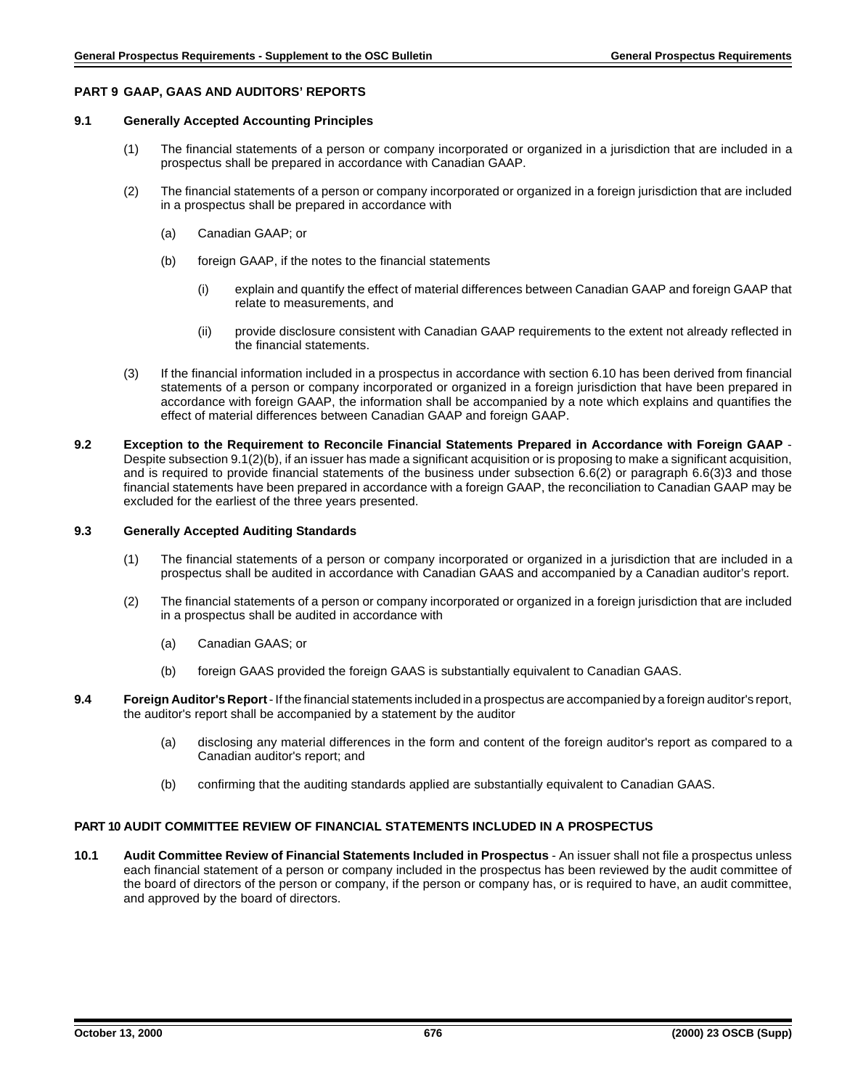# **PART 9 GAAP, GAAS AND AUDITORS' REPORTS**

#### **9.1 Generally Accepted Accounting Principles**

- (1) The financial statements of a person or company incorporated or organized in a jurisdiction that are included in a prospectus shall be prepared in accordance with Canadian GAAP.
- (2) The financial statements of a person or company incorporated or organized in a foreign jurisdiction that are included in a prospectus shall be prepared in accordance with
	- (a) Canadian GAAP; or
	- (b) foreign GAAP, if the notes to the financial statements
		- (i) explain and quantify the effect of material differences between Canadian GAAP and foreign GAAP that relate to measurements, and
		- (ii) provide disclosure consistent with Canadian GAAP requirements to the extent not already reflected in the financial statements.
- (3) If the financial information included in a prospectus in accordance with section 6.10 has been derived from financial statements of a person or company incorporated or organized in a foreign jurisdiction that have been prepared in accordance with foreign GAAP, the information shall be accompanied by a note which explains and quantifies the effect of material differences between Canadian GAAP and foreign GAAP.
- **9.2 Exception to the Requirement to Reconcile Financial Statements Prepared in Accordance with Foreign GAAP** Despite subsection 9.1(2)(b), if an issuer has made a significant acquisition or is proposing to make a significant acquisition, and is required to provide financial statements of the business under subsection 6.6(2) or paragraph 6.6(3)3 and those financial statements have been prepared in accordance with a foreign GAAP, the reconciliation to Canadian GAAP may be excluded for the earliest of the three years presented.

# **9.3 Generally Accepted Auditing Standards**

- (1) The financial statements of a person or company incorporated or organized in a jurisdiction that are included in a prospectus shall be audited in accordance with Canadian GAAS and accompanied by a Canadian auditor's report.
- (2) The financial statements of a person or company incorporated or organized in a foreign jurisdiction that are included in a prospectus shall be audited in accordance with
	- (a) Canadian GAAS; or
	- (b) foreign GAAS provided the foreign GAAS is substantially equivalent to Canadian GAAS.
- **9.4 Foreign Auditor's Report** If the financial statements included in a prospectus are accompanied by a foreign auditor's report, the auditor's report shall be accompanied by a statement by the auditor
	- (a) disclosing any material differences in the form and content of the foreign auditor's report as compared to a Canadian auditor's report; and
	- (b) confirming that the auditing standards applied are substantially equivalent to Canadian GAAS.

#### **PART 10 AUDIT COMMITTEE REVIEW OF FINANCIAL STATEMENTS INCLUDED IN A PROSPECTUS**

**10.1 Audit Committee Review of Financial Statements Included in Prospectus** - An issuer shall not file a prospectus unless each financial statement of a person or company included in the prospectus has been reviewed by the audit committee of the board of directors of the person or company, if the person or company has, or is required to have, an audit committee, and approved by the board of directors.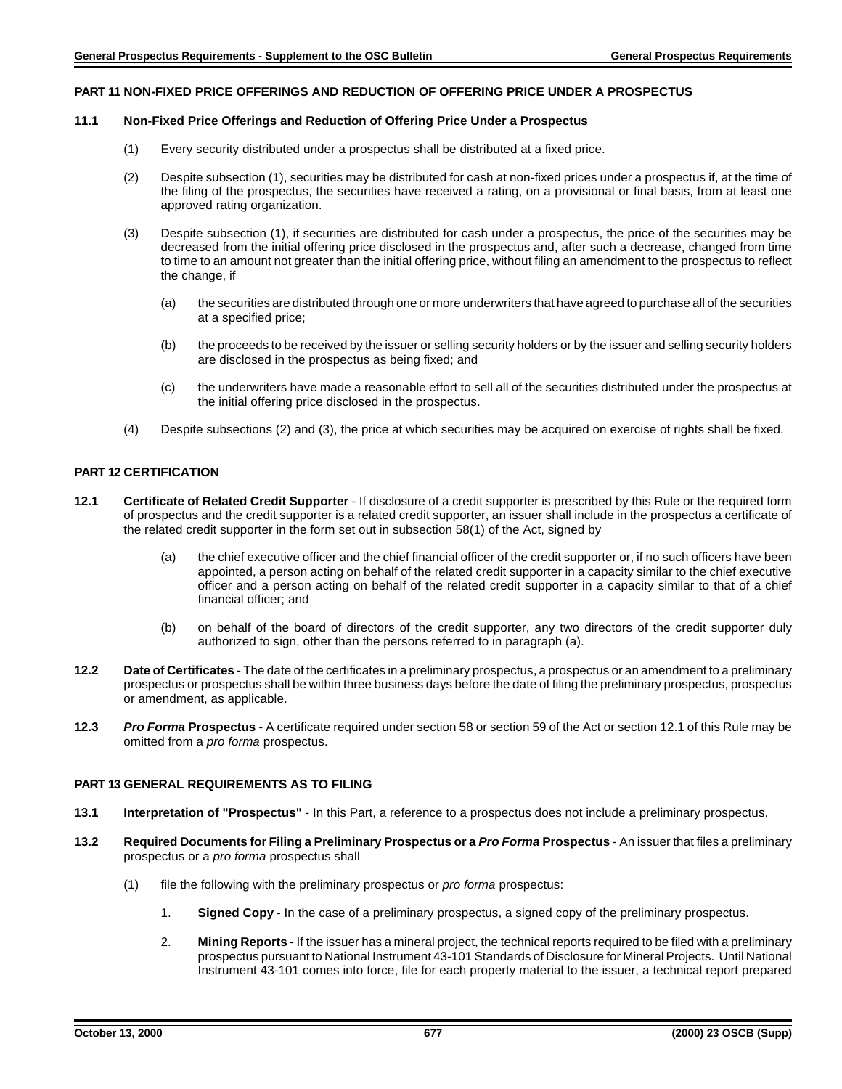# **PART 11 NON-FIXED PRICE OFFERINGS AND REDUCTION OF OFFERING PRICE UNDER A PROSPECTUS**

# **11.1 Non-Fixed Price Offerings and Reduction of Offering Price Under a Prospectus**

- (1) Every security distributed under a prospectus shall be distributed at a fixed price.
- (2) Despite subsection (1), securities may be distributed for cash at non-fixed prices under a prospectus if, at the time of the filing of the prospectus, the securities have received a rating, on a provisional or final basis, from at least one approved rating organization.
- (3) Despite subsection (1), if securities are distributed for cash under a prospectus, the price of the securities may be decreased from the initial offering price disclosed in the prospectus and, after such a decrease, changed from time to time to an amount not greater than the initial offering price, without filing an amendment to the prospectus to reflect the change, if
	- (a) the securities are distributed through one or more underwriters that have agreed to purchase all of the securities at a specified price;
	- (b) the proceeds to be received by the issuer or selling security holders or by the issuer and selling security holders are disclosed in the prospectus as being fixed; and
	- (c) the underwriters have made a reasonable effort to sell all of the securities distributed under the prospectus at the initial offering price disclosed in the prospectus.
- (4) Despite subsections (2) and (3), the price at which securities may be acquired on exercise of rights shall be fixed.

#### **PART 12 CERTIFICATION**

- **12.1 Certificate of Related Credit Supporter** If disclosure of a credit supporter is prescribed by this Rule or the required form of prospectus and the credit supporter is a related credit supporter, an issuer shall include in the prospectus a certificate of the related credit supporter in the form set out in subsection 58(1) of the Act, signed by
	- (a) the chief executive officer and the chief financial officer of the credit supporter or, if no such officers have been appointed, a person acting on behalf of the related credit supporter in a capacity similar to the chief executive officer and a person acting on behalf of the related credit supporter in a capacity similar to that of a chief financial officer; and
	- (b) on behalf of the board of directors of the credit supporter, any two directors of the credit supporter duly authorized to sign, other than the persons referred to in paragraph (a).
- **12.2 Date of Certificates** The date of the certificates in a preliminary prospectus, a prospectus or an amendment to a preliminary prospectus or prospectus shall be within three business days before the date of filing the preliminary prospectus, prospectus or amendment, as applicable.
- **12.3** *Pro Forma* **Prospectus** A certificate required under section 58 or section 59 of the Act or section 12.1 of this Rule may be omitted from a *pro forma* prospectus.

#### **PART 13 GENERAL REQUIREMENTS AS TO FILING**

- **13.1 Interpretation of "Prospectus"** In this Part, a reference to a prospectus does not include a preliminary prospectus.
- **13.2 Required Documents for Filing a Preliminary Prospectus or a** *Pro Forma* **Prospectus** An issuer that files a preliminary prospectus or a *pro forma* prospectus shall
	- (1) file the following with the preliminary prospectus or *pro forma* prospectus:
		- 1. **Signed Copy** In the case of a preliminary prospectus, a signed copy of the preliminary prospectus.
		- 2. **Mining Reports** If the issuer has a mineral project, the technical reports required to be filed with a preliminary prospectus pursuant to National Instrument 43-101 Standards of Disclosure for Mineral Projects. Until National Instrument 43-101 comes into force, file for each property material to the issuer, a technical report prepared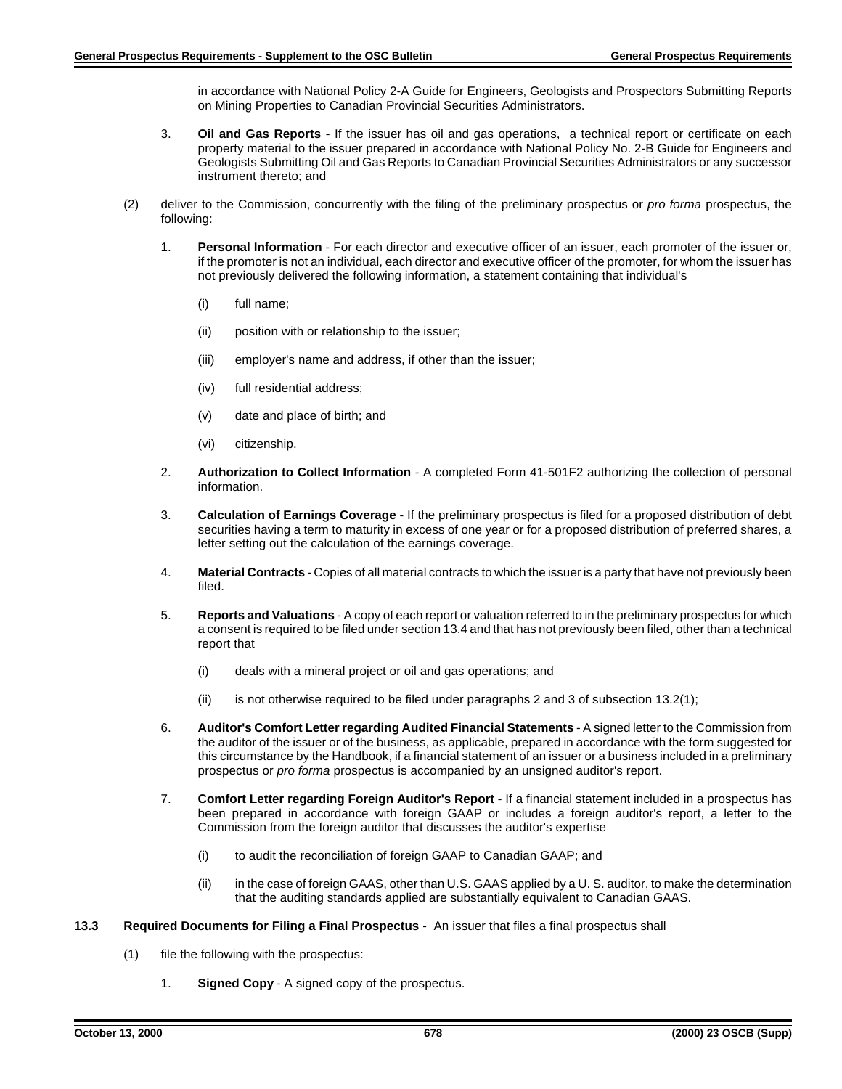in accordance with National Policy 2-A Guide for Engineers, Geologists and Prospectors Submitting Reports on Mining Properties to Canadian Provincial Securities Administrators.

- 3. **Oil and Gas Reports** If the issuer has oil and gas operations, a technical report or certificate on each property material to the issuer prepared in accordance with National Policy No. 2-B Guide for Engineers and Geologists Submitting Oil and Gas Reports to Canadian Provincial Securities Administrators or any successor instrument thereto; and
- (2) deliver to the Commission, concurrently with the filing of the preliminary prospectus or *pro forma* prospectus, the following:
	- 1. **Personal Information** For each director and executive officer of an issuer, each promoter of the issuer or, if the promoter is not an individual, each director and executive officer of the promoter, for whom the issuer has not previously delivered the following information, a statement containing that individual's
		- (i) full name;
		- (ii) position with or relationship to the issuer;
		- (iii) employer's name and address, if other than the issuer;
		- (iv) full residential address;
		- (v) date and place of birth; and
		- (vi) citizenship.
	- 2. **Authorization to Collect Information** A completed Form 41-501F2 authorizing the collection of personal information.
	- 3. **Calculation of Earnings Coverage** If the preliminary prospectus is filed for a proposed distribution of debt securities having a term to maturity in excess of one year or for a proposed distribution of preferred shares, a letter setting out the calculation of the earnings coverage.
	- 4. **Material Contracts** Copies of all material contracts to which the issuer is a party that have not previously been filed.
	- 5. **Reports and Valuations** A copy of each report or valuation referred to in the preliminary prospectus for which a consent is required to be filed under section 13.4 and that has not previously been filed, other than a technical report that
		- (i) deals with a mineral project or oil and gas operations; and
		- (ii) is not otherwise required to be filed under paragraphs 2 and 3 of subsection 13.2(1);
	- 6. **Auditor's Comfort Letter regarding Audited Financial Statements** A signed letter to the Commission from the auditor of the issuer or of the business, as applicable, prepared in accordance with the form suggested for this circumstance by the Handbook, if a financial statement of an issuer or a business included in a preliminary prospectus or *pro forma* prospectus is accompanied by an unsigned auditor's report.
	- 7. **Comfort Letter regarding Foreign Auditor's Report** If a financial statement included in a prospectus has been prepared in accordance with foreign GAAP or includes a foreign auditor's report, a letter to the Commission from the foreign auditor that discusses the auditor's expertise
		- (i) to audit the reconciliation of foreign GAAP to Canadian GAAP; and
		- (ii) in the case of foreign GAAS, other than U.S. GAAS applied by a U. S. auditor, to make the determination that the auditing standards applied are substantially equivalent to Canadian GAAS.

# **13.3 Required Documents for Filing a Final Prospectus** - An issuer that files a final prospectus shall

- (1) file the following with the prospectus:
	- 1. **Signed Copy** A signed copy of the prospectus.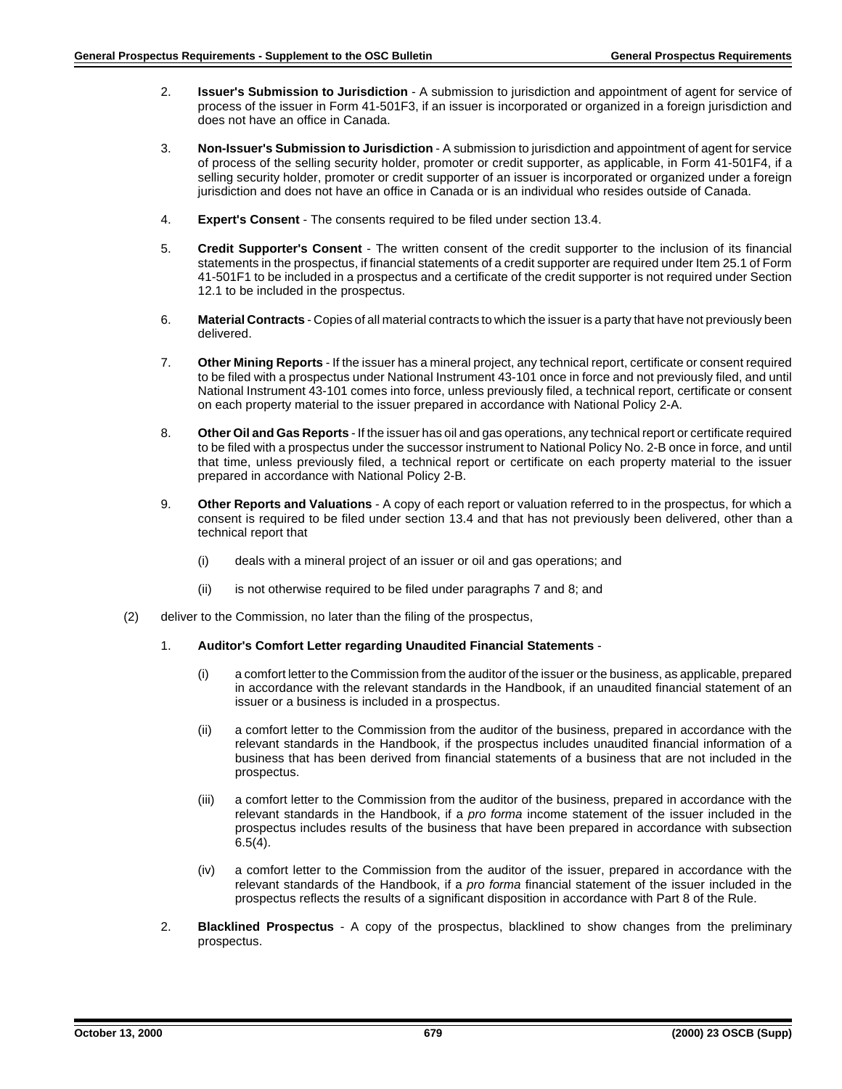- 2. **Issuer's Submission to Jurisdiction** A submission to jurisdiction and appointment of agent for service of process of the issuer in Form 41-501F3, if an issuer is incorporated or organized in a foreign jurisdiction and does not have an office in Canada.
- 3. **Non-Issuer's Submission to Jurisdiction** A submission to jurisdiction and appointment of agent for service of process of the selling security holder, promoter or credit supporter, as applicable, in Form 41-501F4, if a selling security holder, promoter or credit supporter of an issuer is incorporated or organized under a foreign jurisdiction and does not have an office in Canada or is an individual who resides outside of Canada.
- 4. **Expert's Consent** The consents required to be filed under section 13.4.
- 5. **Credit Supporter's Consent** The written consent of the credit supporter to the inclusion of its financial statements in the prospectus, if financial statements of a credit supporter are required under Item 25.1 of Form 41-501F1 to be included in a prospectus and a certificate of the credit supporter is not required under Section 12.1 to be included in the prospectus.
- 6. **Material Contracts** Copies of all material contracts to which the issuer is a party that have not previously been delivered.
- 7. **Other Mining Reports** If the issuer has a mineral project, any technical report, certificate or consent required to be filed with a prospectus under National Instrument 43-101 once in force and not previously filed, and until National Instrument 43-101 comes into force, unless previously filed, a technical report, certificate or consent on each property material to the issuer prepared in accordance with National Policy 2-A.
- 8. **Other Oil and Gas Reports** If the issuer has oil and gas operations, any technical report or certificate required to be filed with a prospectus under the successor instrument to National Policy No. 2-B once in force, and until that time, unless previously filed, a technical report or certificate on each property material to the issuer prepared in accordance with National Policy 2-B.
- 9. **Other Reports and Valuations** A copy of each report or valuation referred to in the prospectus, for which a consent is required to be filed under section 13.4 and that has not previously been delivered, other than a technical report that
	- (i) deals with a mineral project of an issuer or oil and gas operations; and
	- (ii) is not otherwise required to be filed under paragraphs 7 and 8; and
- (2) deliver to the Commission, no later than the filing of the prospectus,
	- 1. **Auditor's Comfort Letter regarding Unaudited Financial Statements**
		- (i) a comfort letter to the Commission from the auditor of the issuer or the business, as applicable, prepared in accordance with the relevant standards in the Handbook, if an unaudited financial statement of an issuer or a business is included in a prospectus.
		- (ii) a comfort letter to the Commission from the auditor of the business, prepared in accordance with the relevant standards in the Handbook, if the prospectus includes unaudited financial information of a business that has been derived from financial statements of a business that are not included in the prospectus.
		- (iii) a comfort letter to the Commission from the auditor of the business, prepared in accordance with the relevant standards in the Handbook, if a *pro forma* income statement of the issuer included in the prospectus includes results of the business that have been prepared in accordance with subsection  $6.5(4)$ .
		- (iv) a comfort letter to the Commission from the auditor of the issuer, prepared in accordance with the relevant standards of the Handbook, if a *pro forma* financial statement of the issuer included in the prospectus reflects the results of a significant disposition in accordance with Part 8 of the Rule.
	- 2. **Blacklined Prospectus** A copy of the prospectus, blacklined to show changes from the preliminary prospectus.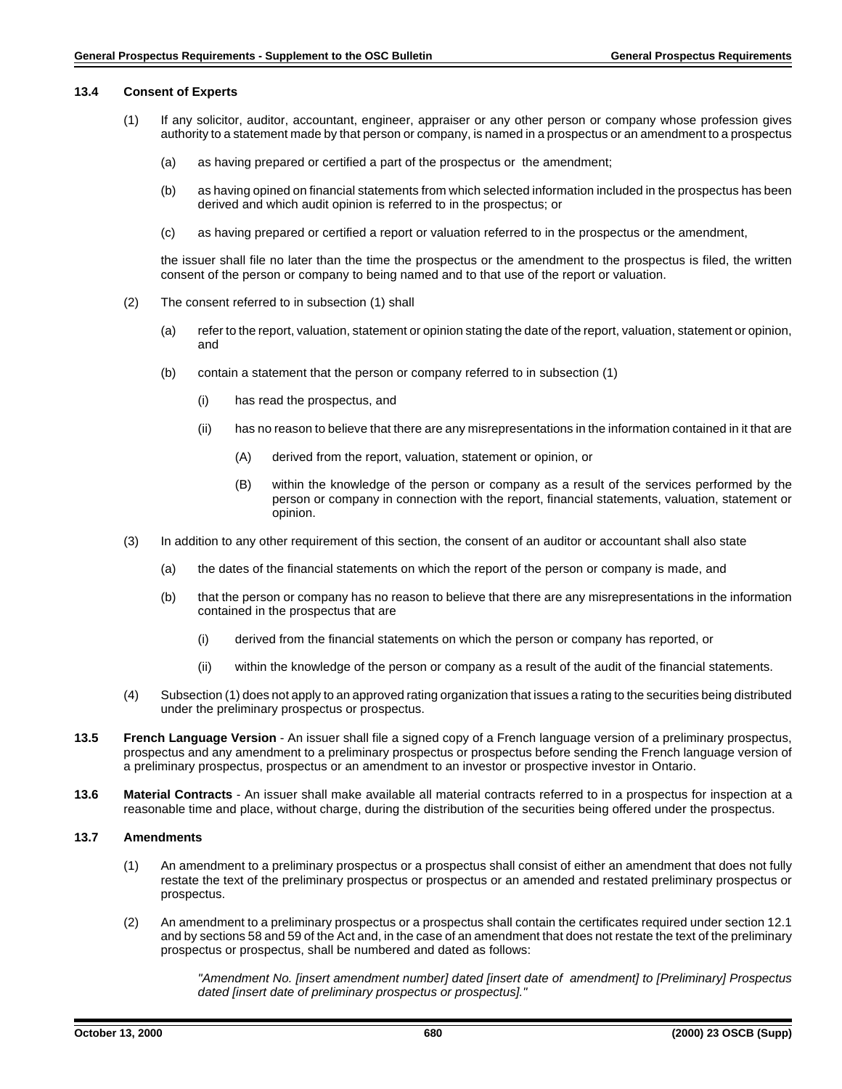#### **13.4 Consent of Experts**

- (1) If any solicitor, auditor, accountant, engineer, appraiser or any other person or company whose profession gives authority to a statement made by that person or company, is named in a prospectus or an amendment to a prospectus
	- (a) as having prepared or certified a part of the prospectus or the amendment;
	- (b) as having opined on financial statements from which selected information included in the prospectus has been derived and which audit opinion is referred to in the prospectus; or
	- (c) as having prepared or certified a report or valuation referred to in the prospectus or the amendment,

the issuer shall file no later than the time the prospectus or the amendment to the prospectus is filed, the written consent of the person or company to being named and to that use of the report or valuation.

- (2) The consent referred to in subsection (1) shall
	- (a) refer to the report, valuation, statement or opinion stating the date of the report, valuation, statement or opinion, and
	- (b) contain a statement that the person or company referred to in subsection (1)
		- (i) has read the prospectus, and
		- (ii) has no reason to believe that there are any misrepresentations in the information contained in it that are
			- (A) derived from the report, valuation, statement or opinion, or
			- (B) within the knowledge of the person or company as a result of the services performed by the person or company in connection with the report, financial statements, valuation, statement or opinion.
- (3) In addition to any other requirement of this section, the consent of an auditor or accountant shall also state
	- (a) the dates of the financial statements on which the report of the person or company is made, and
	- (b) that the person or company has no reason to believe that there are any misrepresentations in the information contained in the prospectus that are
		- (i) derived from the financial statements on which the person or company has reported, or
		- (ii) within the knowledge of the person or company as a result of the audit of the financial statements.
- (4) Subsection (1) does not apply to an approved rating organization that issues a rating to the securities being distributed under the preliminary prospectus or prospectus.
- **13.5 French Language Version** An issuer shall file a signed copy of a French language version of a preliminary prospectus, prospectus and any amendment to a preliminary prospectus or prospectus before sending the French language version of a preliminary prospectus, prospectus or an amendment to an investor or prospective investor in Ontario.
- **13.6 Material Contracts** An issuer shall make available all material contracts referred to in a prospectus for inspection at a reasonable time and place, without charge, during the distribution of the securities being offered under the prospectus.

#### **13.7 Amendments**

- (1) An amendment to a preliminary prospectus or a prospectus shall consist of either an amendment that does not fully restate the text of the preliminary prospectus or prospectus or an amended and restated preliminary prospectus or prospectus.
- (2) An amendment to a preliminary prospectus or a prospectus shall contain the certificates required under section 12.1 and by sections 58 and 59 of the Act and, in the case of an amendment that does not restate the text of the preliminary prospectus or prospectus, shall be numbered and dated as follows:

*"Amendment No. [insert amendment number] dated [insert date of amendment] to [Preliminary] Prospectus dated [insert date of preliminary prospectus or prospectus]."*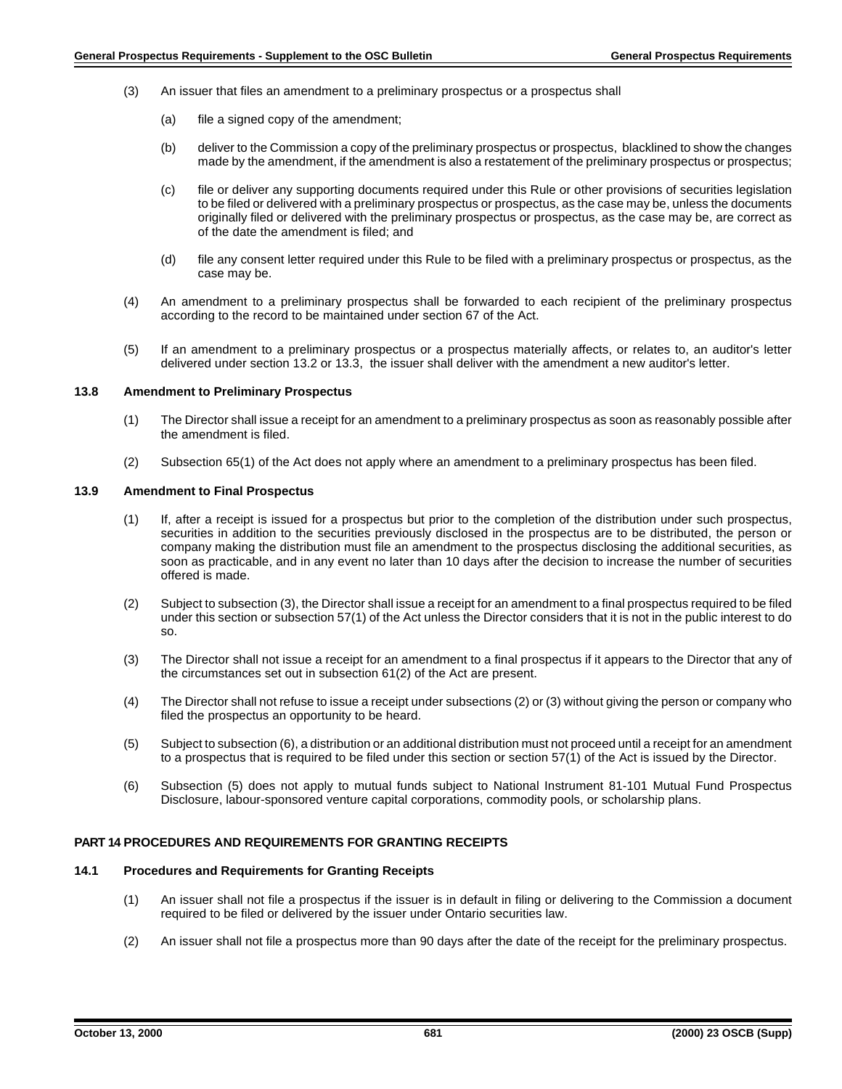- (3) An issuer that files an amendment to a preliminary prospectus or a prospectus shall
	- (a) file a signed copy of the amendment;
	- (b) deliver to the Commission a copy of the preliminary prospectus or prospectus, blacklined to show the changes made by the amendment, if the amendment is also a restatement of the preliminary prospectus or prospectus;
	- (c) file or deliver any supporting documents required under this Rule or other provisions of securities legislation to be filed or delivered with a preliminary prospectus or prospectus, as the case may be, unless the documents originally filed or delivered with the preliminary prospectus or prospectus, as the case may be, are correct as of the date the amendment is filed; and
	- (d) file any consent letter required under this Rule to be filed with a preliminary prospectus or prospectus, as the case may be.
- (4) An amendment to a preliminary prospectus shall be forwarded to each recipient of the preliminary prospectus according to the record to be maintained under section 67 of the Act.
- (5) If an amendment to a preliminary prospectus or a prospectus materially affects, or relates to, an auditor's letter delivered under section 13.2 or 13.3, the issuer shall deliver with the amendment a new auditor's letter.

#### **13.8 Amendment to Preliminary Prospectus**

- (1) The Director shall issue a receipt for an amendment to a preliminary prospectus as soon as reasonably possible after the amendment is filed.
- (2) Subsection 65(1) of the Act does not apply where an amendment to a preliminary prospectus has been filed.

# **13.9 Amendment to Final Prospectus**

- (1) If, after a receipt is issued for a prospectus but prior to the completion of the distribution under such prospectus, securities in addition to the securities previously disclosed in the prospectus are to be distributed, the person or company making the distribution must file an amendment to the prospectus disclosing the additional securities, as soon as practicable, and in any event no later than 10 days after the decision to increase the number of securities offered is made.
- (2) Subject to subsection (3), the Director shall issue a receipt for an amendment to a final prospectus required to be filed under this section or subsection 57(1) of the Act unless the Director considers that it is not in the public interest to do so.
- (3) The Director shall not issue a receipt for an amendment to a final prospectus if it appears to the Director that any of the circumstances set out in subsection 61(2) of the Act are present.
- (4) The Director shall not refuse to issue a receipt under subsections (2) or (3) without giving the person or company who filed the prospectus an opportunity to be heard.
- (5) Subject to subsection (6), a distribution or an additional distribution must not proceed until a receipt for an amendment to a prospectus that is required to be filed under this section or section 57(1) of the Act is issued by the Director.
- (6) Subsection (5) does not apply to mutual funds subject to National Instrument 81-101 Mutual Fund Prospectus Disclosure, labour-sponsored venture capital corporations, commodity pools, or scholarship plans.

#### **PART 14 PROCEDURES AND REQUIREMENTS FOR GRANTING RECEIPTS**

#### **14.1 Procedures and Requirements for Granting Receipts**

- (1) An issuer shall not file a prospectus if the issuer is in default in filing or delivering to the Commission a document required to be filed or delivered by the issuer under Ontario securities law.
- (2) An issuer shall not file a prospectus more than 90 days after the date of the receipt for the preliminary prospectus.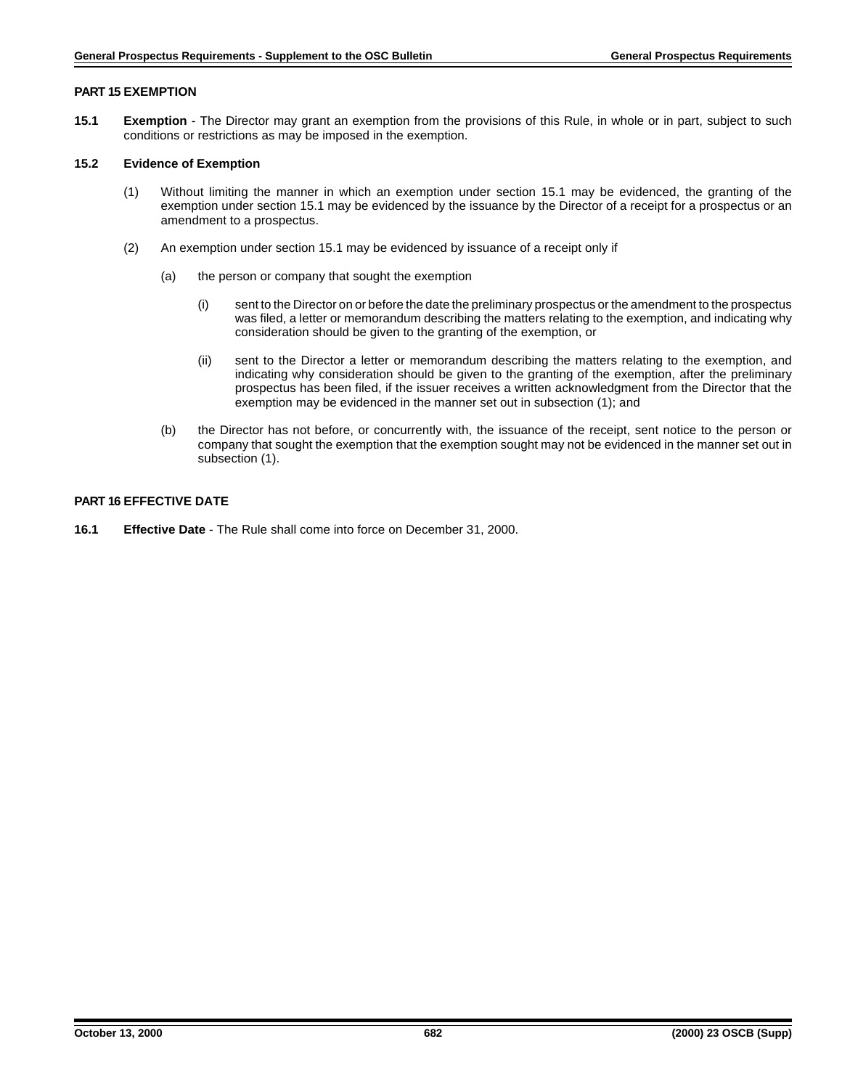# **PART 15 EXEMPTION**

**15.1 Exemption** - The Director may grant an exemption from the provisions of this Rule, in whole or in part, subject to such conditions or restrictions as may be imposed in the exemption.

#### **15.2 Evidence of Exemption**

- (1) Without limiting the manner in which an exemption under section 15.1 may be evidenced, the granting of the exemption under section 15.1 may be evidenced by the issuance by the Director of a receipt for a prospectus or an amendment to a prospectus.
- (2) An exemption under section 15.1 may be evidenced by issuance of a receipt only if
	- (a) the person or company that sought the exemption
		- (i) sent to the Director on or before the date the preliminary prospectus or the amendment to the prospectus was filed, a letter or memorandum describing the matters relating to the exemption, and indicating why consideration should be given to the granting of the exemption, or
		- (ii) sent to the Director a letter or memorandum describing the matters relating to the exemption, and indicating why consideration should be given to the granting of the exemption, after the preliminary prospectus has been filed, if the issuer receives a written acknowledgment from the Director that the exemption may be evidenced in the manner set out in subsection (1); and
	- (b) the Director has not before, or concurrently with, the issuance of the receipt, sent notice to the person or company that sought the exemption that the exemption sought may not be evidenced in the manner set out in subsection (1).

#### **PART 16 EFFECTIVE DATE**

**16.1 Effective Date** - The Rule shall come into force on December 31, 2000.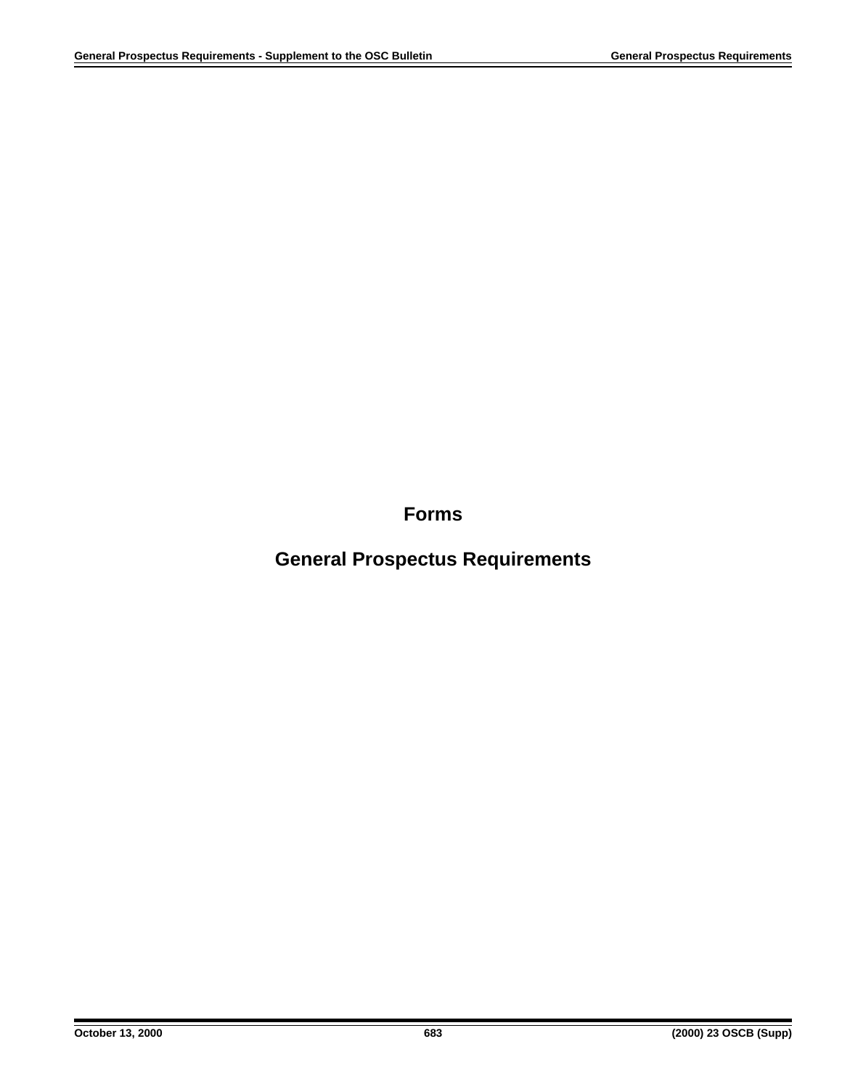**Forms**

**General Prospectus Requirements**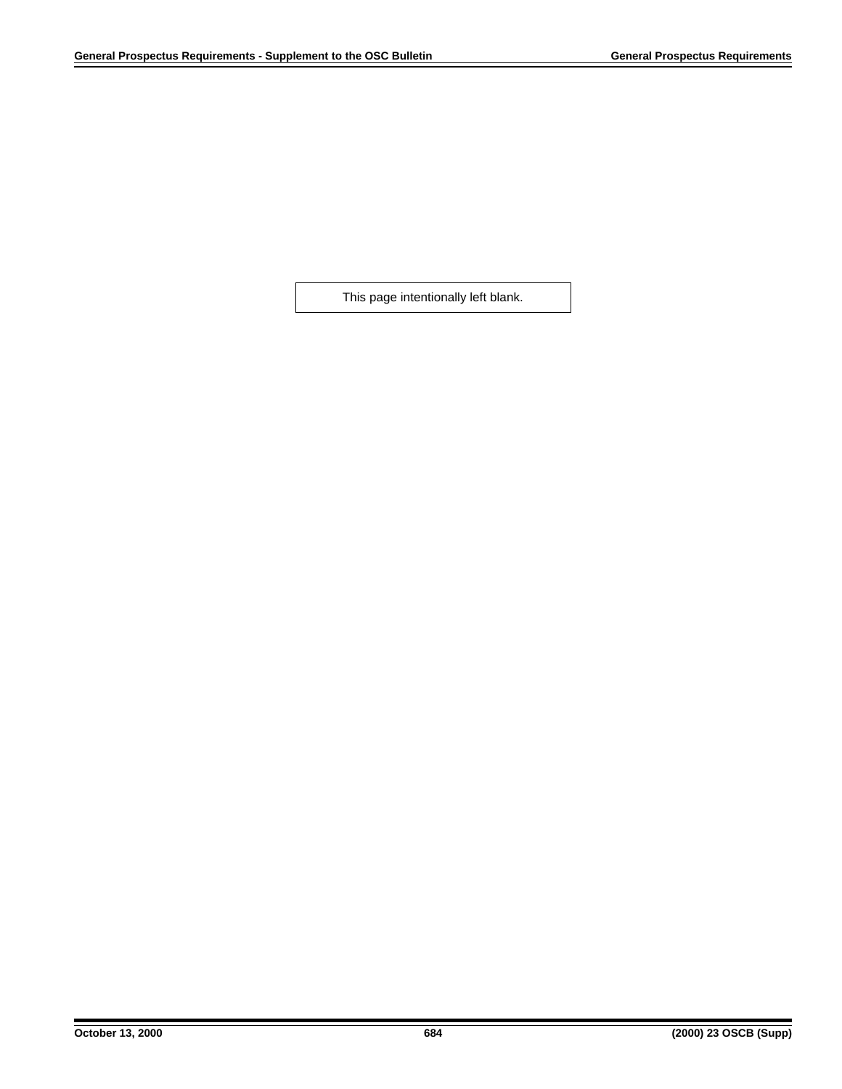This page intentionally left blank.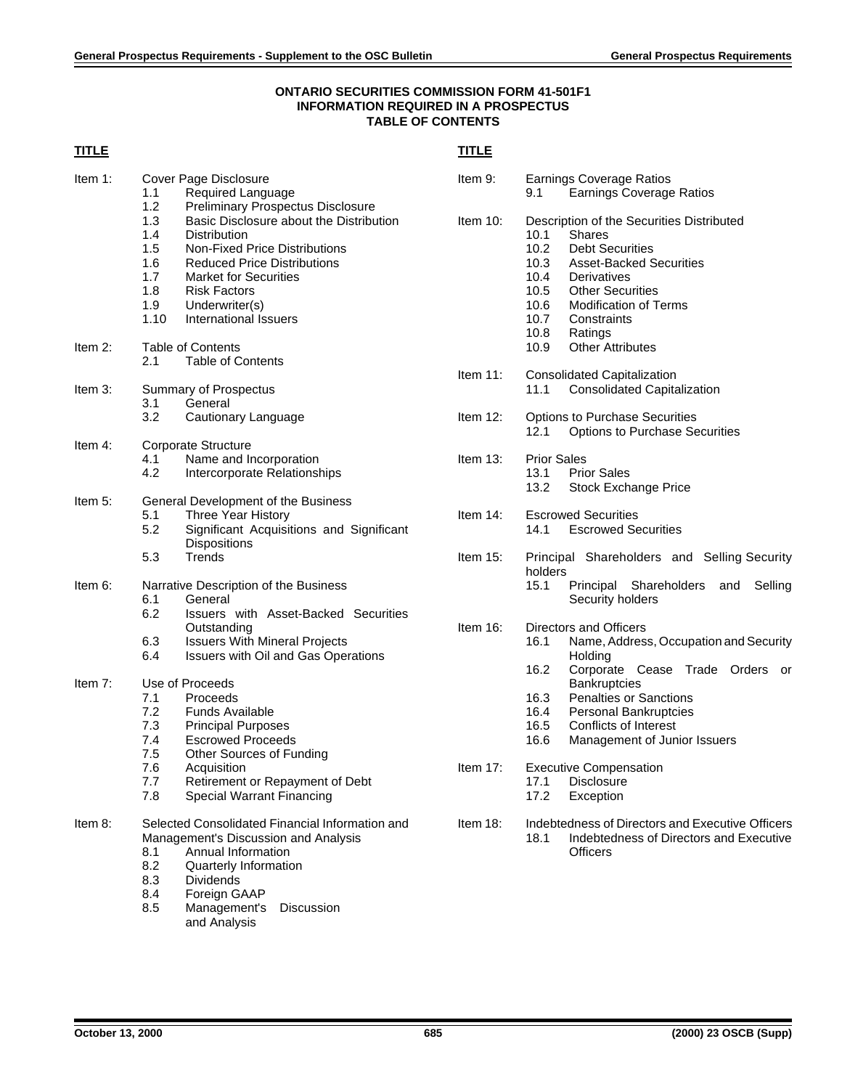# **ONTARIO SECURITIES COMMISSION FORM 41-501F1 INFORMATION REQUIRED IN A PROSPECTUS TABLE OF CONTENTS**

# **TITLE TITLE**

| Item $1:$ | 1.1<br>1.2                                            | Cover Page Disclosure<br>Required Language<br><b>Preliminary Prospectus Disclosure</b>                                                                                                                                                         | Item 9:     | <b>Earnings Coverage Ratios</b><br><b>Earnings Coverage Ratios</b><br>9.1                                                                                                                                                                                                                  |
|-----------|-------------------------------------------------------|------------------------------------------------------------------------------------------------------------------------------------------------------------------------------------------------------------------------------------------------|-------------|--------------------------------------------------------------------------------------------------------------------------------------------------------------------------------------------------------------------------------------------------------------------------------------------|
|           | 1.3<br>1.4<br>1.5<br>1.6<br>1.7<br>1.8<br>1.9<br>1.10 | Basic Disclosure about the Distribution<br><b>Distribution</b><br><b>Non-Fixed Price Distributions</b><br><b>Reduced Price Distributions</b><br><b>Market for Securities</b><br><b>Risk Factors</b><br>Underwriter(s)<br>International Issuers | Item $10$ : | Description of the Securities Distributed<br>10.1<br><b>Shares</b><br>10.2<br><b>Debt Securities</b><br>10.3<br><b>Asset-Backed Securities</b><br>10.4<br>Derivatives<br>10.5<br><b>Other Securities</b><br>10.6<br><b>Modification of Terms</b><br>10.7<br>Constraints<br>10.8<br>Ratings |
| Item $2:$ | 2.1                                                   | <b>Table of Contents</b><br><b>Table of Contents</b>                                                                                                                                                                                           |             | 10.9<br><b>Other Attributes</b>                                                                                                                                                                                                                                                            |
| Item $3:$ | 3.1                                                   | <b>Summary of Prospectus</b><br>General                                                                                                                                                                                                        | Item $11$ : | <b>Consolidated Capitalization</b><br><b>Consolidated Capitalization</b><br>11.1                                                                                                                                                                                                           |
|           | 3.2                                                   | Cautionary Language                                                                                                                                                                                                                            | Item $12$ : | Options to Purchase Securities<br>Options to Purchase Securities<br>12.1                                                                                                                                                                                                                   |
| Item 4:   | 4.1<br>4.2                                            | <b>Corporate Structure</b><br>Name and Incorporation<br>Intercorporate Relationships                                                                                                                                                           | Item $13$ : | <b>Prior Sales</b><br><b>Prior Sales</b><br>13.1<br>13.2<br><b>Stock Exchange Price</b>                                                                                                                                                                                                    |
| Item 5:   | 5.1<br>5.2                                            | General Development of the Business<br>Three Year History<br>Significant Acquisitions and Significant<br><b>Dispositions</b>                                                                                                                   | Item $14$ : | <b>Escrowed Securities</b><br><b>Escrowed Securities</b><br>14.1                                                                                                                                                                                                                           |
|           | 5.3                                                   | Trends                                                                                                                                                                                                                                         | Item $15$ : | Principal Shareholders and Selling Security<br>holders                                                                                                                                                                                                                                     |
| Item 6:   | 6.1<br>6.2                                            | Narrative Description of the Business<br>General<br>Issuers with Asset-Backed Securities                                                                                                                                                       |             | 15.1<br>Principal Shareholders and<br>Selling<br>Security holders                                                                                                                                                                                                                          |
|           | 6.3<br>6.4                                            | Outstanding<br><b>Issuers With Mineral Projects</b><br>Issuers with Oil and Gas Operations                                                                                                                                                     | Item 16:    | Directors and Officers<br>16.1<br>Name, Address, Occupation and Security<br>Holding<br>16.2<br>Corporate Cease Trade Orders or                                                                                                                                                             |
| Item $7:$ | 7.1<br>7.2<br>7.3<br>7.4<br>7.5                       | Use of Proceeds<br>Proceeds<br><b>Funds Available</b><br><b>Principal Purposes</b><br><b>Escrowed Proceeds</b><br>Other Sources of Funding                                                                                                     |             | <b>Bankruptcies</b><br>Penalties or Sanctions<br>16.3<br>16.4<br>Personal Bankruptcies<br>16.5<br>Conflicts of Interest<br>16.6<br>Management of Junior Issuers                                                                                                                            |
|           | 7.6<br>7.7<br>7.8                                     | Acquisition<br>Retirement or Repayment of Debt<br><b>Special Warrant Financing</b>                                                                                                                                                             | Item $17$ : | <b>Executive Compensation</b><br>17.1 Disclosure<br>17.2<br>Exception                                                                                                                                                                                                                      |
| Item 8:   | 8.1<br>8.2<br>8.3<br>8.4<br>8.5                       | Selected Consolidated Financial Information and<br>Management's Discussion and Analysis<br>Annual Information<br>Quarterly Information<br><b>Dividends</b><br>Foreign GAAP<br>Management's<br>Discussion                                       | Item 18:    | Indebtedness of Directors and Executive Officers<br>Indebtedness of Directors and Executive<br>18.1<br><b>Officers</b>                                                                                                                                                                     |

Management's Discussion

and Analysis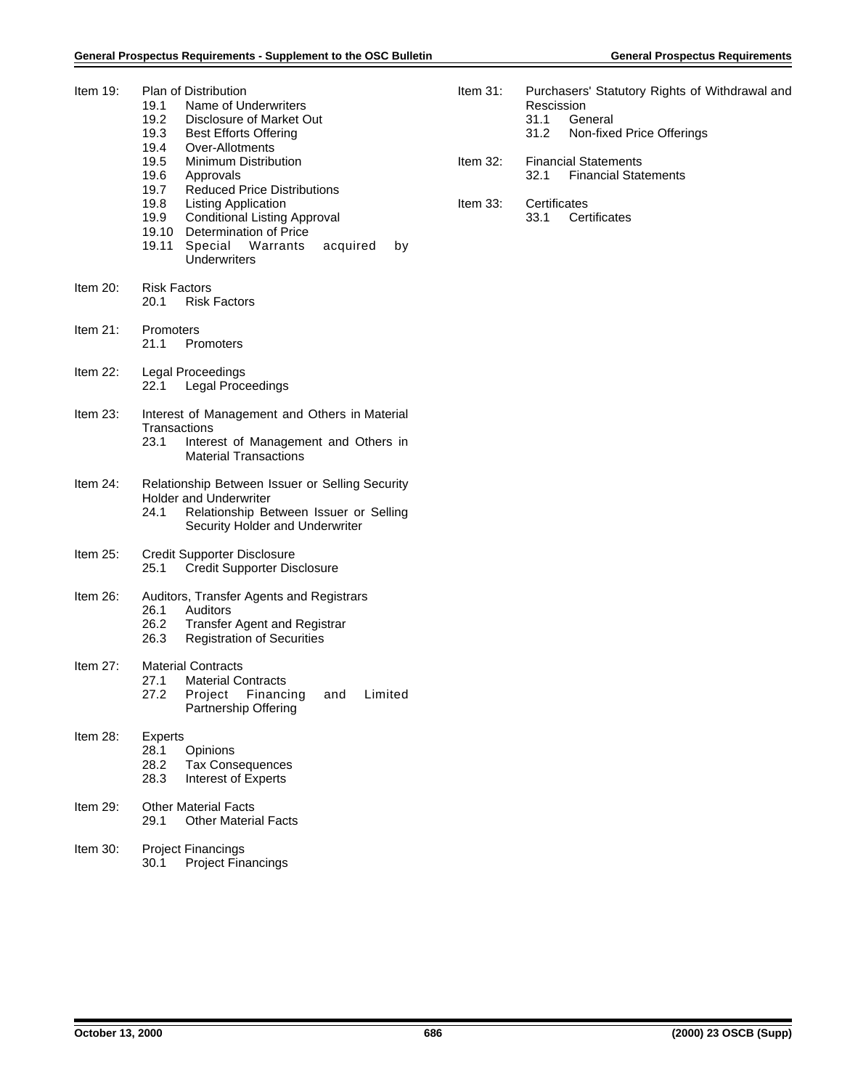| Item $19$ : | Plan of Distribution<br>19.1<br>Name of Underwriters<br>19.2<br>Disclosure of Market Out<br>19.3<br><b>Best Efforts Offering</b><br>19.4<br>Over-Allotments<br>19.5<br>Minimum Distribution<br>19.6<br>Approvals<br>19.7<br><b>Reduced Price Distributions</b><br>19.8<br><b>Listing Application</b><br>19.9<br><b>Conditional Listing Approval</b><br>Determination of Price<br>19.10<br>19.11<br>Special<br>Warrants<br>acquired<br>by<br><b>Underwriters</b> | Item $31$ :<br>Item 32:<br>Item 33: | Purchasers' Statutory Rights of Withdrawal and<br>Rescission<br>31.1<br>General<br>31.2<br>Non-fixed Price Offerings<br><b>Financial Statements</b><br>32.1<br><b>Financial Statements</b><br>Certificates<br>33.1<br>Certificates |  |  |  |
|-------------|-----------------------------------------------------------------------------------------------------------------------------------------------------------------------------------------------------------------------------------------------------------------------------------------------------------------------------------------------------------------------------------------------------------------------------------------------------------------|-------------------------------------|------------------------------------------------------------------------------------------------------------------------------------------------------------------------------------------------------------------------------------|--|--|--|
| Item $20$ : | <b>Risk Factors</b><br><b>Risk Factors</b><br>20.1                                                                                                                                                                                                                                                                                                                                                                                                              |                                     |                                                                                                                                                                                                                                    |  |  |  |
| Item $21$ : | Promoters<br>21.1<br>Promoters                                                                                                                                                                                                                                                                                                                                                                                                                                  |                                     |                                                                                                                                                                                                                                    |  |  |  |
| Item $22$ : | Legal Proceedings<br>Legal Proceedings<br>22.1                                                                                                                                                                                                                                                                                                                                                                                                                  |                                     |                                                                                                                                                                                                                                    |  |  |  |
| Item 23:    | Interest of Management and Others in Material<br>Transactions<br>23.1<br>Interest of Management and Others in<br><b>Material Transactions</b>                                                                                                                                                                                                                                                                                                                   |                                     |                                                                                                                                                                                                                                    |  |  |  |
| Item 24:    | Relationship Between Issuer or Selling Security<br><b>Holder and Underwriter</b><br>24.1<br>Relationship Between Issuer or Selling<br>Security Holder and Underwriter                                                                                                                                                                                                                                                                                           |                                     |                                                                                                                                                                                                                                    |  |  |  |
| Item 25:    | <b>Credit Supporter Disclosure</b><br><b>Credit Supporter Disclosure</b><br>25.1                                                                                                                                                                                                                                                                                                                                                                                |                                     |                                                                                                                                                                                                                                    |  |  |  |
| Item 26:    | Auditors, Transfer Agents and Registrars<br>26.1<br>Auditors<br>26.2<br><b>Transfer Agent and Registrar</b><br>26.3<br><b>Registration of Securities</b>                                                                                                                                                                                                                                                                                                        |                                     |                                                                                                                                                                                                                                    |  |  |  |
| Item 27:    | <b>Material Contracts</b><br>27.1<br><b>Material Contracts</b><br>Financing<br>27.2<br>Project<br>Limited<br>and<br>Partnership Offering                                                                                                                                                                                                                                                                                                                        |                                     |                                                                                                                                                                                                                                    |  |  |  |
| Item 28:    | <b>Experts</b><br>28.1<br>Opinions<br>28.2<br><b>Tax Consequences</b><br>28.3<br>Interest of Experts                                                                                                                                                                                                                                                                                                                                                            |                                     |                                                                                                                                                                                                                                    |  |  |  |
| Item 29:    | <b>Other Material Facts</b><br>29.1<br><b>Other Material Facts</b>                                                                                                                                                                                                                                                                                                                                                                                              |                                     |                                                                                                                                                                                                                                    |  |  |  |
| Item 30:    | <b>Project Financings</b><br><b>Project Financings</b><br>30.1                                                                                                                                                                                                                                                                                                                                                                                                  |                                     |                                                                                                                                                                                                                                    |  |  |  |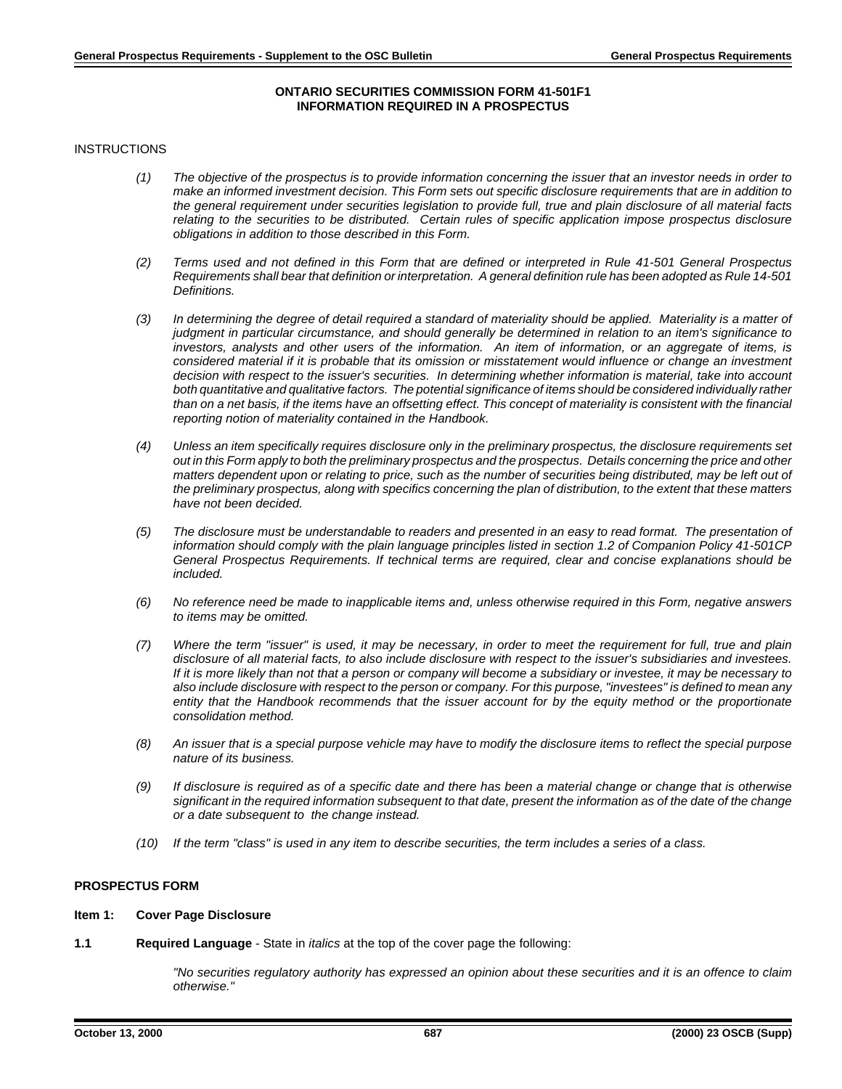# **ONTARIO SECURITIES COMMISSION FORM 41-501F1 INFORMATION REQUIRED IN A PROSPECTUS**

#### **INSTRUCTIONS**

- *(1) The objective of the prospectus is to provide information concerning the issuer that an investor needs in order to make an informed investment decision. This Form sets out specific disclosure requirements that are in addition to the general requirement under securities legislation to provide full, true and plain disclosure of all material facts relating to the securities to be distributed. Certain rules of specific application impose prospectus disclosure obligations in addition to those described in this Form.*
- *(2) Terms used and not defined in this Form that are defined or interpreted in Rule 41-501 General Prospectus Requirements shall bear that definition or interpretation. A general definition rule has been adopted as Rule 14-501 Definitions.*
- *(3) In determining the degree of detail required a standard of materiality should be applied. Materiality is a matter of judgment in particular circumstance, and should generally be determined in relation to an item's significance to investors, analysts and other users of the information. An item of information, or an aggregate of items, is considered material if it is probable that its omission or misstatement would influence or change an investment decision with respect to the issuer's securities. In determining whether information is material, take into account both quantitative and qualitative factors. The potential significance of items should be considered individually rather than on a net basis, if the items have an offsetting effect. This concept of materiality is consistent with the financial reporting notion of materiality contained in the Handbook.*
- *(4) Unless an item specifically requires disclosure only in the preliminary prospectus, the disclosure requirements set out in this Form apply to both the preliminary prospectus and the prospectus. Details concerning the price and other matters dependent upon or relating to price, such as the number of securities being distributed, may be left out of the preliminary prospectus, along with specifics concerning the plan of distribution, to the extent that these matters have not been decided.*
- *(5) The disclosure must be understandable to readers and presented in an easy to read format. The presentation of information should comply with the plain language principles listed in section 1.2 of Companion Policy 41-501CP General Prospectus Requirements. If technical terms are required, clear and concise explanations should be included.*
- *(6) No reference need be made to inapplicable items and, unless otherwise required in this Form, negative answers to items may be omitted.*
- *(7) Where the term "issuer" is used, it may be necessary, in order to meet the requirement for full, true and plain disclosure of all material facts, to also include disclosure with respect to the issuer's subsidiaries and investees. If it is more likely than not that a person or company will become a subsidiary or investee, it may be necessary to also include disclosure with respect to the person or company. For this purpose, "investees" is defined to mean any entity that the Handbook recommends that the issuer account for by the equity method or the proportionate consolidation method.*
- *(8) An issuer that is a special purpose vehicle may have to modify the disclosure items to reflect the special purpose nature of its business.*
- *(9) If disclosure is required as of a specific date and there has been a material change or change that is otherwise significant in the required information subsequent to that date, present the information as of the date of the change or a date subsequent to the change instead.*
- *(10) If the term "class" is used in any item to describe securities, the term includes a series of a class.*

# **PROSPECTUS FORM**

#### **Item 1: Cover Page Disclosure**

**1.1 Required Language** - State in *italics* at the top of the cover page the following:

*"No securities regulatory authority has expressed an opinion about these securities and it is an offence to claim otherwise."*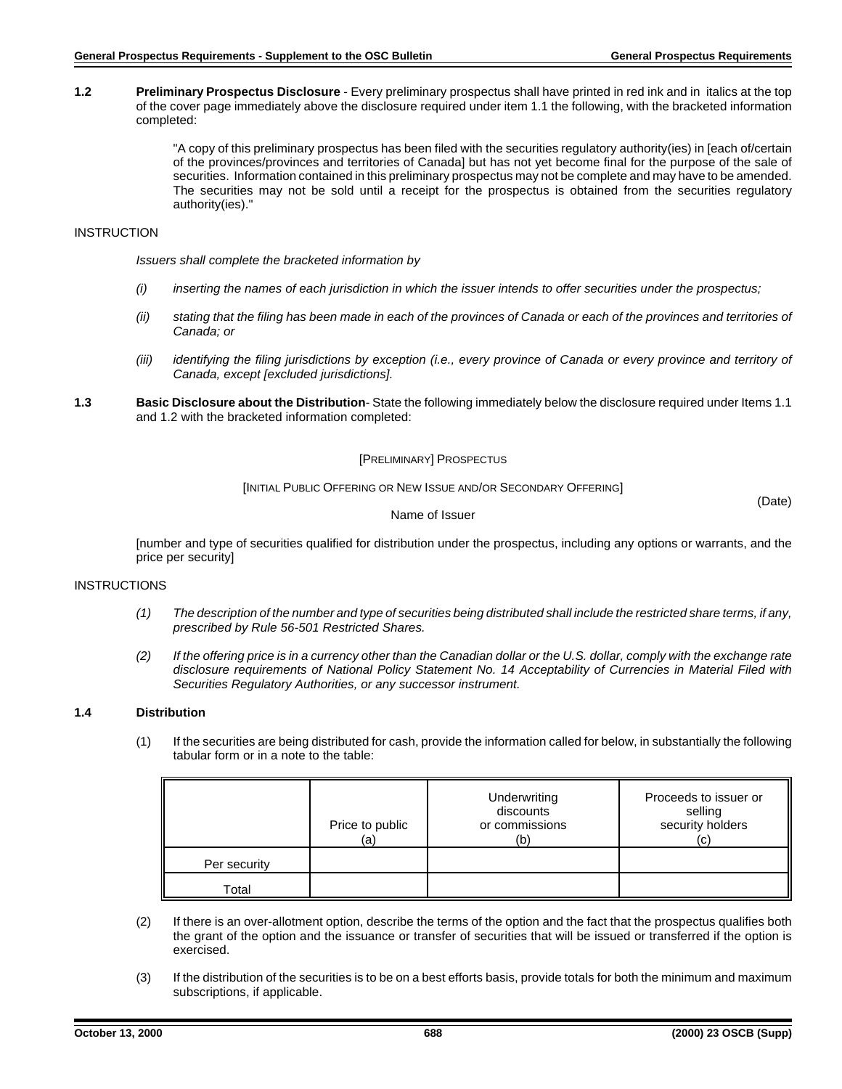**1.2 Preliminary Prospectus Disclosure** - Every preliminary prospectus shall have printed in red ink and in italics at the top of the cover page immediately above the disclosure required under item 1.1 the following, with the bracketed information completed:

> "A copy of this preliminary prospectus has been filed with the securities regulatory authority(ies) in [each of/certain of the provinces/provinces and territories of Canada] but has not yet become final for the purpose of the sale of securities. Information contained in this preliminary prospectus may not be complete and may have to be amended. The securities may not be sold until a receipt for the prospectus is obtained from the securities regulatory authority(ies)."

#### **INSTRUCTION**

*Issuers shall complete the bracketed information by* 

- *(i) inserting the names of each jurisdiction in which the issuer intends to offer securities under the prospectus;*
- *(ii) stating that the filing has been made in each of the provinces of Canada or each of the provinces and territories of Canada; or*
- *(iii) identifying the filing jurisdictions by exception (i.e., every province of Canada or every province and territory of Canada, except [excluded jurisdictions].*
- **1.3 Basic Disclosure about the Distribution** State the following immediately below the disclosure required under Items 1.1 and 1.2 with the bracketed information completed:

# [PRELIMINARY] PROSPECTUS

#### [INITIAL PUBLIC OFFERING OR NEW ISSUE AND/OR SECONDARY OFFERING]

(Date)

Name of Issuer

[number and type of securities qualified for distribution under the prospectus, including any options or warrants, and the price per security]

# **INSTRUCTIONS**

- *(1) The description of the number and type of securities being distributed shall include the restricted share terms, if any, prescribed by Rule 56-501 Restricted Shares.*
- *(2) If the offering price is in a currency other than the Canadian dollar or the U.S. dollar, comply with the exchange rate disclosure requirements of National Policy Statement No. 14 Acceptability of Currencies in Material Filed with Securities Regulatory Authorities, or any successor instrument.*

# **1.4 Distribution**

(1) If the securities are being distributed for cash, provide the information called for below, in substantially the following tabular form or in a note to the table:

|              | Price to public<br>(a) | Underwriting<br>discounts<br>or commissions | Proceeds to issuer or<br>selling<br>security holders |
|--------------|------------------------|---------------------------------------------|------------------------------------------------------|
| Per security |                        |                                             |                                                      |
| Total        |                        |                                             |                                                      |

- (2) If there is an over-allotment option, describe the terms of the option and the fact that the prospectus qualifies both the grant of the option and the issuance or transfer of securities that will be issued or transferred if the option is exercised.
- (3) If the distribution of the securities is to be on a best efforts basis, provide totals for both the minimum and maximum subscriptions, if applicable.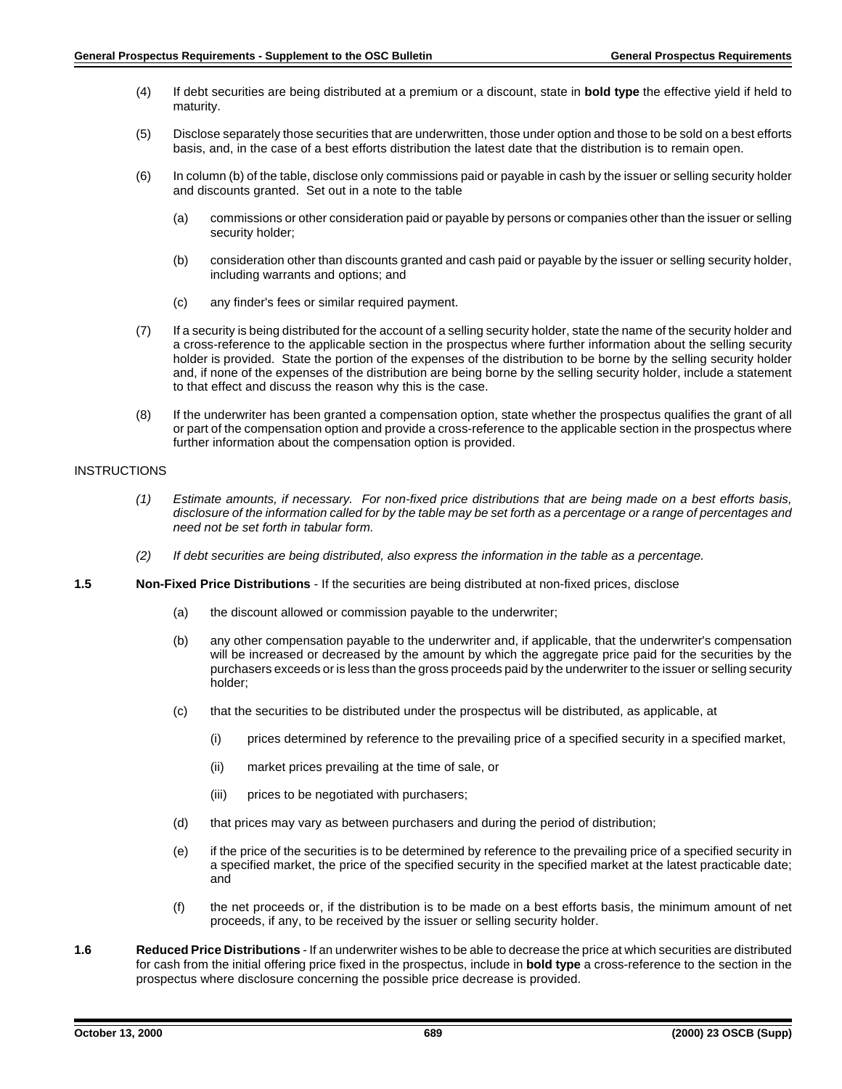- (4) If debt securities are being distributed at a premium or a discount, state in **bold type** the effective yield if held to maturity.
- (5) Disclose separately those securities that are underwritten, those under option and those to be sold on a best efforts basis, and, in the case of a best efforts distribution the latest date that the distribution is to remain open.
- (6) In column (b) of the table, disclose only commissions paid or payable in cash by the issuer or selling security holder and discounts granted. Set out in a note to the table
	- (a) commissions or other consideration paid or payable by persons or companies other than the issuer or selling security holder;
	- (b) consideration other than discounts granted and cash paid or payable by the issuer or selling security holder, including warrants and options; and
	- (c) any finder's fees or similar required payment.
- (7) If a security is being distributed for the account of a selling security holder, state the name of the security holder and a cross-reference to the applicable section in the prospectus where further information about the selling security holder is provided. State the portion of the expenses of the distribution to be borne by the selling security holder and, if none of the expenses of the distribution are being borne by the selling security holder, include a statement to that effect and discuss the reason why this is the case.
- (8) If the underwriter has been granted a compensation option, state whether the prospectus qualifies the grant of all or part of the compensation option and provide a cross-reference to the applicable section in the prospectus where further information about the compensation option is provided.

# INSTRUCTIONS

- *(1) Estimate amounts, if necessary. For non-fixed price distributions that are being made on a best efforts basis, disclosure of the information called for by the table may be set forth as a percentage or a range of percentages and need not be set forth in tabular form.*
- *(2) If debt securities are being distributed, also express the information in the table as a percentage.*
- **1.5 Non-Fixed Price Distributions** If the securities are being distributed at non-fixed prices, disclose
	- (a) the discount allowed or commission payable to the underwriter;
	- (b) any other compensation payable to the underwriter and, if applicable, that the underwriter's compensation will be increased or decreased by the amount by which the aggregate price paid for the securities by the purchasers exceeds or is less than the gross proceeds paid by the underwriter to the issuer or selling security holder;
	- (c) that the securities to be distributed under the prospectus will be distributed, as applicable, at
		- (i) prices determined by reference to the prevailing price of a specified security in a specified market,
		- (ii) market prices prevailing at the time of sale, or
		- (iii) prices to be negotiated with purchasers;
	- (d) that prices may vary as between purchasers and during the period of distribution;
	- (e) if the price of the securities is to be determined by reference to the prevailing price of a specified security in a specified market, the price of the specified security in the specified market at the latest practicable date; and
	- (f) the net proceeds or, if the distribution is to be made on a best efforts basis, the minimum amount of net proceeds, if any, to be received by the issuer or selling security holder.
- **1.6 Reduced Price Distributions** If an underwriter wishes to be able to decrease the price at which securities are distributed for cash from the initial offering price fixed in the prospectus, include in **bold type** a cross-reference to the section in the prospectus where disclosure concerning the possible price decrease is provided.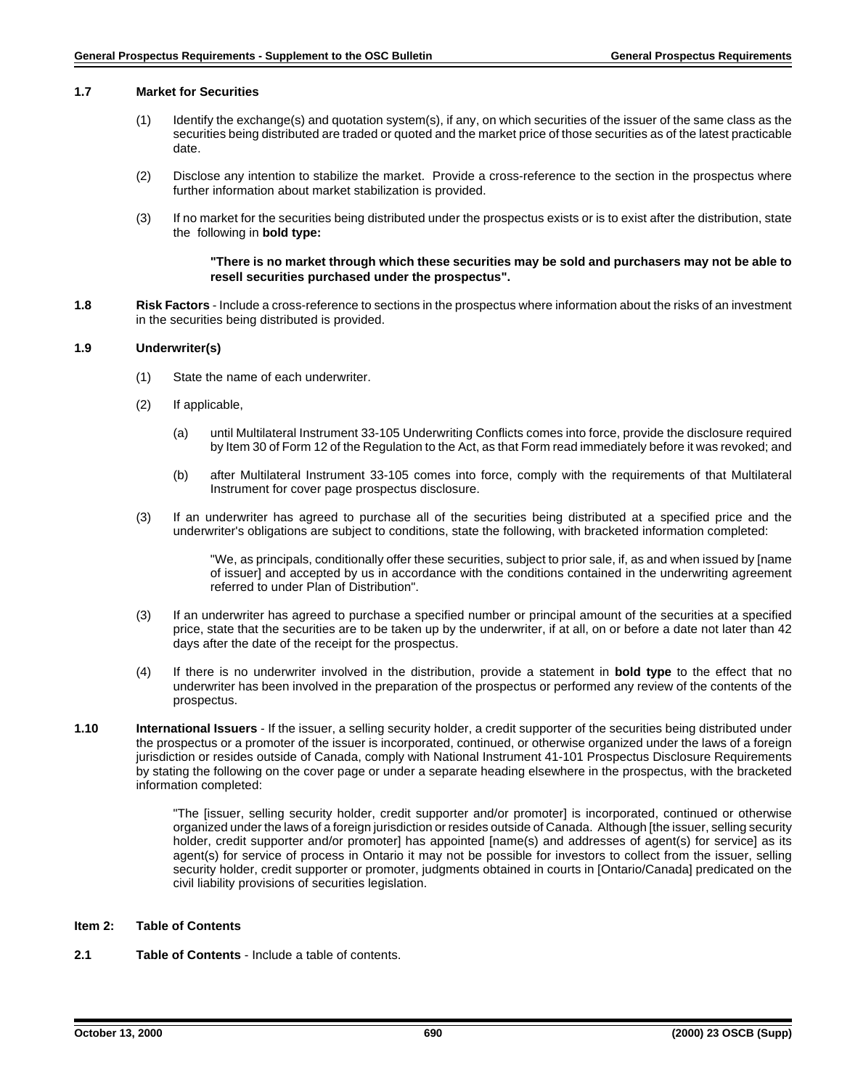# **1.7 Market for Securities**

- (1) Identify the exchange(s) and quotation system(s), if any, on which securities of the issuer of the same class as the securities being distributed are traded or quoted and the market price of those securities as of the latest practicable date.
- (2) Disclose any intention to stabilize the market. Provide a cross-reference to the section in the prospectus where further information about market stabilization is provided.
- (3) If no market for the securities being distributed under the prospectus exists or is to exist after the distribution, state the following in **bold type:**

#### **"There is no market through which these securities may be sold and purchasers may not be able to resell securities purchased under the prospectus".**

**1.8 Risk Factors** - Include a cross-reference to sections in the prospectus where information about the risks of an investment in the securities being distributed is provided.

# **1.9 Underwriter(s)**

- (1) State the name of each underwriter.
- (2) If applicable,
	- (a) until Multilateral Instrument 33-105 Underwriting Conflicts comes into force, provide the disclosure required by Item 30 of Form 12 of the Regulation to the Act, as that Form read immediately before it was revoked; and
	- (b) after Multilateral Instrument 33-105 comes into force, comply with the requirements of that Multilateral Instrument for cover page prospectus disclosure.
- (3) If an underwriter has agreed to purchase all of the securities being distributed at a specified price and the underwriter's obligations are subject to conditions, state the following, with bracketed information completed:

"We, as principals, conditionally offer these securities, subject to prior sale, if, as and when issued by [name of issuer] and accepted by us in accordance with the conditions contained in the underwriting agreement referred to under Plan of Distribution".

- (3) If an underwriter has agreed to purchase a specified number or principal amount of the securities at a specified price, state that the securities are to be taken up by the underwriter, if at all, on or before a date not later than 42 days after the date of the receipt for the prospectus.
- (4) If there is no underwriter involved in the distribution, provide a statement in **bold type** to the effect that no underwriter has been involved in the preparation of the prospectus or performed any review of the contents of the prospectus.
- **1.10 International Issuers** If the issuer, a selling security holder, a credit supporter of the securities being distributed under the prospectus or a promoter of the issuer is incorporated, continued, or otherwise organized under the laws of a foreign jurisdiction or resides outside of Canada, comply with National Instrument 41-101 Prospectus Disclosure Requirements by stating the following on the cover page or under a separate heading elsewhere in the prospectus, with the bracketed information completed:

"The [issuer, selling security holder, credit supporter and/or promoter] is incorporated, continued or otherwise organized under the laws of a foreign jurisdiction or resides outside of Canada. Although [the issuer, selling security holder, credit supporter and/or promoter] has appointed [name(s) and addresses of agent(s) for service] as its agent(s) for service of process in Ontario it may not be possible for investors to collect from the issuer, selling security holder, credit supporter or promoter, judgments obtained in courts in [Ontario/Canada] predicated on the civil liability provisions of securities legislation.

#### **Item 2: Table of Contents**

**2.1 Table of Contents** - Include a table of contents.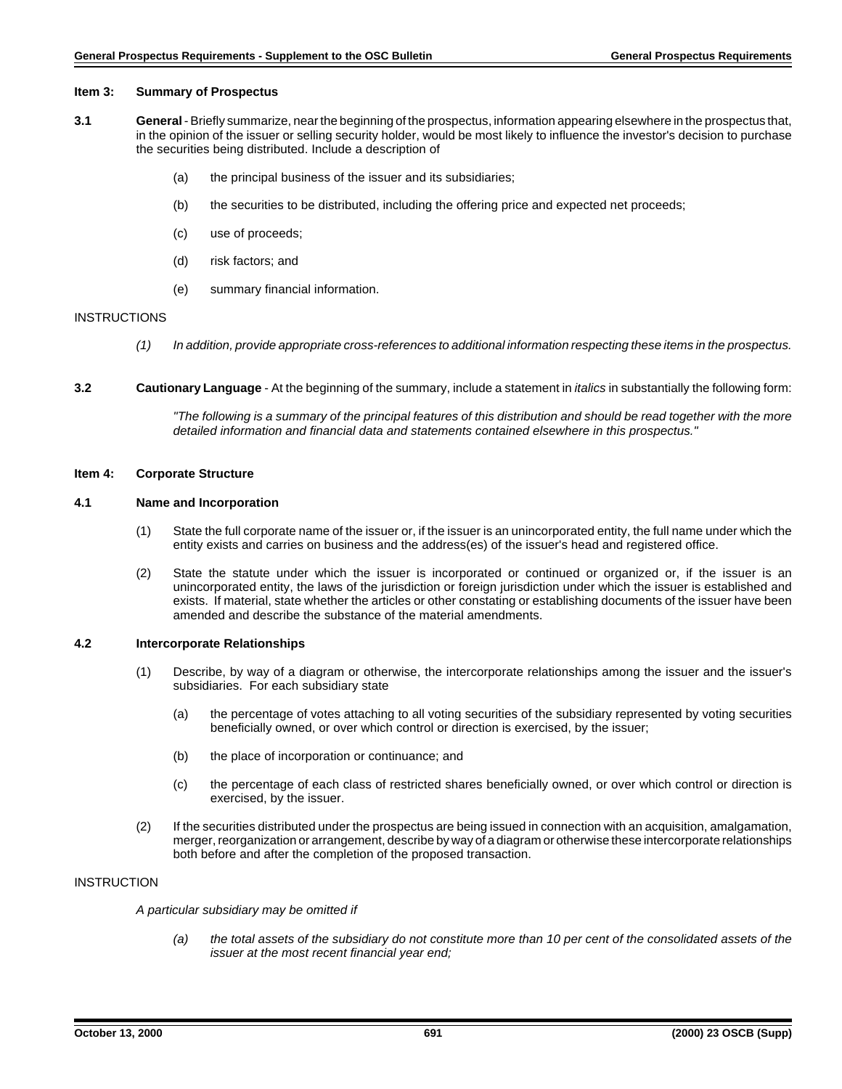#### **Item 3: Summary of Prospectus**

- **3.1 General** Briefly summarize, near the beginning of the prospectus, information appearing elsewhere in the prospectus that, in the opinion of the issuer or selling security holder, would be most likely to influence the investor's decision to purchase the securities being distributed. Include a description of
	- (a) the principal business of the issuer and its subsidiaries;
	- (b) the securities to be distributed, including the offering price and expected net proceeds;
	- (c) use of proceeds;
	- (d) risk factors; and
	- (e) summary financial information.

### INSTRUCTIONS

- *(1) In addition, provide appropriate cross-references to additional information respecting these items in the prospectus.*
- **3.2 Cautionary Language** At the beginning of the summary, include a statement in *italics* in substantially the following form:

*"The following is a summary of the principal features of this distribution and should be read together with the more detailed information and financial data and statements contained elsewhere in this prospectus."*

#### **Item 4: Corporate Structure**

### **4.1 Name and Incorporation**

- (1) State the full corporate name of the issuer or, if the issuer is an unincorporated entity, the full name under which the entity exists and carries on business and the address(es) of the issuer's head and registered office.
- (2) State the statute under which the issuer is incorporated or continued or organized or, if the issuer is an unincorporated entity, the laws of the jurisdiction or foreign jurisdiction under which the issuer is established and exists. If material, state whether the articles or other constating or establishing documents of the issuer have been amended and describe the substance of the material amendments.

## **4.2 Intercorporate Relationships**

- (1) Describe, by way of a diagram or otherwise, the intercorporate relationships among the issuer and the issuer's subsidiaries. For each subsidiary state
	- (a) the percentage of votes attaching to all voting securities of the subsidiary represented by voting securities beneficially owned, or over which control or direction is exercised, by the issuer;
	- (b) the place of incorporation or continuance; and
	- (c) the percentage of each class of restricted shares beneficially owned, or over which control or direction is exercised, by the issuer.
- (2) If the securities distributed under the prospectus are being issued in connection with an acquisition, amalgamation, merger, reorganization or arrangement, describe by way of a diagram or otherwise these intercorporate relationships both before and after the completion of the proposed transaction.

### **INSTRUCTION**

*A particular subsidiary may be omitted if*

*(a) the total assets of the subsidiary do not constitute more than 10 per cent of the consolidated assets of the issuer at the most recent financial year end;*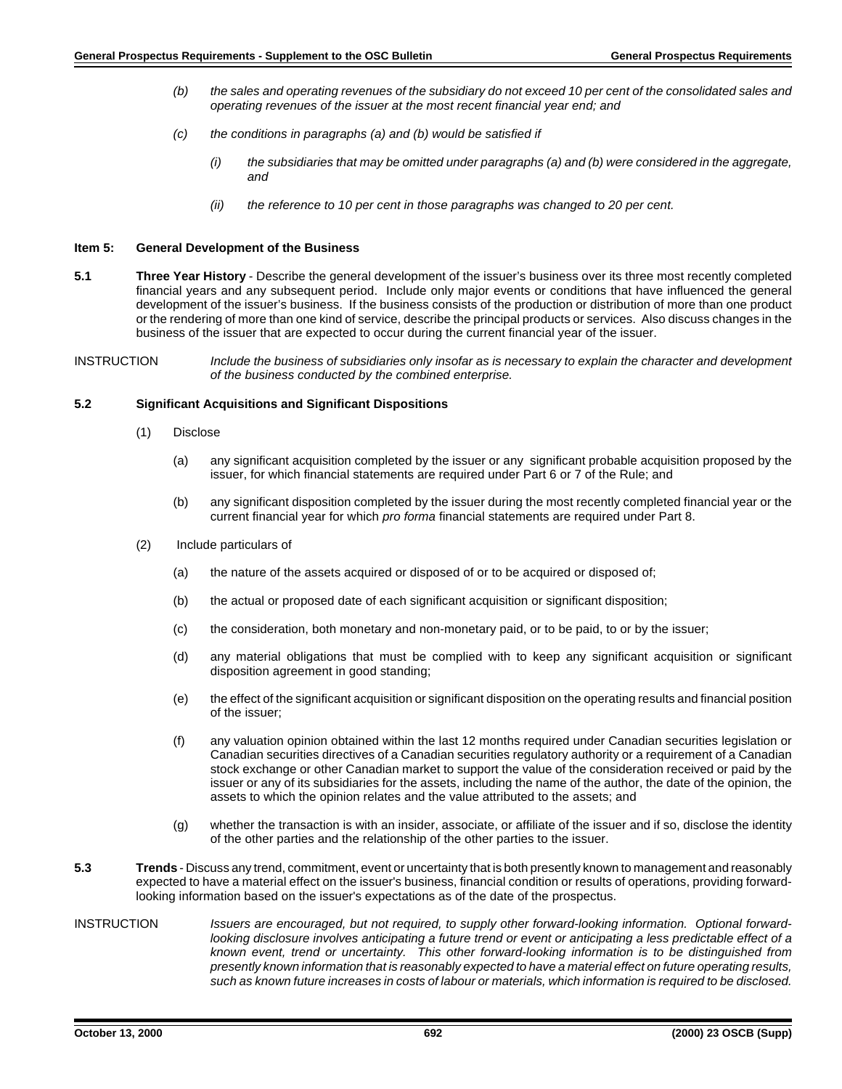- *(b) the sales and operating revenues of the subsidiary do not exceed 10 per cent of the consolidated sales and operating revenues of the issuer at the most recent financial year end; and*
- *(c) the conditions in paragraphs (a) and (b) would be satisfied if*
	- *(i) the subsidiaries that may be omitted under paragraphs (a) and (b) were considered in the aggregate, and*
	- *(ii) the reference to 10 per cent in those paragraphs was changed to 20 per cent.*

### **Item 5: General Development of the Business**

**5.1 Three Year History** - Describe the general development of the issuer's business over its three most recently completed financial years and any subsequent period. Include only major events or conditions that have influenced the general development of the issuer's business. If the business consists of the production or distribution of more than one product or the rendering of more than one kind of service, describe the principal products or services. Also discuss changes in the business of the issuer that are expected to occur during the current financial year of the issuer.

INSTRUCTION *Include the business of subsidiaries only insofar as is necessary to explain the character and development of the business conducted by the combined enterprise.*

### **5.2 Significant Acquisitions and Significant Dispositions**

- (1) Disclose
	- (a) any significant acquisition completed by the issuer or any significant probable acquisition proposed by the issuer, for which financial statements are required under Part 6 or 7 of the Rule; and
	- (b) any significant disposition completed by the issuer during the most recently completed financial year or the current financial year for which *pro forma* financial statements are required under Part 8.
- (2) Include particulars of
	- (a) the nature of the assets acquired or disposed of or to be acquired or disposed of;
	- (b) the actual or proposed date of each significant acquisition or significant disposition;
	- (c) the consideration, both monetary and non-monetary paid, or to be paid, to or by the issuer;
	- (d) any material obligations that must be complied with to keep any significant acquisition or significant disposition agreement in good standing;
	- (e) the effect of the significant acquisition or significant disposition on the operating results and financial position of the issuer;
	- (f) any valuation opinion obtained within the last 12 months required under Canadian securities legislation or Canadian securities directives of a Canadian securities regulatory authority or a requirement of a Canadian stock exchange or other Canadian market to support the value of the consideration received or paid by the issuer or any of its subsidiaries for the assets, including the name of the author, the date of the opinion, the assets to which the opinion relates and the value attributed to the assets; and
	- (g) whether the transaction is with an insider, associate, or affiliate of the issuer and if so, disclose the identity of the other parties and the relationship of the other parties to the issuer.
- **5.3 Trends** Discuss any trend, commitment, event or uncertainty that is both presently known to management and reasonably expected to have a material effect on the issuer's business, financial condition or results of operations, providing forwardlooking information based on the issuer's expectations as of the date of the prospectus.
- INSTRUCTION *Issuers are encouraged, but not required, to supply other forward-looking information. Optional forwardlooking disclosure involves anticipating a future trend or event or anticipating a less predictable effect of a known event, trend or uncertainty. This other forward-looking information is to be distinguished from presently known information that is reasonably expected to have a material effect on future operating results, such as known future increases in costs of labour or materials, which information is required to be disclosed.*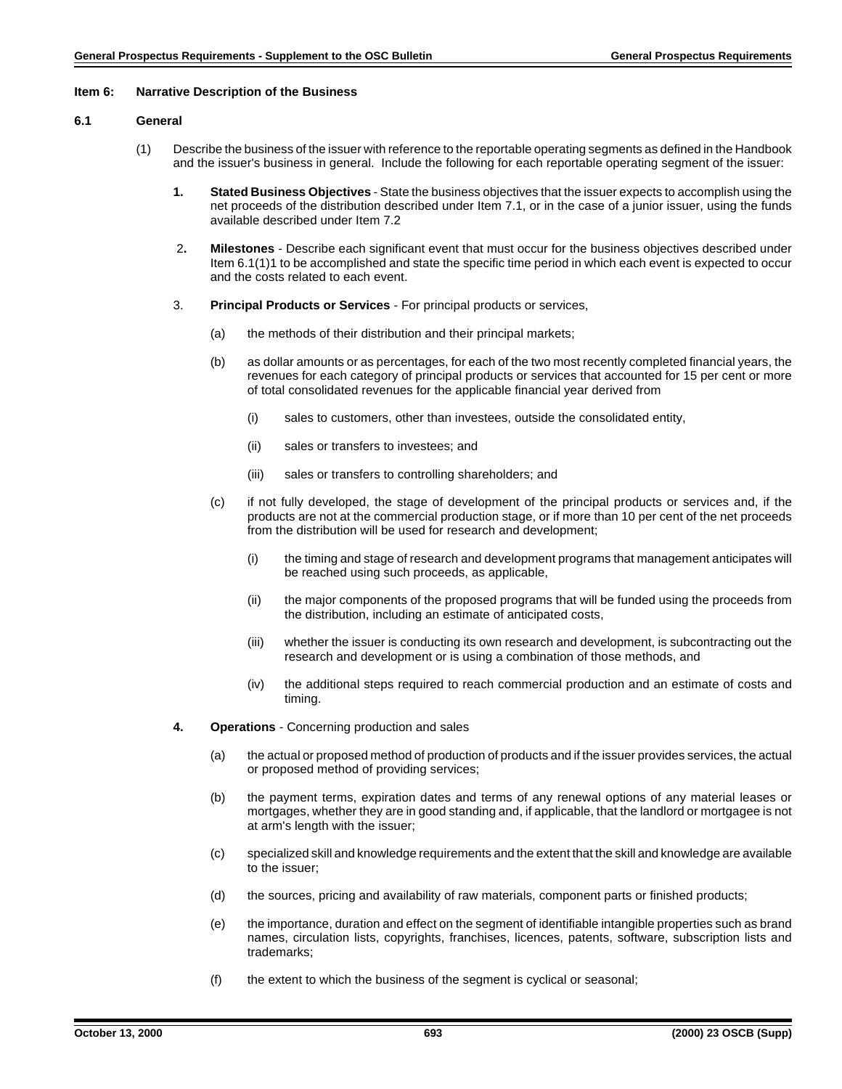#### **Item 6: Narrative Description of the Business**

#### **6.1 General**

- (1) Describe the business of the issuer with reference to the reportable operating segments as defined in the Handbook and the issuer's business in general. Include the following for each reportable operating segment of the issuer:
	- **1. Stated Business Objectives** State the business objectives that the issuer expects to accomplish using the net proceeds of the distribution described under Item 7.1, or in the case of a junior issuer, using the funds available described under Item 7.2
	- 2**. Milestones** Describe each significant event that must occur for the business objectives described under Item 6.1(1)1 to be accomplished and state the specific time period in which each event is expected to occur and the costs related to each event.
	- 3. **Principal Products or Services**  For principal products or services,
		- (a) the methods of their distribution and their principal markets;
		- (b) as dollar amounts or as percentages, for each of the two most recently completed financial years, the revenues for each category of principal products or services that accounted for 15 per cent or more of total consolidated revenues for the applicable financial year derived from
			- (i) sales to customers, other than investees, outside the consolidated entity,
			- (ii) sales or transfers to investees; and
			- (iii) sales or transfers to controlling shareholders; and
		- (c) if not fully developed, the stage of development of the principal products or services and, if the products are not at the commercial production stage, or if more than 10 per cent of the net proceeds from the distribution will be used for research and development;
			- (i) the timing and stage of research and development programs that management anticipates will be reached using such proceeds, as applicable,
			- (ii) the major components of the proposed programs that will be funded using the proceeds from the distribution, including an estimate of anticipated costs,
			- (iii) whether the issuer is conducting its own research and development, is subcontracting out the research and development or is using a combination of those methods, and
			- (iv) the additional steps required to reach commercial production and an estimate of costs and timing.
	- **4. Operations** Concerning production and sales
		- (a) the actual or proposed method of production of products and if the issuer provides services, the actual or proposed method of providing services;
		- (b) the payment terms, expiration dates and terms of any renewal options of any material leases or mortgages, whether they are in good standing and, if applicable, that the landlord or mortgagee is not at arm's length with the issuer;
		- (c) specialized skill and knowledge requirements and the extent that the skill and knowledge are available to the issuer;
		- (d) the sources, pricing and availability of raw materials, component parts or finished products;
		- (e) the importance, duration and effect on the segment of identifiable intangible properties such as brand names, circulation lists, copyrights, franchises, licences, patents, software, subscription lists and trademarks;
		- (f) the extent to which the business of the segment is cyclical or seasonal;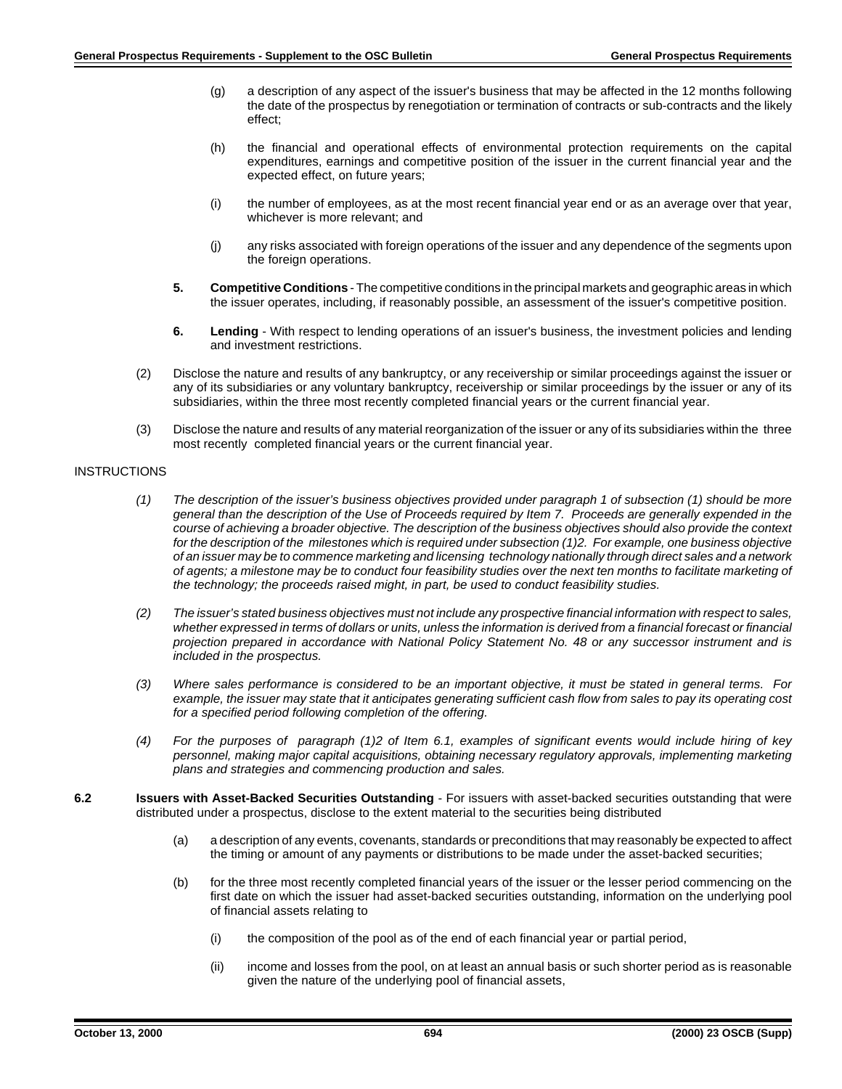- (g) a description of any aspect of the issuer's business that may be affected in the 12 months following the date of the prospectus by renegotiation or termination of contracts or sub-contracts and the likely effect;
- (h) the financial and operational effects of environmental protection requirements on the capital expenditures, earnings and competitive position of the issuer in the current financial year and the expected effect, on future years;
- (i) the number of employees, as at the most recent financial year end or as an average over that year, whichever is more relevant; and
- (j) any risks associated with foreign operations of the issuer and any dependence of the segments upon the foreign operations.
- **5. Competitive Conditions** The competitive conditions in the principal markets and geographic areas in which the issuer operates, including, if reasonably possible, an assessment of the issuer's competitive position.
- **6. Lending** With respect to lending operations of an issuer's business, the investment policies and lending and investment restrictions.
- (2) Disclose the nature and results of any bankruptcy, or any receivership or similar proceedings against the issuer or any of its subsidiaries or any voluntary bankruptcy, receivership or similar proceedings by the issuer or any of its subsidiaries, within the three most recently completed financial years or the current financial year.
- (3) Disclose the nature and results of any material reorganization of the issuer or any of its subsidiaries within the three most recently completed financial years or the current financial year.

- *(1) The description of the issuer's business objectives provided under paragraph 1 of subsection (1) should be more general than the description of the Use of Proceeds required by Item 7. Proceeds are generally expended in the course of achieving a broader objective. The description of the business objectives should also provide the context for the description of the milestones which is required under subsection (1)2. For example, one business objective of an issuer may be to commence marketing and licensing technology nationally through direct sales and a network of agents; a milestone may be to conduct four feasibility studies over the next ten months to facilitate marketing of the technology; the proceeds raised might, in part, be used to conduct feasibility studies.*
- *(2) The issuer's stated business objectives must not include any prospective financial information with respect to sales, whether expressed in terms of dollars or units, unless the information is derived from a financial forecast or financial projection prepared in accordance with National Policy Statement No. 48 or any successor instrument and is included in the prospectus.*
- *(3) Where sales performance is considered to be an important objective, it must be stated in general terms. For example, the issuer may state that it anticipates generating sufficient cash flow from sales to pay its operating cost for a specified period following completion of the offering.*
- *(4) For the purposes of paragraph (1)2 of Item 6.1, examples of significant events would include hiring of key personnel, making major capital acquisitions, obtaining necessary regulatory approvals, implementing marketing plans and strategies and commencing production and sales.*
- **6.2 Issuers with Asset-Backed Securities Outstanding**  For issuers with asset-backed securities outstanding that were distributed under a prospectus, disclose to the extent material to the securities being distributed
	- (a) a description of any events, covenants, standards or preconditions that may reasonably be expected to affect the timing or amount of any payments or distributions to be made under the asset-backed securities;
	- (b) for the three most recently completed financial years of the issuer or the lesser period commencing on the first date on which the issuer had asset-backed securities outstanding, information on the underlying pool of financial assets relating to
		- (i) the composition of the pool as of the end of each financial year or partial period,
		- (ii) income and losses from the pool, on at least an annual basis or such shorter period as is reasonable given the nature of the underlying pool of financial assets,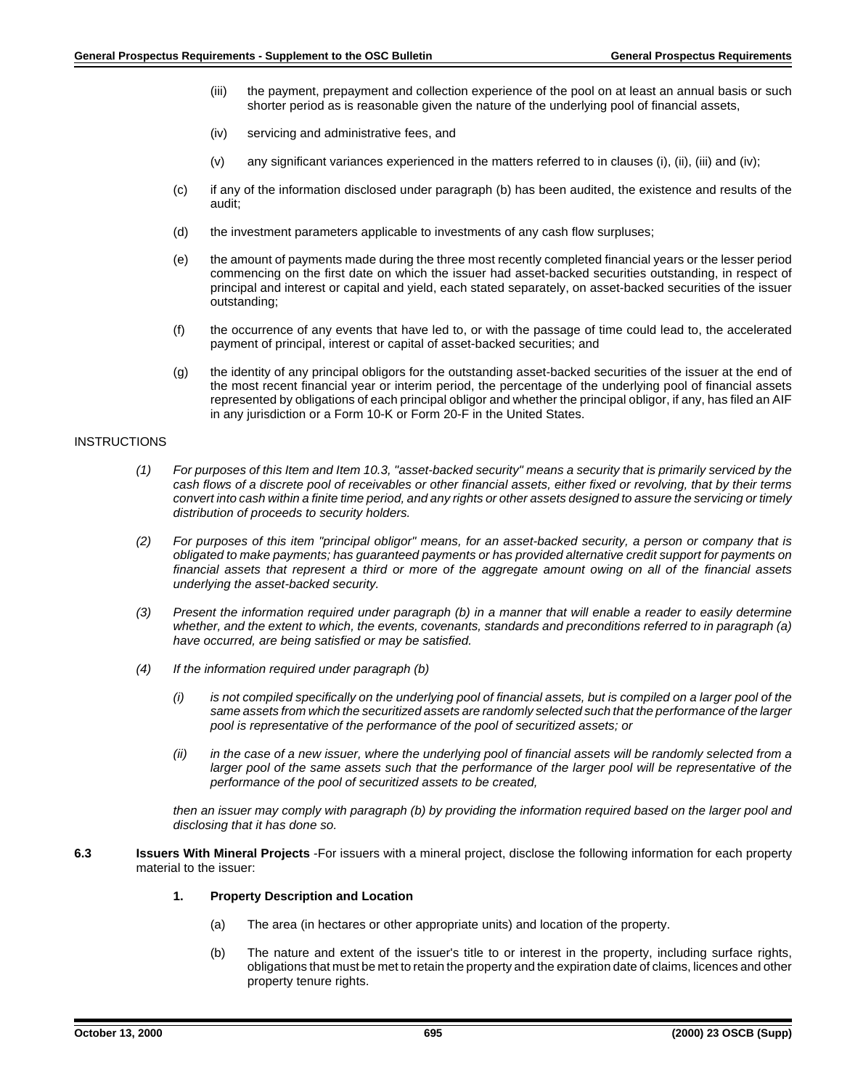- (iii) the payment, prepayment and collection experience of the pool on at least an annual basis or such shorter period as is reasonable given the nature of the underlying pool of financial assets,
- (iv) servicing and administrative fees, and
- (v) any significant variances experienced in the matters referred to in clauses (i), (ii), (iii) and (iv);
- (c) if any of the information disclosed under paragraph (b) has been audited, the existence and results of the audit;
- (d) the investment parameters applicable to investments of any cash flow surpluses;
- (e) the amount of payments made during the three most recently completed financial years or the lesser period commencing on the first date on which the issuer had asset-backed securities outstanding, in respect of principal and interest or capital and yield, each stated separately, on asset-backed securities of the issuer outstanding;
- (f) the occurrence of any events that have led to, or with the passage of time could lead to, the accelerated payment of principal, interest or capital of asset-backed securities; and
- (g) the identity of any principal obligors for the outstanding asset-backed securities of the issuer at the end of the most recent financial year or interim period, the percentage of the underlying pool of financial assets represented by obligations of each principal obligor and whether the principal obligor, if any, has filed an AIF in any jurisdiction or a Form 10-K or Form 20-F in the United States.

- *(1) For purposes of this Item and Item 10.3, "asset-backed security" means a security that is primarily serviced by the cash flows of a discrete pool of receivables or other financial assets, either fixed or revolving, that by their terms convert into cash within a finite time period, and any rights or other assets designed to assure the servicing or timely distribution of proceeds to security holders.*
- *(2) For purposes of this item "principal obligor" means, for an asset-backed security, a person or company that is obligated to make payments; has guaranteed payments or has provided alternative credit support for payments on financial assets that represent a third or more of the aggregate amount owing on all of the financial assets underlying the asset-backed security.*
- *(3) Present the information required under paragraph (b) in a manner that will enable a reader to easily determine whether, and the extent to which, the events, covenants, standards and preconditions referred to in paragraph (a) have occurred, are being satisfied or may be satisfied.*
- *(4) If the information required under paragraph (b)*
	- *(i) is not compiled specifically on the underlying pool of financial assets, but is compiled on a larger pool of the same assets from which the securitized assets are randomly selected such that the performance of the larger pool is representative of the performance of the pool of securitized assets; or*
	- *(ii) in the case of a new issuer, where the underlying pool of financial assets will be randomly selected from a larger pool of the same assets such that the performance of the larger pool will be representative of the performance of the pool of securitized assets to be created,*

*then an issuer may comply with paragraph (b) by providing the information required based on the larger pool and disclosing that it has done so.*

**6.3 Issuers With Mineral Projects** -For issuers with a mineral project, disclose the following information for each property material to the issuer:

### **1. Property Description and Location**

- (a) The area (in hectares or other appropriate units) and location of the property.
- (b) The nature and extent of the issuer's title to or interest in the property, including surface rights, obligations that must be met to retain the property and the expiration date of claims, licences and other property tenure rights.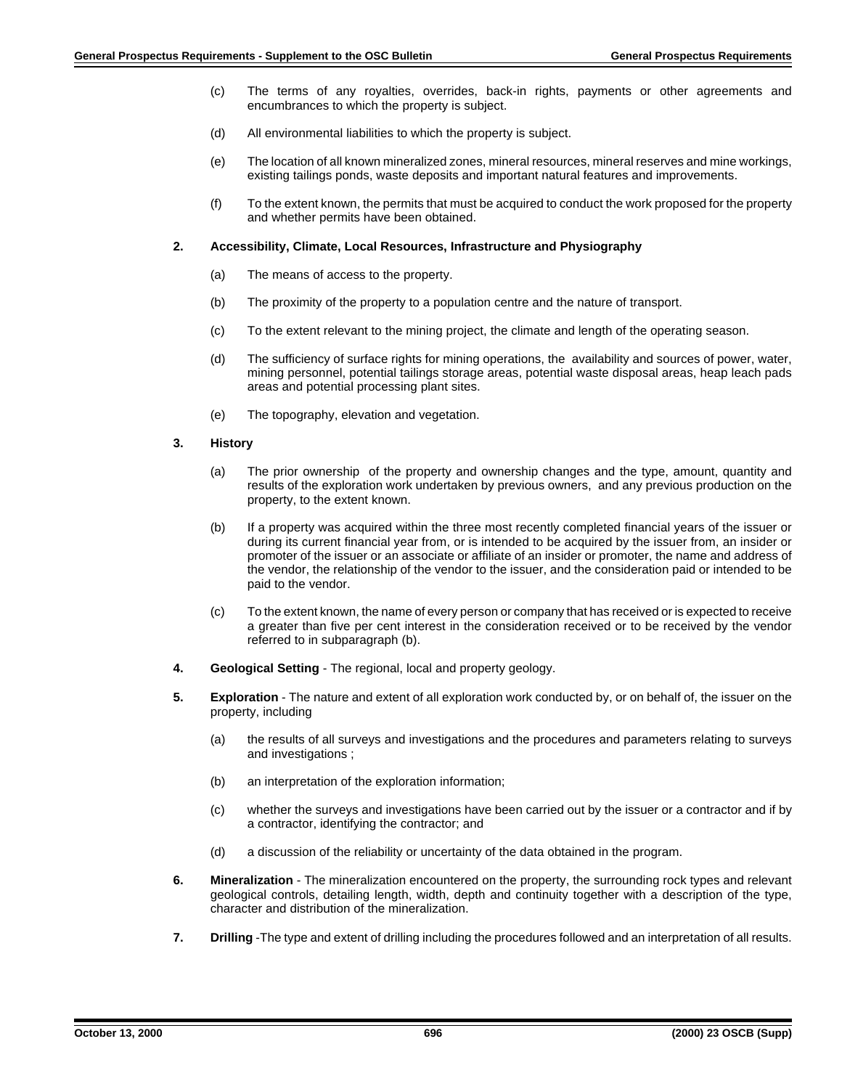- (c) The terms of any royalties, overrides, back-in rights, payments or other agreements and encumbrances to which the property is subject.
- (d) All environmental liabilities to which the property is subject.
- (e) The location of all known mineralized zones, mineral resources, mineral reserves and mine workings, existing tailings ponds, waste deposits and important natural features and improvements.
- (f) To the extent known, the permits that must be acquired to conduct the work proposed for the property and whether permits have been obtained.

### **2. Accessibility, Climate, Local Resources, Infrastructure and Physiography**

- (a) The means of access to the property.
- (b) The proximity of the property to a population centre and the nature of transport.
- (c) To the extent relevant to the mining project, the climate and length of the operating season.
- (d) The sufficiency of surface rights for mining operations, the availability and sources of power, water, mining personnel, potential tailings storage areas, potential waste disposal areas, heap leach pads areas and potential processing plant sites.
- (e) The topography, elevation and vegetation.
- **3. History**
	- (a) The prior ownership of the property and ownership changes and the type, amount, quantity and results of the exploration work undertaken by previous owners, and any previous production on the property, to the extent known.
	- (b) If a property was acquired within the three most recently completed financial years of the issuer or during its current financial year from, or is intended to be acquired by the issuer from, an insider or promoter of the issuer or an associate or affiliate of an insider or promoter, the name and address of the vendor, the relationship of the vendor to the issuer, and the consideration paid or intended to be paid to the vendor.
	- (c) To the extent known, the name of every person or company that has received or is expected to receive a greater than five per cent interest in the consideration received or to be received by the vendor referred to in subparagraph (b).
- **4. Geological Setting**  The regional, local and property geology.
- **5. Exploration** The nature and extent of all exploration work conducted by, or on behalf of, the issuer on the property, including
	- (a) the results of all surveys and investigations and the procedures and parameters relating to surveys and investigations ;
	- (b) an interpretation of the exploration information;
	- (c) whether the surveys and investigations have been carried out by the issuer or a contractor and if by a contractor, identifying the contractor; and
	- (d) a discussion of the reliability or uncertainty of the data obtained in the program.
- **6. Mineralization**  The mineralization encountered on the property, the surrounding rock types and relevant geological controls, detailing length, width, depth and continuity together with a description of the type, character and distribution of the mineralization.
- **7. Drilling** -The type and extent of drilling including the procedures followed and an interpretation of all results.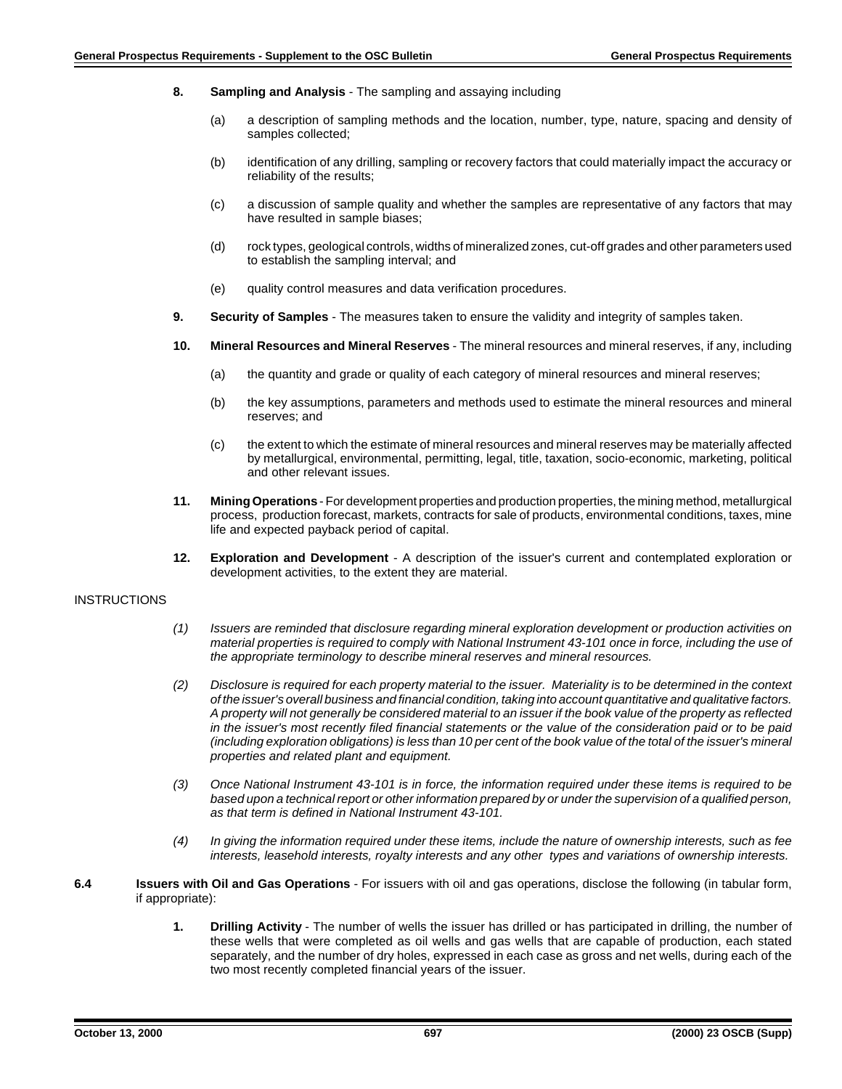- **8. Sampling and Analysis** The sampling and assaying including
	- (a) a description of sampling methods and the location, number, type, nature, spacing and density of samples collected;
	- (b) identification of any drilling, sampling or recovery factors that could materially impact the accuracy or reliability of the results;
	- (c) a discussion of sample quality and whether the samples are representative of any factors that may have resulted in sample biases;
	- (d) rock types, geological controls, widths of mineralized zones, cut-off grades and other parameters used to establish the sampling interval; and
	- (e) quality control measures and data verification procedures.
- **9. Security of Samples** The measures taken to ensure the validity and integrity of samples taken.
- **10. Mineral Resources and Mineral Reserves** The mineral resources and mineral reserves, if any, including
	- (a) the quantity and grade or quality of each category of mineral resources and mineral reserves;
	- (b) the key assumptions, parameters and methods used to estimate the mineral resources and mineral reserves; and
	- (c) the extent to which the estimate of mineral resources and mineral reserves may be materially affected by metallurgical, environmental, permitting, legal, title, taxation, socio-economic, marketing, political and other relevant issues.
- **11. Mining Operations** For development properties and production properties, the mining method, metallurgical process, production forecast, markets, contracts for sale of products, environmental conditions, taxes, mine life and expected payback period of capital.
- **12. Exploration and Development** A description of the issuer's current and contemplated exploration or development activities, to the extent they are material.

- *(1) Issuers are reminded that disclosure regarding mineral exploration development or production activities on material properties is required to comply with National Instrument 43-101 once in force, including the use of the appropriate terminology to describe mineral reserves and mineral resources.*
- *(2) Disclosure is required for each property material to the issuer. Materiality is to be determined in the context of the issuer's overall business and financial condition, taking into account quantitative and qualitative factors. A property will not generally be considered material to an issuer if the book value of the property as reflected in the issuer's most recently filed financial statements or the value of the consideration paid or to be paid (including exploration obligations) is less than 10 per cent of the book value of the total of the issuer's mineral properties and related plant and equipment.*
- *(3) Once National Instrument 43-101 is in force, the information required under these items is required to be based upon a technical report or other information prepared by or under the supervision of a qualified person, as that term is defined in National Instrument 43-101.*
- *(4) In giving the information required under these items, include the nature of ownership interests, such as fee interests, leasehold interests, royalty interests and any other types and variations of ownership interests.*
- **6.4 Issuers with Oil and Gas Operations** For issuers with oil and gas operations, disclose the following (in tabular form, if appropriate):
	- **1. Drilling Activity** The number of wells the issuer has drilled or has participated in drilling, the number of these wells that were completed as oil wells and gas wells that are capable of production, each stated separately, and the number of dry holes, expressed in each case as gross and net wells, during each of the two most recently completed financial years of the issuer.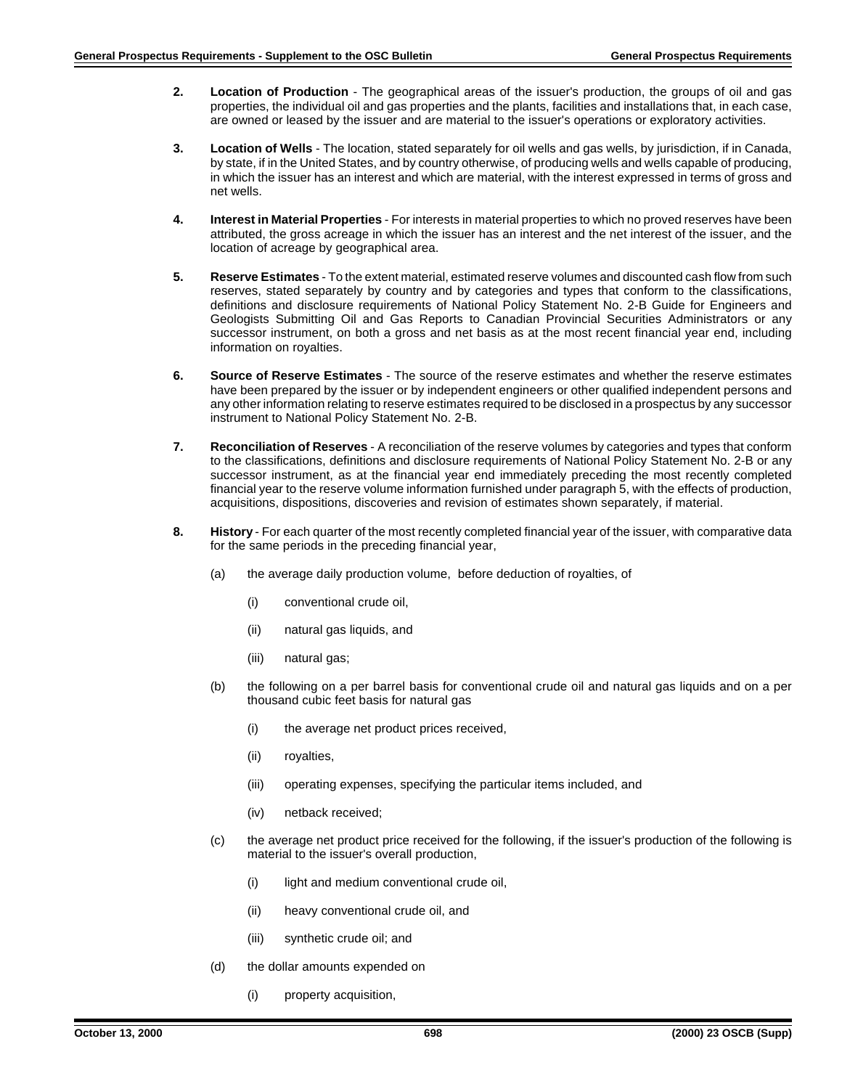- **2. Location of Production** The geographical areas of the issuer's production, the groups of oil and gas properties, the individual oil and gas properties and the plants, facilities and installations that, in each case, are owned or leased by the issuer and are material to the issuer's operations or exploratory activities.
- **3. Location of Wells** The location, stated separately for oil wells and gas wells, by jurisdiction, if in Canada, by state, if in the United States, and by country otherwise, of producing wells and wells capable of producing, in which the issuer has an interest and which are material, with the interest expressed in terms of gross and net wells.
- **4. Interest in Material Properties** For interests in material properties to which no proved reserves have been attributed, the gross acreage in which the issuer has an interest and the net interest of the issuer, and the location of acreage by geographical area.
- **5. Reserve Estimates** To the extent material, estimated reserve volumes and discounted cash flow from such reserves, stated separately by country and by categories and types that conform to the classifications, definitions and disclosure requirements of National Policy Statement No. 2-B Guide for Engineers and Geologists Submitting Oil and Gas Reports to Canadian Provincial Securities Administrators or any successor instrument, on both a gross and net basis as at the most recent financial year end, including information on royalties.
- **6. Source of Reserve Estimates** The source of the reserve estimates and whether the reserve estimates have been prepared by the issuer or by independent engineers or other qualified independent persons and any other information relating to reserve estimates required to be disclosed in a prospectus by any successor instrument to National Policy Statement No. 2-B.
- **7. Reconciliation of Reserves** A reconciliation of the reserve volumes by categories and types that conform to the classifications, definitions and disclosure requirements of National Policy Statement No. 2-B or any successor instrument, as at the financial year end immediately preceding the most recently completed financial year to the reserve volume information furnished under paragraph 5, with the effects of production, acquisitions, dispositions, discoveries and revision of estimates shown separately, if material.
- **8. History** For each quarter of the most recently completed financial year of the issuer, with comparative data for the same periods in the preceding financial year,
	- (a) the average daily production volume, before deduction of royalties, of
		- (i) conventional crude oil,
		- (ii) natural gas liquids, and
		- (iii) natural gas;
	- (b) the following on a per barrel basis for conventional crude oil and natural gas liquids and on a per thousand cubic feet basis for natural gas
		- (i) the average net product prices received,
		- (ii) royalties,
		- (iii) operating expenses, specifying the particular items included, and
		- (iv) netback received;
	- (c) the average net product price received for the following, if the issuer's production of the following is material to the issuer's overall production,
		- (i) light and medium conventional crude oil,
		- (ii) heavy conventional crude oil, and
		- (iii) synthetic crude oil; and
	- (d) the dollar amounts expended on
		- (i) property acquisition,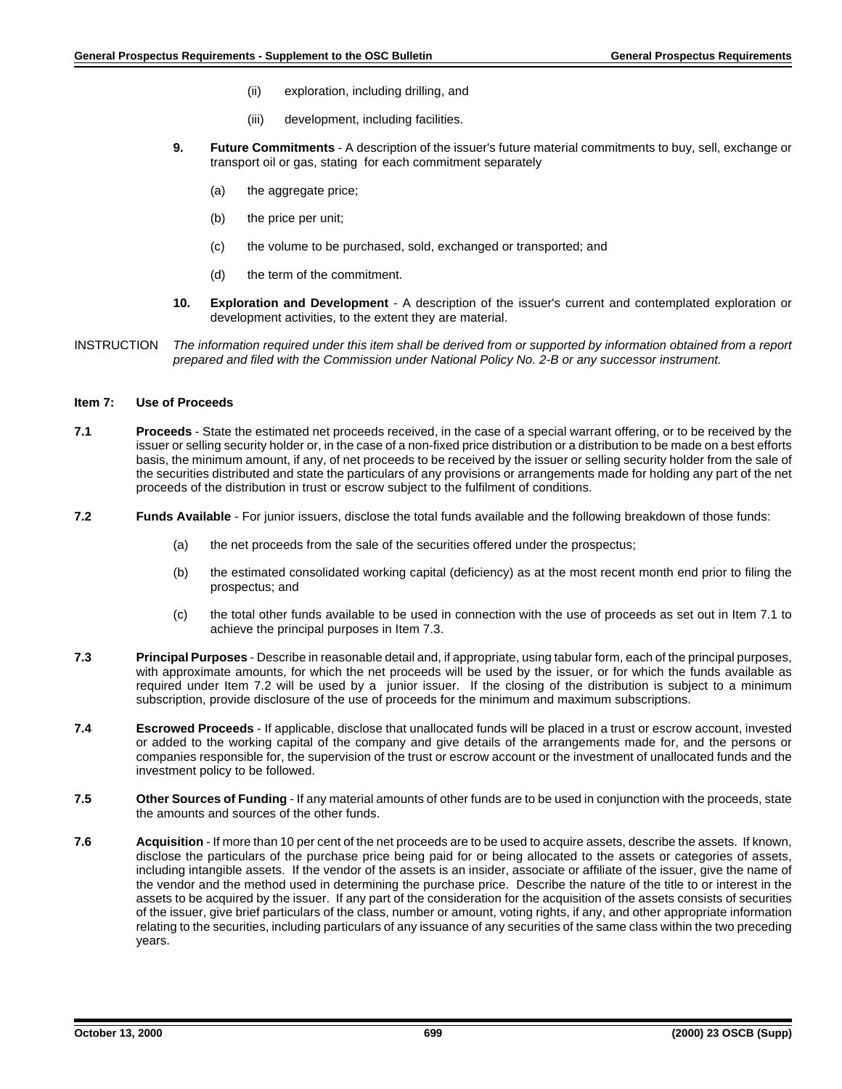- (ii) exploration, including drilling, and
- (iii) development, including facilities.
- **9. Future Commitments** A description of the issuer's future material commitments to buy, sell, exchange or transport oil or gas, stating for each commitment separately
	- (a) the aggregate price;
	- (b) the price per unit;
	- (c) the volume to be purchased, sold, exchanged or transported; and
	- (d) the term of the commitment.
- **10. Exploration and Development** A description of the issuer's current and contemplated exploration or development activities, to the extent they are material.
- INSTRUCTION *The information required under this item shall be derived from or supported by information obtained from a report prepared and filed with the Commission under National Policy No. 2-B or any successor instrument.*

## **Item 7: Use of Proceeds**

- **7.1 Proceeds** State the estimated net proceeds received, in the case of a special warrant offering, or to be received by the issuer or selling security holder or, in the case of a non-fixed price distribution or a distribution to be made on a best efforts basis, the minimum amount, if any, of net proceeds to be received by the issuer or selling security holder from the sale of the securities distributed and state the particulars of any provisions or arrangements made for holding any part of the net proceeds of the distribution in trust or escrow subject to the fulfilment of conditions.
- **7.2 Funds Available** For junior issuers, disclose the total funds available and the following breakdown of those funds:
	- (a) the net proceeds from the sale of the securities offered under the prospectus;
	- (b) the estimated consolidated working capital (deficiency) as at the most recent month end prior to filing the prospectus; and
	- (c) the total other funds available to be used in connection with the use of proceeds as set out in Item 7.1 to achieve the principal purposes in Item 7.3.
- **7.3 Principal Purposes** Describe in reasonable detail and, if appropriate, using tabular form, each of the principal purposes, with approximate amounts, for which the net proceeds will be used by the issuer, or for which the funds available as required under Item 7.2 will be used by a junior issuer. If the closing of the distribution is subject to a minimum subscription, provide disclosure of the use of proceeds for the minimum and maximum subscriptions.
- **7.4 Escrowed Proceeds** If applicable, disclose that unallocated funds will be placed in a trust or escrow account, invested or added to the working capital of the company and give details of the arrangements made for, and the persons or companies responsible for, the supervision of the trust or escrow account or the investment of unallocated funds and the investment policy to be followed.
- **7.5 Other Sources of Funding** If any material amounts of other funds are to be used in conjunction with the proceeds, state the amounts and sources of the other funds.
- **7.6 Acquisition** If more than 10 per cent of the net proceeds are to be used to acquire assets, describe the assets. If known, disclose the particulars of the purchase price being paid for or being allocated to the assets or categories of assets, including intangible assets. If the vendor of the assets is an insider, associate or affiliate of the issuer, give the name of the vendor and the method used in determining the purchase price. Describe the nature of the title to or interest in the assets to be acquired by the issuer. If any part of the consideration for the acquisition of the assets consists of securities of the issuer, give brief particulars of the class, number or amount, voting rights, if any, and other appropriate information relating to the securities, including particulars of any issuance of any securities of the same class within the two preceding years.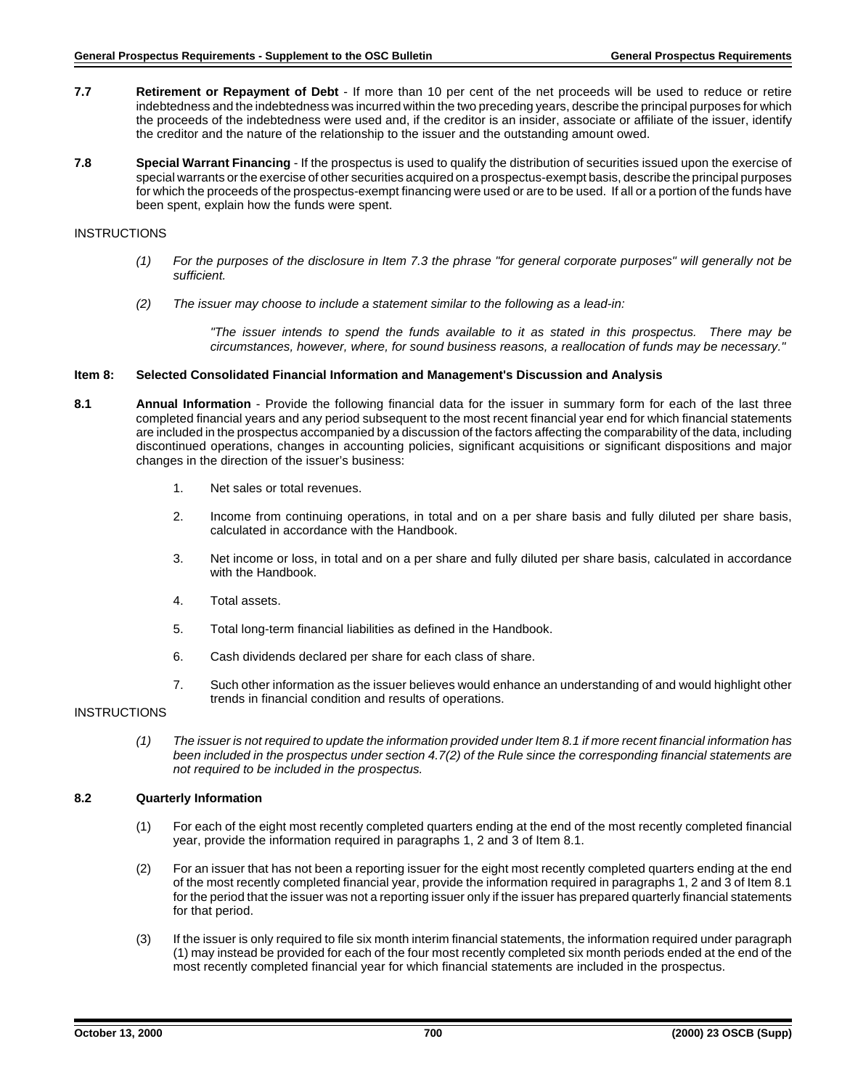- **7.7 Retirement or Repayment of Debt** If more than 10 per cent of the net proceeds will be used to reduce or retire indebtedness and the indebtedness was incurred within the two preceding years, describe the principal purposes for which the proceeds of the indebtedness were used and, if the creditor is an insider, associate or affiliate of the issuer, identify the creditor and the nature of the relationship to the issuer and the outstanding amount owed.
- **7.8 Special Warrant Financing** If the prospectus is used to qualify the distribution of securities issued upon the exercise of special warrants or the exercise of other securities acquired on a prospectus-exempt basis, describe the principal purposes for which the proceeds of the prospectus-exempt financing were used or are to be used. If all or a portion of the funds have been spent, explain how the funds were spent.

- *(1) For the purposes of the disclosure in Item 7.3 the phrase "for general corporate purposes" will generally not be sufficient.*
- *(2) The issuer may choose to include a statement similar to the following as a lead-in:*

*"The issuer intends to spend the funds available to it as stated in this prospectus. There may be circumstances, however, where, for sound business reasons, a reallocation of funds may be necessary."*

### **Item 8: Selected Consolidated Financial Information and Management's Discussion and Analysis**

- **8.1 Annual Information** Provide the following financial data for the issuer in summary form for each of the last three completed financial years and any period subsequent to the most recent financial year end for which financial statements are included in the prospectus accompanied by a discussion of the factors affecting the comparability of the data, including discontinued operations, changes in accounting policies, significant acquisitions or significant dispositions and major changes in the direction of the issuer's business:
	- 1. Net sales or total revenues.
	- 2. Income from continuing operations, in total and on a per share basis and fully diluted per share basis, calculated in accordance with the Handbook.
	- 3. Net income or loss, in total and on a per share and fully diluted per share basis, calculated in accordance with the Handbook.
	- 4. Total assets.
	- 5. Total long-term financial liabilities as defined in the Handbook.
	- 6. Cash dividends declared per share for each class of share.
	- 7. Such other information as the issuer believes would enhance an understanding of and would highlight other trends in financial condition and results of operations.

# **INSTRUCTIONS**

*(1) The issuer is not required to update the information provided under Item 8.1 if more recent financial information has been included in the prospectus under section 4.7(2) of the Rule since the corresponding financial statements are not required to be included in the prospectus.* 

### **8.2 Quarterly Information**

- (1) For each of the eight most recently completed quarters ending at the end of the most recently completed financial year, provide the information required in paragraphs 1, 2 and 3 of Item 8.1.
- (2) For an issuer that has not been a reporting issuer for the eight most recently completed quarters ending at the end of the most recently completed financial year, provide the information required in paragraphs 1, 2 and 3 of Item 8.1 for the period that the issuer was not a reporting issuer only if the issuer has prepared quarterly financial statements for that period.
- (3) If the issuer is only required to file six month interim financial statements, the information required under paragraph (1) may instead be provided for each of the four most recently completed six month periods ended at the end of the most recently completed financial year for which financial statements are included in the prospectus.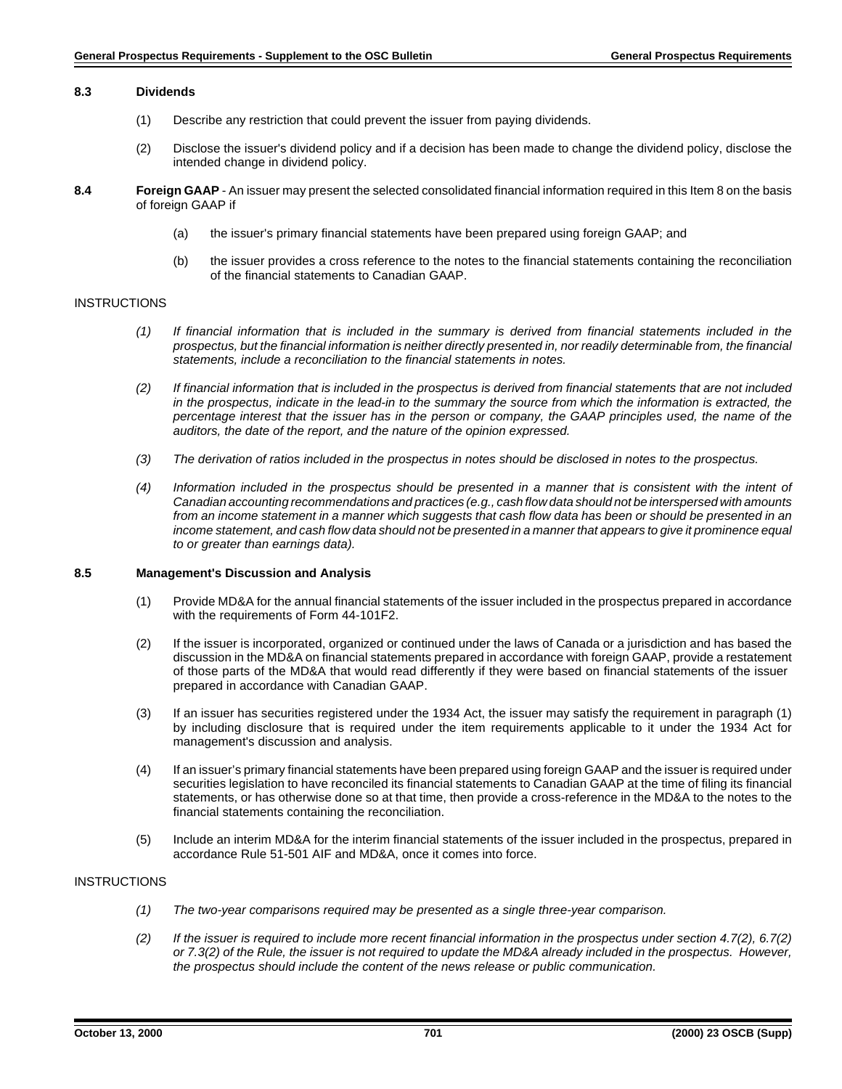### **8.3 Dividends**

- (1) Describe any restriction that could prevent the issuer from paying dividends.
- (2) Disclose the issuer's dividend policy and if a decision has been made to change the dividend policy, disclose the intended change in dividend policy.
- **8.4 Foreign GAAP** An issuer may present the selected consolidated financial information required in this Item 8 on the basis of foreign GAAP if
	- (a) the issuer's primary financial statements have been prepared using foreign GAAP; and
	- (b) the issuer provides a cross reference to the notes to the financial statements containing the reconciliation of the financial statements to Canadian GAAP.

## **INSTRUCTIONS**

- *(1) If financial information that is included in the summary is derived from financial statements included in the prospectus, but the financial information is neither directly presented in, nor readily determinable from, the financial statements, include a reconciliation to the financial statements in notes.*
- *(2) If financial information that is included in the prospectus is derived from financial statements that are not included in the prospectus, indicate in the lead-in to the summary the source from which the information is extracted, the percentage interest that the issuer has in the person or company, the GAAP principles used, the name of the auditors, the date of the report, and the nature of the opinion expressed.*
- *(3) The derivation of ratios included in the prospectus in notes should be disclosed in notes to the prospectus.*
- *(4) Information included in the prospectus should be presented in a manner that is consistent with the intent of Canadian accounting recommendations and practices (e.g., cash flow data should not be interspersed with amounts from an income statement in a manner which suggests that cash flow data has been or should be presented in an income statement, and cash flow data should not be presented in a manner that appears to give it prominence equal to or greater than earnings data).*

### **8.5 Management's Discussion and Analysis**

- (1) Provide MD&A for the annual financial statements of the issuer included in the prospectus prepared in accordance with the requirements of Form 44-101F2.
- (2) If the issuer is incorporated, organized or continued under the laws of Canada or a jurisdiction and has based the discussion in the MD&A on financial statements prepared in accordance with foreign GAAP, provide a restatement of those parts of the MD&A that would read differently if they were based on financial statements of the issuer prepared in accordance with Canadian GAAP.
- (3) If an issuer has securities registered under the 1934 Act, the issuer may satisfy the requirement in paragraph (1) by including disclosure that is required under the item requirements applicable to it under the 1934 Act for management's discussion and analysis.
- (4) If an issuer's primary financial statements have been prepared using foreign GAAP and the issuer is required under securities legislation to have reconciled its financial statements to Canadian GAAP at the time of filing its financial statements, or has otherwise done so at that time, then provide a cross-reference in the MD&A to the notes to the financial statements containing the reconciliation.
- (5) Include an interim MD&A for the interim financial statements of the issuer included in the prospectus, prepared in accordance Rule 51-501 AIF and MD&A, once it comes into force.

- *(1) The two-year comparisons required may be presented as a single three-year comparison.*
- *(2) If the issuer is required to include more recent financial information in the prospectus under section 4.7(2), 6.7(2) or 7.3(2) of the Rule, the issuer is not required to update the MD&A already included in the prospectus. However, the prospectus should include the content of the news release or public communication.*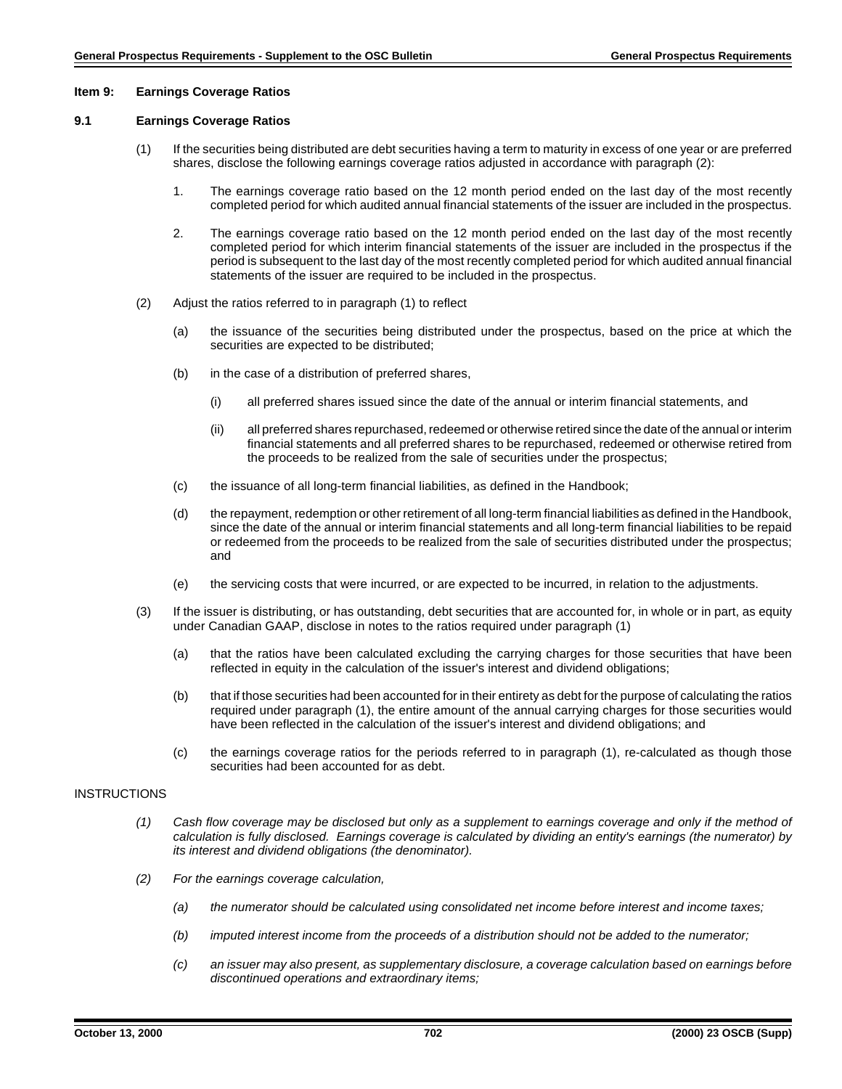#### **Item 9: Earnings Coverage Ratios**

#### **9.1 Earnings Coverage Ratios**

- (1) If the securities being distributed are debt securities having a term to maturity in excess of one year or are preferred shares, disclose the following earnings coverage ratios adjusted in accordance with paragraph (2):
	- 1. The earnings coverage ratio based on the 12 month period ended on the last day of the most recently completed period for which audited annual financial statements of the issuer are included in the prospectus.
	- 2. The earnings coverage ratio based on the 12 month period ended on the last day of the most recently completed period for which interim financial statements of the issuer are included in the prospectus if the period is subsequent to the last day of the most recently completed period for which audited annual financial statements of the issuer are required to be included in the prospectus.
- (2) Adjust the ratios referred to in paragraph (1) to reflect
	- (a) the issuance of the securities being distributed under the prospectus, based on the price at which the securities are expected to be distributed;
	- (b) in the case of a distribution of preferred shares,
		- (i) all preferred shares issued since the date of the annual or interim financial statements, and
		- (ii) all preferred shares repurchased, redeemed or otherwise retired since the date of the annual or interim financial statements and all preferred shares to be repurchased, redeemed or otherwise retired from the proceeds to be realized from the sale of securities under the prospectus;
	- (c) the issuance of all long-term financial liabilities, as defined in the Handbook;
	- (d) the repayment, redemption or other retirement of all long-term financial liabilities as defined in the Handbook, since the date of the annual or interim financial statements and all long-term financial liabilities to be repaid or redeemed from the proceeds to be realized from the sale of securities distributed under the prospectus; and
	- (e) the servicing costs that were incurred, or are expected to be incurred, in relation to the adjustments.
- (3) If the issuer is distributing, or has outstanding, debt securities that are accounted for, in whole or in part, as equity under Canadian GAAP, disclose in notes to the ratios required under paragraph (1)
	- (a) that the ratios have been calculated excluding the carrying charges for those securities that have been reflected in equity in the calculation of the issuer's interest and dividend obligations;
	- (b) that if those securities had been accounted for in their entirety as debt for the purpose of calculating the ratios required under paragraph (1), the entire amount of the annual carrying charges for those securities would have been reflected in the calculation of the issuer's interest and dividend obligations; and
	- (c) the earnings coverage ratios for the periods referred to in paragraph (1), re-calculated as though those securities had been accounted for as debt.

- *(1) Cash flow coverage may be disclosed but only as a supplement to earnings coverage and only if the method of calculation is fully disclosed. Earnings coverage is calculated by dividing an entity's earnings (the numerator) by its interest and dividend obligations (the denominator).*
- *(2) For the earnings coverage calculation,*
	- *(a) the numerator should be calculated using consolidated net income before interest and income taxes;*
	- *(b) imputed interest income from the proceeds of a distribution should not be added to the numerator;*
	- *(c) an issuer may also present, as supplementary disclosure, a coverage calculation based on earnings before discontinued operations and extraordinary items;*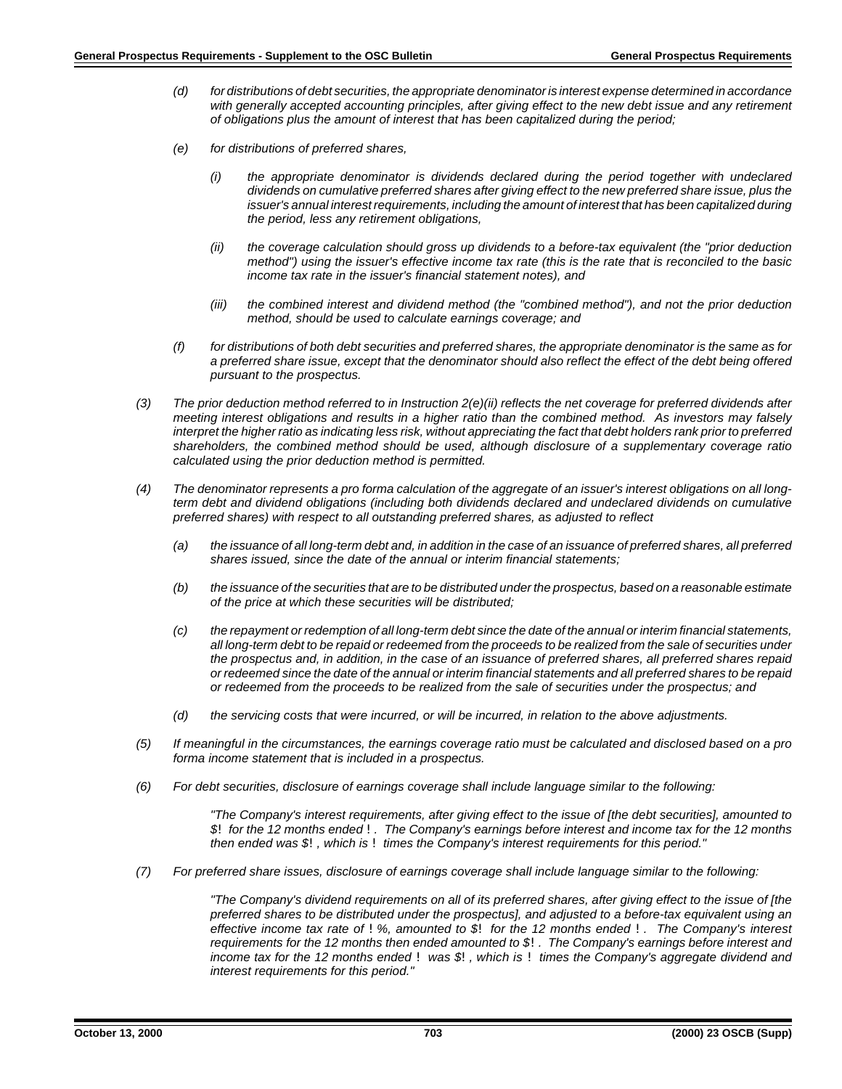- *(d) for distributions of debt securities, the appropriate denominator is interest expense determined in accordance with generally accepted accounting principles, after giving effect to the new debt issue and any retirement of obligations plus the amount of interest that has been capitalized during the period;*
- *(e) for distributions of preferred shares,* 
	- *(i) the appropriate denominator is dividends declared during the period together with undeclared dividends on cumulative preferred shares after giving effect to the new preferred share issue, plus the issuer's annual interest requirements, including the amount of interest that has been capitalized during the period, less any retirement obligations,*
	- *(ii) the coverage calculation should gross up dividends to a before-tax equivalent (the "prior deduction method") using the issuer's effective income tax rate (this is the rate that is reconciled to the basic income tax rate in the issuer's financial statement notes), and*
	- *(iii) the combined interest and dividend method (the "combined method"), and not the prior deduction method, should be used to calculate earnings coverage; and*
- *(f) for distributions of both debt securities and preferred shares, the appropriate denominator is the same as for a preferred share issue, except that the denominator should also reflect the effect of the debt being offered pursuant to the prospectus.*
- *(3) The prior deduction method referred to in Instruction 2(e)(ii) reflects the net coverage for preferred dividends after meeting interest obligations and results in a higher ratio than the combined method. As investors may falsely interpret the higher ratio as indicating less risk, without appreciating the fact that debt holders rank prior to preferred shareholders, the combined method should be used, although disclosure of a supplementary coverage ratio calculated using the prior deduction method is permitted.*
- *(4) The denominator represents a pro forma calculation of the aggregate of an issuer's interest obligations on all longterm debt and dividend obligations (including both dividends declared and undeclared dividends on cumulative preferred shares) with respect to all outstanding preferred shares, as adjusted to reflect*
	- *(a) the issuance of all long-term debt and, in addition in the case of an issuance of preferred shares, all preferred shares issued, since the date of the annual or interim financial statements;*
	- *(b) the issuance of the securities that are to be distributed under the prospectus, based on a reasonable estimate of the price at which these securities will be distributed;*
	- *(c) the repayment or redemption of all long-term debt since the date of the annual or interim financial statements, all long-term debt to be repaid or redeemed from the proceeds to be realized from the sale of securities under the prospectus and, in addition, in the case of an issuance of preferred shares, all preferred shares repaid or redeemed since the date of the annual or interim financial statements and all preferred shares to be repaid or redeemed from the proceeds to be realized from the sale of securities under the prospectus; and*
	- *(d) the servicing costs that were incurred, or will be incurred, in relation to the above adjustments.*
- *(5) If meaningful in the circumstances, the earnings coverage ratio must be calculated and disclosed based on a pro forma income statement that is included in a prospectus.*
- *(6) For debt securities, disclosure of earnings coverage shall include language similar to the following:*

*"The Company's interest requirements, after giving effect to the issue of [the debt securities], amounted to \$! for the 12 months ended !. The Company's earnings before interest and income tax for the 12 months then ended was \$!, which is ! times the Company's interest requirements for this period."*

*(7) For preferred share issues, disclosure of earnings coverage shall include language similar to the following:*

*"The Company's dividend requirements on all of its preferred shares, after giving effect to the issue of [the preferred shares to be distributed under the prospectus], and adjusted to a before-tax equivalent using an effective income tax rate of !%, amounted to \$! for the 12 months ended !. The Company's interest requirements for the 12 months then ended amounted to \$!. The Company's earnings before interest and income tax for the 12 months ended ! was \$!, which is ! times the Company's aggregate dividend and interest requirements for this period."*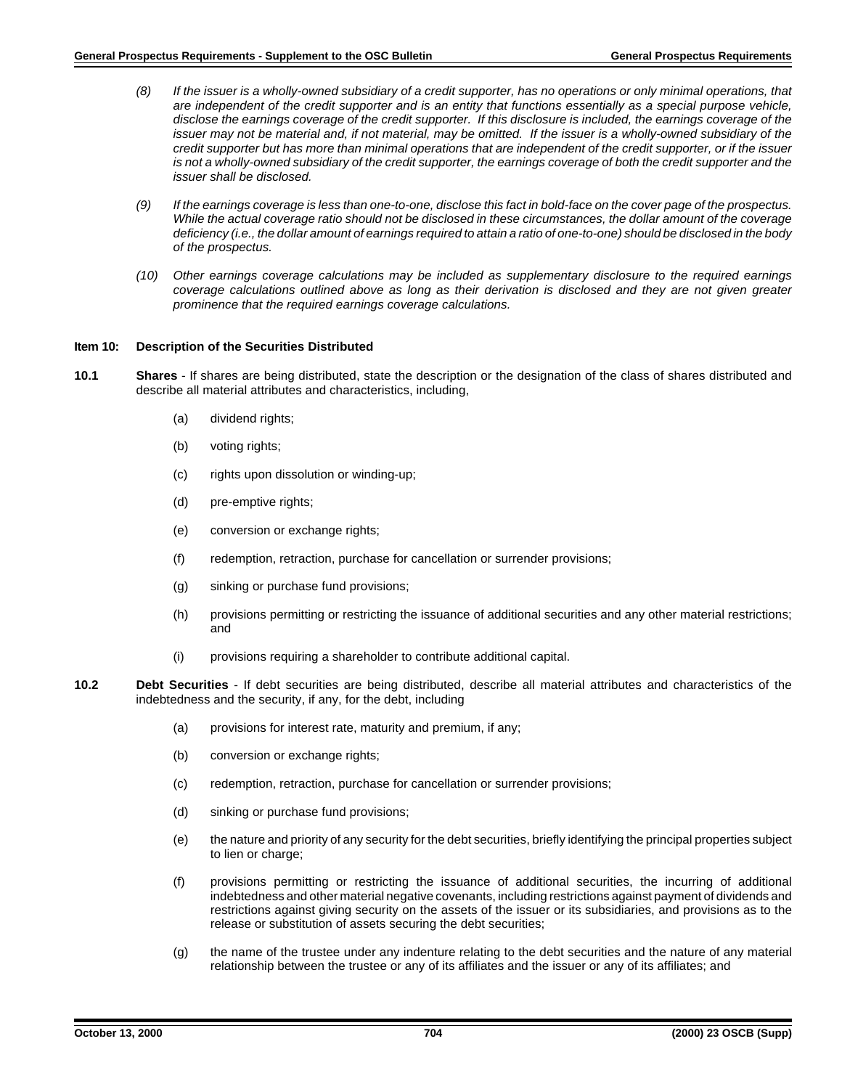- *(8) If the issuer is a wholly-owned subsidiary of a credit supporter, has no operations or only minimal operations, that are independent of the credit supporter and is an entity that functions essentially as a special purpose vehicle, disclose the earnings coverage of the credit supporter. If this disclosure is included, the earnings coverage of the issuer may not be material and, if not material, may be omitted. If the issuer is a wholly-owned subsidiary of the credit supporter but has more than minimal operations that are independent of the credit supporter, or if the issuer is not a wholly-owned subsidiary of the credit supporter, the earnings coverage of both the credit supporter and the issuer shall be disclosed.*
- *(9) If the earnings coverage is less than one-to-one, disclose this fact in bold-face on the cover page of the prospectus. While the actual coverage ratio should not be disclosed in these circumstances, the dollar amount of the coverage deficiency (i.e., the dollar amount of earnings required to attain a ratio of one-to-one) should be disclosed in the body of the prospectus.*
- *(10) Other earnings coverage calculations may be included as supplementary disclosure to the required earnings coverage calculations outlined above as long as their derivation is disclosed and they are not given greater prominence that the required earnings coverage calculations.*

### **Item 10: Description of the Securities Distributed**

- **10.1 Shares** If shares are being distributed, state the description or the designation of the class of shares distributed and describe all material attributes and characteristics, including,
	- (a) dividend rights;
	- (b) voting rights;
	- (c) rights upon dissolution or winding-up;
	- (d) pre-emptive rights;
	- (e) conversion or exchange rights;
	- (f) redemption, retraction, purchase for cancellation or surrender provisions;
	- (g) sinking or purchase fund provisions;
	- (h) provisions permitting or restricting the issuance of additional securities and any other material restrictions; and
	- (i) provisions requiring a shareholder to contribute additional capital.
- **10.2 Debt Securities** If debt securities are being distributed, describe all material attributes and characteristics of the indebtedness and the security, if any, for the debt, including
	- (a) provisions for interest rate, maturity and premium, if any;
	- (b) conversion or exchange rights;
	- (c) redemption, retraction, purchase for cancellation or surrender provisions;
	- (d) sinking or purchase fund provisions;
	- (e) the nature and priority of any security for the debt securities, briefly identifying the principal properties subject to lien or charge;
	- (f) provisions permitting or restricting the issuance of additional securities, the incurring of additional indebtedness and other material negative covenants, including restrictions against payment of dividends and restrictions against giving security on the assets of the issuer or its subsidiaries, and provisions as to the release or substitution of assets securing the debt securities;
	- (g) the name of the trustee under any indenture relating to the debt securities and the nature of any material relationship between the trustee or any of its affiliates and the issuer or any of its affiliates; and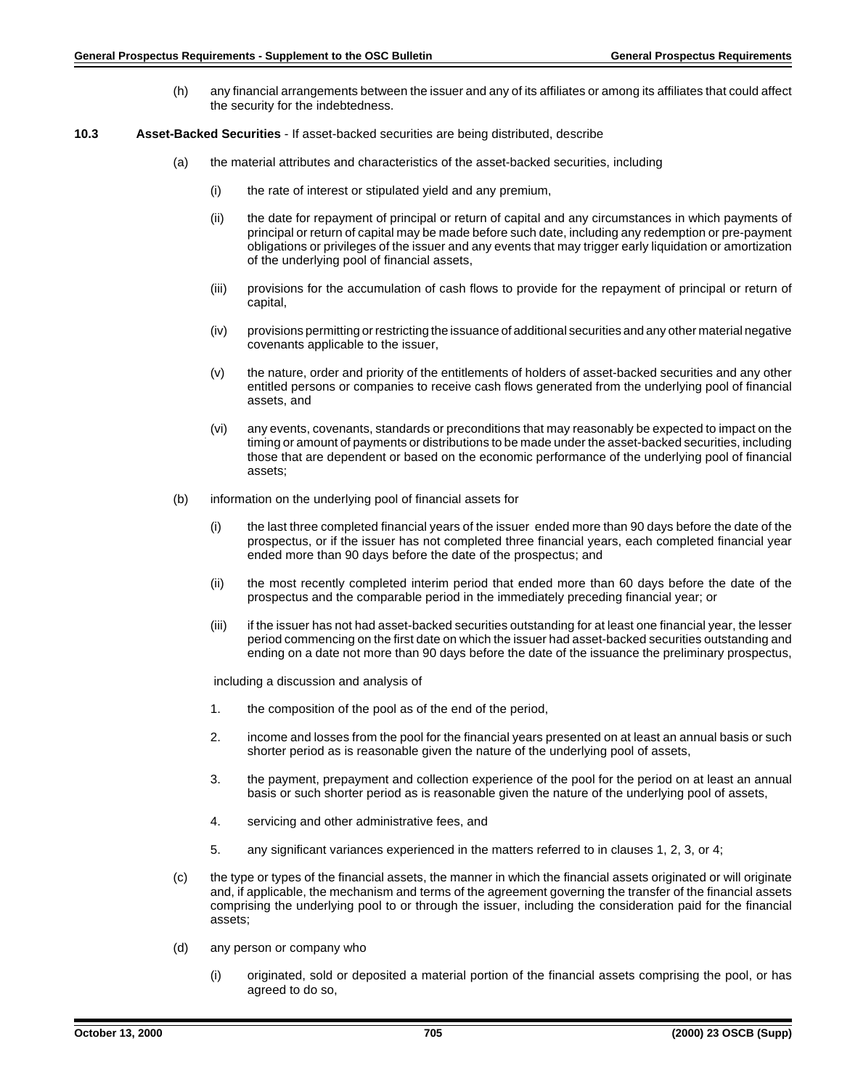- (h) any financial arrangements between the issuer and any of its affiliates or among its affiliates that could affect the security for the indebtedness.
- **10.3 Asset-Backed Securities** If asset-backed securities are being distributed, describe
	- (a) the material attributes and characteristics of the asset-backed securities, including
		- (i) the rate of interest or stipulated yield and any premium,
		- (ii) the date for repayment of principal or return of capital and any circumstances in which payments of principal or return of capital may be made before such date, including any redemption or pre-payment obligations or privileges of the issuer and any events that may trigger early liquidation or amortization of the underlying pool of financial assets,
		- (iii) provisions for the accumulation of cash flows to provide for the repayment of principal or return of capital,
		- (iv) provisions permitting or restricting the issuance of additional securities and any other material negative covenants applicable to the issuer,
		- (v) the nature, order and priority of the entitlements of holders of asset-backed securities and any other entitled persons or companies to receive cash flows generated from the underlying pool of financial assets, and
		- (vi) any events, covenants, standards or preconditions that may reasonably be expected to impact on the timing or amount of payments or distributions to be made under the asset-backed securities, including those that are dependent or based on the economic performance of the underlying pool of financial assets;
	- (b) information on the underlying pool of financial assets for
		- (i) the last three completed financial years of the issuer ended more than 90 days before the date of the prospectus, or if the issuer has not completed three financial years, each completed financial year ended more than 90 days before the date of the prospectus; and
		- (ii) the most recently completed interim period that ended more than 60 days before the date of the prospectus and the comparable period in the immediately preceding financial year; or
		- (iii) if the issuer has not had asset-backed securities outstanding for at least one financial year, the lesser period commencing on the first date on which the issuer had asset-backed securities outstanding and ending on a date not more than 90 days before the date of the issuance the preliminary prospectus,

including a discussion and analysis of

- 1. the composition of the pool as of the end of the period,
- 2. income and losses from the pool for the financial years presented on at least an annual basis or such shorter period as is reasonable given the nature of the underlying pool of assets,
- 3. the payment, prepayment and collection experience of the pool for the period on at least an annual basis or such shorter period as is reasonable given the nature of the underlying pool of assets,
- 4. servicing and other administrative fees, and
- 5. any significant variances experienced in the matters referred to in clauses 1, 2, 3, or 4;
- (c) the type or types of the financial assets, the manner in which the financial assets originated or will originate and, if applicable, the mechanism and terms of the agreement governing the transfer of the financial assets comprising the underlying pool to or through the issuer, including the consideration paid for the financial assets;
- (d) any person or company who
	- (i) originated, sold or deposited a material portion of the financial assets comprising the pool, or has agreed to do so,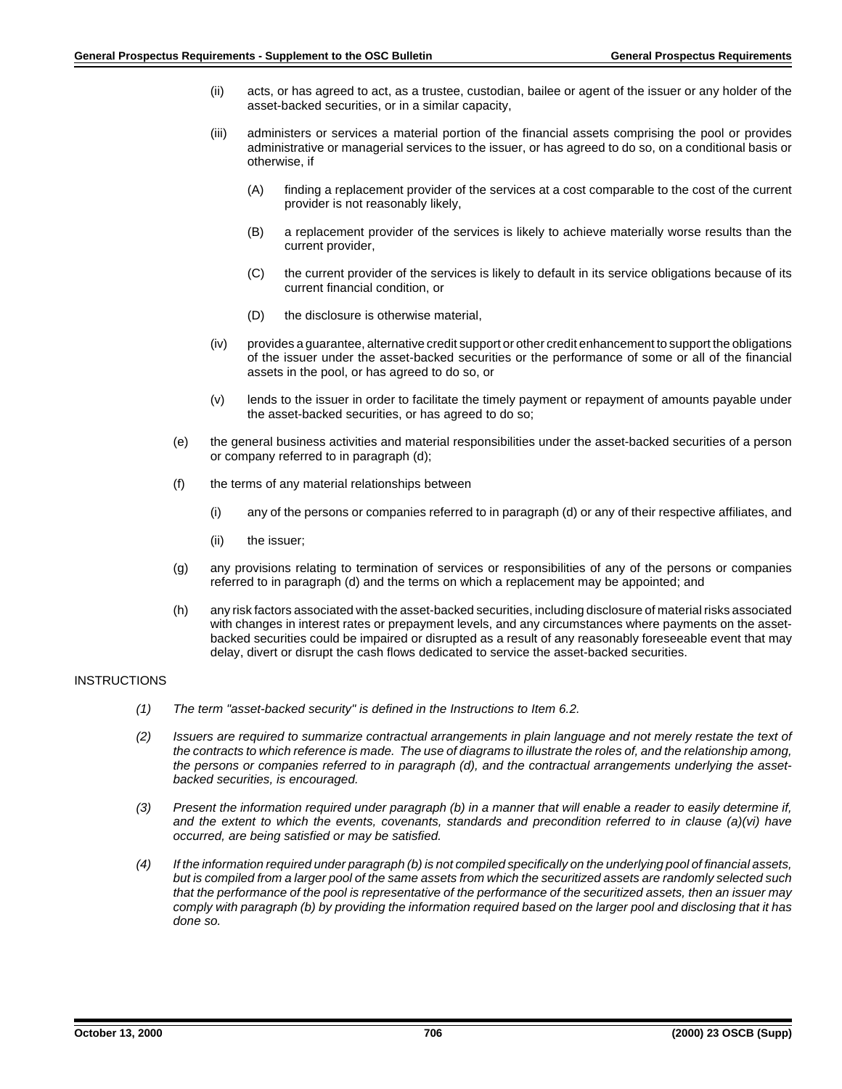- (ii) acts, or has agreed to act, as a trustee, custodian, bailee or agent of the issuer or any holder of the asset-backed securities, or in a similar capacity,
- (iii) administers or services a material portion of the financial assets comprising the pool or provides administrative or managerial services to the issuer, or has agreed to do so, on a conditional basis or otherwise, if
	- (A) finding a replacement provider of the services at a cost comparable to the cost of the current provider is not reasonably likely,
	- (B) a replacement provider of the services is likely to achieve materially worse results than the current provider,
	- (C) the current provider of the services is likely to default in its service obligations because of its current financial condition, or
	- (D) the disclosure is otherwise material,
- (iv) provides a guarantee, alternative credit support or other credit enhancement to support the obligations of the issuer under the asset-backed securities or the performance of some or all of the financial assets in the pool, or has agreed to do so, or
- (v) lends to the issuer in order to facilitate the timely payment or repayment of amounts payable under the asset-backed securities, or has agreed to do so;
- (e) the general business activities and material responsibilities under the asset-backed securities of a person or company referred to in paragraph (d);
- (f) the terms of any material relationships between
	- (i) any of the persons or companies referred to in paragraph (d) or any of their respective affiliates, and
	- (ii) the issuer;
- (g) any provisions relating to termination of services or responsibilities of any of the persons or companies referred to in paragraph (d) and the terms on which a replacement may be appointed; and
- (h) any risk factors associated with the asset-backed securities, including disclosure of material risks associated with changes in interest rates or prepayment levels, and any circumstances where payments on the assetbacked securities could be impaired or disrupted as a result of any reasonably foreseeable event that may delay, divert or disrupt the cash flows dedicated to service the asset-backed securities.

- *(1) The term "asset-backed security" is defined in the Instructions to Item 6.2.*
- *(2) Issuers are required to summarize contractual arrangements in plain language and not merely restate the text of the contracts to which reference is made. The use of diagrams to illustrate the roles of, and the relationship among, the persons or companies referred to in paragraph (d), and the contractual arrangements underlying the assetbacked securities, is encouraged.*
- *(3) Present the information required under paragraph (b) in a manner that will enable a reader to easily determine if, and the extent to which the events, covenants, standards and precondition referred to in clause (a)(vi) have occurred, are being satisfied or may be satisfied.*
- *(4) If the information required under paragraph (b) is not compiled specifically on the underlying pool of financial assets, but is compiled from a larger pool of the same assets from which the securitized assets are randomly selected such that the performance of the pool is representative of the performance of the securitized assets, then an issuer may comply with paragraph (b) by providing the information required based on the larger pool and disclosing that it has done so.*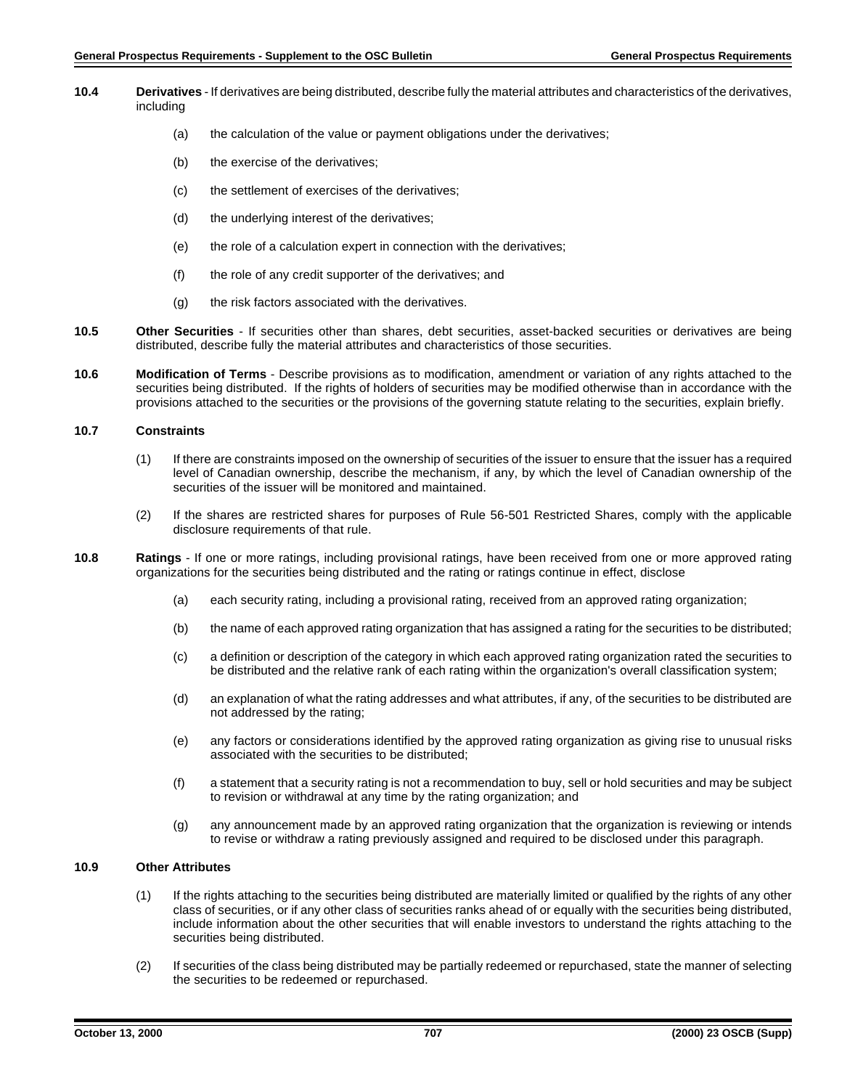- **10.4 Derivatives** If derivatives are being distributed, describe fully the material attributes and characteristics of the derivatives, including
	- (a) the calculation of the value or payment obligations under the derivatives;
	- (b) the exercise of the derivatives;
	- (c) the settlement of exercises of the derivatives;
	- (d) the underlying interest of the derivatives;
	- (e) the role of a calculation expert in connection with the derivatives;
	- (f) the role of any credit supporter of the derivatives; and
	- (g) the risk factors associated with the derivatives.
- **10.5 Other Securities** If securities other than shares, debt securities, asset-backed securities or derivatives are being distributed, describe fully the material attributes and characteristics of those securities.
- **10.6 Modification of Terms** Describe provisions as to modification, amendment or variation of any rights attached to the securities being distributed. If the rights of holders of securities may be modified otherwise than in accordance with the provisions attached to the securities or the provisions of the governing statute relating to the securities, explain briefly.

## **10.7 Constraints**

- (1) If there are constraints imposed on the ownership of securities of the issuer to ensure that the issuer has a required level of Canadian ownership, describe the mechanism, if any, by which the level of Canadian ownership of the securities of the issuer will be monitored and maintained.
- (2) If the shares are restricted shares for purposes of Rule 56-501 Restricted Shares, comply with the applicable disclosure requirements of that rule.
- **10.8 Ratings** If one or more ratings, including provisional ratings, have been received from one or more approved rating organizations for the securities being distributed and the rating or ratings continue in effect, disclose
	- (a) each security rating, including a provisional rating, received from an approved rating organization;
	- (b) the name of each approved rating organization that has assigned a rating for the securities to be distributed;
	- (c) a definition or description of the category in which each approved rating organization rated the securities to be distributed and the relative rank of each rating within the organization's overall classification system;
	- (d) an explanation of what the rating addresses and what attributes, if any, of the securities to be distributed are not addressed by the rating;
	- (e) any factors or considerations identified by the approved rating organization as giving rise to unusual risks associated with the securities to be distributed;
	- (f) a statement that a security rating is not a recommendation to buy, sell or hold securities and may be subject to revision or withdrawal at any time by the rating organization; and
	- (g) any announcement made by an approved rating organization that the organization is reviewing or intends to revise or withdraw a rating previously assigned and required to be disclosed under this paragraph.

### **10.9 Other Attributes**

- (1) If the rights attaching to the securities being distributed are materially limited or qualified by the rights of any other class of securities, or if any other class of securities ranks ahead of or equally with the securities being distributed, include information about the other securities that will enable investors to understand the rights attaching to the securities being distributed.
- (2) If securities of the class being distributed may be partially redeemed or repurchased, state the manner of selecting the securities to be redeemed or repurchased.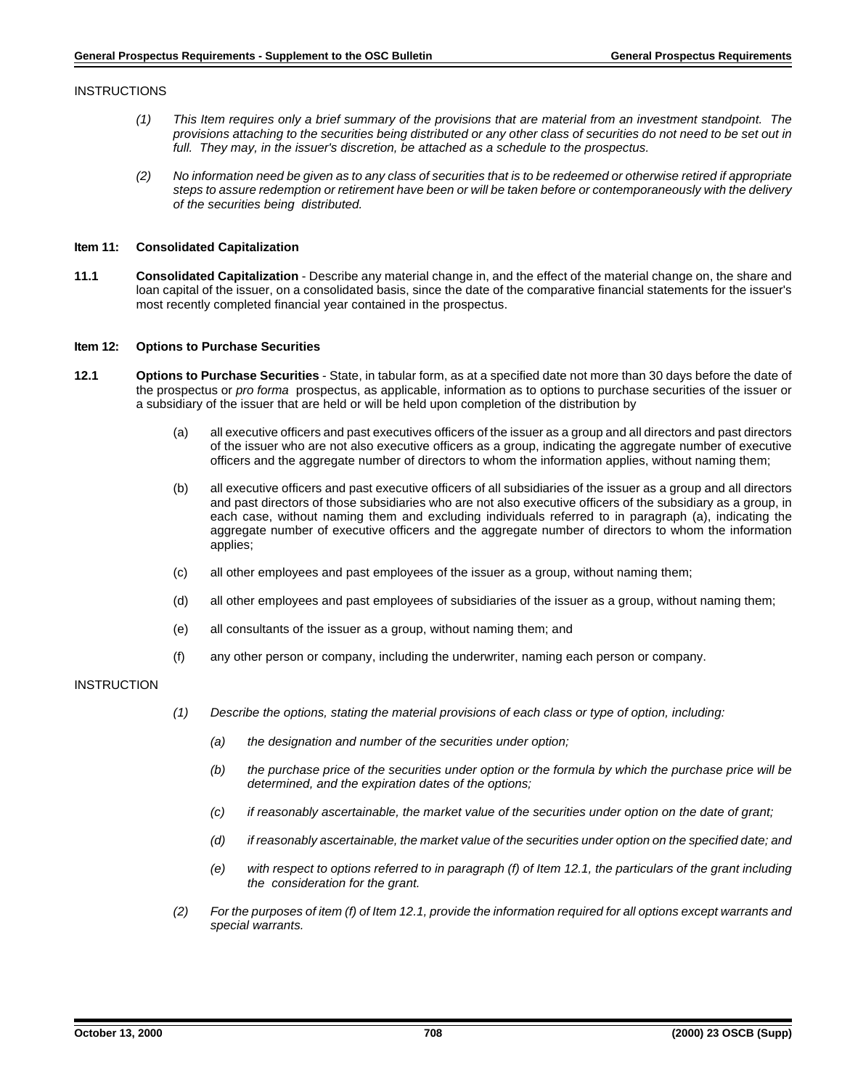- *(1) This Item requires only a brief summary of the provisions that are material from an investment standpoint. The provisions attaching to the securities being distributed or any other class of securities do not need to be set out in full. They may, in the issuer's discretion, be attached as a schedule to the prospectus.*
- *(2) No information need be given as to any class of securities that is to be redeemed or otherwise retired if appropriate steps to assure redemption or retirement have been or will be taken before or contemporaneously with the delivery of the securities being distributed.*

#### **Item 11: Consolidated Capitalization**

**11.1 Consolidated Capitalization** - Describe any material change in, and the effect of the material change on, the share and loan capital of the issuer, on a consolidated basis, since the date of the comparative financial statements for the issuer's most recently completed financial year contained in the prospectus.

### **Item 12: Options to Purchase Securities**

- **12.1 Options to Purchase Securities** State, in tabular form, as at a specified date not more than 30 days before the date of the prospectus or *pro forma* prospectus, as applicable, information as to options to purchase securities of the issuer or a subsidiary of the issuer that are held or will be held upon completion of the distribution by
	- (a) all executive officers and past executives officers of the issuer as a group and all directors and past directors of the issuer who are not also executive officers as a group, indicating the aggregate number of executive officers and the aggregate number of directors to whom the information applies, without naming them;
	- (b) all executive officers and past executive officers of all subsidiaries of the issuer as a group and all directors and past directors of those subsidiaries who are not also executive officers of the subsidiary as a group, in each case, without naming them and excluding individuals referred to in paragraph (a), indicating the aggregate number of executive officers and the aggregate number of directors to whom the information applies;
	- (c) all other employees and past employees of the issuer as a group, without naming them;
	- (d) all other employees and past employees of subsidiaries of the issuer as a group, without naming them;
	- (e) all consultants of the issuer as a group, without naming them; and
	- (f) any other person or company, including the underwriter, naming each person or company.

- *(1) Describe the options, stating the material provisions of each class or type of option, including:*
	- *(a) the designation and number of the securities under option;*
	- *(b) the purchase price of the securities under option or the formula by which the purchase price will be determined, and the expiration dates of the options;*
	- *(c) if reasonably ascertainable, the market value of the securities under option on the date of grant;*
	- *(d) if reasonably ascertainable, the market value of the securities under option on the specified date; and*
	- *(e) with respect to options referred to in paragraph (f) of Item 12.1, the particulars of the grant including the consideration for the grant.*
- *(2) For the purposes of item (f) of Item 12.1, provide the information required for all options except warrants and special warrants.*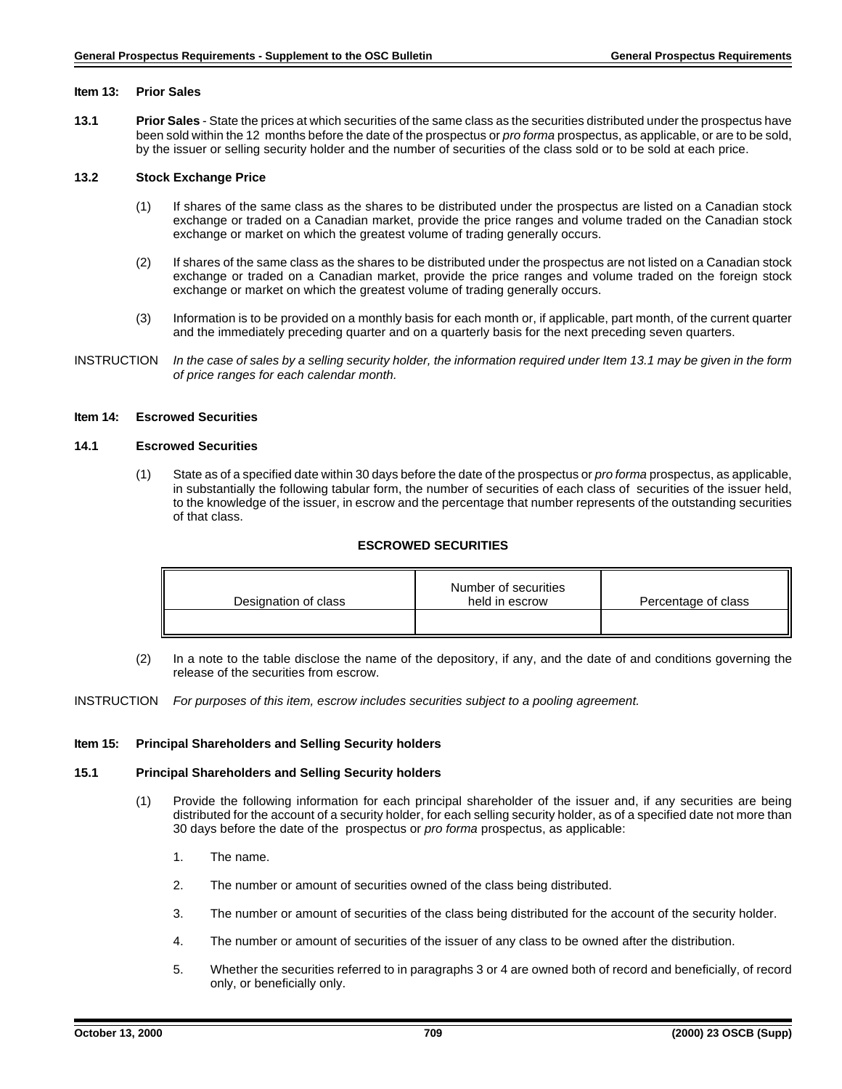### **Item 13: Prior Sales**

**13.1 Prior Sales** - State the prices at which securities of the same class as the securities distributed under the prospectus have been sold within the 12 months before the date of the prospectus or *pro forma* prospectus, as applicable, or are to be sold, by the issuer or selling security holder and the number of securities of the class sold or to be sold at each price.

### **13.2 Stock Exchange Price**

- (1) If shares of the same class as the shares to be distributed under the prospectus are listed on a Canadian stock exchange or traded on a Canadian market, provide the price ranges and volume traded on the Canadian stock exchange or market on which the greatest volume of trading generally occurs.
- (2) If shares of the same class as the shares to be distributed under the prospectus are not listed on a Canadian stock exchange or traded on a Canadian market, provide the price ranges and volume traded on the foreign stock exchange or market on which the greatest volume of trading generally occurs.
- (3) Information is to be provided on a monthly basis for each month or, if applicable, part month, of the current quarter and the immediately preceding quarter and on a quarterly basis for the next preceding seven quarters.
- INSTRUCTION *In the case of sales by a selling security holder, the information required under Item 13.1 may be given in the form of price ranges for each calendar month.*

#### **Item 14: Escrowed Securities**

#### **14.1 Escrowed Securities**

(1) State as of a specified date within 30 days before the date of the prospectus or *pro forma* prospectus, as applicable, in substantially the following tabular form, the number of securities of each class of securities of the issuer held, to the knowledge of the issuer, in escrow and the percentage that number represents of the outstanding securities of that class.

### **ESCROWED SECURITIES**

| Designation of class | Number of securities<br>held in escrow | Percentage of class |
|----------------------|----------------------------------------|---------------------|
|                      |                                        |                     |

(2) In a note to the table disclose the name of the depository, if any, and the date of and conditions governing the release of the securities from escrow.

INSTRUCTION *For purposes of this item, escrow includes securities subject to a pooling agreement.*

#### **Item 15: Principal Shareholders and Selling Security holders**

### **15.1 Principal Shareholders and Selling Security holders**

- (1) Provide the following information for each principal shareholder of the issuer and, if any securities are being distributed for the account of a security holder, for each selling security holder, as of a specified date not more than 30 days before the date of the prospectus or *pro forma* prospectus, as applicable:
	- 1. The name.
	- 2. The number or amount of securities owned of the class being distributed.
	- 3. The number or amount of securities of the class being distributed for the account of the security holder.
	- 4. The number or amount of securities of the issuer of any class to be owned after the distribution.
	- 5. Whether the securities referred to in paragraphs 3 or 4 are owned both of record and beneficially, of record only, or beneficially only.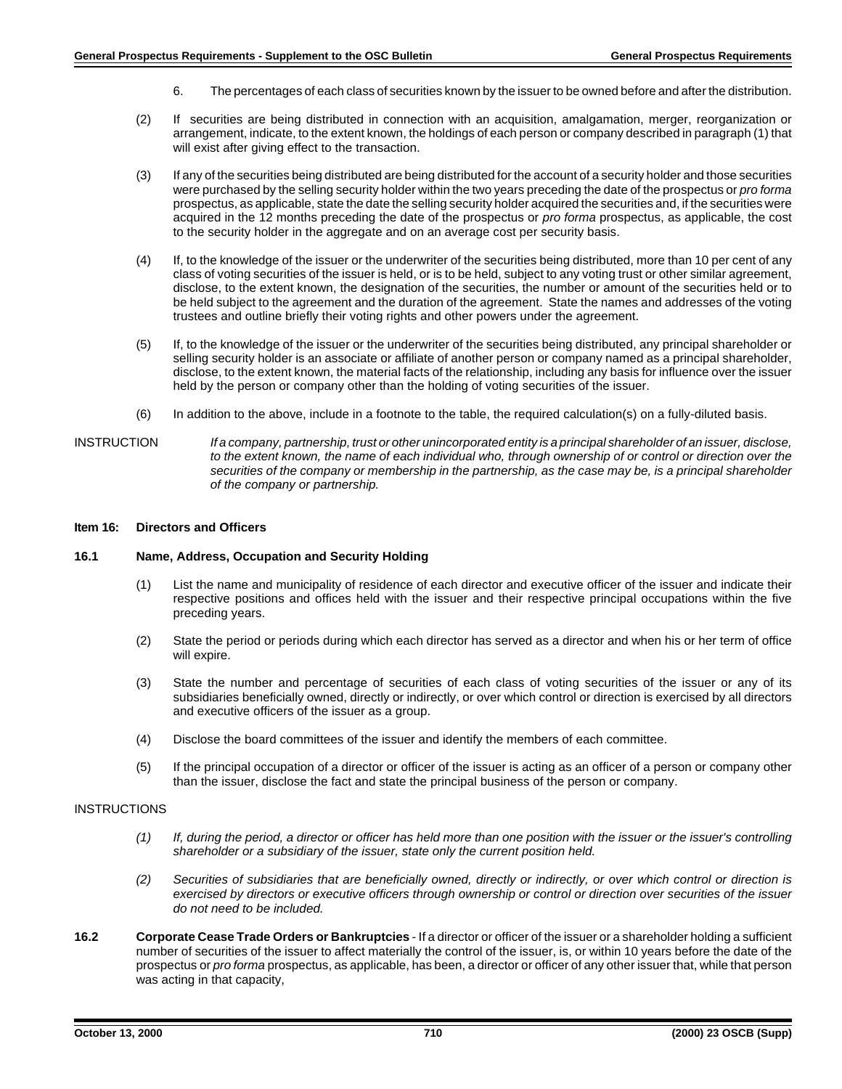- 6. The percentages of each class of securities known by the issuer to be owned before and after the distribution.
- (2) If securities are being distributed in connection with an acquisition, amalgamation, merger, reorganization or arrangement, indicate, to the extent known, the holdings of each person or company described in paragraph (1) that will exist after giving effect to the transaction.
- (3) If any of the securities being distributed are being distributed for the account of a security holder and those securities were purchased by the selling security holder within the two years preceding the date of the prospectus or *pro forma* prospectus, as applicable, state the date the selling security holder acquired the securities and, if the securities were acquired in the 12 months preceding the date of the prospectus or *pro forma* prospectus, as applicable, the cost to the security holder in the aggregate and on an average cost per security basis.
- (4) If, to the knowledge of the issuer or the underwriter of the securities being distributed, more than 10 per cent of any class of voting securities of the issuer is held, or is to be held, subject to any voting trust or other similar agreement, disclose, to the extent known, the designation of the securities, the number or amount of the securities held or to be held subject to the agreement and the duration of the agreement. State the names and addresses of the voting trustees and outline briefly their voting rights and other powers under the agreement.
- (5) If, to the knowledge of the issuer or the underwriter of the securities being distributed, any principal shareholder or selling security holder is an associate or affiliate of another person or company named as a principal shareholder, disclose, to the extent known, the material facts of the relationship, including any basis for influence over the issuer held by the person or company other than the holding of voting securities of the issuer.
- (6) In addition to the above, include in a footnote to the table, the required calculation(s) on a fully-diluted basis.

INSTRUCTION *If a company, partnership, trust or other unincorporated entity is a principal shareholder of an issuer, disclose, to the extent known, the name of each individual who, through ownership of or control or direction over the securities of the company or membership in the partnership, as the case may be, is a principal shareholder of the company or partnership.*

### **Item 16: Directors and Officers**

#### **16.1 Name, Address, Occupation and Security Holding**

- (1) List the name and municipality of residence of each director and executive officer of the issuer and indicate their respective positions and offices held with the issuer and their respective principal occupations within the five preceding years.
- (2) State the period or periods during which each director has served as a director and when his or her term of office will expire.
- (3) State the number and percentage of securities of each class of voting securities of the issuer or any of its subsidiaries beneficially owned, directly or indirectly, or over which control or direction is exercised by all directors and executive officers of the issuer as a group.
- (4) Disclose the board committees of the issuer and identify the members of each committee.
- (5) If the principal occupation of a director or officer of the issuer is acting as an officer of a person or company other than the issuer, disclose the fact and state the principal business of the person or company.

- *(1) If, during the period, a director or officer has held more than one position with the issuer or the issuer's controlling shareholder or a subsidiary of the issuer, state only the current position held.*
- *(2) Securities of subsidiaries that are beneficially owned, directly or indirectly, or over which control or direction is exercised by directors or executive officers through ownership or control or direction over securities of the issuer do not need to be included.*
- **16.2 Corporate Cease Trade Orders or Bankruptcies** If a director or officer of the issuer or a shareholder holding a sufficient number of securities of the issuer to affect materially the control of the issuer, is, or within 10 years before the date of the prospectus or *pro forma* prospectus, as applicable, has been, a director or officer of any other issuer that, while that person was acting in that capacity,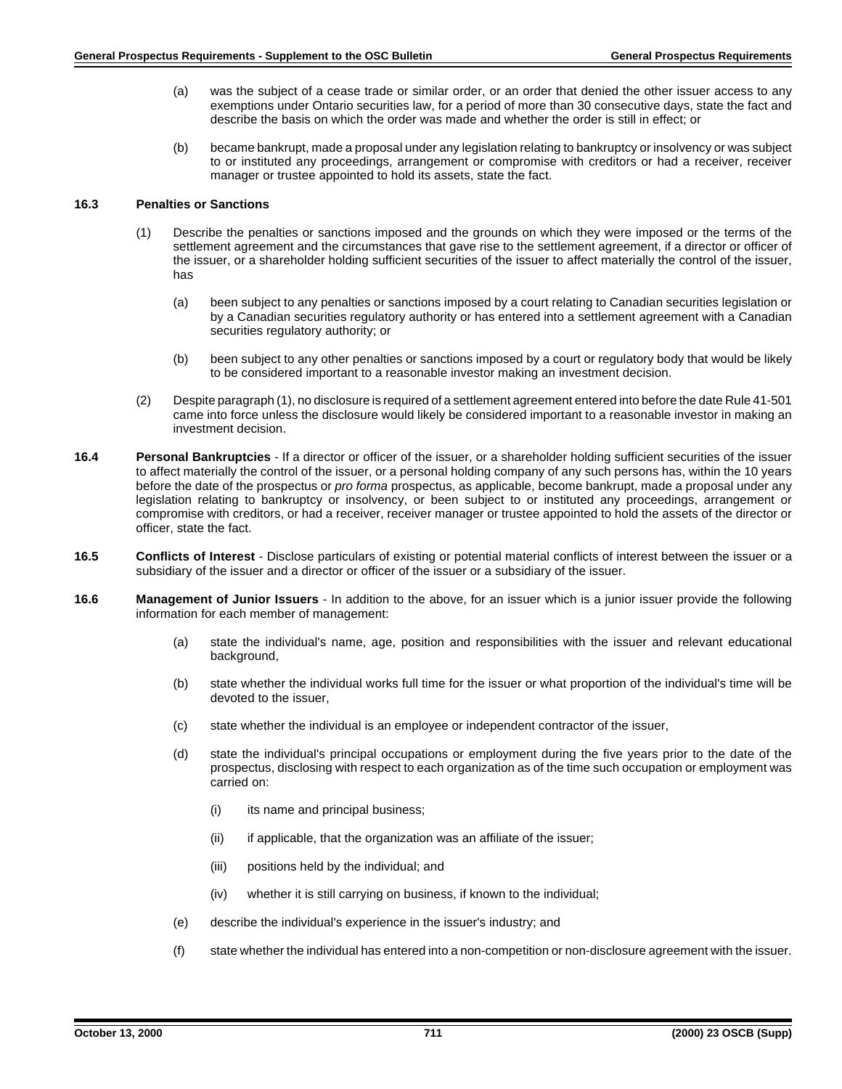- (a) was the subject of a cease trade or similar order, or an order that denied the other issuer access to any exemptions under Ontario securities law, for a period of more than 30 consecutive days, state the fact and describe the basis on which the order was made and whether the order is still in effect; or
- (b) became bankrupt, made a proposal under any legislation relating to bankruptcy or insolvency or was subject to or instituted any proceedings, arrangement or compromise with creditors or had a receiver, receiver manager or trustee appointed to hold its assets, state the fact.

## **16.3 Penalties or Sanctions**

- (1) Describe the penalties or sanctions imposed and the grounds on which they were imposed or the terms of the settlement agreement and the circumstances that gave rise to the settlement agreement, if a director or officer of the issuer, or a shareholder holding sufficient securities of the issuer to affect materially the control of the issuer, has
	- (a) been subject to any penalties or sanctions imposed by a court relating to Canadian securities legislation or by a Canadian securities regulatory authority or has entered into a settlement agreement with a Canadian securities regulatory authority; or
	- (b) been subject to any other penalties or sanctions imposed by a court or regulatory body that would be likely to be considered important to a reasonable investor making an investment decision.
- (2) Despite paragraph (1), no disclosure is required of a settlement agreement entered into before the date Rule 41-501 came into force unless the disclosure would likely be considered important to a reasonable investor in making an investment decision.
- **16.4 Personal Bankruptcies** If a director or officer of the issuer, or a shareholder holding sufficient securities of the issuer to affect materially the control of the issuer, or a personal holding company of any such persons has, within the 10 years before the date of the prospectus or *pro forma* prospectus, as applicable, become bankrupt, made a proposal under any legislation relating to bankruptcy or insolvency, or been subject to or instituted any proceedings, arrangement or compromise with creditors, or had a receiver, receiver manager or trustee appointed to hold the assets of the director or officer, state the fact.
- **16.5 Conflicts of Interest** Disclose particulars of existing or potential material conflicts of interest between the issuer or a subsidiary of the issuer and a director or officer of the issuer or a subsidiary of the issuer.
- **16.6 Management of Junior Issuers** In addition to the above, for an issuer which is a junior issuer provide the following information for each member of management:
	- (a) state the individual's name, age, position and responsibilities with the issuer and relevant educational background,
	- (b) state whether the individual works full time for the issuer or what proportion of the individual's time will be devoted to the issuer,
	- (c) state whether the individual is an employee or independent contractor of the issuer,
	- (d) state the individual's principal occupations or employment during the five years prior to the date of the prospectus, disclosing with respect to each organization as of the time such occupation or employment was carried on:
		- (i) its name and principal business;
		- (ii) if applicable, that the organization was an affiliate of the issuer;
		- (iii) positions held by the individual; and
		- (iv) whether it is still carrying on business, if known to the individual;
	- (e) describe the individual's experience in the issuer's industry; and
	- (f) state whether the individual has entered into a non-competition or non-disclosure agreement with the issuer.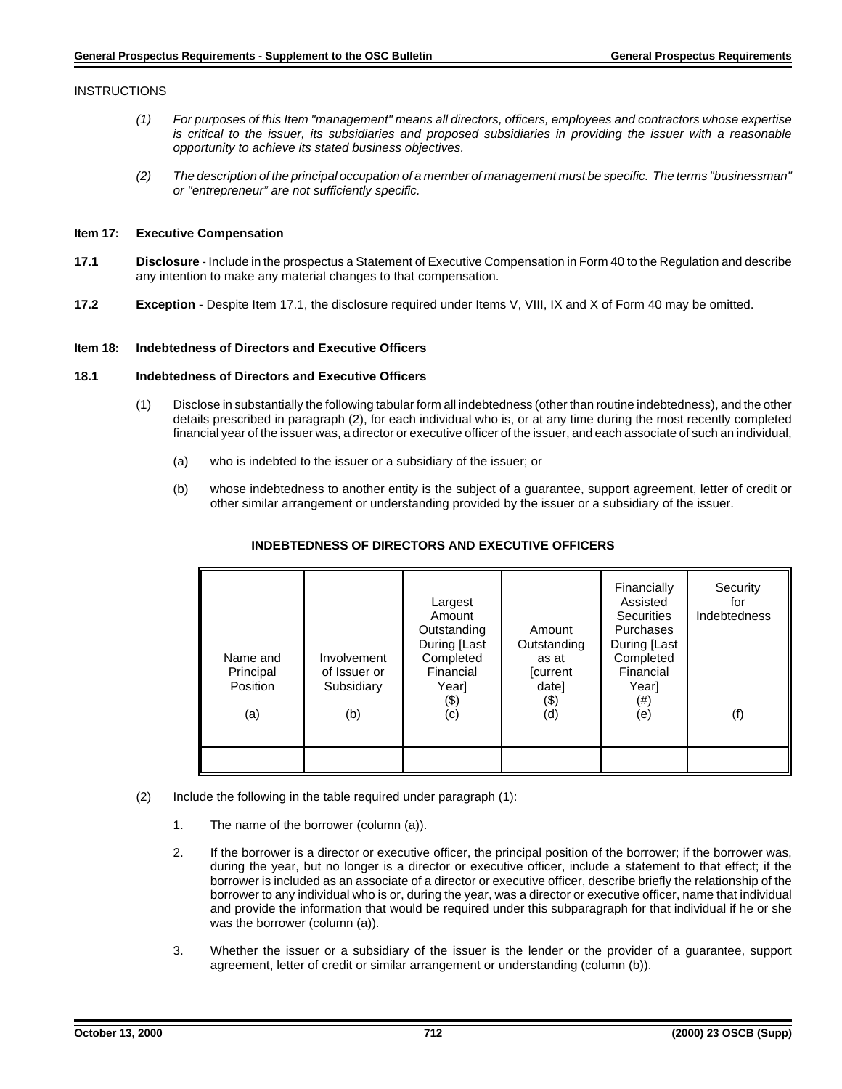- *(1) For purposes of this Item "management" means all directors, officers, employees and contractors whose expertise is critical to the issuer, its subsidiaries and proposed subsidiaries in providing the issuer with a reasonable opportunity to achieve its stated business objectives.*
- *(2) The description of the principal occupation of a member of management must be specific. The terms "businessman" or "entrepreneur" are not sufficiently specific.*

### **Item 17: Executive Compensation**

- **17.1 Disclosure** Include in the prospectus a Statement of Executive Compensation in Form 40 to the Regulation and describe any intention to make any material changes to that compensation.
- **17.2 Exception** Despite Item 17.1, the disclosure required under Items V, VIII, IX and X of Form 40 may be omitted.

### **Item 18: Indebtedness of Directors and Executive Officers**

#### **18.1 Indebtedness of Directors and Executive Officers**

- (1) Disclose in substantially the following tabular form all indebtedness (other than routine indebtedness), and the other details prescribed in paragraph (2), for each individual who is, or at any time during the most recently completed financial year of the issuer was, a director or executive officer of the issuer, and each associate of such an individual,
	- (a) who is indebted to the issuer or a subsidiary of the issuer; or
	- (b) whose indebtedness to another entity is the subject of a guarantee, support agreement, letter of credit or other similar arrangement or understanding provided by the issuer or a subsidiary of the issuer.

| Name and<br>Principal<br>Position<br>(a) | Involvement<br>of Issuer or<br>Subsidiary<br>(b) | Largest<br>Amount<br>Outstanding<br>During [Last<br>Completed<br>Financial<br>Year]<br>(3)<br>(c) | Amount<br>Outstanding<br>as at<br>[current<br>date]<br>$(\$)$<br>(d) | Financially<br>Assisted<br><b>Securities</b><br>Purchases<br>During [Last<br>Completed<br>Financial<br>Year]<br>(#)<br>(e) | Security<br>for<br>Indebtedness<br>(f) |
|------------------------------------------|--------------------------------------------------|---------------------------------------------------------------------------------------------------|----------------------------------------------------------------------|----------------------------------------------------------------------------------------------------------------------------|----------------------------------------|
|                                          |                                                  |                                                                                                   |                                                                      |                                                                                                                            |                                        |
|                                          |                                                  |                                                                                                   |                                                                      |                                                                                                                            |                                        |

## **INDEBTEDNESS OF DIRECTORS AND EXECUTIVE OFFICERS**

- (2) Include the following in the table required under paragraph (1):
	- 1. The name of the borrower (column (a)).
	- 2. If the borrower is a director or executive officer, the principal position of the borrower; if the borrower was, during the year, but no longer is a director or executive officer, include a statement to that effect; if the borrower is included as an associate of a director or executive officer, describe briefly the relationship of the borrower to any individual who is or, during the year, was a director or executive officer, name that individual and provide the information that would be required under this subparagraph for that individual if he or she was the borrower (column (a)).
	- 3. Whether the issuer or a subsidiary of the issuer is the lender or the provider of a guarantee, support agreement, letter of credit or similar arrangement or understanding (column (b)).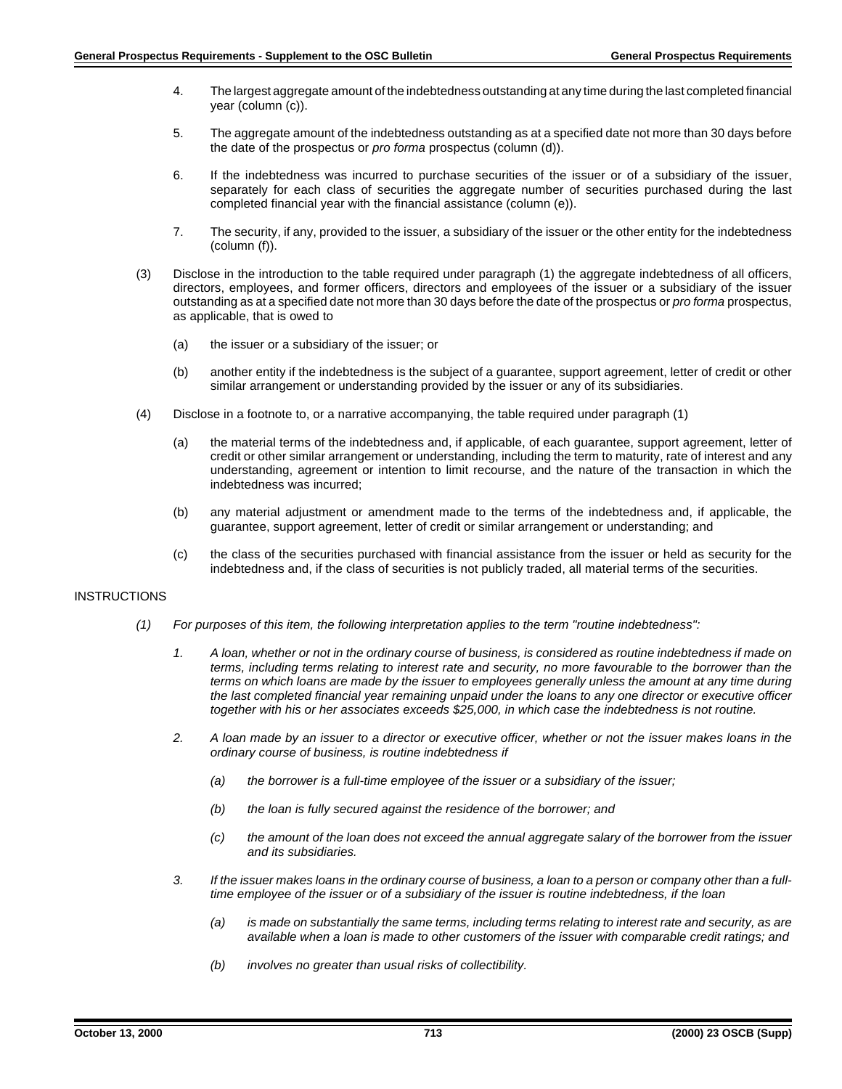- 4. The largest aggregate amount of the indebtedness outstanding at any time during the last completed financial year (column (c)).
- 5. The aggregate amount of the indebtedness outstanding as at a specified date not more than 30 days before the date of the prospectus or *pro forma* prospectus (column (d)).
- 6. If the indebtedness was incurred to purchase securities of the issuer or of a subsidiary of the issuer, separately for each class of securities the aggregate number of securities purchased during the last completed financial year with the financial assistance (column (e)).
- 7. The security, if any, provided to the issuer, a subsidiary of the issuer or the other entity for the indebtedness (column (f)).
- (3) Disclose in the introduction to the table required under paragraph (1) the aggregate indebtedness of all officers, directors, employees, and former officers, directors and employees of the issuer or a subsidiary of the issuer outstanding as at a specified date not more than 30 days before the date of the prospectus or *pro forma* prospectus, as applicable, that is owed to
	- (a) the issuer or a subsidiary of the issuer; or
	- (b) another entity if the indebtedness is the subject of a guarantee, support agreement, letter of credit or other similar arrangement or understanding provided by the issuer or any of its subsidiaries.
- (4) Disclose in a footnote to, or a narrative accompanying, the table required under paragraph (1)
	- (a) the material terms of the indebtedness and, if applicable, of each guarantee, support agreement, letter of credit or other similar arrangement or understanding, including the term to maturity, rate of interest and any understanding, agreement or intention to limit recourse, and the nature of the transaction in which the indebtedness was incurred;
	- (b) any material adjustment or amendment made to the terms of the indebtedness and, if applicable, the guarantee, support agreement, letter of credit or similar arrangement or understanding; and
	- (c) the class of the securities purchased with financial assistance from the issuer or held as security for the indebtedness and, if the class of securities is not publicly traded, all material terms of the securities.

- *(1) For purposes of this item, the following interpretation applies to the term "routine indebtedness":*
	- *1. A loan, whether or not in the ordinary course of business, is considered as routine indebtedness if made on terms, including terms relating to interest rate and security, no more favourable to the borrower than the terms on which loans are made by the issuer to employees generally unless the amount at any time during the last completed financial year remaining unpaid under the loans to any one director or executive officer together with his or her associates exceeds \$25,000, in which case the indebtedness is not routine.*
	- *2. A loan made by an issuer to a director or executive officer, whether or not the issuer makes loans in the ordinary course of business, is routine indebtedness if*
		- *(a) the borrower is a full-time employee of the issuer or a subsidiary of the issuer;*
		- *(b) the loan is fully secured against the residence of the borrower; and*
		- *(c) the amount of the loan does not exceed the annual aggregate salary of the borrower from the issuer and its subsidiaries.*
	- *3. If the issuer makes loans in the ordinary course of business, a loan to a person or company other than a fulltime employee of the issuer or of a subsidiary of the issuer is routine indebtedness, if the loan*
		- *(a) is made on substantially the same terms, including terms relating to interest rate and security, as are available when a loan is made to other customers of the issuer with comparable credit ratings; and*
		- *(b) involves no greater than usual risks of collectibility.*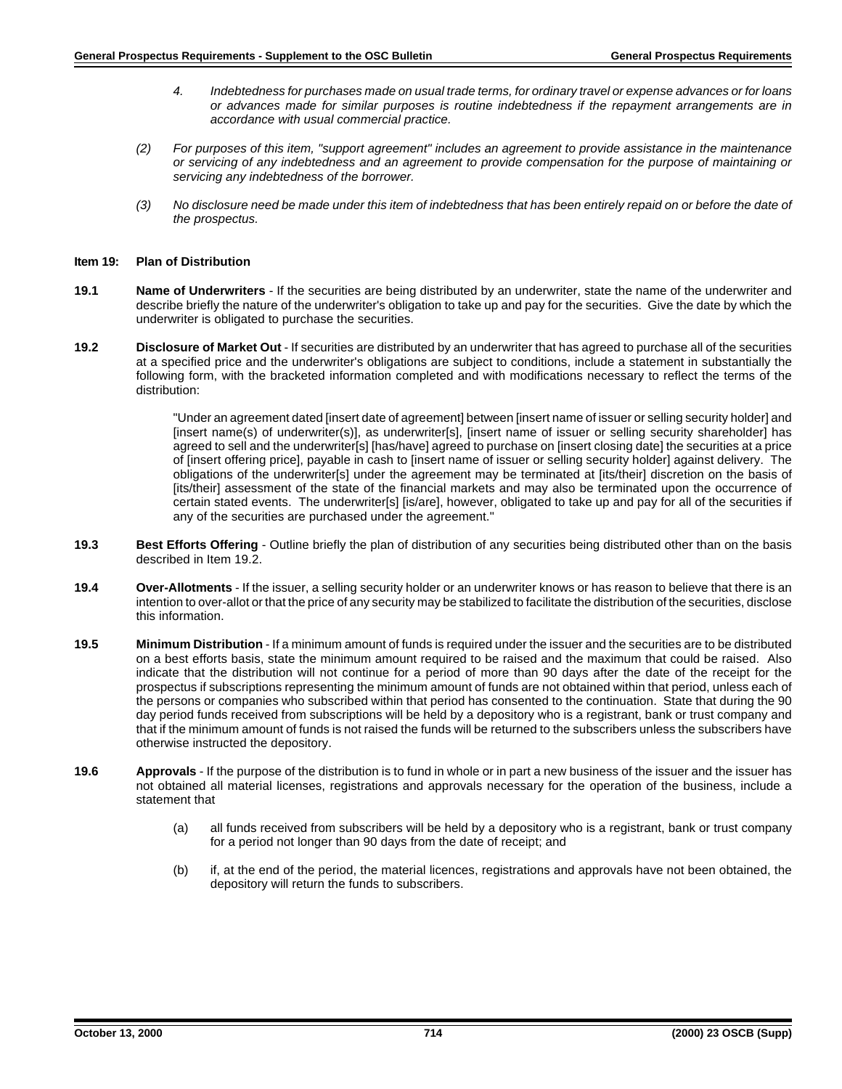- *4. Indebtedness for purchases made on usual trade terms, for ordinary travel or expense advances or for loans or advances made for similar purposes is routine indebtedness if the repayment arrangements are in accordance with usual commercial practice.*
- *(2) For purposes of this item, "support agreement" includes an agreement to provide assistance in the maintenance or servicing of any indebtedness and an agreement to provide compensation for the purpose of maintaining or servicing any indebtedness of the borrower.*
- *(3) No disclosure need be made under this item of indebtedness that has been entirely repaid on or before the date of the prospectus.*

### **Item 19: Plan of Distribution**

- **19.1 Name of Underwriters** If the securities are being distributed by an underwriter, state the name of the underwriter and describe briefly the nature of the underwriter's obligation to take up and pay for the securities. Give the date by which the underwriter is obligated to purchase the securities.
- **19.2 Disclosure of Market Out** If securities are distributed by an underwriter that has agreed to purchase all of the securities at a specified price and the underwriter's obligations are subject to conditions, include a statement in substantially the following form, with the bracketed information completed and with modifications necessary to reflect the terms of the distribution:

"Under an agreement dated [insert date of agreement] between [insert name of issuer or selling security holder] and [insert name(s) of underwriter(s)], as underwriter[s], [insert name of issuer or selling security shareholder] has agreed to sell and the underwriter[s] [has/have] agreed to purchase on [insert closing date] the securities at a price of [insert offering price], payable in cash to [insert name of issuer or selling security holder] against delivery. The obligations of the underwriter[s] under the agreement may be terminated at [its/their] discretion on the basis of [its/their] assessment of the state of the financial markets and may also be terminated upon the occurrence of certain stated events. The underwriter[s] [is/are], however, obligated to take up and pay for all of the securities if any of the securities are purchased under the agreement."

- **19.3 Best Efforts Offering** Outline briefly the plan of distribution of any securities being distributed other than on the basis described in Item 19.2.
- **19.4 Over-Allotments** If the issuer, a selling security holder or an underwriter knows or has reason to believe that there is an intention to over-allot or that the price of any security may be stabilized to facilitate the distribution of the securities, disclose this information.
- **19.5 Minimum Distribution** If a minimum amount of funds is required under the issuer and the securities are to be distributed on a best efforts basis, state the minimum amount required to be raised and the maximum that could be raised. Also indicate that the distribution will not continue for a period of more than 90 days after the date of the receipt for the prospectus if subscriptions representing the minimum amount of funds are not obtained within that period, unless each of the persons or companies who subscribed within that period has consented to the continuation. State that during the 90 day period funds received from subscriptions will be held by a depository who is a registrant, bank or trust company and that if the minimum amount of funds is not raised the funds will be returned to the subscribers unless the subscribers have otherwise instructed the depository.
- **19.6 Approvals** If the purpose of the distribution is to fund in whole or in part a new business of the issuer and the issuer has not obtained all material licenses, registrations and approvals necessary for the operation of the business, include a statement that
	- (a) all funds received from subscribers will be held by a depository who is a registrant, bank or trust company for a period not longer than 90 days from the date of receipt; and
	- (b) if, at the end of the period, the material licences, registrations and approvals have not been obtained, the depository will return the funds to subscribers.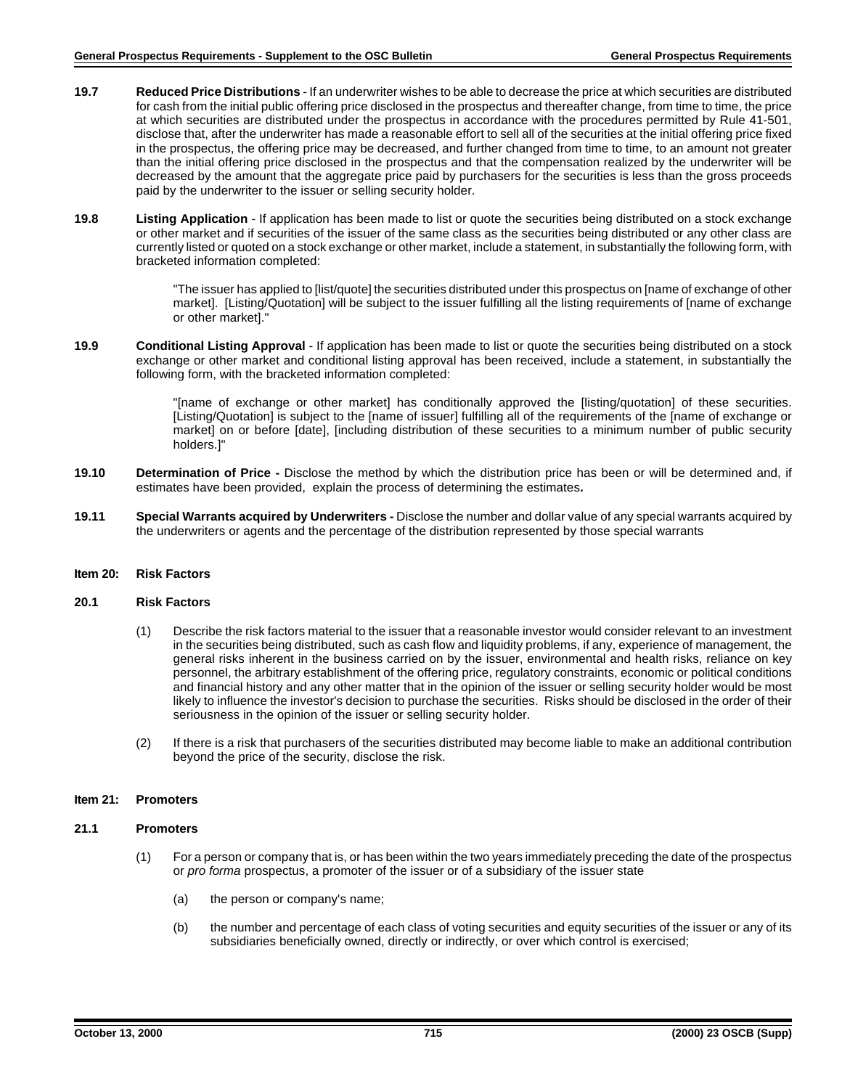- **19.7 Reduced Price Distributions** If an underwriter wishes to be able to decrease the price at which securities are distributed for cash from the initial public offering price disclosed in the prospectus and thereafter change, from time to time, the price at which securities are distributed under the prospectus in accordance with the procedures permitted by Rule 41-501, disclose that, after the underwriter has made a reasonable effort to sell all of the securities at the initial offering price fixed in the prospectus, the offering price may be decreased, and further changed from time to time, to an amount not greater than the initial offering price disclosed in the prospectus and that the compensation realized by the underwriter will be decreased by the amount that the aggregate price paid by purchasers for the securities is less than the gross proceeds paid by the underwriter to the issuer or selling security holder.
- **19.8 Listing Application** If application has been made to list or quote the securities being distributed on a stock exchange or other market and if securities of the issuer of the same class as the securities being distributed or any other class are currently listed or quoted on a stock exchange or other market, include a statement, in substantially the following form, with bracketed information completed:

"The issuer has applied to [list/quote] the securities distributed under this prospectus on [name of exchange of other market]. [Listing/Quotation] will be subject to the issuer fulfilling all the listing requirements of [name of exchange or other market]."

**19.9 Conditional Listing Approval** - If application has been made to list or quote the securities being distributed on a stock exchange or other market and conditional listing approval has been received, include a statement, in substantially the following form, with the bracketed information completed:

> "[name of exchange or other market] has conditionally approved the [listing/quotation] of these securities. [Listing/Quotation] is subject to the [name of issuer] fulfilling all of the requirements of the [name of exchange or market] on or before [date], [including distribution of these securities to a minimum number of public security holders.]"

- **19.10 Determination of Price -** Disclose the method by which the distribution price has been or will be determined and, if estimates have been provided, explain the process of determining the estimates**.**
- **19.11 Special Warrants acquired by Underwriters -** Disclose the number and dollar value of any special warrants acquired by the underwriters or agents and the percentage of the distribution represented by those special warrants

### **Item 20: Risk Factors**

#### **20.1 Risk Factors**

- (1) Describe the risk factors material to the issuer that a reasonable investor would consider relevant to an investment in the securities being distributed, such as cash flow and liquidity problems, if any, experience of management, the general risks inherent in the business carried on by the issuer, environmental and health risks, reliance on key personnel, the arbitrary establishment of the offering price, regulatory constraints, economic or political conditions and financial history and any other matter that in the opinion of the issuer or selling security holder would be most likely to influence the investor's decision to purchase the securities. Risks should be disclosed in the order of their seriousness in the opinion of the issuer or selling security holder.
- (2) If there is a risk that purchasers of the securities distributed may become liable to make an additional contribution beyond the price of the security, disclose the risk.

#### **Item 21: Promoters**

### **21.1 Promoters**

- (1) For a person or company that is, or has been within the two years immediately preceding the date of the prospectus or *pro forma* prospectus, a promoter of the issuer or of a subsidiary of the issuer state
	- (a) the person or company's name;
	- (b) the number and percentage of each class of voting securities and equity securities of the issuer or any of its subsidiaries beneficially owned, directly or indirectly, or over which control is exercised;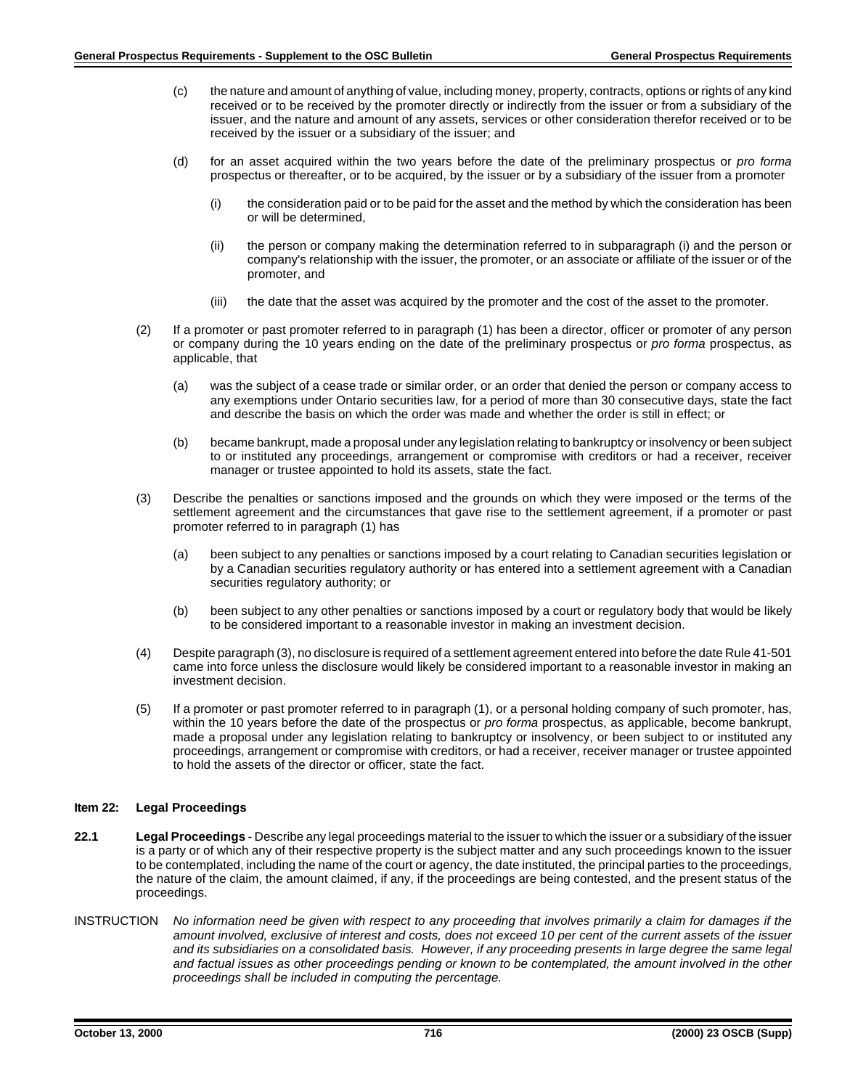- (c) the nature and amount of anything of value, including money, property, contracts, options or rights of any kind received or to be received by the promoter directly or indirectly from the issuer or from a subsidiary of the issuer, and the nature and amount of any assets, services or other consideration therefor received or to be received by the issuer or a subsidiary of the issuer; and
- (d) for an asset acquired within the two years before the date of the preliminary prospectus or *pro forma* prospectus or thereafter, or to be acquired, by the issuer or by a subsidiary of the issuer from a promoter
	- (i) the consideration paid or to be paid for the asset and the method by which the consideration has been or will be determined,
	- (ii) the person or company making the determination referred to in subparagraph (i) and the person or company's relationship with the issuer, the promoter, or an associate or affiliate of the issuer or of the promoter, and
	- (iii) the date that the asset was acquired by the promoter and the cost of the asset to the promoter.
- (2) If a promoter or past promoter referred to in paragraph (1) has been a director, officer or promoter of any person or company during the 10 years ending on the date of the preliminary prospectus or *pro forma* prospectus, as applicable, that
	- (a) was the subject of a cease trade or similar order, or an order that denied the person or company access to any exemptions under Ontario securities law, for a period of more than 30 consecutive days, state the fact and describe the basis on which the order was made and whether the order is still in effect; or
	- (b) became bankrupt, made a proposal under any legislation relating to bankruptcy or insolvency or been subject to or instituted any proceedings, arrangement or compromise with creditors or had a receiver, receiver manager or trustee appointed to hold its assets, state the fact.
- (3) Describe the penalties or sanctions imposed and the grounds on which they were imposed or the terms of the settlement agreement and the circumstances that gave rise to the settlement agreement, if a promoter or past promoter referred to in paragraph (1) has
	- (a) been subject to any penalties or sanctions imposed by a court relating to Canadian securities legislation or by a Canadian securities regulatory authority or has entered into a settlement agreement with a Canadian securities regulatory authority; or
	- (b) been subject to any other penalties or sanctions imposed by a court or regulatory body that would be likely to be considered important to a reasonable investor in making an investment decision.
- (4) Despite paragraph (3), no disclosure is required of a settlement agreement entered into before the date Rule 41-501 came into force unless the disclosure would likely be considered important to a reasonable investor in making an investment decision.
- (5) If a promoter or past promoter referred to in paragraph (1), or a personal holding company of such promoter, has, within the 10 years before the date of the prospectus or *pro forma* prospectus, as applicable, become bankrupt, made a proposal under any legislation relating to bankruptcy or insolvency, or been subject to or instituted any proceedings, arrangement or compromise with creditors, or had a receiver, receiver manager or trustee appointed to hold the assets of the director or officer, state the fact.

### **Item 22: Legal Proceedings**

- **22.1 Legal Proceedings** Describe any legal proceedings material to the issuer to which the issuer or a subsidiary of the issuer is a party or of which any of their respective property is the subject matter and any such proceedings known to the issuer to be contemplated, including the name of the court or agency, the date instituted, the principal parties to the proceedings, the nature of the claim, the amount claimed, if any, if the proceedings are being contested, and the present status of the proceedings.
- INSTRUCTION *No information need be given with respect to any proceeding that involves primarily a claim for damages if the amount involved, exclusive of interest and costs, does not exceed 10 per cent of the current assets of the issuer and its subsidiaries on a consolidated basis. However, if any proceeding presents in large degree the same legal and factual issues as other proceedings pending or known to be contemplated, the amount involved in the other proceedings shall be included in computing the percentage.*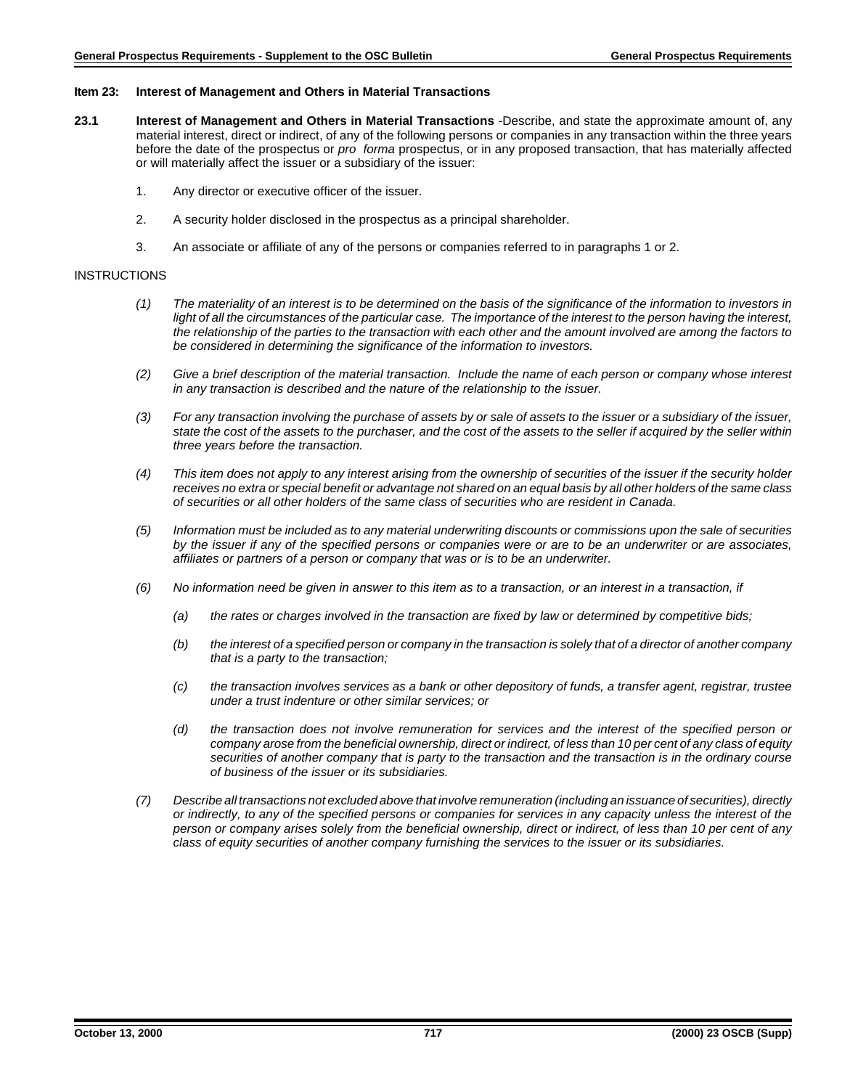### **Item 23: Interest of Management and Others in Material Transactions**

- **23.1 Interest of Management and Others in Material Transactions** -Describe, and state the approximate amount of, any material interest, direct or indirect, of any of the following persons or companies in any transaction within the three years before the date of the prospectus or *pro forma* prospectus, or in any proposed transaction, that has materially affected or will materially affect the issuer or a subsidiary of the issuer:
	- 1. Any director or executive officer of the issuer.
	- 2. A security holder disclosed in the prospectus as a principal shareholder.
	- 3. An associate or affiliate of any of the persons or companies referred to in paragraphs 1 or 2.

- *(1) The materiality of an interest is to be determined on the basis of the significance of the information to investors in light of all the circumstances of the particular case. The importance of the interest to the person having the interest, the relationship of the parties to the transaction with each other and the amount involved are among the factors to be considered in determining the significance of the information to investors.*
- *(2) Give a brief description of the material transaction. Include the name of each person or company whose interest in any transaction is described and the nature of the relationship to the issuer.*
- *(3) For any transaction involving the purchase of assets by or sale of assets to the issuer or a subsidiary of the issuer, state the cost of the assets to the purchaser, and the cost of the assets to the seller if acquired by the seller within three years before the transaction.*
- *(4) This item does not apply to any interest arising from the ownership of securities of the issuer if the security holder receives no extra or special benefit or advantage not shared on an equal basis by all other holders of the same class of securities or all other holders of the same class of securities who are resident in Canada.*
- *(5) Information must be included as to any material underwriting discounts or commissions upon the sale of securities by the issuer if any of the specified persons or companies were or are to be an underwriter or are associates, affiliates or partners of a person or company that was or is to be an underwriter.*
- *(6) No information need be given in answer to this item as to a transaction, or an interest in a transaction, if*
	- *(a) the rates or charges involved in the transaction are fixed by law or determined by competitive bids;*
	- *(b) the interest of a specified person or company in the transaction is solely that of a director of another company that is a party to the transaction;*
	- *(c) the transaction involves services as a bank or other depository of funds, a transfer agent, registrar, trustee under a trust indenture or other similar services; or*
	- *(d) the transaction does not involve remuneration for services and the interest of the specified person or company arose from the beneficial ownership, direct or indirect, of less than 10 per cent of any class of equity securities of another company that is party to the transaction and the transaction is in the ordinary course of business of the issuer or its subsidiaries.*
- *(7) Describe all transactions not excluded above that involve remuneration (including an issuance of securities), directly or indirectly, to any of the specified persons or companies for services in any capacity unless the interest of the person or company arises solely from the beneficial ownership, direct or indirect, of less than 10 per cent of any class of equity securities of another company furnishing the services to the issuer or its subsidiaries.*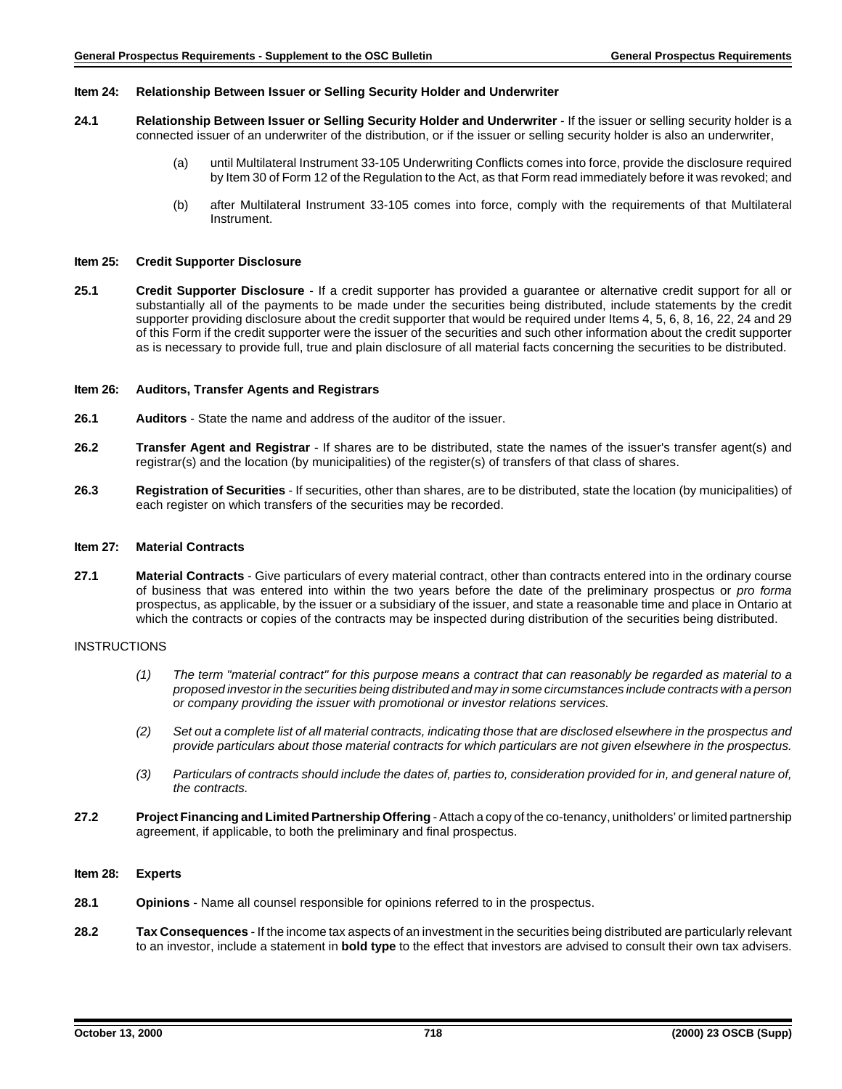#### **Item 24: Relationship Between Issuer or Selling Security Holder and Underwriter**

- **24.1 Relationship Between Issuer or Selling Security Holder and Underwriter** If the issuer or selling security holder is a connected issuer of an underwriter of the distribution, or if the issuer or selling security holder is also an underwriter,
	- (a) until Multilateral Instrument 33-105 Underwriting Conflicts comes into force, provide the disclosure required by Item 30 of Form 12 of the Regulation to the Act, as that Form read immediately before it was revoked; and
	- (b) after Multilateral Instrument 33-105 comes into force, comply with the requirements of that Multilateral Instrument.

### **Item 25: Credit Supporter Disclosure**

**25.1 Credit Supporter Disclosure** - If a credit supporter has provided a guarantee or alternative credit support for all or substantially all of the payments to be made under the securities being distributed, include statements by the credit supporter providing disclosure about the credit supporter that would be required under Items 4, 5, 6, 8, 16, 22, 24 and 29 of this Form if the credit supporter were the issuer of the securities and such other information about the credit supporter as is necessary to provide full, true and plain disclosure of all material facts concerning the securities to be distributed.

### **Item 26: Auditors, Transfer Agents and Registrars**

- **26.1 Auditors** State the name and address of the auditor of the issuer.
- **26.2 Transfer Agent and Registrar** If shares are to be distributed, state the names of the issuer's transfer agent(s) and registrar(s) and the location (by municipalities) of the register(s) of transfers of that class of shares.
- **26.3 Registration of Securities** If securities, other than shares, are to be distributed, state the location (by municipalities) of each register on which transfers of the securities may be recorded.

### **Item 27: Material Contracts**

**27.1 Material Contracts** - Give particulars of every material contract, other than contracts entered into in the ordinary course of business that was entered into within the two years before the date of the preliminary prospectus or *pro forma* prospectus, as applicable, by the issuer or a subsidiary of the issuer, and state a reasonable time and place in Ontario at which the contracts or copies of the contracts may be inspected during distribution of the securities being distributed.

### **INSTRUCTIONS**

- *(1) The term "material contract" for this purpose means a contract that can reasonably be regarded as material to a proposed investor in the securities being distributed and may in some circumstances include contracts with a person or company providing the issuer with promotional or investor relations services.*
- *(2) Set out a complete list of all material contracts, indicating those that are disclosed elsewhere in the prospectus and provide particulars about those material contracts for which particulars are not given elsewhere in the prospectus.*
- *(3) Particulars of contracts should include the dates of, parties to, consideration provided for in, and general nature of, the contracts.*
- **27.2 Project Financing and Limited Partnership Offering** Attach a copy of the co-tenancy, unitholders' or limited partnership agreement, if applicable, to both the preliminary and final prospectus.

#### **Item 28: Experts**

- **28.1 Opinions** Name all counsel responsible for opinions referred to in the prospectus.
- **28.2 Tax Consequences** If the income tax aspects of an investment in the securities being distributed are particularly relevant to an investor, include a statement in **bold type** to the effect that investors are advised to consult their own tax advisers.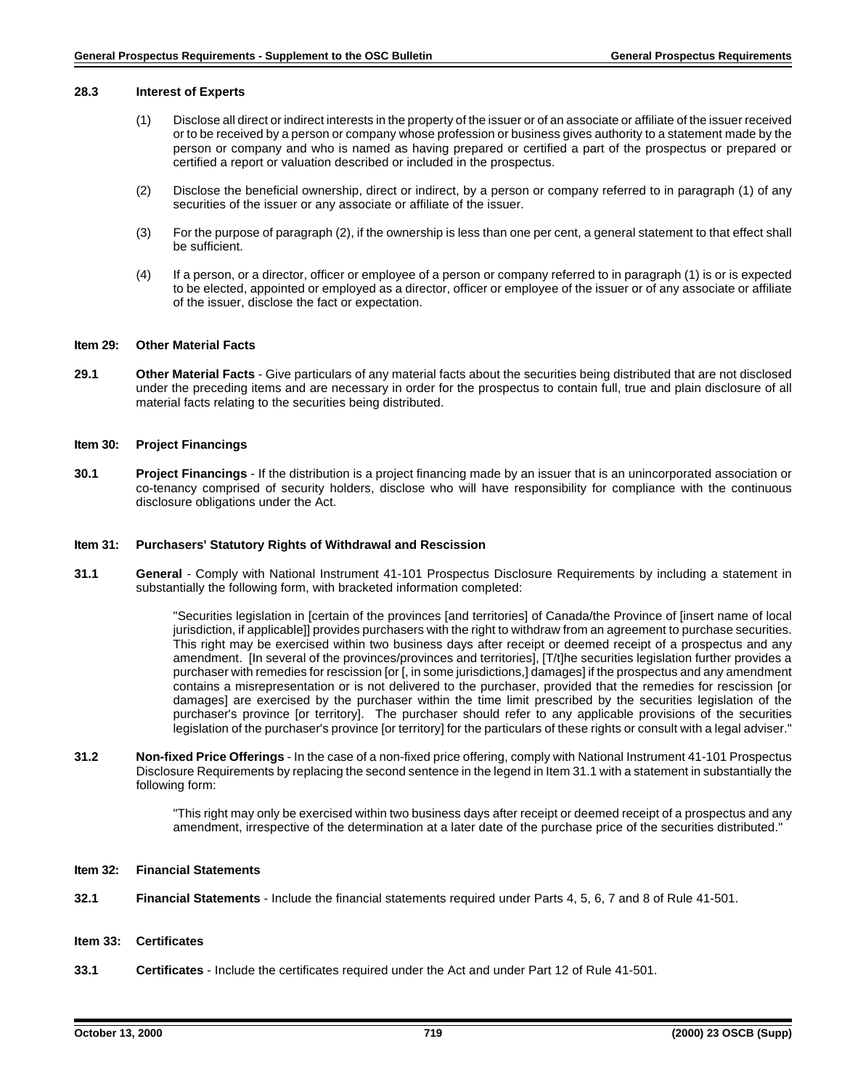### **28.3 Interest of Experts**

- (1) Disclose all direct or indirect interests in the property of the issuer or of an associate or affiliate of the issuer received or to be received by a person or company whose profession or business gives authority to a statement made by the person or company and who is named as having prepared or certified a part of the prospectus or prepared or certified a report or valuation described or included in the prospectus.
- (2) Disclose the beneficial ownership, direct or indirect, by a person or company referred to in paragraph (1) of any securities of the issuer or any associate or affiliate of the issuer.
- (3) For the purpose of paragraph (2), if the ownership is less than one per cent, a general statement to that effect shall be sufficient.
- (4) If a person, or a director, officer or employee of a person or company referred to in paragraph (1) is or is expected to be elected, appointed or employed as a director, officer or employee of the issuer or of any associate or affiliate of the issuer, disclose the fact or expectation.

### **Item 29: Other Material Facts**

**29.1 Other Material Facts** - Give particulars of any material facts about the securities being distributed that are not disclosed under the preceding items and are necessary in order for the prospectus to contain full, true and plain disclosure of all material facts relating to the securities being distributed.

### **Item 30: Project Financings**

**30.1 Project Financings** - If the distribution is a project financing made by an issuer that is an unincorporated association or co-tenancy comprised of security holders, disclose who will have responsibility for compliance with the continuous disclosure obligations under the Act.

### **Item 31: Purchasers' Statutory Rights of Withdrawal and Rescission**

**31.1 General** - Comply with National Instrument 41-101 Prospectus Disclosure Requirements by including a statement in substantially the following form, with bracketed information completed:

> "Securities legislation in [certain of the provinces [and territories] of Canada/the Province of [insert name of local jurisdiction, if applicable]] provides purchasers with the right to withdraw from an agreement to purchase securities. This right may be exercised within two business days after receipt or deemed receipt of a prospectus and any amendment. [In several of the provinces/provinces and territories], [T/t]he securities legislation further provides a purchaser with remedies for rescission [or [, in some jurisdictions,] damages] if the prospectus and any amendment contains a misrepresentation or is not delivered to the purchaser, provided that the remedies for rescission [or damages] are exercised by the purchaser within the time limit prescribed by the securities legislation of the purchaser's province [or territory]. The purchaser should refer to any applicable provisions of the securities legislation of the purchaser's province [or territory] for the particulars of these rights or consult with a legal adviser."

**31.2 Non-fixed Price Offerings** - In the case of a non-fixed price offering, comply with National Instrument 41-101 Prospectus Disclosure Requirements by replacing the second sentence in the legend in Item 31.1 with a statement in substantially the following form:

> "This right may only be exercised within two business days after receipt or deemed receipt of a prospectus and any amendment, irrespective of the determination at a later date of the purchase price of the securities distributed."

### **Item 32: Financial Statements**

**32.1 Financial Statements** - Include the financial statements required under Parts 4, 5, 6, 7 and 8 of Rule 41-501.

### **Item 33: Certificates**

**33.1 Certificates** - Include the certificates required under the Act and under Part 12 of Rule 41-501.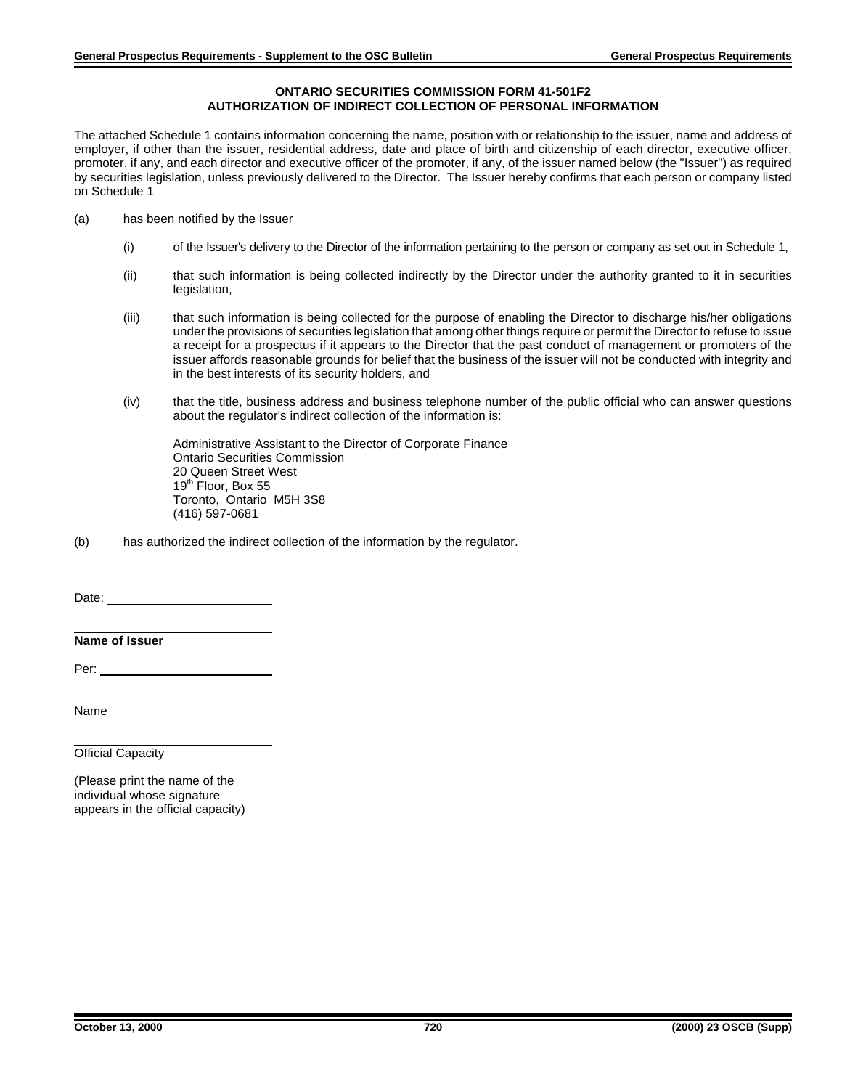## **ONTARIO SECURITIES COMMISSION FORM 41-501F2 AUTHORIZATION OF INDIRECT COLLECTION OF PERSONAL INFORMATION**

The attached Schedule 1 contains information concerning the name, position with or relationship to the issuer, name and address of employer, if other than the issuer, residential address, date and place of birth and citizenship of each director, executive officer, promoter, if any, and each director and executive officer of the promoter, if any, of the issuer named below (the "Issuer") as required by securities legislation, unless previously delivered to the Director. The Issuer hereby confirms that each person or company listed on Schedule 1

- (a) has been notified by the Issuer
	- (i) of the Issuer's delivery to the Director of the information pertaining to the person or company as set out in Schedule 1,
	- (ii) that such information is being collected indirectly by the Director under the authority granted to it in securities legislation,
	- (iii) that such information is being collected for the purpose of enabling the Director to discharge his/her obligations under the provisions of securities legislation that among other things require or permit the Director to refuse to issue a receipt for a prospectus if it appears to the Director that the past conduct of management or promoters of the issuer affords reasonable grounds for belief that the business of the issuer will not be conducted with integrity and in the best interests of its security holders, and
	- (iv) that the title, business address and business telephone number of the public official who can answer questions about the regulator's indirect collection of the information is:

Administrative Assistant to the Director of Corporate Finance Ontario Securities Commission 20 Queen Street West 19<sup>th</sup> Floor, Box 55 Toronto, Ontario M5H 3S8 (416) 597-0681

(b) has authorized the indirect collection of the information by the regulator.

Date:

**Name of Issuer**

Per: when the contract of the contract of the contract of the contract of the contract of the contract of the contract of the contract of the contract of the contract of the contract of the contract of the contract of the

Name

**Official Capacity** 

(Please print the name of the individual whose signature appears in the official capacity)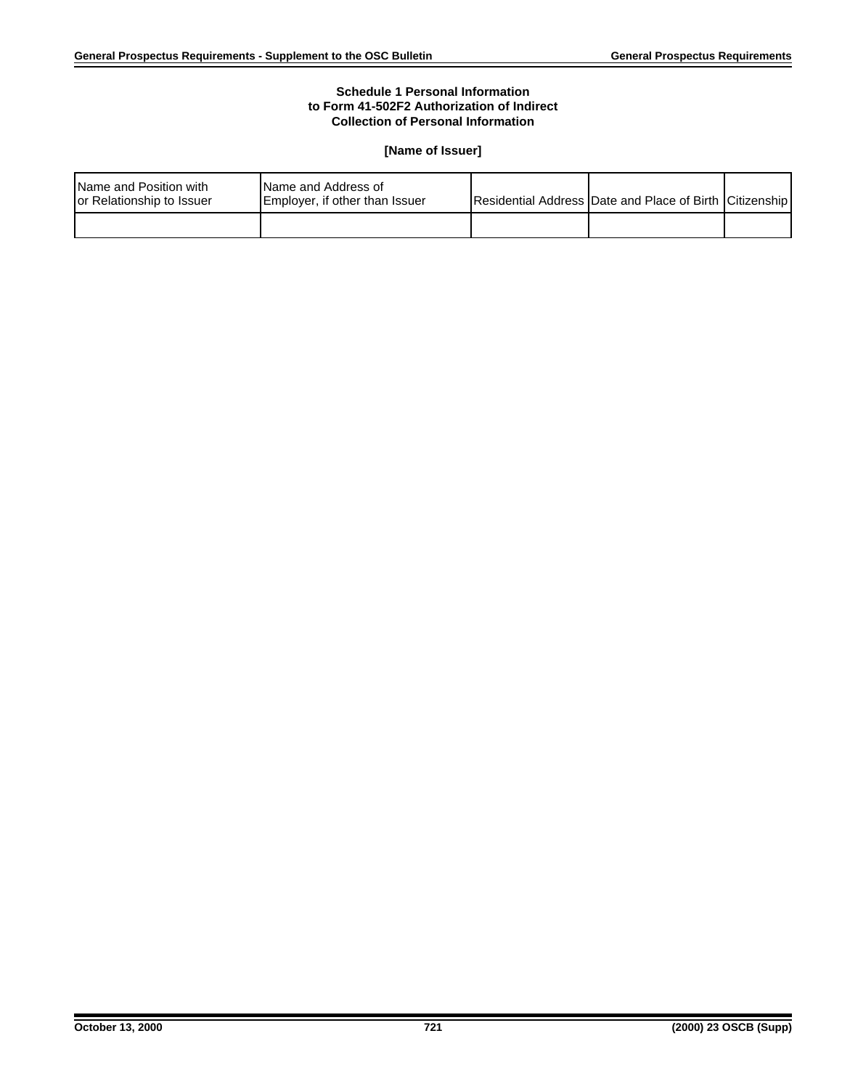## **Schedule 1 Personal Information to Form 41-502F2 Authorization of Indirect Collection of Personal Information**

## **[Name of Issuer]**

| Name and Position with<br><b>Tor Relationship to Issuer</b> | Name and Address of<br>Employer, if other than Issuer | Residential Address Date and Place of Birth Citizenship |  |
|-------------------------------------------------------------|-------------------------------------------------------|---------------------------------------------------------|--|
|                                                             |                                                       |                                                         |  |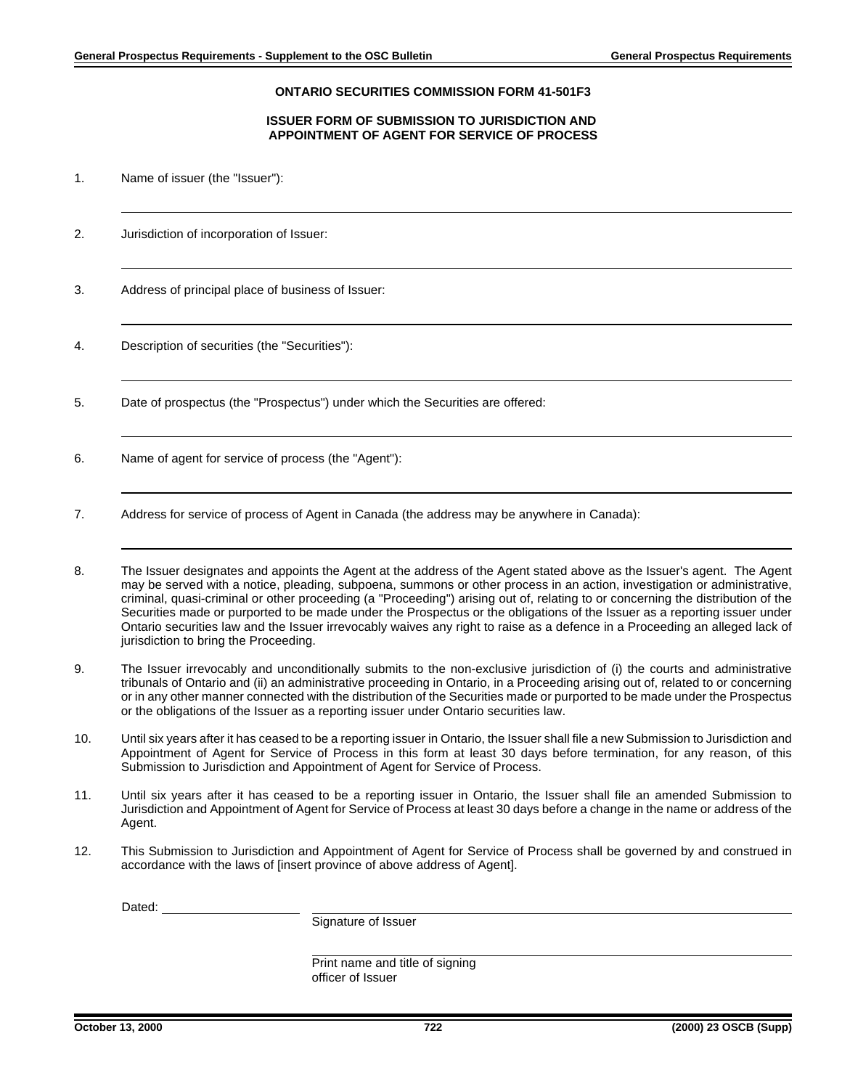### **ONTARIO SECURITIES COMMISSION FORM 41-501F3**

## **ISSUER FORM OF SUBMISSION TO JURISDICTION AND APPOINTMENT OF AGENT FOR SERVICE OF PROCESS**

- 1. Name of issuer (the "Issuer"):
- 2. Jurisdiction of incorporation of Issuer:
- 3. Address of principal place of business of Issuer:
- 4. Description of securities (the "Securities"):
- 5. Date of prospectus (the "Prospectus") under which the Securities are offered:
- 6. Name of agent for service of process (the "Agent"):
- 7. Address for service of process of Agent in Canada (the address may be anywhere in Canada):
- 8. The Issuer designates and appoints the Agent at the address of the Agent stated above as the Issuer's agent. The Agent may be served with a notice, pleading, subpoena, summons or other process in an action, investigation or administrative, criminal, quasi-criminal or other proceeding (a "Proceeding") arising out of, relating to or concerning the distribution of the Securities made or purported to be made under the Prospectus or the obligations of the Issuer as a reporting issuer under Ontario securities law and the Issuer irrevocably waives any right to raise as a defence in a Proceeding an alleged lack of jurisdiction to bring the Proceeding.
- 9. The Issuer irrevocably and unconditionally submits to the non-exclusive jurisdiction of (i) the courts and administrative tribunals of Ontario and (ii) an administrative proceeding in Ontario, in a Proceeding arising out of, related to or concerning or in any other manner connected with the distribution of the Securities made or purported to be made under the Prospectus or the obligations of the Issuer as a reporting issuer under Ontario securities law.
- 10. Until six years after it has ceased to be a reporting issuer in Ontario, the Issuer shall file a new Submission to Jurisdiction and Appointment of Agent for Service of Process in this form at least 30 days before termination, for any reason, of this Submission to Jurisdiction and Appointment of Agent for Service of Process.
- 11. Until six years after it has ceased to be a reporting issuer in Ontario, the Issuer shall file an amended Submission to Jurisdiction and Appointment of Agent for Service of Process at least 30 days before a change in the name or address of the Agent.
- 12. This Submission to Jurisdiction and Appointment of Agent for Service of Process shall be governed by and construed in accordance with the laws of [insert province of above address of Agent].

Dated: **Dated:** 

Signature of Issuer

Print name and title of signing officer of Issuer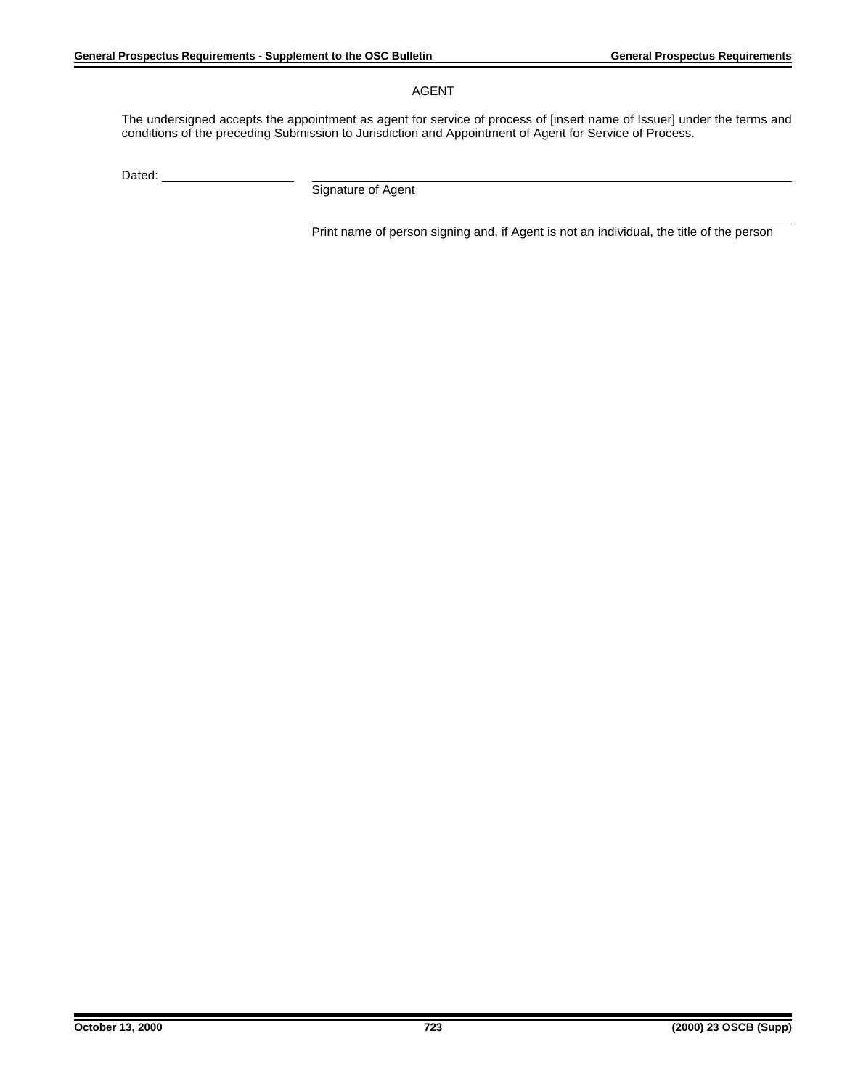# AGENT

The undersigned accepts the appointment as agent for service of process of [insert name of Issuer] under the terms and conditions of the preceding Submission to Jurisdiction and Appointment of Agent for Service of Process.

Dated:

Signature of Agent

Print name of person signing and, if Agent is not an individual, the title of the person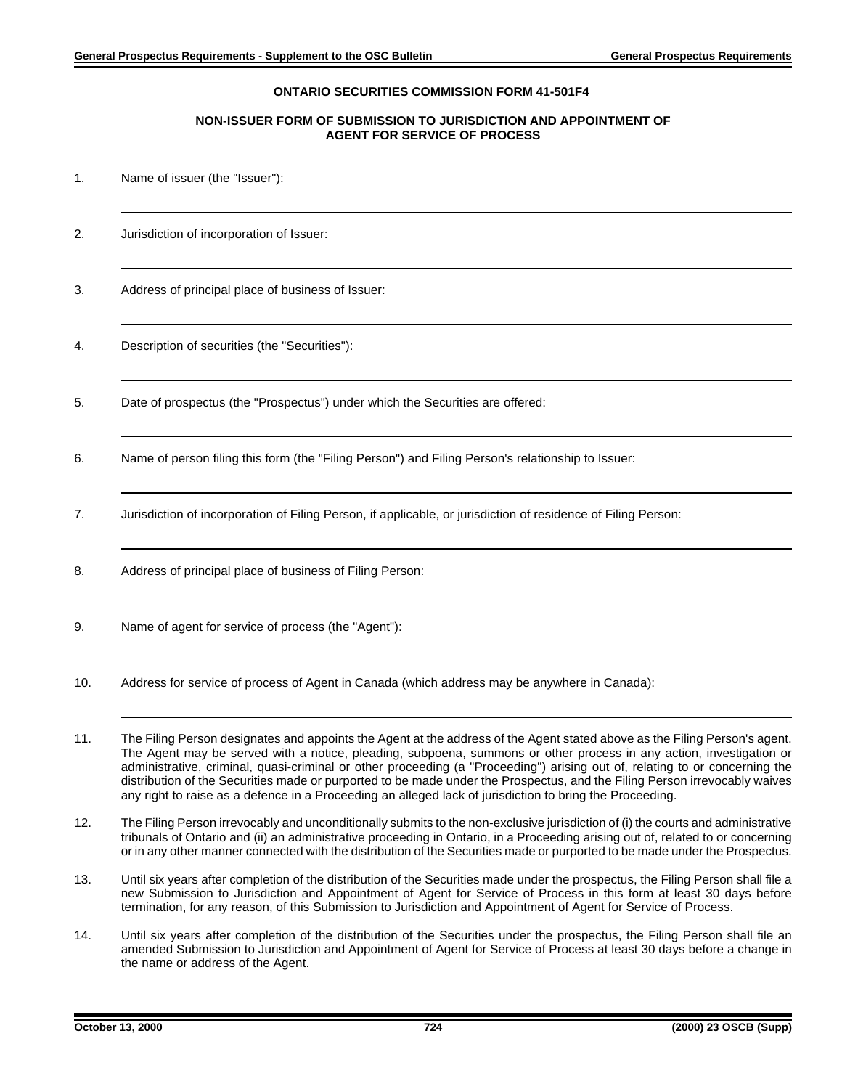### **ONTARIO SECURITIES COMMISSION FORM 41-501F4**

## **NON-ISSUER FORM OF SUBMISSION TO JURISDICTION AND APPOINTMENT OF AGENT FOR SERVICE OF PROCESS**

- 1. Name of issuer (the "Issuer"):
- 2. Jurisdiction of incorporation of Issuer:
- 3. Address of principal place of business of Issuer:
- 4. Description of securities (the "Securities"):
- 5. Date of prospectus (the "Prospectus") under which the Securities are offered:
- 6. Name of person filing this form (the "Filing Person") and Filing Person's relationship to Issuer:
- 7. Jurisdiction of incorporation of Filing Person, if applicable, or jurisdiction of residence of Filing Person:
- 8. Address of principal place of business of Filing Person:
- 9. Name of agent for service of process (the "Agent"):
- 10. Address for service of process of Agent in Canada (which address may be anywhere in Canada):
- 11. The Filing Person designates and appoints the Agent at the address of the Agent stated above as the Filing Person's agent. The Agent may be served with a notice, pleading, subpoena, summons or other process in any action, investigation or administrative, criminal, quasi-criminal or other proceeding (a "Proceeding") arising out of, relating to or concerning the distribution of the Securities made or purported to be made under the Prospectus, and the Filing Person irrevocably waives any right to raise as a defence in a Proceeding an alleged lack of jurisdiction to bring the Proceeding.
- 12. The Filing Person irrevocably and unconditionally submits to the non-exclusive jurisdiction of (i) the courts and administrative tribunals of Ontario and (ii) an administrative proceeding in Ontario, in a Proceeding arising out of, related to or concerning or in any other manner connected with the distribution of the Securities made or purported to be made under the Prospectus.
- 13. Until six years after completion of the distribution of the Securities made under the prospectus, the Filing Person shall file a new Submission to Jurisdiction and Appointment of Agent for Service of Process in this form at least 30 days before termination, for any reason, of this Submission to Jurisdiction and Appointment of Agent for Service of Process.
- 14. Until six years after completion of the distribution of the Securities under the prospectus, the Filing Person shall file an amended Submission to Jurisdiction and Appointment of Agent for Service of Process at least 30 days before a change in the name or address of the Agent.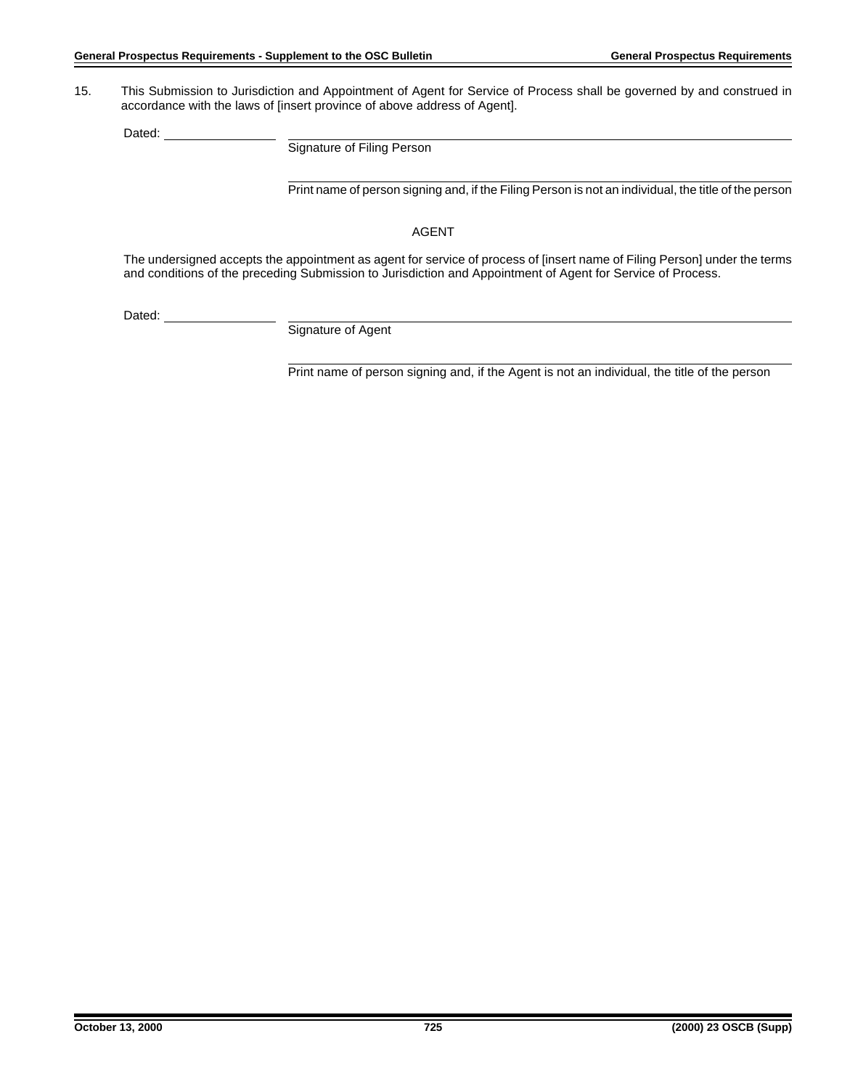15. This Submission to Jurisdiction and Appointment of Agent for Service of Process shall be governed by and construed in accordance with the laws of [insert province of above address of Agent].

Dated: \_\_

Signature of Filing Person

Print name of person signing and, if the Filing Person is not an individual, the title of the person

## AGENT

The undersigned accepts the appointment as agent for service of process of [insert name of Filing Person] under the terms and conditions of the preceding Submission to Jurisdiction and Appointment of Agent for Service of Process.

Dated:

Signature of Agent

Print name of person signing and, if the Agent is not an individual, the title of the person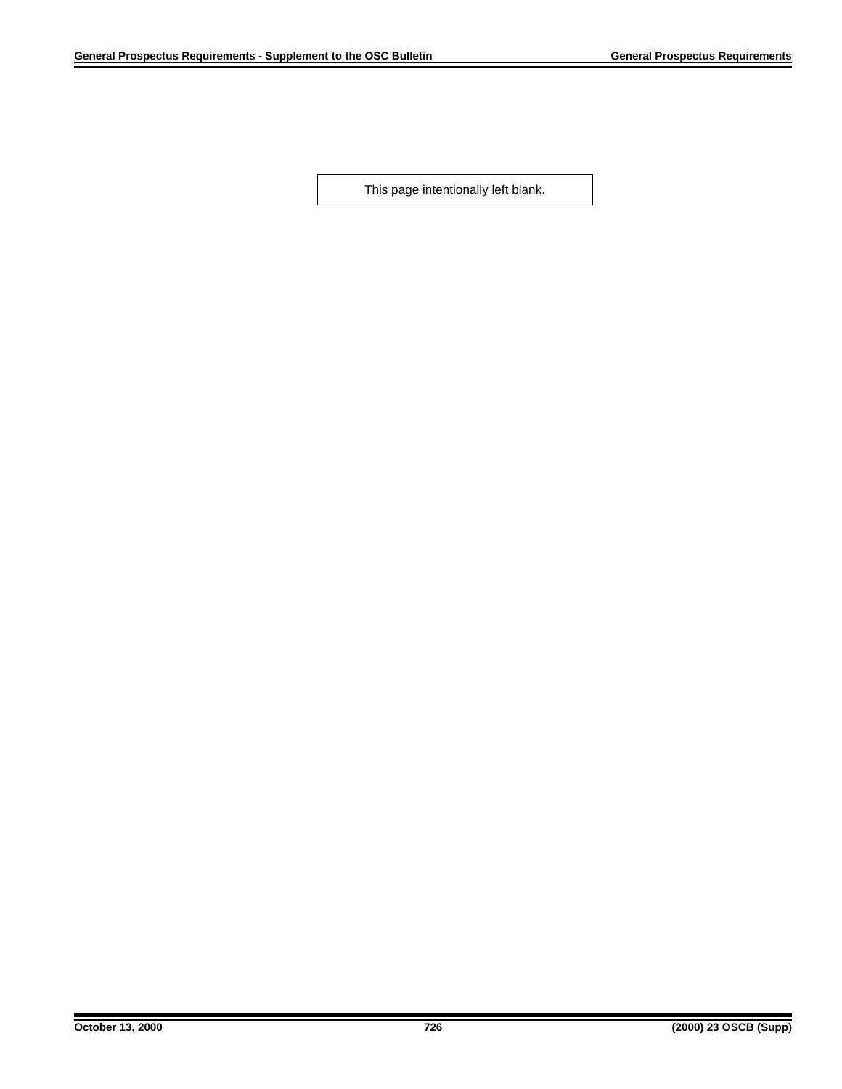This page intentionally left blank.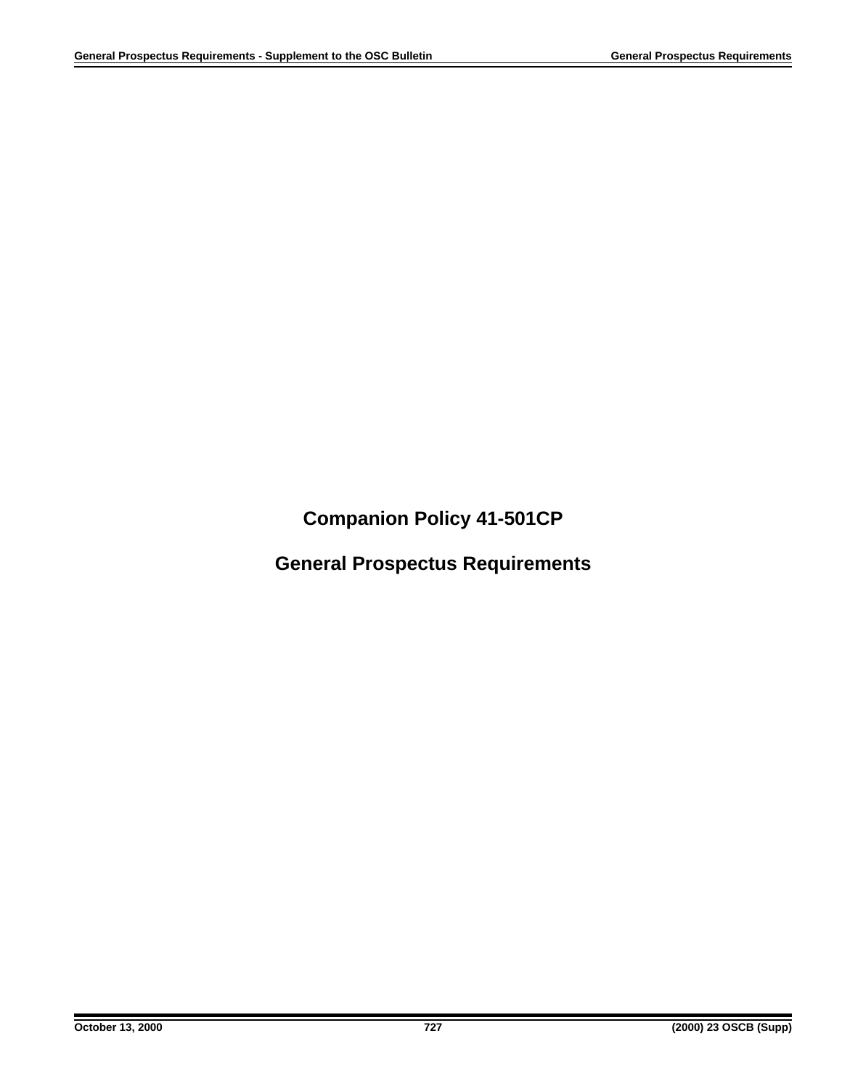**Companion Policy 41-501CP**

**General Prospectus Requirements**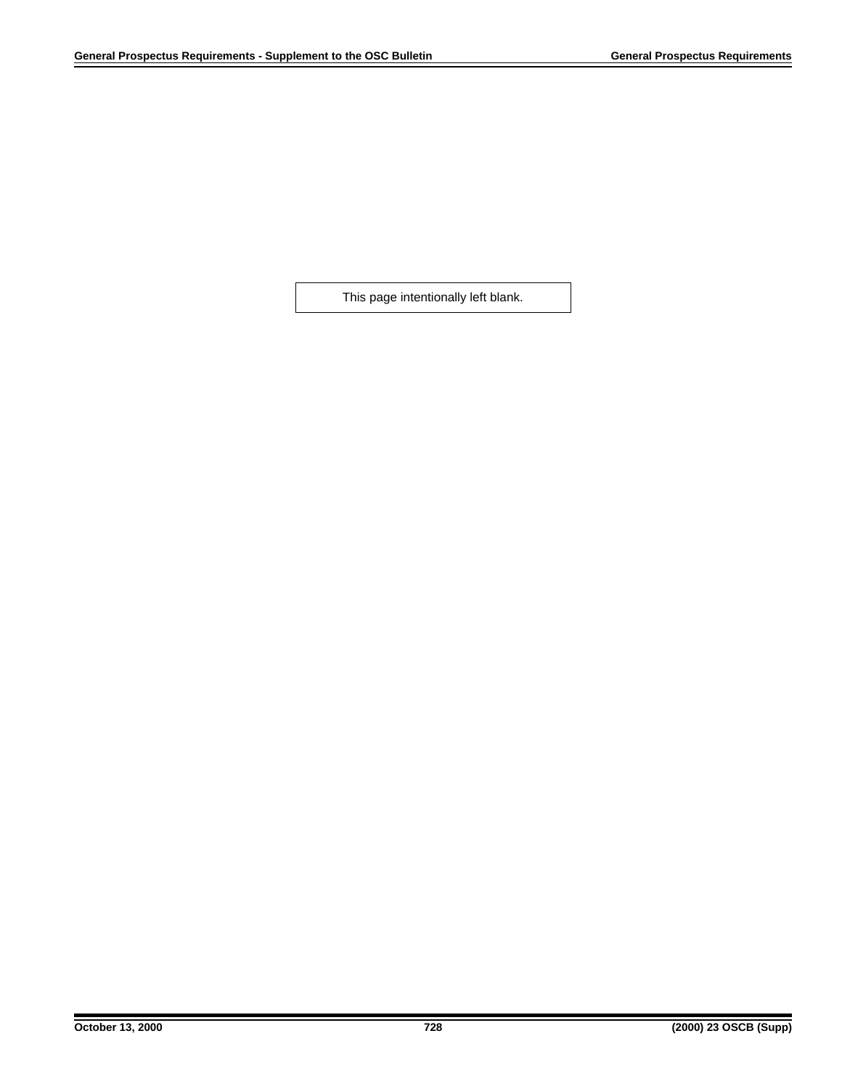This page intentionally left blank.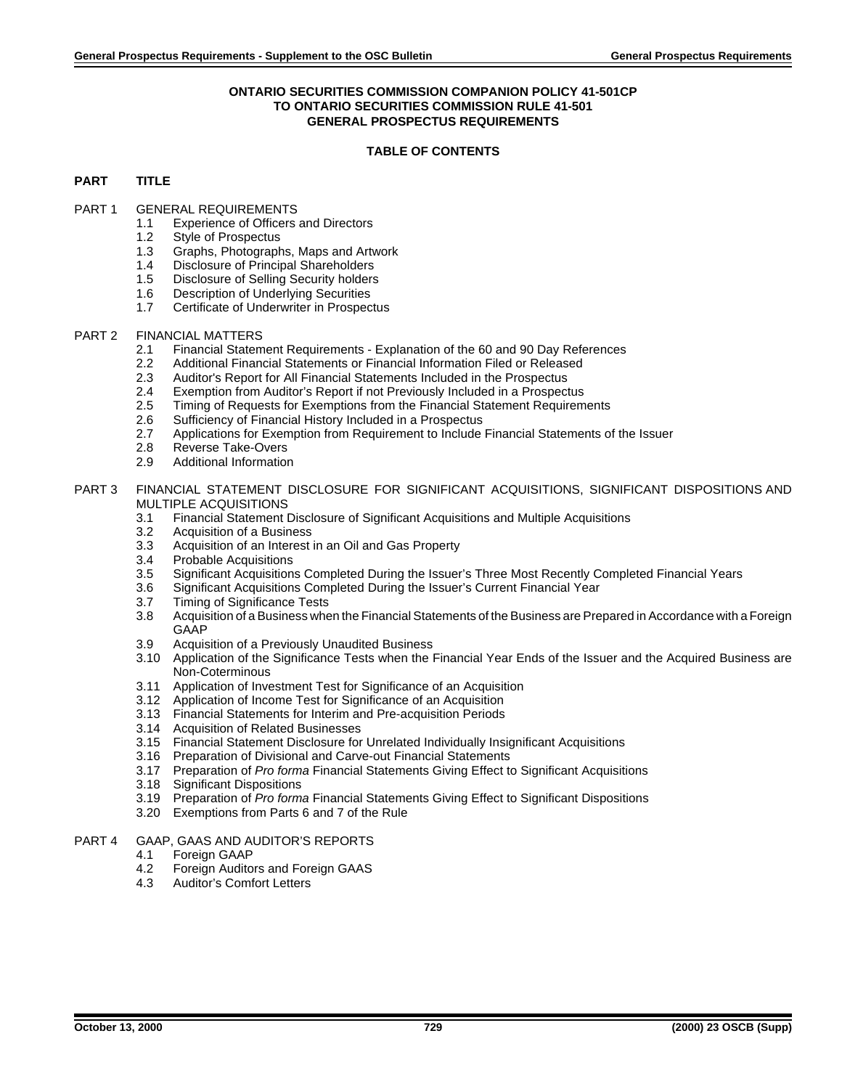# **ONTARIO SECURITIES COMMISSION COMPANION POLICY 41-501CP TO ONTARIO SECURITIES COMMISSION RULE 41-501 GENERAL PROSPECTUS REQUIREMENTS**

# **TABLE OF CONTENTS**

# **PART TITLE**

# PART 1 GENERAL REQUIREMENTS

- 1.1 Experience of Officers and Directors<br>1.2 Style of Prospectus
- Style of Prospectus
- 1.3 Graphs, Photographs, Maps and Artwork
- 1.4 Disclosure of Principal Shareholders
- 1.5 Disclosure of Selling Security holders
- 1.6 Description of Underlying Securities
- 1.7 Certificate of Underwriter in Prospectus

#### PART 2 FINANCIAL MATTERS

- 2.1 Financial Statement Requirements Explanation of the 60 and 90 Day References
- 2.2 Additional Financial Statements or Financial Information Filed or Released<br>2.3 Auditor's Report for All Financial Statements Included in the Prospectus
- 2.3 Auditor's Report for All Financial Statements Included in the Prospectus
- 2.4 Exemption from Auditor's Report if not Previously Included in a Prospectus
- 2.5 Timing of Requests for Exemptions from the Financial Statement Requirements
- 2.6 Sufficiency of Financial History Included in a Prospectus
- 2.7 Applications for Exemption from Requirement to Include Financial Statements of the Issuer<br>2.8 Reverse Take-Overs
- Reverse Take-Overs
- 2.9 Additional Information
- PART 3 FINANCIAL STATEMENT DISCLOSURE FOR SIGNIFICANT ACQUISITIONS, SIGNIFICANT DISPOSITIONS AND MULTIPLE ACQUISITIONS
	- 3.1 Financial Statement Disclosure of Significant Acquisitions and Multiple Acquisitions
	- 3.2 Acquisition of a Business
	- 3.3 Acquisition of an Interest in an Oil and Gas Property
	- 3.4 Probable Acquisitions
	- 3.5 Significant Acquisitions Completed During the Issuer's Three Most Recently Completed Financial Years 3.6 Significant Acquisitions Completed During the Issuer's Current Financial Year
	- Significant Acquisitions Completed During the Issuer's Current Financial Year
	- 3.7 Timing of Significance Tests
	- 3.8 Acquisition of a Business when the Financial Statements of the Business are Prepared in Accordance with a Foreign GAAP
	- 3.9 Acquisition of a Previously Unaudited Business
	- 3.10 Application of the Significance Tests when the Financial Year Ends of the Issuer and the Acquired Business are Non-Coterminous
	- 3.11 Application of Investment Test for Significance of an Acquisition
	- 3.12 Application of Income Test for Significance of an Acquisition
	- 3.13 Financial Statements for Interim and Pre-acquisition Periods
	- 3.14 Acquisition of Related Businesses
	- 3.15 Financial Statement Disclosure for Unrelated Individually Insignificant Acquisitions
	- 3.16 Preparation of Divisional and Carve-out Financial Statements
	- 3.17 Preparation of *Pro forma* Financial Statements Giving Effect to Significant Acquisitions
	- 3.18 Significant Dispositions
	- 3.19 Preparation of *Pro forma* Financial Statements Giving Effect to Significant Dispositions
	- 3.20 Exemptions from Parts 6 and 7 of the Rule
- PART 4 GAAP, GAAS AND AUDITOR'S REPORTS
	- 4.1 Foreign GAAP
	- 4.2 Foreign Auditors and Foreign GAAS<br>4.3 Auditor's Comfort Letters
	- Auditor's Comfort Letters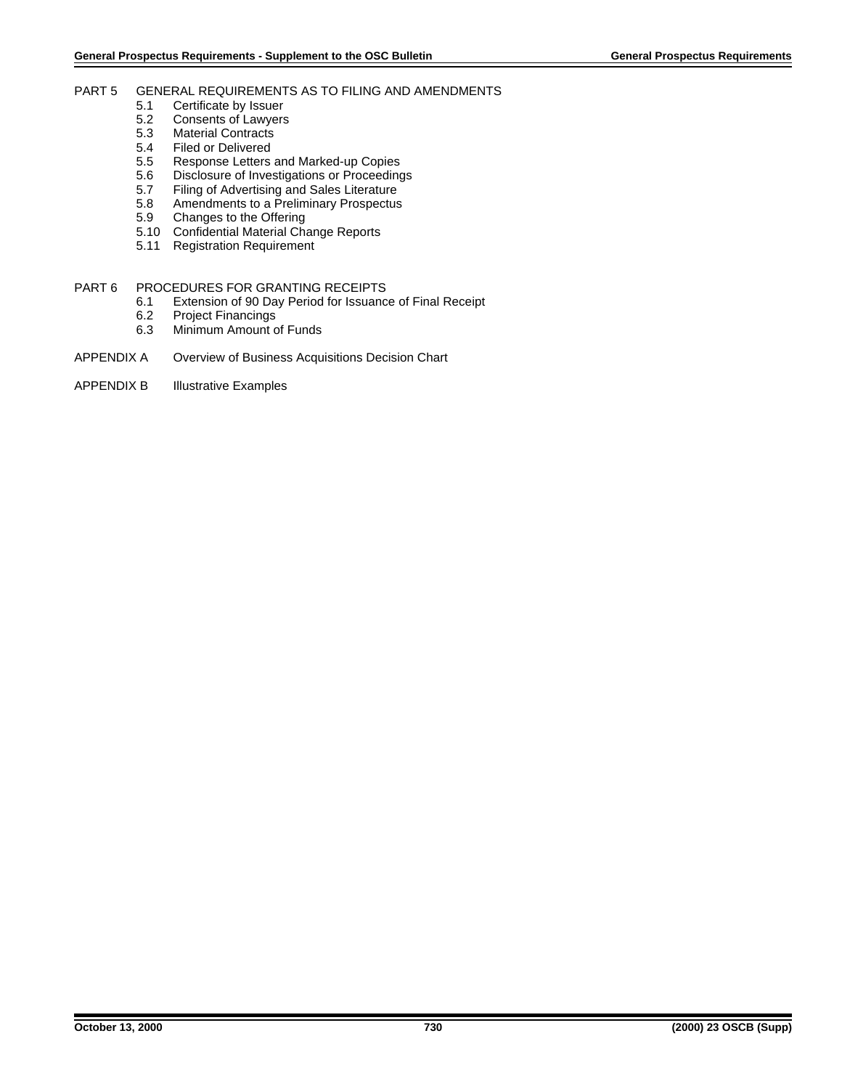# PART 5 GENERAL REQUIREMENTS AS TO FILING AND AMENDMENTS<br>5.1 Certificate by Issuer

- Certificate by Issuer
- 5.2 Consents of Lawyers
- 5.3 Material Contracts
- 5.4 Filed or Delivered
- 5.5 Response Letters and Marked-up Copies<br>5.6 Disclosure of Investigations or Proceeding
- 5.6 Disclosure of Investigations or Proceedings
- 5.7 Filing of Advertising and Sales Literature<br>5.8 Amendments to a Preliminary Prospectus
- Amendments to a Preliminary Prospectus
- 5.9 Changes to the Offering
- 5.10 Confidential Material Change Reports
- 5.11 Registration Requirement

# PART 6 PROCEDURES FOR GRANTING RECEIPTS

- 6.1 Extension of 90 Day Period for Issuance of Final Receipt
- **Project Financings**
- 6.3 Minimum Amount of Funds
- APPENDIX A Overview of Business Acquisitions Decision Chart
- APPENDIX B Illustrative Examples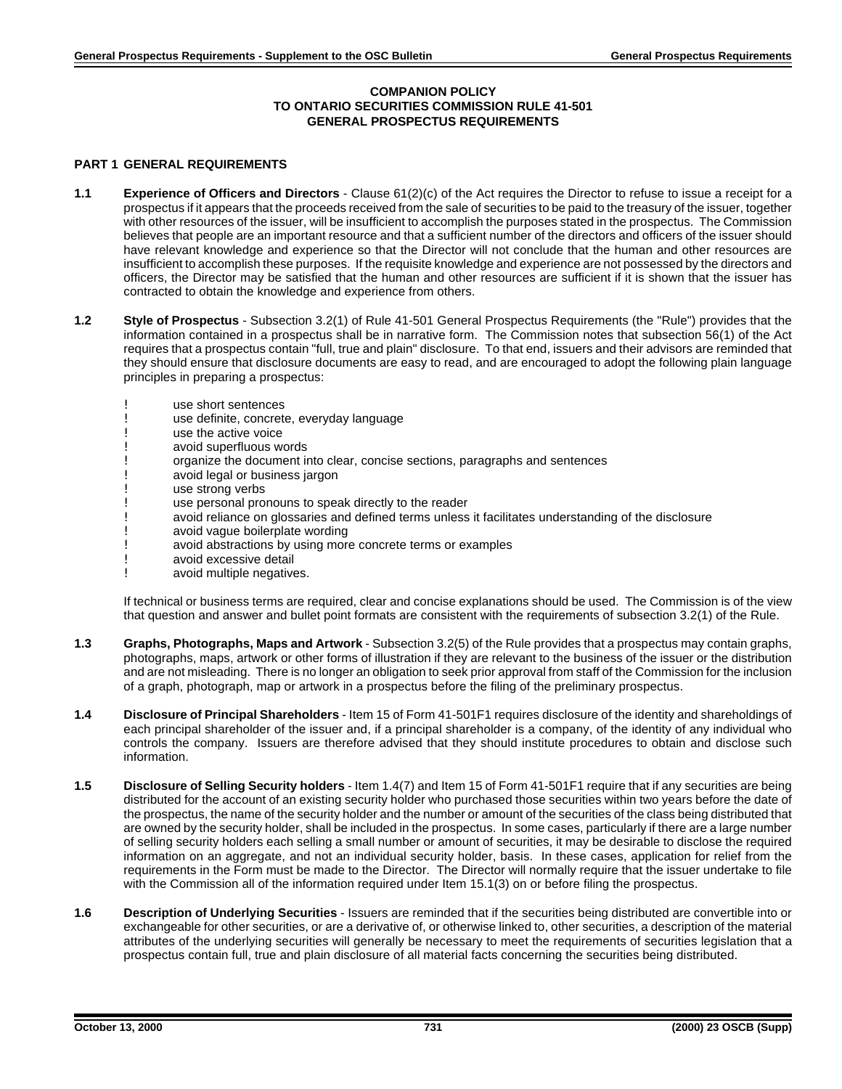# **COMPANION POLICY TO ONTARIO SECURITIES COMMISSION RULE 41-501 GENERAL PROSPECTUS REQUIREMENTS**

# **PART 1 GENERAL REQUIREMENTS**

- **1.1 Experience of Officers and Directors** Clause 61(2)(c) of the Act requires the Director to refuse to issue a receipt for a prospectus if it appears that the proceeds received from the sale of securities to be paid to the treasury of the issuer, together with other resources of the issuer, will be insufficient to accomplish the purposes stated in the prospectus. The Commission believes that people are an important resource and that a sufficient number of the directors and officers of the issuer should have relevant knowledge and experience so that the Director will not conclude that the human and other resources are insufficient to accomplish these purposes. If the requisite knowledge and experience are not possessed by the directors and officers, the Director may be satisfied that the human and other resources are sufficient if it is shown that the issuer has contracted to obtain the knowledge and experience from others.
- **1.2 Style of Prospectus** Subsection 3.2(1) of Rule 41-501 General Prospectus Requirements (the "Rule") provides that the information contained in a prospectus shall be in narrative form. The Commission notes that subsection 56(1) of the Act requires that a prospectus contain "full, true and plain" disclosure. To that end, issuers and their advisors are reminded that they should ensure that disclosure documents are easy to read, and are encouraged to adopt the following plain language principles in preparing a prospectus:
	- ! use short sentences
	- ! use definite, concrete, everyday language
	- ! use the active voice
	- ! avoid superfluous words
	- ! organize the document into clear, concise sections, paragraphs and sentences
	- ! avoid legal or business jargon
	- ! use strong verbs
	- ! use personal pronouns to speak directly to the reader
	- ! avoid reliance on glossaries and defined terms unless it facilitates understanding of the disclosure
	- ! avoid vague boilerplate wording
	- ! avoid abstractions by using more concrete terms or examples
	- **!** avoid excessive detail<br> **e** avoid multiple negative
	- avoid multiple negatives.

If technical or business terms are required, clear and concise explanations should be used. The Commission is of the view that question and answer and bullet point formats are consistent with the requirements of subsection 3.2(1) of the Rule.

- **1.3 Graphs, Photographs, Maps and Artwork** Subsection 3.2(5) of the Rule provides that a prospectus may contain graphs, photographs, maps, artwork or other forms of illustration if they are relevant to the business of the issuer or the distribution and are not misleading. There is no longer an obligation to seek prior approval from staff of the Commission for the inclusion of a graph, photograph, map or artwork in a prospectus before the filing of the preliminary prospectus.
- **1.4 Disclosure of Principal Shareholders** Item 15 of Form 41-501F1 requires disclosure of the identity and shareholdings of each principal shareholder of the issuer and, if a principal shareholder is a company, of the identity of any individual who controls the company. Issuers are therefore advised that they should institute procedures to obtain and disclose such information.
- **1.5 Disclosure of Selling Security holders** Item 1.4(7) and Item 15 of Form 41-501F1 require that if any securities are being distributed for the account of an existing security holder who purchased those securities within two years before the date of the prospectus, the name of the security holder and the number or amount of the securities of the class being distributed that are owned by the security holder, shall be included in the prospectus. In some cases, particularly if there are a large number of selling security holders each selling a small number or amount of securities, it may be desirable to disclose the required information on an aggregate, and not an individual security holder, basis. In these cases, application for relief from the requirements in the Form must be made to the Director. The Director will normally require that the issuer undertake to file with the Commission all of the information required under Item 15.1(3) on or before filing the prospectus.
- **1.6 Description of Underlying Securities** Issuers are reminded that if the securities being distributed are convertible into or exchangeable for other securities, or are a derivative of, or otherwise linked to, other securities, a description of the material attributes of the underlying securities will generally be necessary to meet the requirements of securities legislation that a prospectus contain full, true and plain disclosure of all material facts concerning the securities being distributed.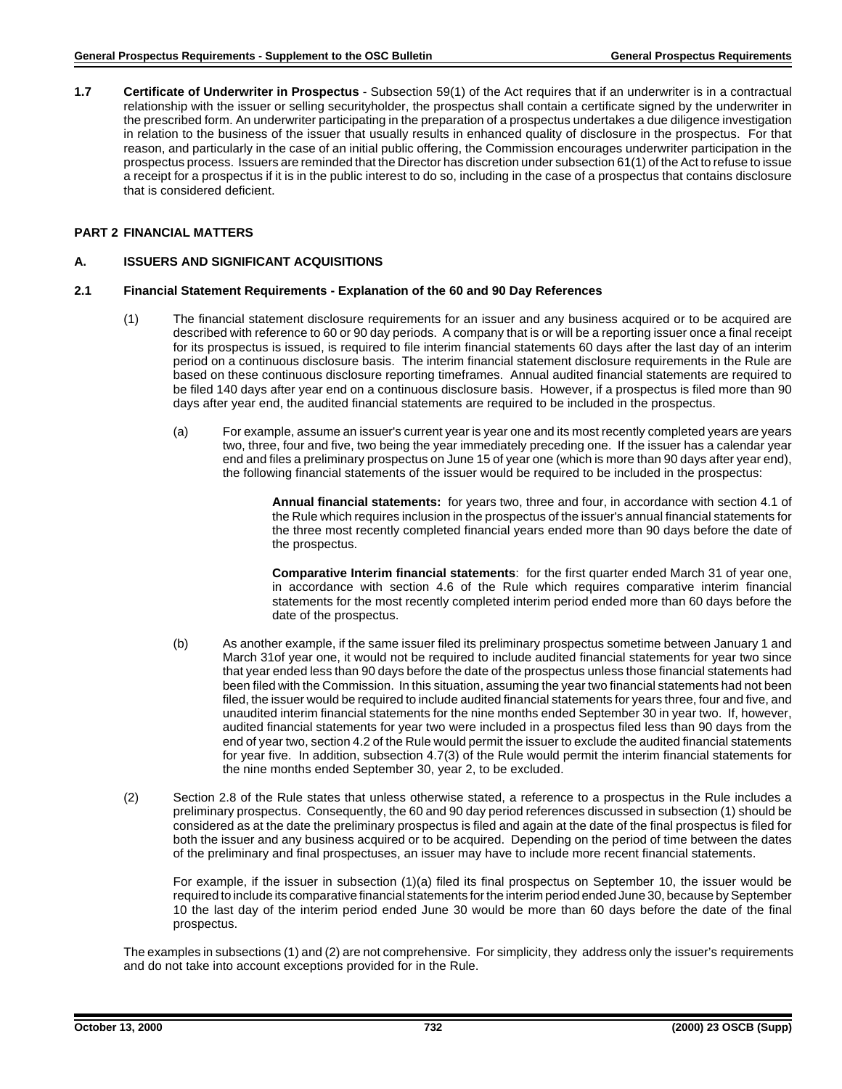**1.7 Certificate of Underwriter in Prospectus** - Subsection 59(1) of the Act requires that if an underwriter is in a contractual relationship with the issuer or selling securityholder, the prospectus shall contain a certificate signed by the underwriter in the prescribed form. An underwriter participating in the preparation of a prospectus undertakes a due diligence investigation in relation to the business of the issuer that usually results in enhanced quality of disclosure in the prospectus. For that reason, and particularly in the case of an initial public offering, the Commission encourages underwriter participation in the prospectus process. Issuers are reminded that the Director has discretion under subsection 61(1) of the Act to refuse to issue a receipt for a prospectus if it is in the public interest to do so, including in the case of a prospectus that contains disclosure that is considered deficient.

# **PART 2 FINANCIAL MATTERS**

## **A. ISSUERS AND SIGNIFICANT ACQUISITIONS**

#### **2.1 Financial Statement Requirements - Explanation of the 60 and 90 Day References**

- (1) The financial statement disclosure requirements for an issuer and any business acquired or to be acquired are described with reference to 60 or 90 day periods. A company that is or will be a reporting issuer once a final receipt for its prospectus is issued, is required to file interim financial statements 60 days after the last day of an interim period on a continuous disclosure basis. The interim financial statement disclosure requirements in the Rule are based on these continuous disclosure reporting timeframes. Annual audited financial statements are required to be filed 140 days after year end on a continuous disclosure basis. However, if a prospectus is filed more than 90 days after year end, the audited financial statements are required to be included in the prospectus.
	- (a) For example, assume an issuer's current year is year one and its most recently completed years are years two, three, four and five, two being the year immediately preceding one. If the issuer has a calendar year end and files a preliminary prospectus on June 15 of year one (which is more than 90 days after year end), the following financial statements of the issuer would be required to be included in the prospectus:

**Annual financial statements:** for years two, three and four, in accordance with section 4.1 of the Rule which requires inclusion in the prospectus of the issuer's annual financial statements for the three most recently completed financial years ended more than 90 days before the date of the prospectus.

**Comparative Interim financial statements**: for the first quarter ended March 31 of year one, in accordance with section 4.6 of the Rule which requires comparative interim financial statements for the most recently completed interim period ended more than 60 days before the date of the prospectus.

- (b) As another example, if the same issuer filed its preliminary prospectus sometime between January 1 and March 31of year one, it would not be required to include audited financial statements for year two since that year ended less than 90 days before the date of the prospectus unless those financial statements had been filed with the Commission. In this situation, assuming the year two financial statements had not been filed, the issuer would be required to include audited financial statements for years three, four and five, and unaudited interim financial statements for the nine months ended September 30 in year two. If, however, audited financial statements for year two were included in a prospectus filed less than 90 days from the end of year two, section 4.2 of the Rule would permit the issuer to exclude the audited financial statements for year five. In addition, subsection 4.7(3) of the Rule would permit the interim financial statements for the nine months ended September 30, year 2, to be excluded.
- (2) Section 2.8 of the Rule states that unless otherwise stated, a reference to a prospectus in the Rule includes a preliminary prospectus. Consequently, the 60 and 90 day period references discussed in subsection (1) should be considered as at the date the preliminary prospectus is filed and again at the date of the final prospectus is filed for both the issuer and any business acquired or to be acquired. Depending on the period of time between the dates of the preliminary and final prospectuses, an issuer may have to include more recent financial statements.

For example, if the issuer in subsection (1)(a) filed its final prospectus on September 10, the issuer would be required to include its comparative financial statements for the interim period ended June 30, because by September 10 the last day of the interim period ended June 30 would be more than 60 days before the date of the final prospectus.

 The examples in subsections (1) and (2) are not comprehensive. For simplicity, they address only the issuer's requirements and do not take into account exceptions provided for in the Rule.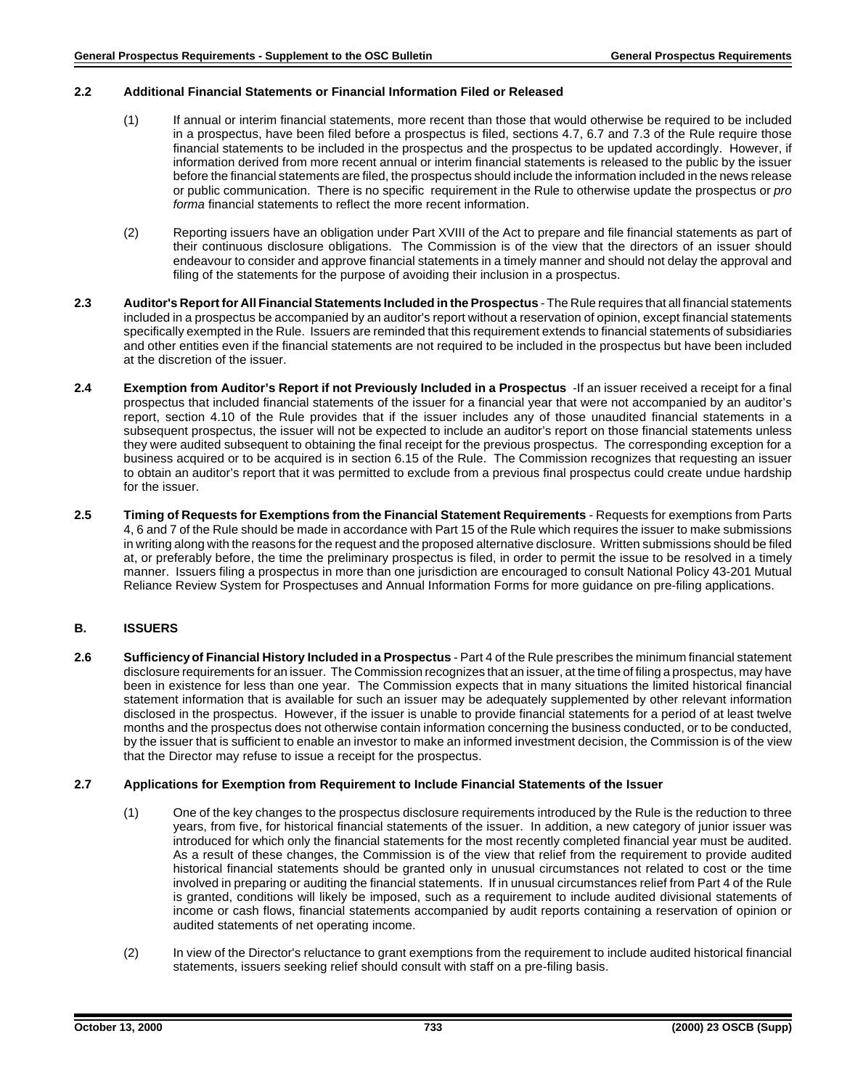# **2.2 Additional Financial Statements or Financial Information Filed or Released**

- (1) If annual or interim financial statements, more recent than those that would otherwise be required to be included in a prospectus, have been filed before a prospectus is filed, sections 4.7, 6.7 and 7.3 of the Rule require those financial statements to be included in the prospectus and the prospectus to be updated accordingly. However, if information derived from more recent annual or interim financial statements is released to the public by the issuer before the financial statements are filed, the prospectus should include the information included in the news release or public communication. There is no specific requirement in the Rule to otherwise update the prospectus or *pro forma* financial statements to reflect the more recent information.
- (2) Reporting issuers have an obligation under Part XVIII of the Act to prepare and file financial statements as part of their continuous disclosure obligations. The Commission is of the view that the directors of an issuer should endeavour to consider and approve financial statements in a timely manner and should not delay the approval and filing of the statements for the purpose of avoiding their inclusion in a prospectus.
- **2.3 Auditor's Report for All Financial Statements Included in the Prospectus** The Rule requires that all financial statements included in a prospectus be accompanied by an auditor's report without a reservation of opinion, except financial statements specifically exempted in the Rule. Issuers are reminded that this requirement extends to financial statements of subsidiaries and other entities even if the financial statements are not required to be included in the prospectus but have been included at the discretion of the issuer.
- **2.4 Exemption from Auditor's Report if not Previously Included in a Prospectus** -If an issuer received a receipt for a final prospectus that included financial statements of the issuer for a financial year that were not accompanied by an auditor's report, section 4.10 of the Rule provides that if the issuer includes any of those unaudited financial statements in a subsequent prospectus, the issuer will not be expected to include an auditor's report on those financial statements unless they were audited subsequent to obtaining the final receipt for the previous prospectus. The corresponding exception for a business acquired or to be acquired is in section 6.15 of the Rule. The Commission recognizes that requesting an issuer to obtain an auditor's report that it was permitted to exclude from a previous final prospectus could create undue hardship for the issuer.
- **2.5 Timing of Requests for Exemptions from the Financial Statement Requirements** Requests for exemptions from Parts 4, 6 and 7 of the Rule should be made in accordance with Part 15 of the Rule which requires the issuer to make submissions in writing along with the reasons for the request and the proposed alternative disclosure. Written submissions should be filed at, or preferably before, the time the preliminary prospectus is filed, in order to permit the issue to be resolved in a timely manner. Issuers filing a prospectus in more than one jurisdiction are encouraged to consult National Policy 43-201 Mutual Reliance Review System for Prospectuses and Annual Information Forms for more guidance on pre-filing applications.

# **B. ISSUERS**

**2.6 Sufficiency of Financial History Included in a Prospectus** - Part 4 of the Rule prescribes the minimum financial statement disclosure requirements for an issuer. The Commission recognizes that an issuer, at the time of filing a prospectus, may have been in existence for less than one year. The Commission expects that in many situations the limited historical financial statement information that is available for such an issuer may be adequately supplemented by other relevant information disclosed in the prospectus. However, if the issuer is unable to provide financial statements for a period of at least twelve months and the prospectus does not otherwise contain information concerning the business conducted, or to be conducted, by the issuer that is sufficient to enable an investor to make an informed investment decision, the Commission is of the view that the Director may refuse to issue a receipt for the prospectus.

#### **2.7 Applications for Exemption from Requirement to Include Financial Statements of the Issuer**

- (1) One of the key changes to the prospectus disclosure requirements introduced by the Rule is the reduction to three years, from five, for historical financial statements of the issuer. In addition, a new category of junior issuer was introduced for which only the financial statements for the most recently completed financial year must be audited. As a result of these changes, the Commission is of the view that relief from the requirement to provide audited historical financial statements should be granted only in unusual circumstances not related to cost or the time involved in preparing or auditing the financial statements. If in unusual circumstances relief from Part 4 of the Rule is granted, conditions will likely be imposed, such as a requirement to include audited divisional statements of income or cash flows, financial statements accompanied by audit reports containing a reservation of opinion or audited statements of net operating income.
- (2) In view of the Director's reluctance to grant exemptions from the requirement to include audited historical financial statements, issuers seeking relief should consult with staff on a pre-filing basis.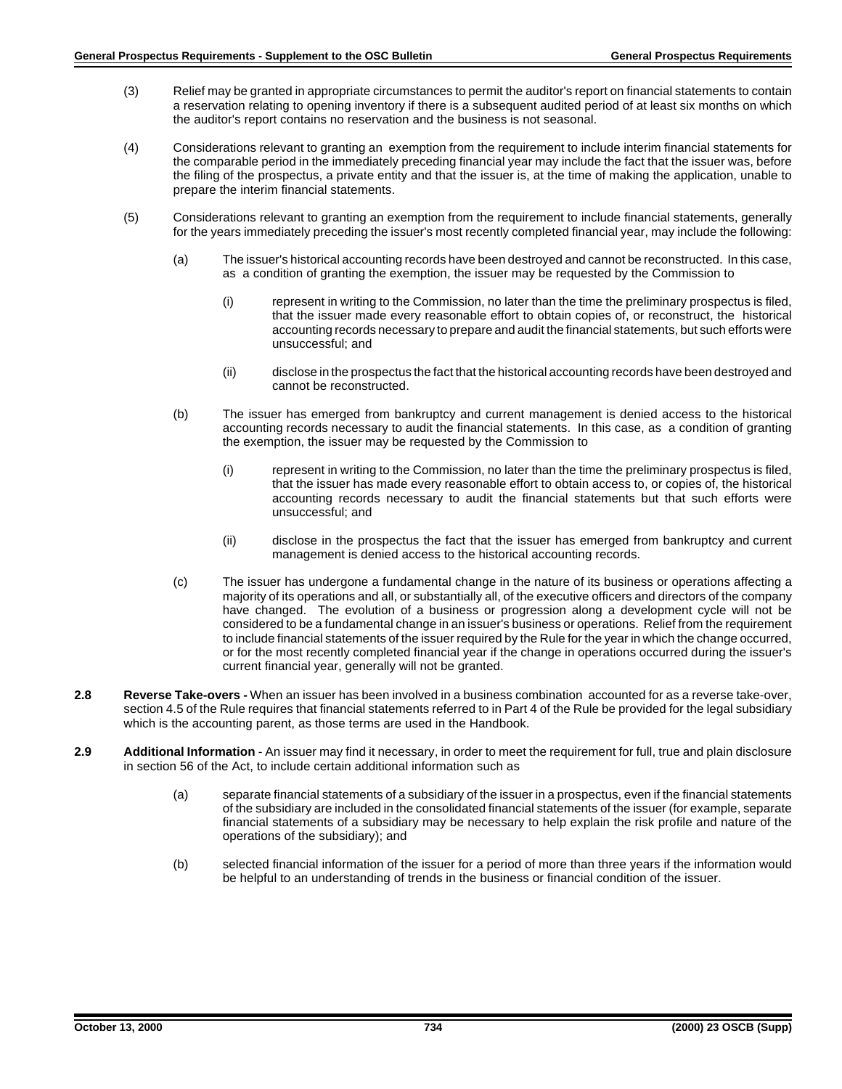- (3) Relief may be granted in appropriate circumstances to permit the auditor's report on financial statements to contain a reservation relating to opening inventory if there is a subsequent audited period of at least six months on which the auditor's report contains no reservation and the business is not seasonal.
- (4) Considerations relevant to granting an exemption from the requirement to include interim financial statements for the comparable period in the immediately preceding financial year may include the fact that the issuer was, before the filing of the prospectus, a private entity and that the issuer is, at the time of making the application, unable to prepare the interim financial statements.
- (5) Considerations relevant to granting an exemption from the requirement to include financial statements, generally for the years immediately preceding the issuer's most recently completed financial year, may include the following:
	- (a) The issuer's historical accounting records have been destroyed and cannot be reconstructed. In this case, as a condition of granting the exemption, the issuer may be requested by the Commission to
		- (i) represent in writing to the Commission, no later than the time the preliminary prospectus is filed, that the issuer made every reasonable effort to obtain copies of, or reconstruct, the historical accounting records necessary to prepare and audit the financial statements, but such efforts were unsuccessful; and
		- (ii) disclose in the prospectus the fact that the historical accounting records have been destroyed and cannot be reconstructed.
	- (b) The issuer has emerged from bankruptcy and current management is denied access to the historical accounting records necessary to audit the financial statements. In this case, as a condition of granting the exemption, the issuer may be requested by the Commission to
		- (i) represent in writing to the Commission, no later than the time the preliminary prospectus is filed, that the issuer has made every reasonable effort to obtain access to, or copies of, the historical accounting records necessary to audit the financial statements but that such efforts were unsuccessful; and
		- (ii) disclose in the prospectus the fact that the issuer has emerged from bankruptcy and current management is denied access to the historical accounting records.
	- (c) The issuer has undergone a fundamental change in the nature of its business or operations affecting a majority of its operations and all, or substantially all, of the executive officers and directors of the company have changed. The evolution of a business or progression along a development cycle will not be considered to be a fundamental change in an issuer's business or operations. Relief from the requirement to include financial statements of the issuer required by the Rule for the year in which the change occurred, or for the most recently completed financial year if the change in operations occurred during the issuer's current financial year, generally will not be granted.
- **2.8 Reverse Take-overs** When an issuer has been involved in a business combination accounted for as a reverse take-over, section 4.5 of the Rule requires that financial statements referred to in Part 4 of the Rule be provided for the legal subsidiary which is the accounting parent, as those terms are used in the Handbook.
- **2.9 Additional Information** An issuer may find it necessary, in order to meet the requirement for full, true and plain disclosure in section 56 of the Act, to include certain additional information such as
	- (a) separate financial statements of a subsidiary of the issuer in a prospectus, even if the financial statements of the subsidiary are included in the consolidated financial statements of the issuer (for example, separate financial statements of a subsidiary may be necessary to help explain the risk profile and nature of the operations of the subsidiary); and
	- (b) selected financial information of the issuer for a period of more than three years if the information would be helpful to an understanding of trends in the business or financial condition of the issuer.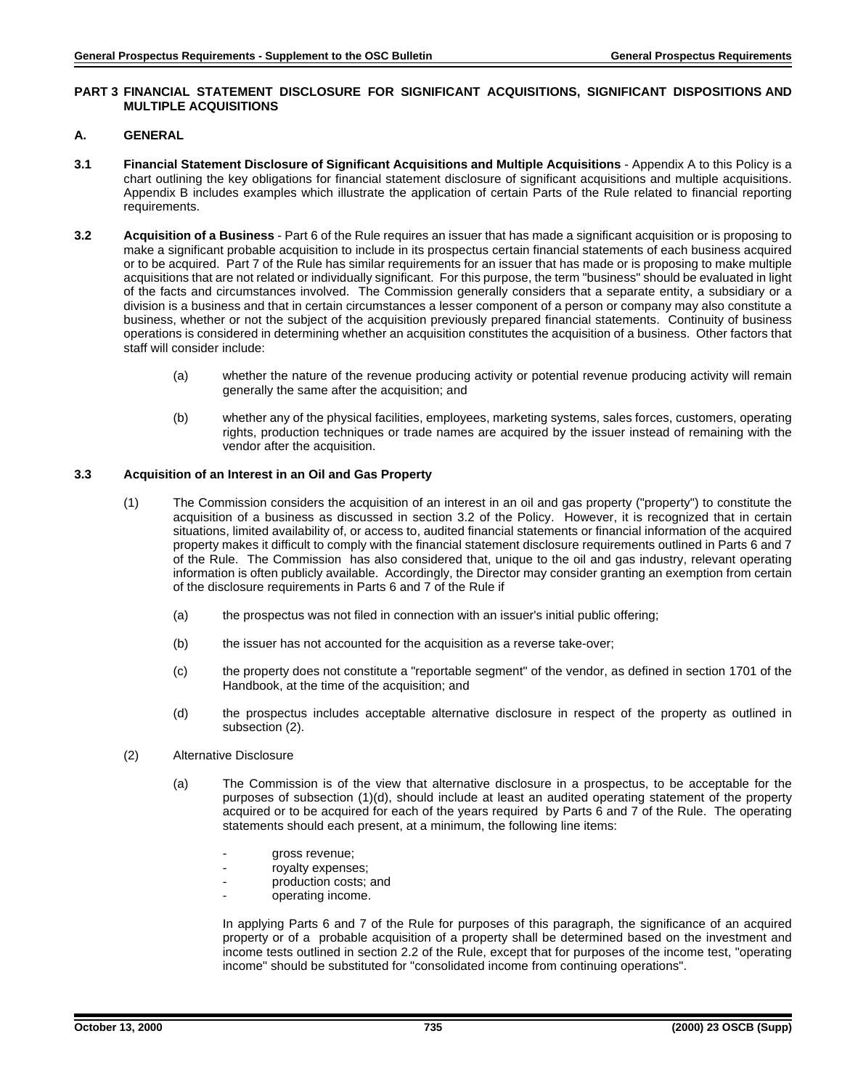# **PART 3 FINANCIAL STATEMENT DISCLOSURE FOR SIGNIFICANT ACQUISITIONS, SIGNIFICANT DISPOSITIONS AND MULTIPLE ACQUISITIONS**

# **A. GENERAL**

- **3.1 Financial Statement Disclosure of Significant Acquisitions and Multiple Acquisitions** Appendix A to this Policy is a chart outlining the key obligations for financial statement disclosure of significant acquisitions and multiple acquisitions. Appendix B includes examples which illustrate the application of certain Parts of the Rule related to financial reporting requirements.
- **3.2 Acquisition of a Business** Part 6 of the Rule requires an issuer that has made a significant acquisition or is proposing to make a significant probable acquisition to include in its prospectus certain financial statements of each business acquired or to be acquired. Part 7 of the Rule has similar requirements for an issuer that has made or is proposing to make multiple acquisitions that are not related or individually significant. For this purpose, the term "business" should be evaluated in light of the facts and circumstances involved. The Commission generally considers that a separate entity, a subsidiary or a division is a business and that in certain circumstances a lesser component of a person or company may also constitute a business, whether or not the subject of the acquisition previously prepared financial statements. Continuity of business operations is considered in determining whether an acquisition constitutes the acquisition of a business. Other factors that staff will consider include:
	- (a) whether the nature of the revenue producing activity or potential revenue producing activity will remain generally the same after the acquisition; and
	- (b) whether any of the physical facilities, employees, marketing systems, sales forces, customers, operating rights, production techniques or trade names are acquired by the issuer instead of remaining with the vendor after the acquisition.

# **3.3 Acquisition of an Interest in an Oil and Gas Property**

- (1) The Commission considers the acquisition of an interest in an oil and gas property ("property") to constitute the acquisition of a business as discussed in section 3.2 of the Policy. However, it is recognized that in certain situations, limited availability of, or access to, audited financial statements or financial information of the acquired property makes it difficult to comply with the financial statement disclosure requirements outlined in Parts 6 and 7 of the Rule. The Commission has also considered that, unique to the oil and gas industry, relevant operating information is often publicly available. Accordingly, the Director may consider granting an exemption from certain of the disclosure requirements in Parts 6 and 7 of the Rule if
	- (a) the prospectus was not filed in connection with an issuer's initial public offering;
	- (b) the issuer has not accounted for the acquisition as a reverse take-over;
	- (c) the property does not constitute a "reportable segment" of the vendor, as defined in section 1701 of the Handbook, at the time of the acquisition; and
	- (d) the prospectus includes acceptable alternative disclosure in respect of the property as outlined in subsection (2).
- (2) Alternative Disclosure
	- (a) The Commission is of the view that alternative disclosure in a prospectus, to be acceptable for the purposes of subsection (1)(d), should include at least an audited operating statement of the property acquired or to be acquired for each of the years required by Parts 6 and 7 of the Rule. The operating statements should each present, at a minimum, the following line items:
		- gross revenue;
		- royalty expenses;
		- production costs; and
		- operating income.

In applying Parts 6 and 7 of the Rule for purposes of this paragraph, the significance of an acquired property or of a probable acquisition of a property shall be determined based on the investment and income tests outlined in section 2.2 of the Rule, except that for purposes of the income test, "operating income" should be substituted for "consolidated income from continuing operations".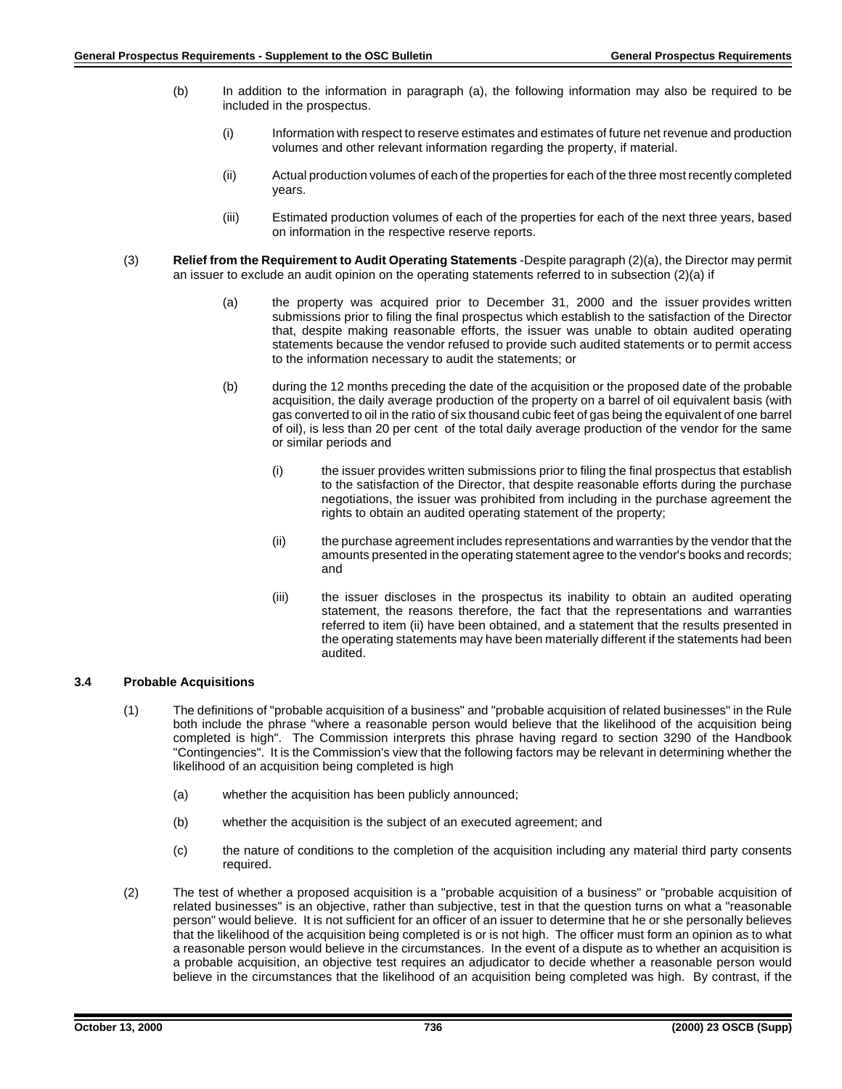- (b) In addition to the information in paragraph (a), the following information may also be required to be included in the prospectus.
	- (i) Information with respect to reserve estimates and estimates of future net revenue and production volumes and other relevant information regarding the property, if material.
	- (ii) Actual production volumes of each of the properties for each of the three most recently completed years.
	- (iii) Estimated production volumes of each of the properties for each of the next three years, based on information in the respective reserve reports.
- (3) **Relief from the Requirement to Audit Operating Statements** -Despite paragraph (2)(a), the Director may permit an issuer to exclude an audit opinion on the operating statements referred to in subsection (2)(a) if
	- (a) the property was acquired prior to December 31, 2000 and the issuer provides written submissions prior to filing the final prospectus which establish to the satisfaction of the Director that, despite making reasonable efforts, the issuer was unable to obtain audited operating statements because the vendor refused to provide such audited statements or to permit access to the information necessary to audit the statements; or
	- (b) during the 12 months preceding the date of the acquisition or the proposed date of the probable acquisition, the daily average production of the property on a barrel of oil equivalent basis (with gas converted to oil in the ratio of six thousand cubic feet of gas being the equivalent of one barrel of oil), is less than 20 per cent of the total daily average production of the vendor for the same or similar periods and
		- (i) the issuer provides written submissions prior to filing the final prospectus that establish to the satisfaction of the Director, that despite reasonable efforts during the purchase negotiations, the issuer was prohibited from including in the purchase agreement the rights to obtain an audited operating statement of the property;
		- (ii) the purchase agreement includes representations and warranties by the vendor that the amounts presented in the operating statement agree to the vendor's books and records; and
		- (iii) the issuer discloses in the prospectus its inability to obtain an audited operating statement, the reasons therefore, the fact that the representations and warranties referred to item (ii) have been obtained, and a statement that the results presented in the operating statements may have been materially different if the statements had been audited.

# **3.4 Probable Acquisitions**

- (1) The definitions of "probable acquisition of a business" and "probable acquisition of related businesses" in the Rule both include the phrase "where a reasonable person would believe that the likelihood of the acquisition being completed is high". The Commission interprets this phrase having regard to section 3290 of the Handbook "Contingencies". It is the Commission's view that the following factors may be relevant in determining whether the likelihood of an acquisition being completed is high
	- (a) whether the acquisition has been publicly announced;
	- (b) whether the acquisition is the subject of an executed agreement; and
	- (c) the nature of conditions to the completion of the acquisition including any material third party consents required.
- (2) The test of whether a proposed acquisition is a "probable acquisition of a business" or "probable acquisition of related businesses" is an objective, rather than subjective, test in that the question turns on what a "reasonable person" would believe. It is not sufficient for an officer of an issuer to determine that he or she personally believes that the likelihood of the acquisition being completed is or is not high. The officer must form an opinion as to what a reasonable person would believe in the circumstances. In the event of a dispute as to whether an acquisition is a probable acquisition, an objective test requires an adjudicator to decide whether a reasonable person would believe in the circumstances that the likelihood of an acquisition being completed was high. By contrast, if the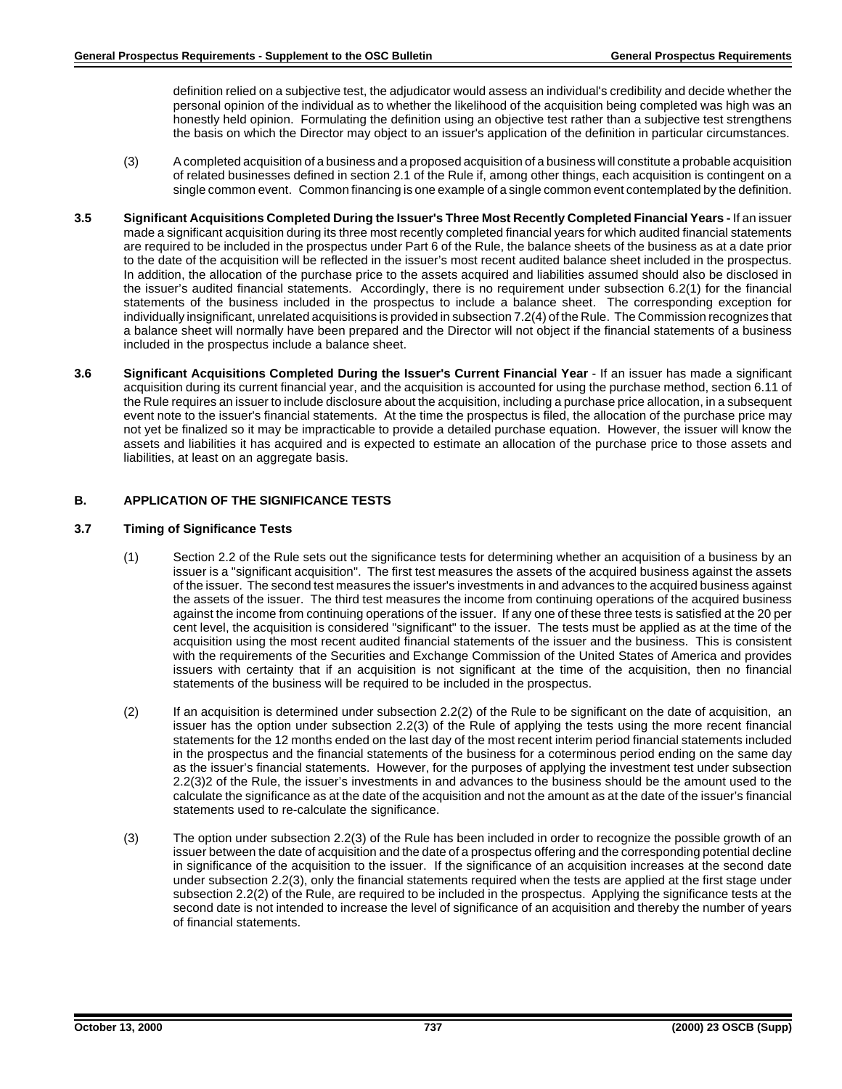definition relied on a subjective test, the adjudicator would assess an individual's credibility and decide whether the personal opinion of the individual as to whether the likelihood of the acquisition being completed was high was an honestly held opinion. Formulating the definition using an objective test rather than a subjective test strengthens the basis on which the Director may object to an issuer's application of the definition in particular circumstances.

- (3) A completed acquisition of a business and a proposed acquisition of a business will constitute a probable acquisition of related businesses defined in section 2.1 of the Rule if, among other things, each acquisition is contingent on a single common event. Common financing is one example of a single common event contemplated by the definition.
- **3.5 Significant Acquisitions Completed During the Issuer's Three Most Recently Completed Financial Years -** If an issuer made a significant acquisition during its three most recently completed financial years for which audited financial statements are required to be included in the prospectus under Part 6 of the Rule, the balance sheets of the business as at a date prior to the date of the acquisition will be reflected in the issuer's most recent audited balance sheet included in the prospectus. In addition, the allocation of the purchase price to the assets acquired and liabilities assumed should also be disclosed in the issuer's audited financial statements. Accordingly, there is no requirement under subsection 6.2(1) for the financial statements of the business included in the prospectus to include a balance sheet. The corresponding exception for individually insignificant, unrelated acquisitions is provided in subsection 7.2(4) of the Rule. The Commission recognizes that a balance sheet will normally have been prepared and the Director will not object if the financial statements of a business included in the prospectus include a balance sheet.
- **3.6 Significant Acquisitions Completed During the Issuer's Current Financial Year** If an issuer has made a significant acquisition during its current financial year, and the acquisition is accounted for using the purchase method, section 6.11 of the Rule requires an issuer to include disclosure about the acquisition, including a purchase price allocation, in a subsequent event note to the issuer's financial statements. At the time the prospectus is filed, the allocation of the purchase price may not yet be finalized so it may be impracticable to provide a detailed purchase equation. However, the issuer will know the assets and liabilities it has acquired and is expected to estimate an allocation of the purchase price to those assets and liabilities, at least on an aggregate basis.

# **B. APPLICATION OF THE SIGNIFICANCE TESTS**

# **3.7 Timing of Significance Tests**

- (1) Section 2.2 of the Rule sets out the significance tests for determining whether an acquisition of a business by an issuer is a "significant acquisition". The first test measures the assets of the acquired business against the assets of the issuer. The second test measures the issuer's investments in and advances to the acquired business against the assets of the issuer. The third test measures the income from continuing operations of the acquired business against the income from continuing operations of the issuer. If any one of these three tests is satisfied at the 20 per cent level, the acquisition is considered "significant" to the issuer. The tests must be applied as at the time of the acquisition using the most recent audited financial statements of the issuer and the business. This is consistent with the requirements of the Securities and Exchange Commission of the United States of America and provides issuers with certainty that if an acquisition is not significant at the time of the acquisition, then no financial statements of the business will be required to be included in the prospectus.
- (2) If an acquisition is determined under subsection 2.2(2) of the Rule to be significant on the date of acquisition, an issuer has the option under subsection 2.2(3) of the Rule of applying the tests using the more recent financial statements for the 12 months ended on the last day of the most recent interim period financial statements included in the prospectus and the financial statements of the business for a coterminous period ending on the same day as the issuer's financial statements. However, for the purposes of applying the investment test under subsection 2.2(3)2 of the Rule, the issuer's investments in and advances to the business should be the amount used to the calculate the significance as at the date of the acquisition and not the amount as at the date of the issuer's financial statements used to re-calculate the significance.
- (3) The option under subsection 2.2(3) of the Rule has been included in order to recognize the possible growth of an issuer between the date of acquisition and the date of a prospectus offering and the corresponding potential decline in significance of the acquisition to the issuer. If the significance of an acquisition increases at the second date under subsection 2.2(3), only the financial statements required when the tests are applied at the first stage under subsection 2.2(2) of the Rule, are required to be included in the prospectus. Applying the significance tests at the second date is not intended to increase the level of significance of an acquisition and thereby the number of years of financial statements.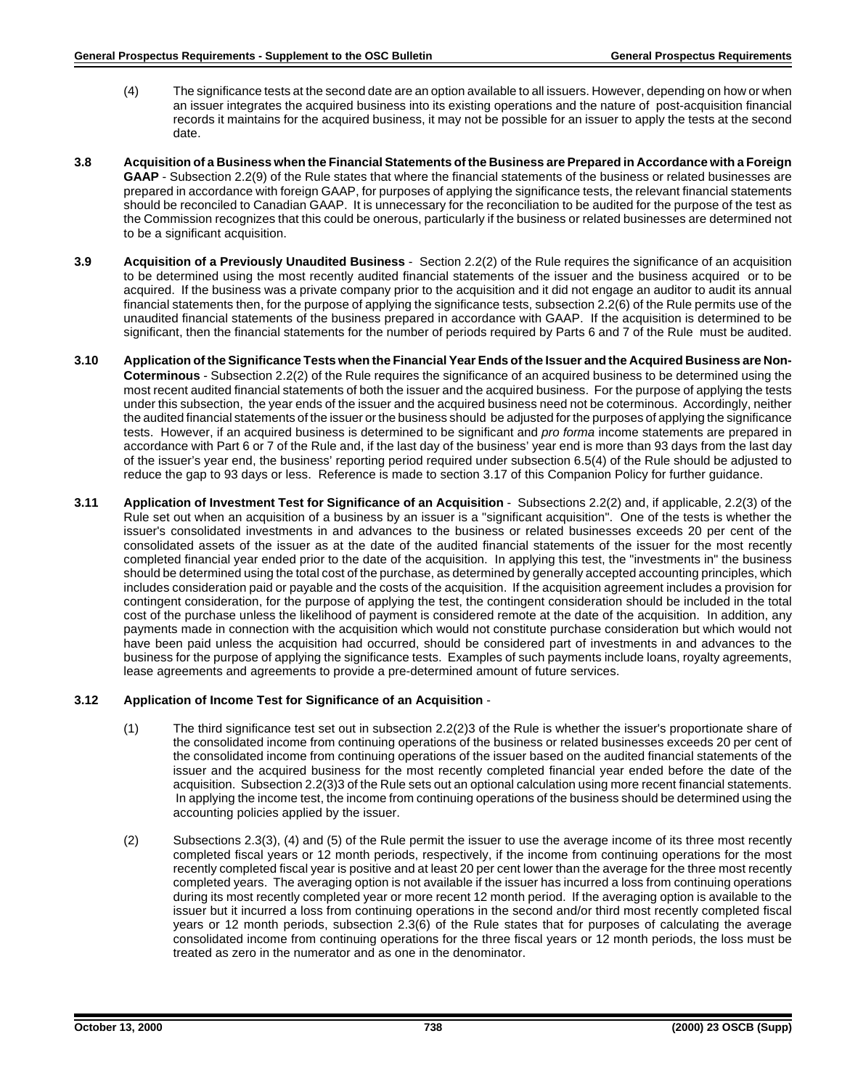- (4) The significance tests at the second date are an option available to all issuers. However, depending on how or when an issuer integrates the acquired business into its existing operations and the nature of post-acquisition financial records it maintains for the acquired business, it may not be possible for an issuer to apply the tests at the second date.
- **3.8 Acquisition of a Business when the Financial Statements of the Business are Prepared in Accordance with a Foreign GAAP** - Subsection 2.2(9) of the Rule states that where the financial statements of the business or related businesses are prepared in accordance with foreign GAAP, for purposes of applying the significance tests, the relevant financial statements should be reconciled to Canadian GAAP. It is unnecessary for the reconciliation to be audited for the purpose of the test as the Commission recognizes that this could be onerous, particularly if the business or related businesses are determined not to be a significant acquisition.
- **3.9 Acquisition of a Previously Unaudited Business** Section 2.2(2) of the Rule requires the significance of an acquisition to be determined using the most recently audited financial statements of the issuer and the business acquired or to be acquired. If the business was a private company prior to the acquisition and it did not engage an auditor to audit its annual financial statements then, for the purpose of applying the significance tests, subsection 2.2(6) of the Rule permits use of the unaudited financial statements of the business prepared in accordance with GAAP. If the acquisition is determined to be significant, then the financial statements for the number of periods required by Parts 6 and 7 of the Rule must be audited.
- **3.10 Application of the Significance Tests when the Financial Year Ends of the Issuer and the Acquired Business are Non-Coterminous** - Subsection 2.2(2) of the Rule requires the significance of an acquired business to be determined using the most recent audited financial statements of both the issuer and the acquired business. For the purpose of applying the tests under this subsection, the year ends of the issuer and the acquired business need not be coterminous. Accordingly, neither the audited financial statements of the issuer or the business should be adjusted for the purposes of applying the significance tests. However, if an acquired business is determined to be significant and *pro forma* income statements are prepared in accordance with Part 6 or 7 of the Rule and, if the last day of the business' year end is more than 93 days from the last day of the issuer's year end, the business' reporting period required under subsection 6.5(4) of the Rule should be adjusted to reduce the gap to 93 days or less. Reference is made to section 3.17 of this Companion Policy for further guidance.
- **3.11 Application of Investment Test for Significance of an Acquisition** Subsections 2.2(2) and, if applicable, 2.2(3) of the Rule set out when an acquisition of a business by an issuer is a "significant acquisition". One of the tests is whether the issuer's consolidated investments in and advances to the business or related businesses exceeds 20 per cent of the consolidated assets of the issuer as at the date of the audited financial statements of the issuer for the most recently completed financial year ended prior to the date of the acquisition. In applying this test, the "investments in" the business should be determined using the total cost of the purchase, as determined by generally accepted accounting principles, which includes consideration paid or payable and the costs of the acquisition. If the acquisition agreement includes a provision for contingent consideration, for the purpose of applying the test, the contingent consideration should be included in the total cost of the purchase unless the likelihood of payment is considered remote at the date of the acquisition. In addition, any payments made in connection with the acquisition which would not constitute purchase consideration but which would not have been paid unless the acquisition had occurred, should be considered part of investments in and advances to the business for the purpose of applying the significance tests. Examples of such payments include loans, royalty agreements, lease agreements and agreements to provide a pre-determined amount of future services.

# **3.12 Application of Income Test for Significance of an Acquisition** -

- (1) The third significance test set out in subsection 2.2(2)3 of the Rule is whether the issuer's proportionate share of the consolidated income from continuing operations of the business or related businesses exceeds 20 per cent of the consolidated income from continuing operations of the issuer based on the audited financial statements of the issuer and the acquired business for the most recently completed financial year ended before the date of the acquisition. Subsection 2.2(3)3 of the Rule sets out an optional calculation using more recent financial statements. In applying the income test, the income from continuing operations of the business should be determined using the accounting policies applied by the issuer.
- (2) Subsections 2.3(3), (4) and (5) of the Rule permit the issuer to use the average income of its three most recently completed fiscal years or 12 month periods, respectively, if the income from continuing operations for the most recently completed fiscal year is positive and at least 20 per cent lower than the average for the three most recently completed years. The averaging option is not available if the issuer has incurred a loss from continuing operations during its most recently completed year or more recent 12 month period. If the averaging option is available to the issuer but it incurred a loss from continuing operations in the second and/or third most recently completed fiscal years or 12 month periods, subsection 2.3(6) of the Rule states that for purposes of calculating the average consolidated income from continuing operations for the three fiscal years or 12 month periods, the loss must be treated as zero in the numerator and as one in the denominator.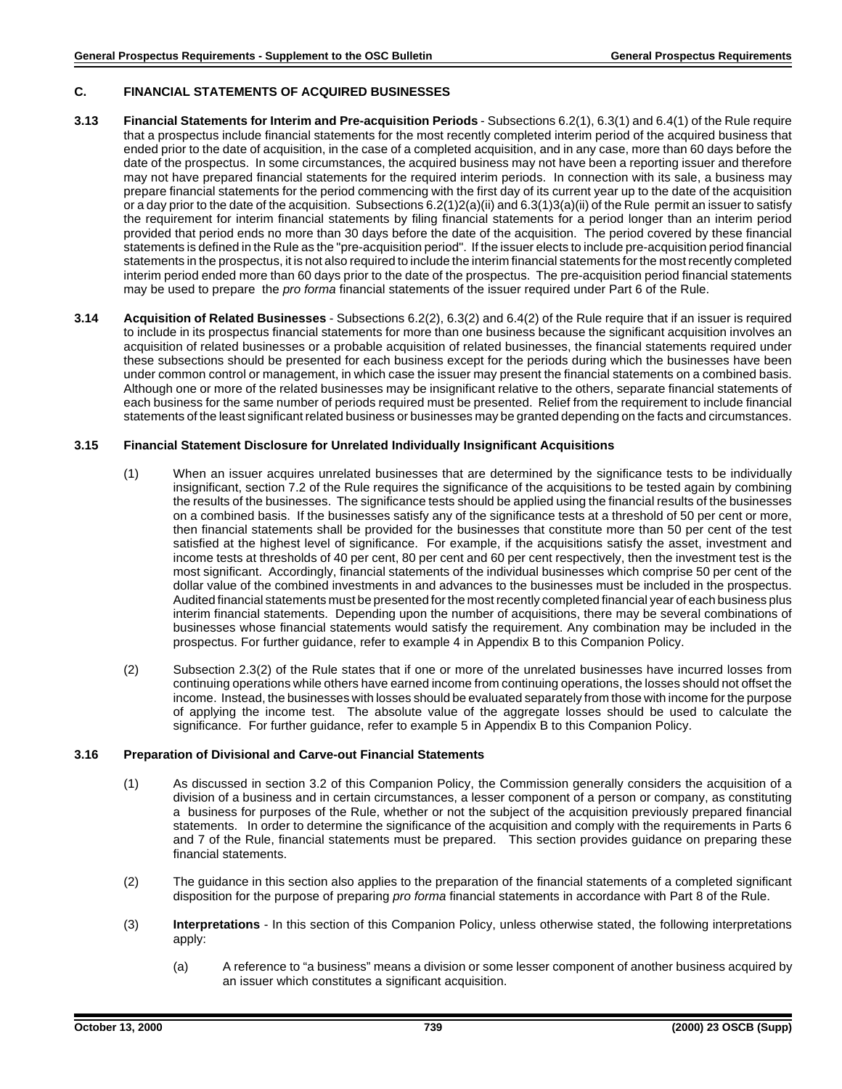# **C. FINANCIAL STATEMENTS OF ACQUIRED BUSINESSES**

- **3.13 Financial Statements for Interim and Pre-acquisition Periods**  Subsections 6.2(1), 6.3(1) and 6.4(1) of the Rule require that a prospectus include financial statements for the most recently completed interim period of the acquired business that ended prior to the date of acquisition, in the case of a completed acquisition, and in any case, more than 60 days before the date of the prospectus. In some circumstances, the acquired business may not have been a reporting issuer and therefore may not have prepared financial statements for the required interim periods. In connection with its sale, a business may prepare financial statements for the period commencing with the first day of its current year up to the date of the acquisition or a day prior to the date of the acquisition. Subsections 6.2(1)2(a)(ii) and 6.3(1)3(a)(ii) of the Rule permit an issuer to satisfy the requirement for interim financial statements by filing financial statements for a period longer than an interim period provided that period ends no more than 30 days before the date of the acquisition. The period covered by these financial statements is defined in the Rule as the "pre-acquisition period". If the issuer elects to include pre-acquisition period financial statements in the prospectus, it is not also required to include the interim financial statements for the most recently completed interim period ended more than 60 days prior to the date of the prospectus. The pre-acquisition period financial statements may be used to prepare the *pro forma* financial statements of the issuer required under Part 6 of the Rule.
- **3.14 Acquisition of Related Businesses** Subsections 6.2(2), 6.3(2) and 6.4(2) of the Rule require that if an issuer is required to include in its prospectus financial statements for more than one business because the significant acquisition involves an acquisition of related businesses or a probable acquisition of related businesses, the financial statements required under these subsections should be presented for each business except for the periods during which the businesses have been under common control or management, in which case the issuer may present the financial statements on a combined basis. Although one or more of the related businesses may be insignificant relative to the others, separate financial statements of each business for the same number of periods required must be presented. Relief from the requirement to include financial statements of the least significant related business or businesses may be granted depending on the facts and circumstances.

## **3.15 Financial Statement Disclosure for Unrelated Individually Insignificant Acquisitions**

- (1) When an issuer acquires unrelated businesses that are determined by the significance tests to be individually insignificant, section 7.2 of the Rule requires the significance of the acquisitions to be tested again by combining the results of the businesses. The significance tests should be applied using the financial results of the businesses on a combined basis. If the businesses satisfy any of the significance tests at a threshold of 50 per cent or more, then financial statements shall be provided for the businesses that constitute more than 50 per cent of the test satisfied at the highest level of significance. For example, if the acquisitions satisfy the asset, investment and income tests at thresholds of 40 per cent, 80 per cent and 60 per cent respectively, then the investment test is the most significant. Accordingly, financial statements of the individual businesses which comprise 50 per cent of the dollar value of the combined investments in and advances to the businesses must be included in the prospectus. Audited financial statements must be presented for the most recently completed financial year of each business plus interim financial statements. Depending upon the number of acquisitions, there may be several combinations of businesses whose financial statements would satisfy the requirement. Any combination may be included in the prospectus. For further guidance, refer to example 4 in Appendix B to this Companion Policy.
- (2) Subsection 2.3(2) of the Rule states that if one or more of the unrelated businesses have incurred losses from continuing operations while others have earned income from continuing operations, the losses should not offset the income. Instead, the businesses with losses should be evaluated separately from those with income for the purpose of applying the income test. The absolute value of the aggregate losses should be used to calculate the significance. For further guidance, refer to example 5 in Appendix B to this Companion Policy.

#### **3.16 Preparation of Divisional and Carve-out Financial Statements**

- (1) As discussed in section 3.2 of this Companion Policy, the Commission generally considers the acquisition of a division of a business and in certain circumstances, a lesser component of a person or company, as constituting a business for purposes of the Rule, whether or not the subject of the acquisition previously prepared financial statements. In order to determine the significance of the acquisition and comply with the requirements in Parts 6 and 7 of the Rule, financial statements must be prepared. This section provides guidance on preparing these financial statements.
- (2) The guidance in this section also applies to the preparation of the financial statements of a completed significant disposition for the purpose of preparing *pro forma* financial statements in accordance with Part 8 of the Rule.
- (3) **Interpretations** In this section of this Companion Policy, unless otherwise stated, the following interpretations apply:
	- (a) A reference to "a business" means a division or some lesser component of another business acquired by an issuer which constitutes a significant acquisition.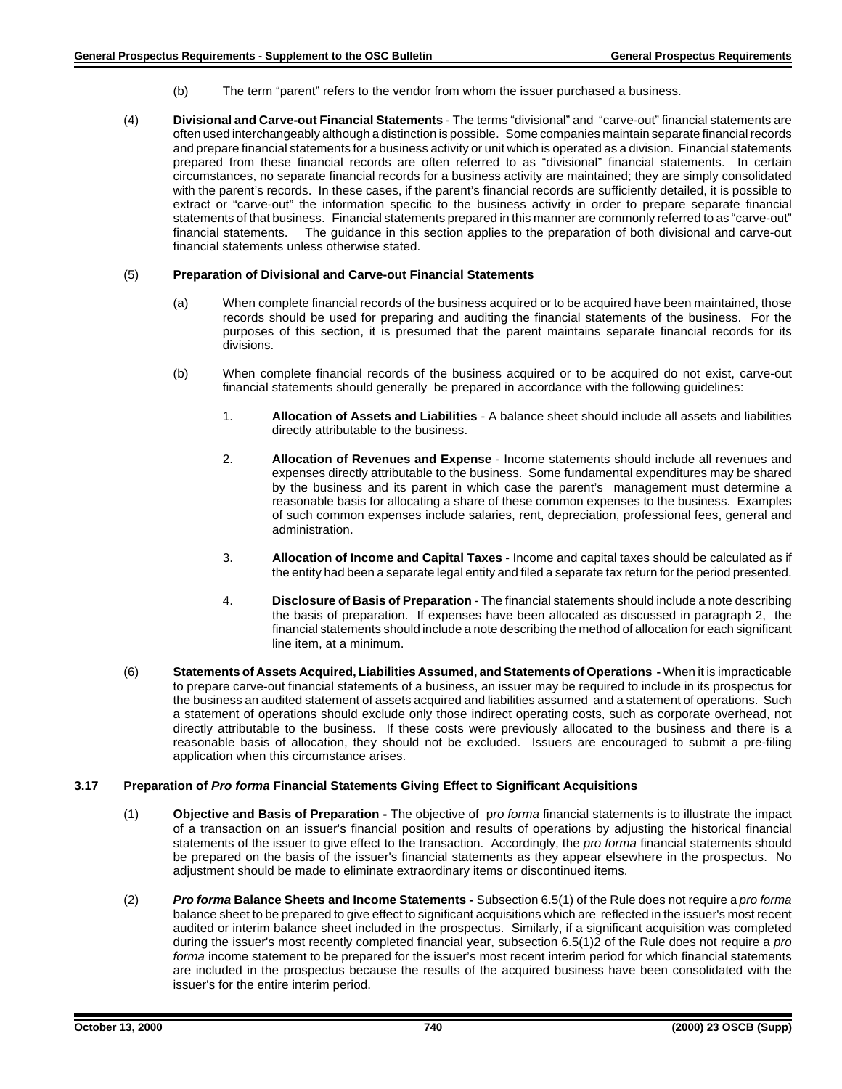- (b) The term "parent" refers to the vendor from whom the issuer purchased a business.
- (4) **Divisional and Carve-out Financial Statements** The terms "divisional" and "carve-out" financial statements are often used interchangeably although a distinction is possible. Some companies maintain separate financial records and prepare financial statements for a business activity or unit which is operated as a division. Financial statements prepared from these financial records are often referred to as "divisional" financial statements. In certain circumstances, no separate financial records for a business activity are maintained; they are simply consolidated with the parent's records. In these cases, if the parent's financial records are sufficiently detailed, it is possible to extract or "carve-out" the information specific to the business activity in order to prepare separate financial statements of that business. Financial statements prepared in this manner are commonly referred to as "carve-out" financial statements. The guidance in this section applies to the preparation of both divisional and carve-out financial statements unless otherwise stated.

#### (5) **Preparation of Divisional and Carve-out Financial Statements**

- (a) When complete financial records of the business acquired or to be acquired have been maintained, those records should be used for preparing and auditing the financial statements of the business. For the purposes of this section, it is presumed that the parent maintains separate financial records for its divisions.
- (b) When complete financial records of the business acquired or to be acquired do not exist, carve-out financial statements should generally be prepared in accordance with the following guidelines:
	- 1. **Allocation of Assets and Liabilities** A balance sheet should include all assets and liabilities directly attributable to the business.
	- 2. **Allocation of Revenues and Expense** Income statements should include all revenues and expenses directly attributable to the business. Some fundamental expenditures may be shared by the business and its parent in which case the parent's management must determine a reasonable basis for allocating a share of these common expenses to the business. Examples of such common expenses include salaries, rent, depreciation, professional fees, general and administration.
	- 3. **Allocation of Income and Capital Taxes** Income and capital taxes should be calculated as if the entity had been a separate legal entity and filed a separate tax return for the period presented.
	- 4. **Disclosure of Basis of Preparation** The financial statements should include a note describing the basis of preparation. If expenses have been allocated as discussed in paragraph 2, the financial statements should include a note describing the method of allocation for each significant line item, at a minimum.
- (6) **Statements of Assets Acquired, Liabilities Assumed, and Statements of Operations -** When it is impracticable to prepare carve-out financial statements of a business, an issuer may be required to include in its prospectus for the business an audited statement of assets acquired and liabilities assumed and a statement of operations. Such a statement of operations should exclude only those indirect operating costs, such as corporate overhead, not directly attributable to the business. If these costs were previously allocated to the business and there is a reasonable basis of allocation, they should not be excluded. Issuers are encouraged to submit a pre-filing application when this circumstance arises.

# **3.17 Preparation of** *Pro forma* **Financial Statements Giving Effect to Significant Acquisitions**

- (1) **Objective and Basis of Preparation** The objective of p*ro forma* financial statements is to illustrate the impact of a transaction on an issuer's financial position and results of operations by adjusting the historical financial statements of the issuer to give effect to the transaction. Accordingly, the *pro forma* financial statements should be prepared on the basis of the issuer's financial statements as they appear elsewhere in the prospectus. No adjustment should be made to eliminate extraordinary items or discontinued items.
- (2) *Pro forma* **Balance Sheets and Income Statements -** Subsection 6.5(1) of the Rule does not require a *pro forma* balance sheet to be prepared to give effect to significant acquisitions which are reflected in the issuer's most recent audited or interim balance sheet included in the prospectus. Similarly, if a significant acquisition was completed during the issuer's most recently completed financial year, subsection 6.5(1)2 of the Rule does not require a *pro forma* income statement to be prepared for the issuer's most recent interim period for which financial statements are included in the prospectus because the results of the acquired business have been consolidated with the issuer's for the entire interim period.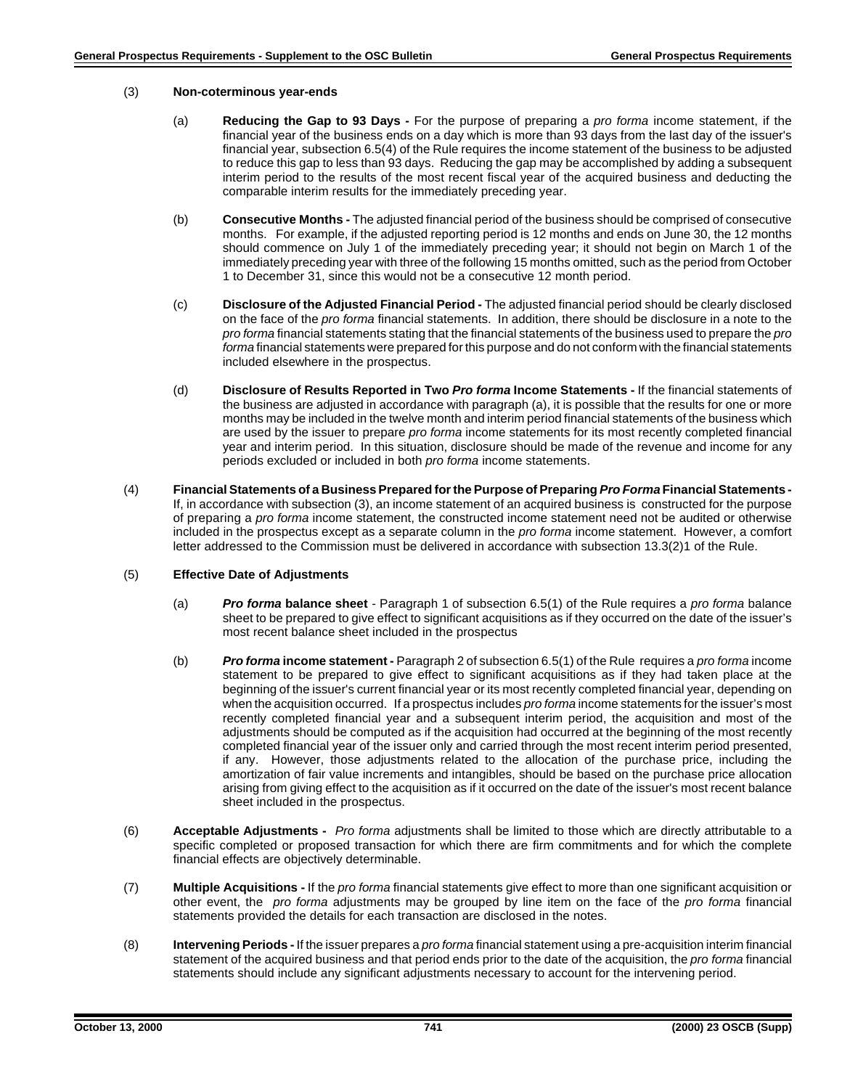# (3) **Non-coterminous year-ends**

- (a) **Reducing the Gap to 93 Days -** For the purpose of preparing a *pro forma* income statement, if the financial year of the business ends on a day which is more than 93 days from the last day of the issuer's financial year, subsection 6.5(4) of the Rule requires the income statement of the business to be adjusted to reduce this gap to less than 93 days. Reducing the gap may be accomplished by adding a subsequent interim period to the results of the most recent fiscal year of the acquired business and deducting the comparable interim results for the immediately preceding year.
- (b) **Consecutive Months -** The adjusted financial period of the business should be comprised of consecutive months. For example, if the adjusted reporting period is 12 months and ends on June 30, the 12 months should commence on July 1 of the immediately preceding year; it should not begin on March 1 of the immediately preceding year with three of the following 15 months omitted, such as the period from October 1 to December 31, since this would not be a consecutive 12 month period.
- (c) **Disclosure of the Adjusted Financial Period -** The adjusted financial period should be clearly disclosed on the face of the *pro forma* financial statements. In addition, there should be disclosure in a note to the *pro forma* financial statements stating that the financial statements of the business used to prepare the *pro forma* financial statements were prepared for this purpose and do not conform with the financial statements included elsewhere in the prospectus.
- (d) **Disclosure of Results Reported in Two** *Pro forma* **Income Statements** If the financial statements of the business are adjusted in accordance with paragraph (a), it is possible that the results for one or more months may be included in the twelve month and interim period financial statements of the business which are used by the issuer to prepare *pro forma* income statements for its most recently completed financial year and interim period. In this situation, disclosure should be made of the revenue and income for any periods excluded or included in both *pro forma* income statements.
- (4) **Financial Statements of a Business Prepared for the Purpose of Preparing** *Pro Forma* **Financial Statements -** If, in accordance with subsection (3), an income statement of an acquired business is constructed for the purpose of preparing a *pro forma* income statement, the constructed income statement need not be audited or otherwise included in the prospectus except as a separate column in the *pro forma* income statement. However, a comfort letter addressed to the Commission must be delivered in accordance with subsection 13.3(2)1 of the Rule.

# (5) **Effective Date of Adjustments**

- (a) *Pro forma* **balance sheet**  Paragraph 1 of subsection 6.5(1) of the Rule requires a *pro forma* balance sheet to be prepared to give effect to significant acquisitions as if they occurred on the date of the issuer's most recent balance sheet included in the prospectus
- (b) *Pro forma* **income statement -** Paragraph 2 of subsection 6.5(1) of the Rule requires a *pro forma* income statement to be prepared to give effect to significant acquisitions as if they had taken place at the beginning of the issuer's current financial year or its most recently completed financial year, depending on when the acquisition occurred. If a prospectus includes *pro forma* income statements for the issuer's most recently completed financial year and a subsequent interim period, the acquisition and most of the adjustments should be computed as if the acquisition had occurred at the beginning of the most recently completed financial year of the issuer only and carried through the most recent interim period presented, if any. However, those adjustments related to the allocation of the purchase price, including the amortization of fair value increments and intangibles, should be based on the purchase price allocation arising from giving effect to the acquisition as if it occurred on the date of the issuer's most recent balance sheet included in the prospectus.
- (6) **Acceptable Adjustments** *Pro forma* adjustments shall be limited to those which are directly attributable to a specific completed or proposed transaction for which there are firm commitments and for which the complete financial effects are objectively determinable.
- (7) **Multiple Acquisitions** If the *pro forma* financial statements give effect to more than one significant acquisition or other event, the *pro forma* adjustments may be grouped by line item on the face of the *pro forma* financial statements provided the details for each transaction are disclosed in the notes.
- (8) **Intervening Periods -** If the issuer prepares a *pro forma* financial statement using a pre-acquisition interim financial statement of the acquired business and that period ends prior to the date of the acquisition, the *pro forma* financial statements should include any significant adjustments necessary to account for the intervening period.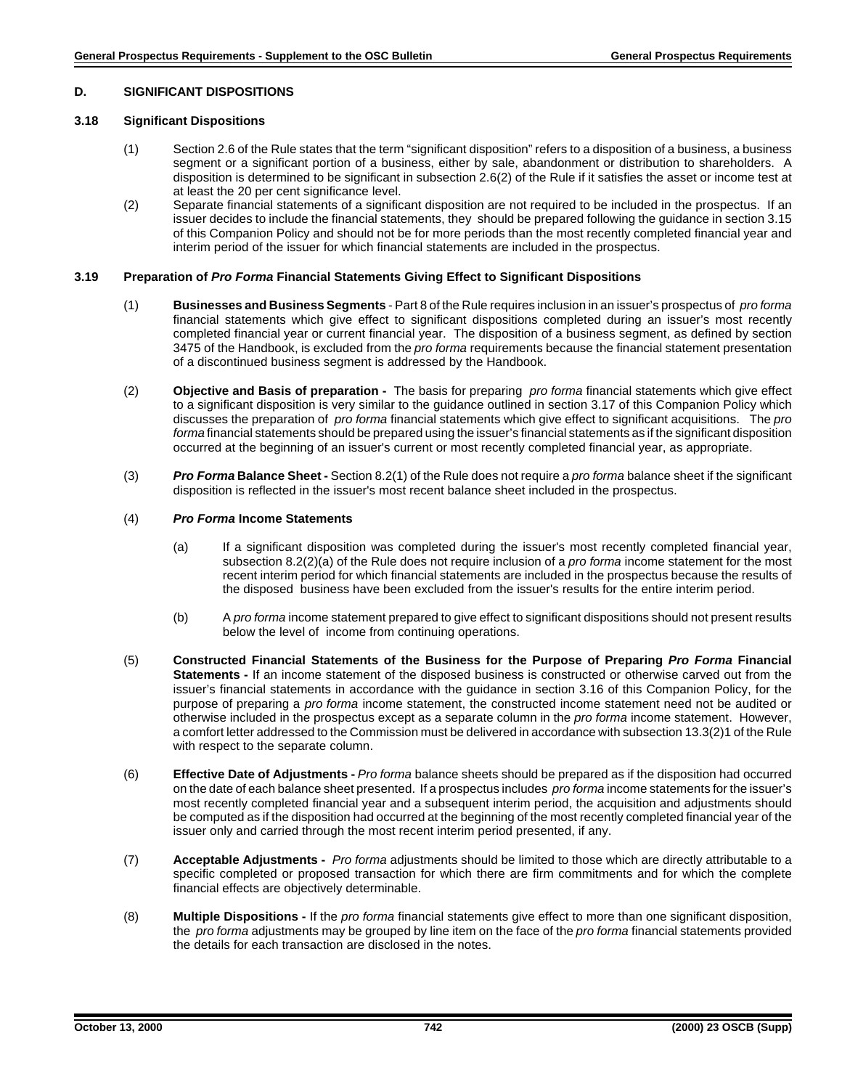# **D. SIGNIFICANT DISPOSITIONS**

# **3.18 Significant Dispositions**

- (1) Section 2.6 of the Rule states that the term "significant disposition" refers to a disposition of a business, a business segment or a significant portion of a business, either by sale, abandonment or distribution to shareholders. A disposition is determined to be significant in subsection 2.6(2) of the Rule if it satisfies the asset or income test at at least the 20 per cent significance level.
- (2) Separate financial statements of a significant disposition are not required to be included in the prospectus. If an issuer decides to include the financial statements, they should be prepared following the guidance in section 3.15 of this Companion Policy and should not be for more periods than the most recently completed financial year and interim period of the issuer for which financial statements are included in the prospectus.

#### **3.19 Preparation of** *Pro Forma* **Financial Statements Giving Effect to Significant Dispositions**

- (1) **Businesses and Business Segments** Part 8 of the Rule requires inclusion in an issuer's prospectus of *pro forma* financial statements which give effect to significant dispositions completed during an issuer's most recently completed financial year or current financial year. The disposition of a business segment, as defined by section 3475 of the Handbook, is excluded from the *pro forma* requirements because the financial statement presentation of a discontinued business segment is addressed by the Handbook.
- (2) **Objective and Basis of preparation** The basis for preparing *pro forma* financial statements which give effect to a significant disposition is very similar to the guidance outlined in section 3.17 of this Companion Policy which discusses the preparation of *pro forma* financial statements which give effect to significant acquisitions. The *pro forma* financial statements should be prepared using the issuer's financial statements as if the significant disposition occurred at the beginning of an issuer's current or most recently completed financial year, as appropriate.
- (3) *Pro Forma* **Balance Sheet -** Section 8.2(1) of the Rule does not require a *pro forma* balance sheet if the significant disposition is reflected in the issuer's most recent balance sheet included in the prospectus.

#### (4) *Pro Forma* **Income Statements**

- (a) If a significant disposition was completed during the issuer's most recently completed financial year, subsection 8.2(2)(a) of the Rule does not require inclusion of a *pro forma* income statement for the most recent interim period for which financial statements are included in the prospectus because the results of the disposed business have been excluded from the issuer's results for the entire interim period.
- (b) A *pro forma* income statement prepared to give effect to significant dispositions should not present results below the level of income from continuing operations.
- (5) **Constructed Financial Statements of the Business for the Purpose of Preparing** *Pro Forma* **Financial Statements -** If an income statement of the disposed business is constructed or otherwise carved out from the issuer's financial statements in accordance with the guidance in section 3.16 of this Companion Policy, for the purpose of preparing a *pro forma* income statement, the constructed income statement need not be audited or otherwise included in the prospectus except as a separate column in the *pro forma* income statement. However, a comfort letter addressed to the Commission must be delivered in accordance with subsection 13.3(2)1 of the Rule with respect to the separate column.
- (6) **Effective Date of Adjustments** *Pro forma* balance sheets should be prepared as if the disposition had occurred on the date of each balance sheet presented. If a prospectus includes *pro forma* income statements for the issuer's most recently completed financial year and a subsequent interim period, the acquisition and adjustments should be computed as if the disposition had occurred at the beginning of the most recently completed financial year of the issuer only and carried through the most recent interim period presented, if any.
- (7) **Acceptable Adjustments** *Pro forma* adjustments should be limited to those which are directly attributable to a specific completed or proposed transaction for which there are firm commitments and for which the complete financial effects are objectively determinable.
- (8) **Multiple Dispositions** If the *pro forma* financial statements give effect to more than one significant disposition, the *pro forma* adjustments may be grouped by line item on the face of the *pro forma* financial statements provided the details for each transaction are disclosed in the notes.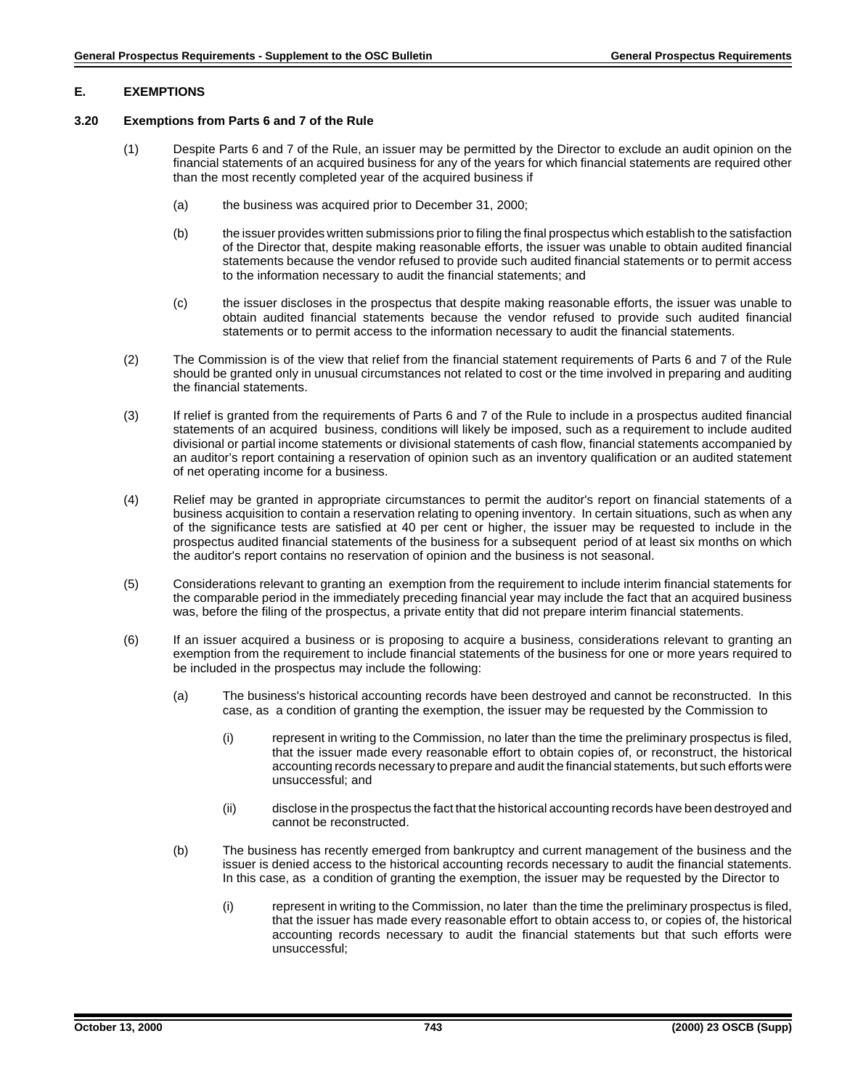## **E. EXEMPTIONS**

#### **3.20 Exemptions from Parts 6 and 7 of the Rule**

- (1) Despite Parts 6 and 7 of the Rule, an issuer may be permitted by the Director to exclude an audit opinion on the financial statements of an acquired business for any of the years for which financial statements are required other than the most recently completed year of the acquired business if
	- (a) the business was acquired prior to December 31, 2000;
	- (b) the issuer provides written submissions prior to filing the final prospectus which establish to the satisfaction of the Director that, despite making reasonable efforts, the issuer was unable to obtain audited financial statements because the vendor refused to provide such audited financial statements or to permit access to the information necessary to audit the financial statements; and
	- (c) the issuer discloses in the prospectus that despite making reasonable efforts, the issuer was unable to obtain audited financial statements because the vendor refused to provide such audited financial statements or to permit access to the information necessary to audit the financial statements.
- (2) The Commission is of the view that relief from the financial statement requirements of Parts 6 and 7 of the Rule should be granted only in unusual circumstances not related to cost or the time involved in preparing and auditing the financial statements.
- (3) If relief is granted from the requirements of Parts 6 and 7 of the Rule to include in a prospectus audited financial statements of an acquired business, conditions will likely be imposed, such as a requirement to include audited divisional or partial income statements or divisional statements of cash flow, financial statements accompanied by an auditor's report containing a reservation of opinion such as an inventory qualification or an audited statement of net operating income for a business.
- (4) Relief may be granted in appropriate circumstances to permit the auditor's report on financial statements of a business acquisition to contain a reservation relating to opening inventory. In certain situations, such as when any of the significance tests are satisfied at 40 per cent or higher, the issuer may be requested to include in the prospectus audited financial statements of the business for a subsequent period of at least six months on which the auditor's report contains no reservation of opinion and the business is not seasonal.
- (5) Considerations relevant to granting an exemption from the requirement to include interim financial statements for the comparable period in the immediately preceding financial year may include the fact that an acquired business was, before the filing of the prospectus, a private entity that did not prepare interim financial statements.
- (6) If an issuer acquired a business or is proposing to acquire a business, considerations relevant to granting an exemption from the requirement to include financial statements of the business for one or more years required to be included in the prospectus may include the following:
	- (a) The business's historical accounting records have been destroyed and cannot be reconstructed. In this case, as a condition of granting the exemption, the issuer may be requested by the Commission to
		- (i) represent in writing to the Commission, no later than the time the preliminary prospectus is filed, that the issuer made every reasonable effort to obtain copies of, or reconstruct, the historical accounting records necessary to prepare and audit the financial statements, but such efforts were unsuccessful; and
		- (ii) disclose in the prospectus the fact that the historical accounting records have been destroyed and cannot be reconstructed.
	- (b) The business has recently emerged from bankruptcy and current management of the business and the issuer is denied access to the historical accounting records necessary to audit the financial statements. In this case, as a condition of granting the exemption, the issuer may be requested by the Director to
		- (i) represent in writing to the Commission, no later than the time the preliminary prospectus is filed, that the issuer has made every reasonable effort to obtain access to, or copies of, the historical accounting records necessary to audit the financial statements but that such efforts were unsuccessful;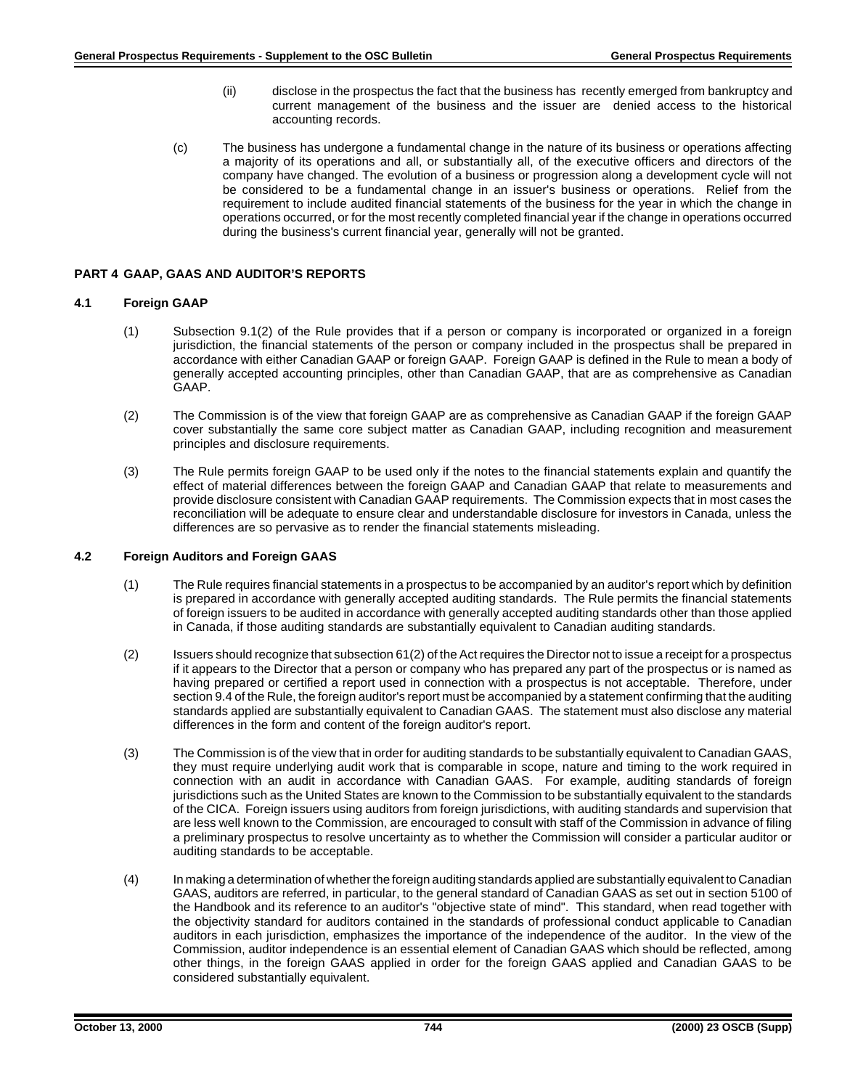- (ii) disclose in the prospectus the fact that the business has recently emerged from bankruptcy and current management of the business and the issuer are denied access to the historical accounting records.
- (c) The business has undergone a fundamental change in the nature of its business or operations affecting a majority of its operations and all, or substantially all, of the executive officers and directors of the company have changed. The evolution of a business or progression along a development cycle will not be considered to be a fundamental change in an issuer's business or operations. Relief from the requirement to include audited financial statements of the business for the year in which the change in operations occurred, or for the most recently completed financial year if the change in operations occurred during the business's current financial year, generally will not be granted.

# **PART 4 GAAP, GAAS AND AUDITOR'S REPORTS**

# **4.1 Foreign GAAP**

- (1) Subsection 9.1(2) of the Rule provides that if a person or company is incorporated or organized in a foreign jurisdiction, the financial statements of the person or company included in the prospectus shall be prepared in accordance with either Canadian GAAP or foreign GAAP. Foreign GAAP is defined in the Rule to mean a body of generally accepted accounting principles, other than Canadian GAAP, that are as comprehensive as Canadian GAAP.
- (2) The Commission is of the view that foreign GAAP are as comprehensive as Canadian GAAP if the foreign GAAP cover substantially the same core subject matter as Canadian GAAP, including recognition and measurement principles and disclosure requirements.
- (3) The Rule permits foreign GAAP to be used only if the notes to the financial statements explain and quantify the effect of material differences between the foreign GAAP and Canadian GAAP that relate to measurements and provide disclosure consistent with Canadian GAAP requirements. The Commission expects that in most cases the reconciliation will be adequate to ensure clear and understandable disclosure for investors in Canada, unless the differences are so pervasive as to render the financial statements misleading.

# **4.2 Foreign Auditors and Foreign GAAS**

- (1) The Rule requires financial statements in a prospectus to be accompanied by an auditor's report which by definition is prepared in accordance with generally accepted auditing standards. The Rule permits the financial statements of foreign issuers to be audited in accordance with generally accepted auditing standards other than those applied in Canada, if those auditing standards are substantially equivalent to Canadian auditing standards.
- (2) Issuers should recognize that subsection 61(2) of the Act requires the Director not to issue a receipt for a prospectus if it appears to the Director that a person or company who has prepared any part of the prospectus or is named as having prepared or certified a report used in connection with a prospectus is not acceptable. Therefore, under section 9.4 of the Rule, the foreign auditor's report must be accompanied by a statement confirming that the auditing standards applied are substantially equivalent to Canadian GAAS. The statement must also disclose any material differences in the form and content of the foreign auditor's report.
- (3) The Commission is of the view that in order for auditing standards to be substantially equivalent to Canadian GAAS, they must require underlying audit work that is comparable in scope, nature and timing to the work required in connection with an audit in accordance with Canadian GAAS. For example, auditing standards of foreign jurisdictions such as the United States are known to the Commission to be substantially equivalent to the standards of the CICA. Foreign issuers using auditors from foreign jurisdictions, with auditing standards and supervision that are less well known to the Commission, are encouraged to consult with staff of the Commission in advance of filing a preliminary prospectus to resolve uncertainty as to whether the Commission will consider a particular auditor or auditing standards to be acceptable.
- (4) In making a determination of whether the foreign auditing standards applied are substantially equivalent to Canadian GAAS, auditors are referred, in particular, to the general standard of Canadian GAAS as set out in section 5100 of the Handbook and its reference to an auditor's "objective state of mind". This standard, when read together with the objectivity standard for auditors contained in the standards of professional conduct applicable to Canadian auditors in each jurisdiction, emphasizes the importance of the independence of the auditor. In the view of the Commission, auditor independence is an essential element of Canadian GAAS which should be reflected, among other things, in the foreign GAAS applied in order for the foreign GAAS applied and Canadian GAAS to be considered substantially equivalent.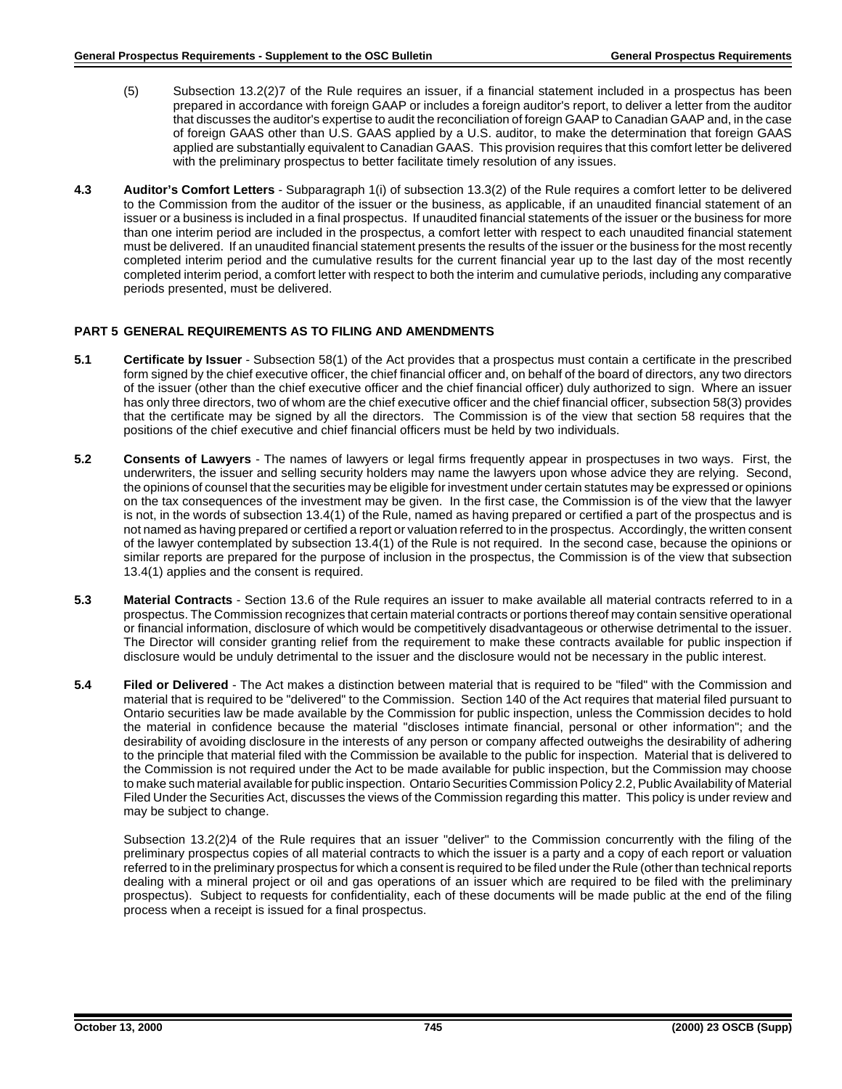- (5) Subsection 13.2(2)7 of the Rule requires an issuer, if a financial statement included in a prospectus has been prepared in accordance with foreign GAAP or includes a foreign auditor's report, to deliver a letter from the auditor that discusses the auditor's expertise to audit the reconciliation of foreign GAAP to Canadian GAAP and, in the case of foreign GAAS other than U.S. GAAS applied by a U.S. auditor, to make the determination that foreign GAAS applied are substantially equivalent to Canadian GAAS. This provision requires that this comfort letter be delivered with the preliminary prospectus to better facilitate timely resolution of any issues.
- **4.3 Auditor's Comfort Letters** Subparagraph 1(i) of subsection 13.3(2) of the Rule requires a comfort letter to be delivered to the Commission from the auditor of the issuer or the business, as applicable, if an unaudited financial statement of an issuer or a business is included in a final prospectus. If unaudited financial statements of the issuer or the business for more than one interim period are included in the prospectus, a comfort letter with respect to each unaudited financial statement must be delivered. If an unaudited financial statement presents the results of the issuer or the business for the most recently completed interim period and the cumulative results for the current financial year up to the last day of the most recently completed interim period, a comfort letter with respect to both the interim and cumulative periods, including any comparative periods presented, must be delivered.

# **PART 5 GENERAL REQUIREMENTS AS TO FILING AND AMENDMENTS**

- **5.1 Certificate by Issuer**  Subsection 58(1) of the Act provides that a prospectus must contain a certificate in the prescribed form signed by the chief executive officer, the chief financial officer and, on behalf of the board of directors, any two directors of the issuer (other than the chief executive officer and the chief financial officer) duly authorized to sign. Where an issuer has only three directors, two of whom are the chief executive officer and the chief financial officer, subsection 58(3) provides that the certificate may be signed by all the directors. The Commission is of the view that section 58 requires that the positions of the chief executive and chief financial officers must be held by two individuals.
- **5.2 Consents of Lawyers** The names of lawyers or legal firms frequently appear in prospectuses in two ways. First, the underwriters, the issuer and selling security holders may name the lawyers upon whose advice they are relying. Second, the opinions of counsel that the securities may be eligible for investment under certain statutes may be expressed or opinions on the tax consequences of the investment may be given. In the first case, the Commission is of the view that the lawyer is not, in the words of subsection 13.4(1) of the Rule, named as having prepared or certified a part of the prospectus and is not named as having prepared or certified a report or valuation referred to in the prospectus. Accordingly, the written consent of the lawyer contemplated by subsection 13.4(1) of the Rule is not required. In the second case, because the opinions or similar reports are prepared for the purpose of inclusion in the prospectus, the Commission is of the view that subsection 13.4(1) applies and the consent is required.
- **5.3 Material Contracts** Section 13.6 of the Rule requires an issuer to make available all material contracts referred to in a prospectus. The Commission recognizes that certain material contracts or portions thereof may contain sensitive operational or financial information, disclosure of which would be competitively disadvantageous or otherwise detrimental to the issuer. The Director will consider granting relief from the requirement to make these contracts available for public inspection if disclosure would be unduly detrimental to the issuer and the disclosure would not be necessary in the public interest.
- **5.4 Filed or Delivered** The Act makes a distinction between material that is required to be "filed" with the Commission and material that is required to be "delivered" to the Commission. Section 140 of the Act requires that material filed pursuant to Ontario securities law be made available by the Commission for public inspection, unless the Commission decides to hold the material in confidence because the material "discloses intimate financial, personal or other information"; and the desirability of avoiding disclosure in the interests of any person or company affected outweighs the desirability of adhering to the principle that material filed with the Commission be available to the public for inspection. Material that is delivered to the Commission is not required under the Act to be made available for public inspection, but the Commission may choose to make such material available for public inspection. Ontario Securities Commission Policy 2.2, Public Availability of Material Filed Under the Securities Act, discusses the views of the Commission regarding this matter. This policy is under review and may be subject to change.

Subsection 13.2(2)4 of the Rule requires that an issuer "deliver" to the Commission concurrently with the filing of the preliminary prospectus copies of all material contracts to which the issuer is a party and a copy of each report or valuation referred to in the preliminary prospectus for which a consent is required to be filed under the Rule (other than technical reports dealing with a mineral project or oil and gas operations of an issuer which are required to be filed with the preliminary prospectus). Subject to requests for confidentiality, each of these documents will be made public at the end of the filing process when a receipt is issued for a final prospectus.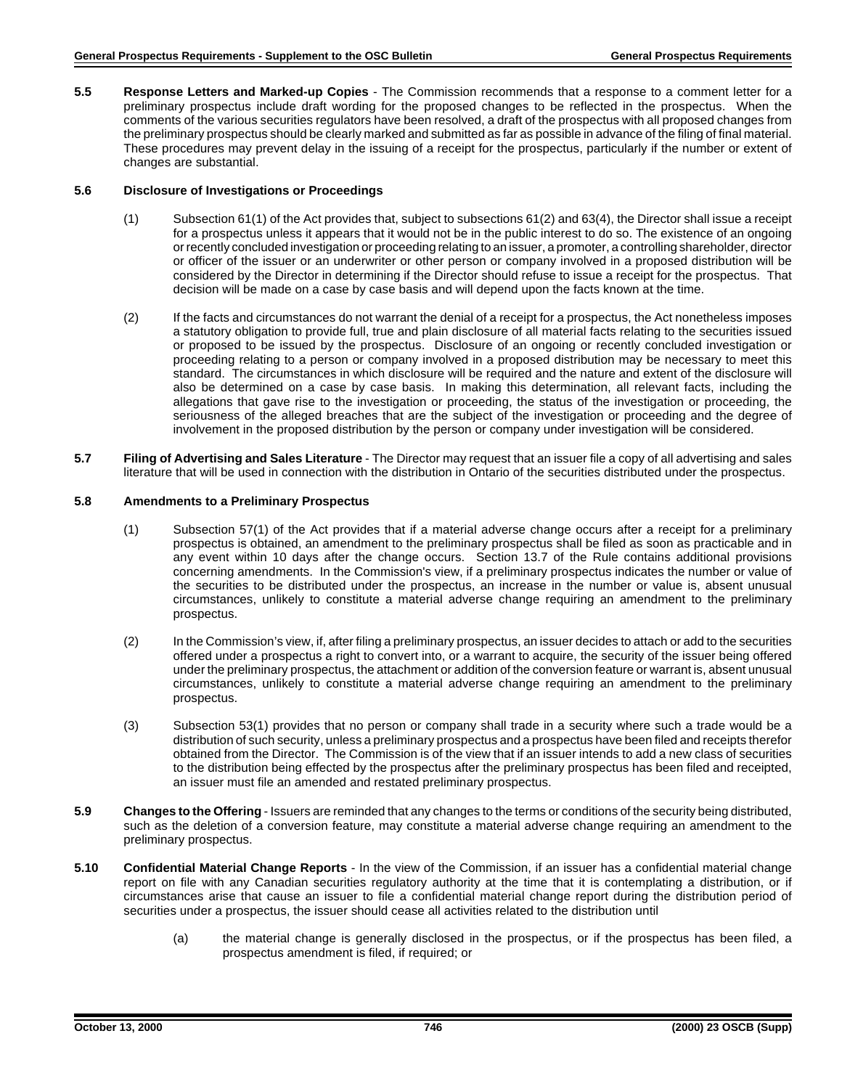**5.5 Response Letters and Marked-up Copies** - The Commission recommends that a response to a comment letter for a preliminary prospectus include draft wording for the proposed changes to be reflected in the prospectus. When the comments of the various securities regulators have been resolved, a draft of the prospectus with all proposed changes from the preliminary prospectus should be clearly marked and submitted as far as possible in advance of the filing of final material. These procedures may prevent delay in the issuing of a receipt for the prospectus, particularly if the number or extent of changes are substantial.

# **5.6 Disclosure of Investigations or Proceedings**

- (1) Subsection 61(1) of the Act provides that, subject to subsections 61(2) and 63(4), the Director shall issue a receipt for a prospectus unless it appears that it would not be in the public interest to do so. The existence of an ongoing or recently concluded investigation or proceeding relating to an issuer, a promoter, a controlling shareholder, director or officer of the issuer or an underwriter or other person or company involved in a proposed distribution will be considered by the Director in determining if the Director should refuse to issue a receipt for the prospectus. That decision will be made on a case by case basis and will depend upon the facts known at the time.
- (2) If the facts and circumstances do not warrant the denial of a receipt for a prospectus, the Act nonetheless imposes a statutory obligation to provide full, true and plain disclosure of all material facts relating to the securities issued or proposed to be issued by the prospectus. Disclosure of an ongoing or recently concluded investigation or proceeding relating to a person or company involved in a proposed distribution may be necessary to meet this standard. The circumstances in which disclosure will be required and the nature and extent of the disclosure will also be determined on a case by case basis. In making this determination, all relevant facts, including the allegations that gave rise to the investigation or proceeding, the status of the investigation or proceeding, the seriousness of the alleged breaches that are the subject of the investigation or proceeding and the degree of involvement in the proposed distribution by the person or company under investigation will be considered.
- **5.7 Filing of Advertising and Sales Literature** The Director may request that an issuer file a copy of all advertising and sales literature that will be used in connection with the distribution in Ontario of the securities distributed under the prospectus.

# **5.8 Amendments to a Preliminary Prospectus**

- (1) Subsection 57(1) of the Act provides that if a material adverse change occurs after a receipt for a preliminary prospectus is obtained, an amendment to the preliminary prospectus shall be filed as soon as practicable and in any event within 10 days after the change occurs. Section 13.7 of the Rule contains additional provisions concerning amendments. In the Commission's view, if a preliminary prospectus indicates the number or value of the securities to be distributed under the prospectus, an increase in the number or value is, absent unusual circumstances, unlikely to constitute a material adverse change requiring an amendment to the preliminary prospectus.
- (2) In the Commission's view, if, after filing a preliminary prospectus, an issuer decides to attach or add to the securities offered under a prospectus a right to convert into, or a warrant to acquire, the security of the issuer being offered under the preliminary prospectus, the attachment or addition of the conversion feature or warrant is, absent unusual circumstances, unlikely to constitute a material adverse change requiring an amendment to the preliminary prospectus.
- (3) Subsection 53(1) provides that no person or company shall trade in a security where such a trade would be a distribution of such security, unless a preliminary prospectus and a prospectus have been filed and receipts therefor obtained from the Director. The Commission is of the view that if an issuer intends to add a new class of securities to the distribution being effected by the prospectus after the preliminary prospectus has been filed and receipted, an issuer must file an amended and restated preliminary prospectus.
- **5.9 Changes to the Offering** Issuers are reminded that any changes to the terms or conditions of the security being distributed, such as the deletion of a conversion feature, may constitute a material adverse change requiring an amendment to the preliminary prospectus.
- **5.10 Confidential Material Change Reports** In the view of the Commission, if an issuer has a confidential material change report on file with any Canadian securities regulatory authority at the time that it is contemplating a distribution, or if circumstances arise that cause an issuer to file a confidential material change report during the distribution period of securities under a prospectus, the issuer should cease all activities related to the distribution until
	- (a) the material change is generally disclosed in the prospectus, or if the prospectus has been filed, a prospectus amendment is filed, if required; or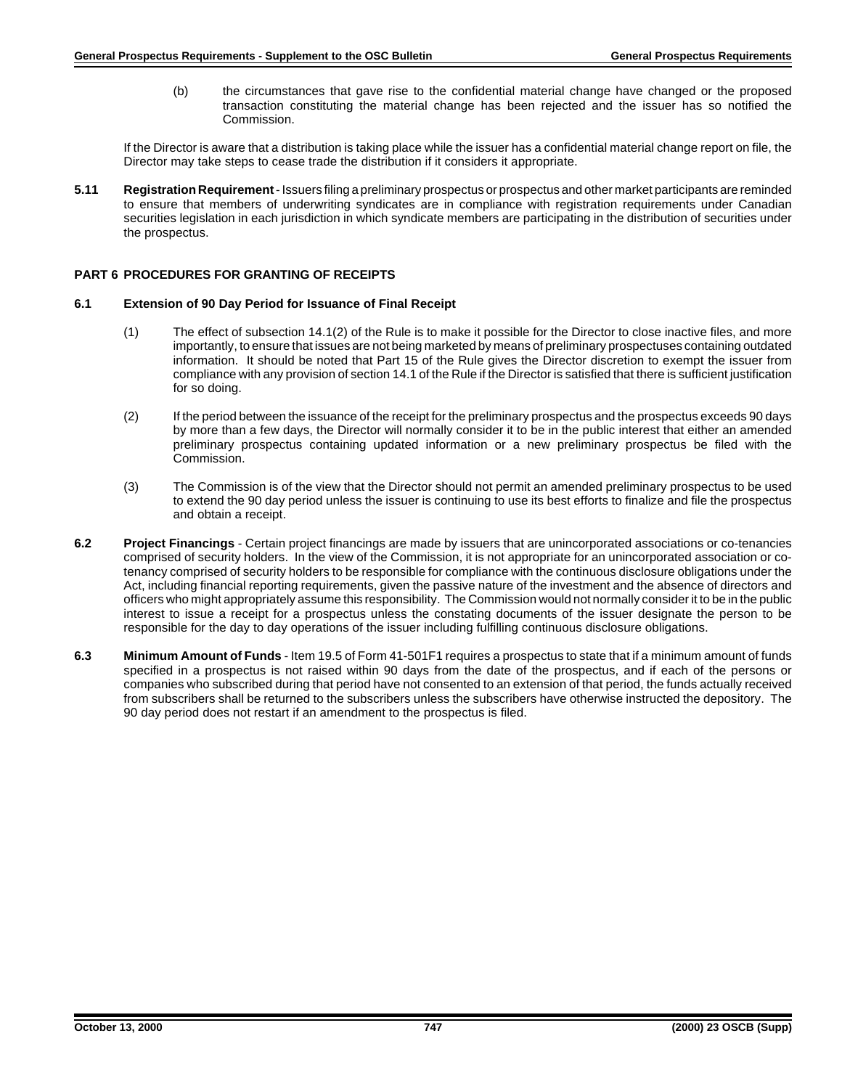(b) the circumstances that gave rise to the confidential material change have changed or the proposed transaction constituting the material change has been rejected and the issuer has so notified the Commission.

If the Director is aware that a distribution is taking place while the issuer has a confidential material change report on file, the Director may take steps to cease trade the distribution if it considers it appropriate.

**5.11 Registration Requirement** - Issuers filing a preliminary prospectus or prospectus and other market participants are reminded to ensure that members of underwriting syndicates are in compliance with registration requirements under Canadian securities legislation in each jurisdiction in which syndicate members are participating in the distribution of securities under the prospectus.

# **PART 6 PROCEDURES FOR GRANTING OF RECEIPTS**

# **6.1 Extension of 90 Day Period for Issuance of Final Receipt**

- (1) The effect of subsection 14.1(2) of the Rule is to make it possible for the Director to close inactive files, and more importantly, to ensure that issues are not being marketed by means of preliminary prospectuses containing outdated information. It should be noted that Part 15 of the Rule gives the Director discretion to exempt the issuer from compliance with any provision of section 14.1 of the Rule if the Director is satisfied that there is sufficient justification for so doing.
- (2) If the period between the issuance of the receipt for the preliminary prospectus and the prospectus exceeds 90 days by more than a few days, the Director will normally consider it to be in the public interest that either an amended preliminary prospectus containing updated information or a new preliminary prospectus be filed with the Commission.
- (3) The Commission is of the view that the Director should not permit an amended preliminary prospectus to be used to extend the 90 day period unless the issuer is continuing to use its best efforts to finalize and file the prospectus and obtain a receipt.
- **6.2 Project Financings** Certain project financings are made by issuers that are unincorporated associations or co-tenancies comprised of security holders. In the view of the Commission, it is not appropriate for an unincorporated association or cotenancy comprised of security holders to be responsible for compliance with the continuous disclosure obligations under the Act, including financial reporting requirements, given the passive nature of the investment and the absence of directors and officers who might appropriately assume this responsibility. The Commission would not normally consider it to be in the public interest to issue a receipt for a prospectus unless the constating documents of the issuer designate the person to be responsible for the day to day operations of the issuer including fulfilling continuous disclosure obligations.
- **6.3 Minimum Amount of Funds** Item 19.5 of Form 41-501F1 requires a prospectus to state that if a minimum amount of funds specified in a prospectus is not raised within 90 days from the date of the prospectus, and if each of the persons or companies who subscribed during that period have not consented to an extension of that period, the funds actually received from subscribers shall be returned to the subscribers unless the subscribers have otherwise instructed the depository. The 90 day period does not restart if an amendment to the prospectus is filed.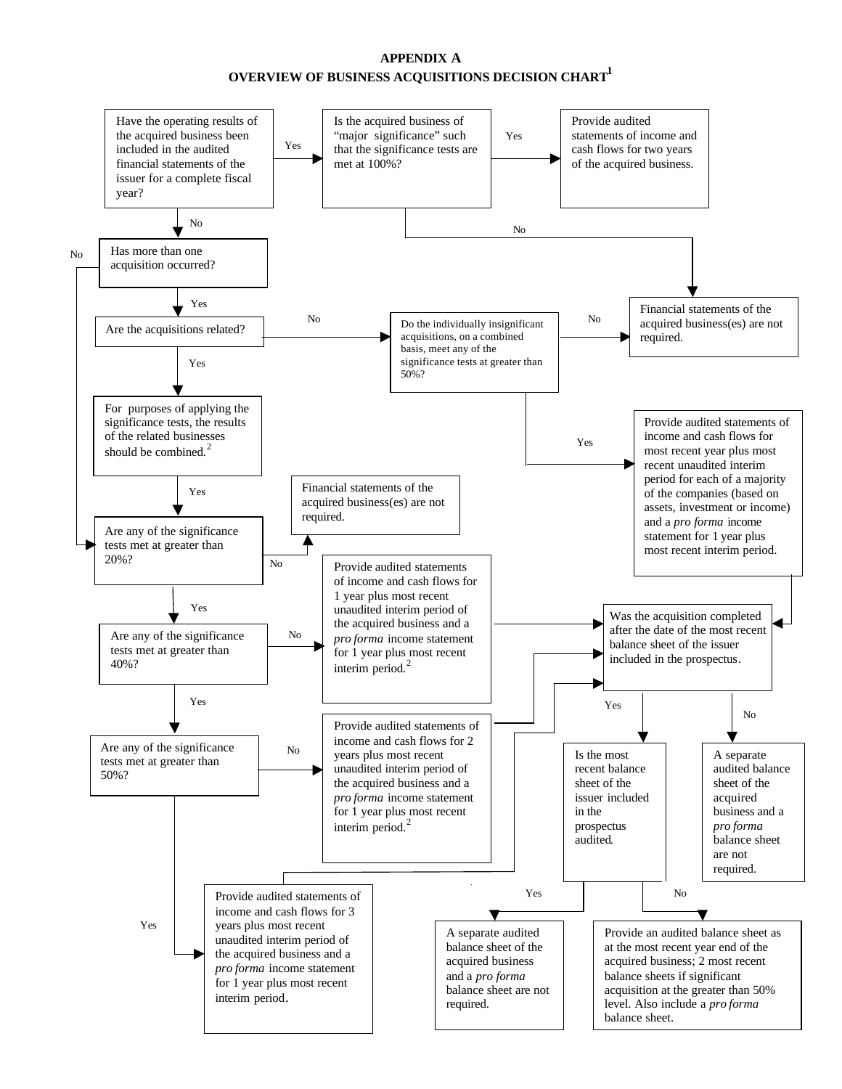# **APPENDIX A OVERVIEW OF BUSINESS ACQUISITIONS DECISION CHART<sup>1</sup>**

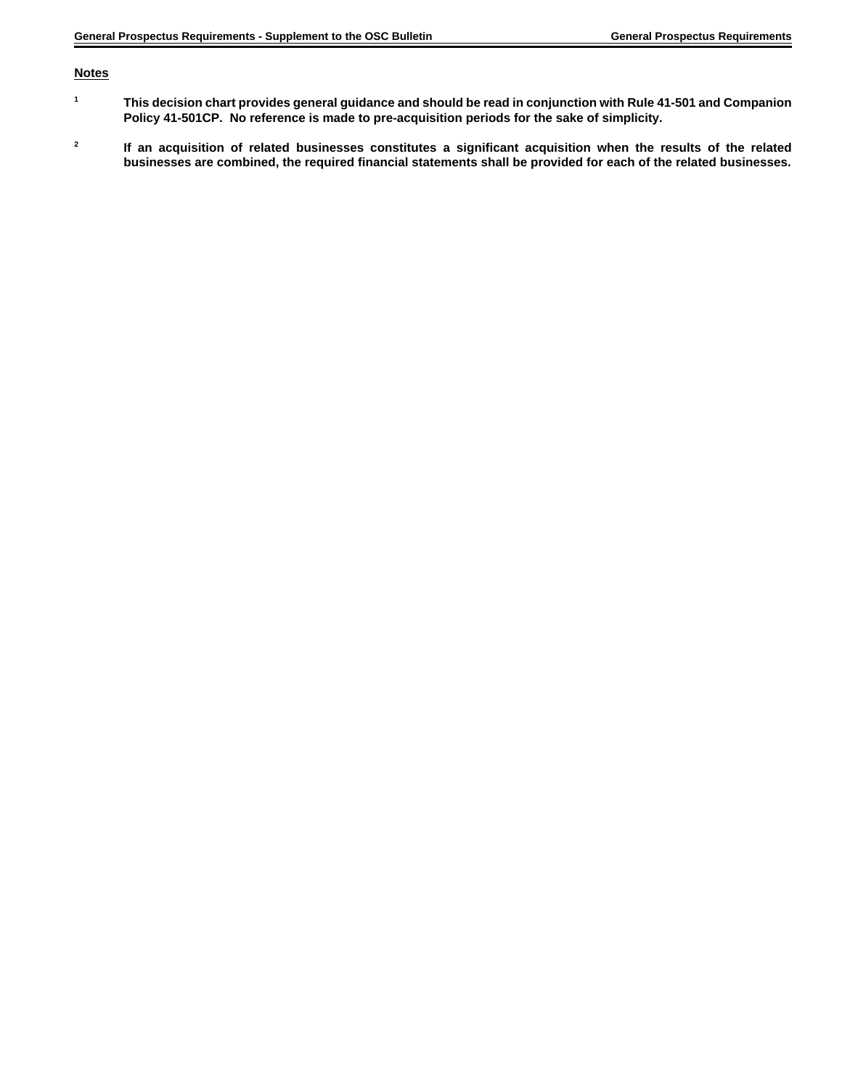#### **Notes**

- **<sup>1</sup> This decision chart provides general guidance and should be read in conjunction with Rule 41-501 and Companion Policy 41-501CP. No reference is made to pre-acquisition periods for the sake of simplicity.**
- **2 If an acquisition of related businesses constitutes a significant acquisition when the results of the related businesses are combined, the required financial statements shall be provided for each of the related businesses.**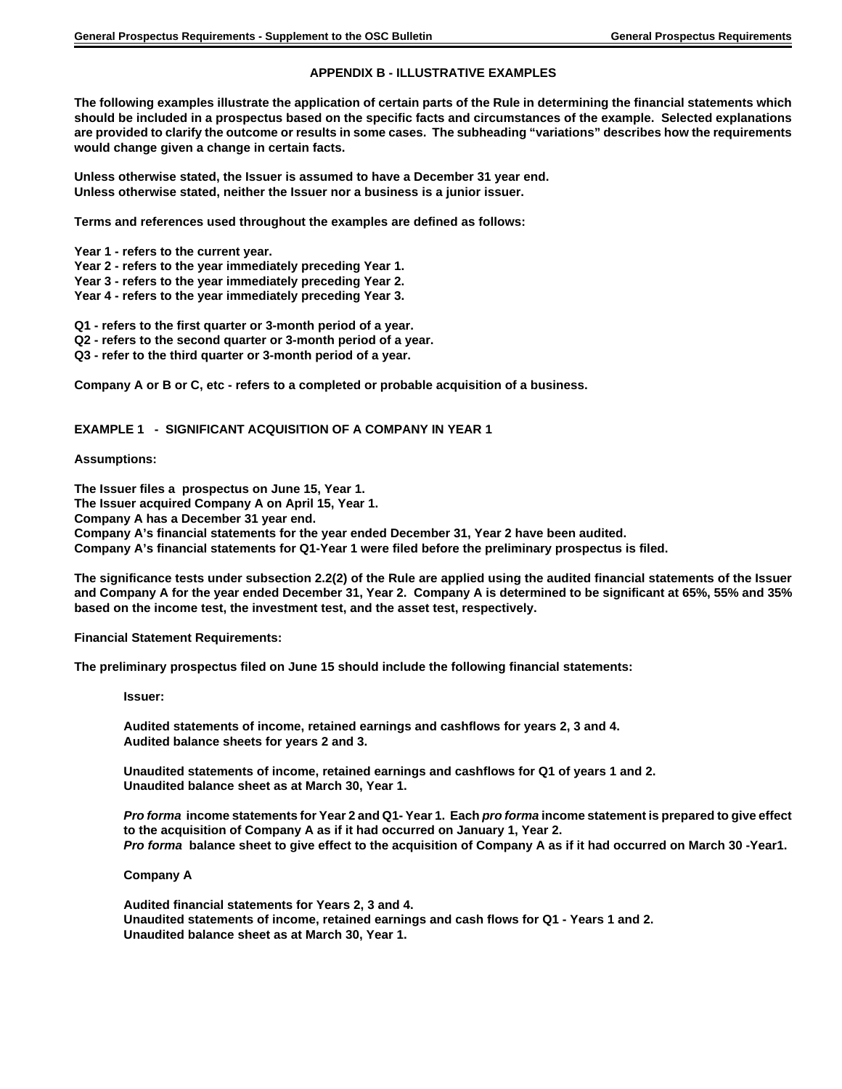# **APPENDIX B - ILLUSTRATIVE EXAMPLES**

**The following examples illustrate the application of certain parts of the Rule in determining the financial statements which should be included in a prospectus based on the specific facts and circumstances of the example. Selected explanations are provided to clarify the outcome or results in some cases. The subheading "variations" describes how the requirements would change given a change in certain facts.**

**Unless otherwise stated, the Issuer is assumed to have a December 31 year end. Unless otherwise stated, neither the Issuer nor a business is a junior issuer.**

**Terms and references used throughout the examples are defined as follows:**

**Year 1 - refers to the current year.**

**Year 2 - refers to the year immediately preceding Year 1.**

**Year 3 - refers to the year immediately preceding Year 2.**

**Year 4 - refers to the year immediately preceding Year 3.**

**Q1 - refers to the first quarter or 3-month period of a year.**

**Q2 - refers to the second quarter or 3-month period of a year.**

**Q3 - refer to the third quarter or 3-month period of a year.**

**Company A or B or C, etc - refers to a completed or probable acquisition of a business.** 

#### **EXAMPLE 1 - SIGNIFICANT ACQUISITION OF A COMPANY IN YEAR 1**

**Assumptions:**

**The Issuer files a prospectus on June 15, Year 1.**

**The Issuer acquired Company A on April 15, Year 1.**

**Company A has a December 31 year end.** 

**Company A's financial statements for the year ended December 31, Year 2 have been audited.**

**Company A's financial statements for Q1-Year 1 were filed before the preliminary prospectus is filed.**

**The significance tests under subsection 2.2(2) of the Rule are applied using the audited financial statements of the Issuer and Company A for the year ended December 31, Year 2. Company A is determined to be significant at 65%, 55% and 35% based on the income test, the investment test, and the asset test, respectively.** 

**Financial Statement Requirements:**

**The preliminary prospectus filed on June 15 should include the following financial statements:**

**Issuer:**

**Audited statements of income, retained earnings and cashflows for years 2, 3 and 4. Audited balance sheets for years 2 and 3.**

**Unaudited statements of income, retained earnings and cashflows for Q1 of years 1 and 2. Unaudited balance sheet as at March 30, Year 1.** 

*Pro forma* **income statements for Year 2 and Q1- Year 1. Each** *pro forma* **income statement is prepared to give effect to the acquisition of Company A as if it had occurred on January 1, Year 2.** *Pro forma* **balance sheet to give effect to the acquisition of Company A as if it had occurred on March 30 -Year1.**

**Company A**

**Audited financial statements for Years 2, 3 and 4. Unaudited statements of income, retained earnings and cash flows for Q1 - Years 1 and 2. Unaudited balance sheet as at March 30, Year 1.**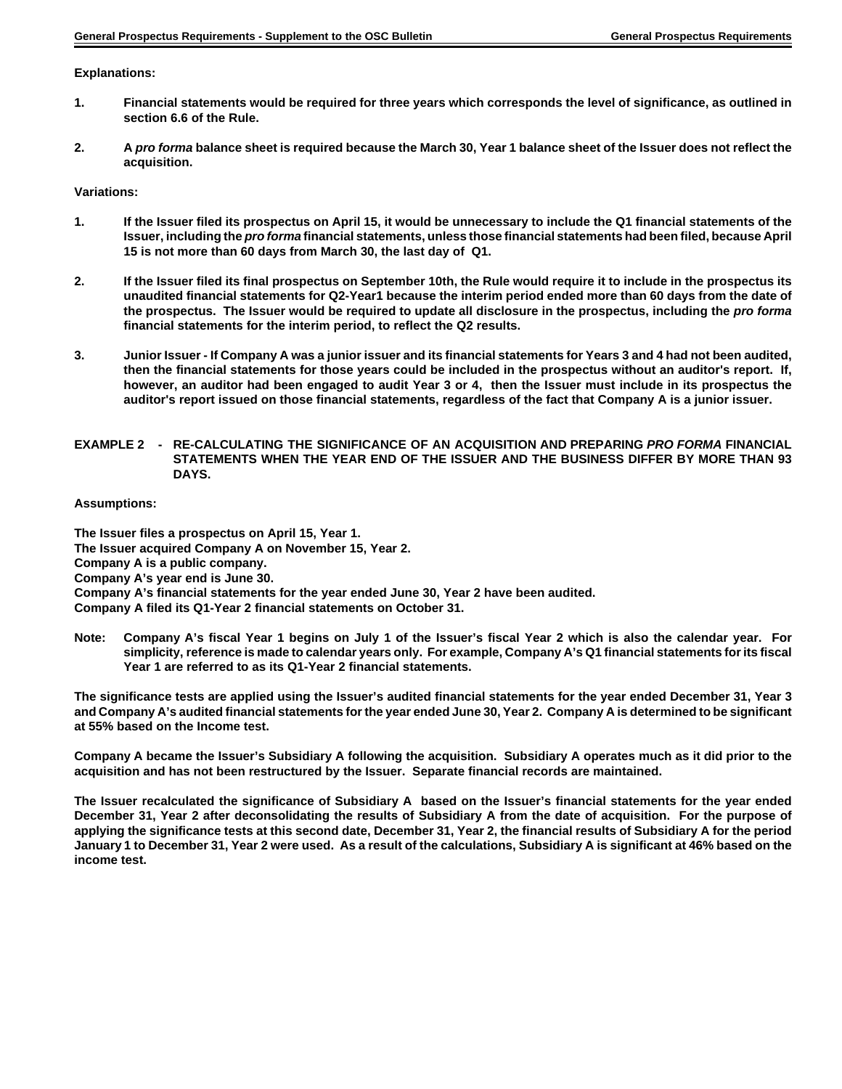#### **Explanations:**

- **1. Financial statements would be required for three years which corresponds the level of significance, as outlined in section 6.6 of the Rule.**
- **2. A** *pro forma* **balance sheet is required because the March 30, Year 1 balance sheet of the Issuer does not reflect the acquisition.**

#### **Variations:**

- **1. If the Issuer filed its prospectus on April 15, it would be unnecessary to include the Q1 financial statements of the Issuer, including the** *pro forma* **financial statements, unless those financial statements had been filed, because April 15 is not more than 60 days from March 30, the last day of Q1.**
- **2. If the Issuer filed its final prospectus on September 10th, the Rule would require it to include in the prospectus its unaudited financial statements for Q2-Year1 because the interim period ended more than 60 days from the date of the prospectus. The Issuer would be required to update all disclosure in the prospectus, including the** *pro forma* **financial statements for the interim period, to reflect the Q2 results.**
- **3. Junior Issuer If Company A was a junior issuer and its financial statements for Years 3 and 4 had not been audited, then the financial statements for those years could be included in the prospectus without an auditor's report. If, however, an auditor had been engaged to audit Year 3 or 4, then the Issuer must include in its prospectus the auditor's report issued on those financial statements, regardless of the fact that Company A is a junior issuer.**
- **EXAMPLE 2 - RE-CALCULATING THE SIGNIFICANCE OF AN ACQUISITION AND PREPARING** *PRO FORMA* **FINANCIAL STATEMENTS WHEN THE YEAR END OF THE ISSUER AND THE BUSINESS DIFFER BY MORE THAN 93 DAYS.**

#### **Assumptions:**

**The Issuer files a prospectus on April 15, Year 1. The Issuer acquired Company A on November 15, Year 2. Company A is a public company. Company A's year end is June 30. Company A's financial statements for the year ended June 30, Year 2 have been audited. Company A filed its Q1-Year 2 financial statements on October 31.**

**Note: Company A's fiscal Year 1 begins on July 1 of the Issuer's fiscal Year 2 which is also the calendar year. For simplicity, reference is made to calendar years only. For example, Company A's Q1 financial statements for its fiscal Year 1 are referred to as its Q1-Year 2 financial statements.** 

**The significance tests are applied using the Issuer's audited financial statements for the year ended December 31, Year 3 and Company A's audited financial statements for the year ended June 30, Year 2. Company A is determined to be significant at 55% based on the Income test.**

**Company A became the Issuer's Subsidiary A following the acquisition. Subsidiary A operates much as it did prior to the acquisition and has not been restructured by the Issuer. Separate financial records are maintained.** 

**The Issuer recalculated the significance of Subsidiary A based on the Issuer's financial statements for the year ended December 31, Year 2 after deconsolidating the results of Subsidiary A from the date of acquisition. For the purpose of applying the significance tests at this second date, December 31, Year 2, the financial results of Subsidiary A for the period January 1 to December 31, Year 2 were used. As a result of the calculations, Subsidiary A is significant at 46% based on the income test.**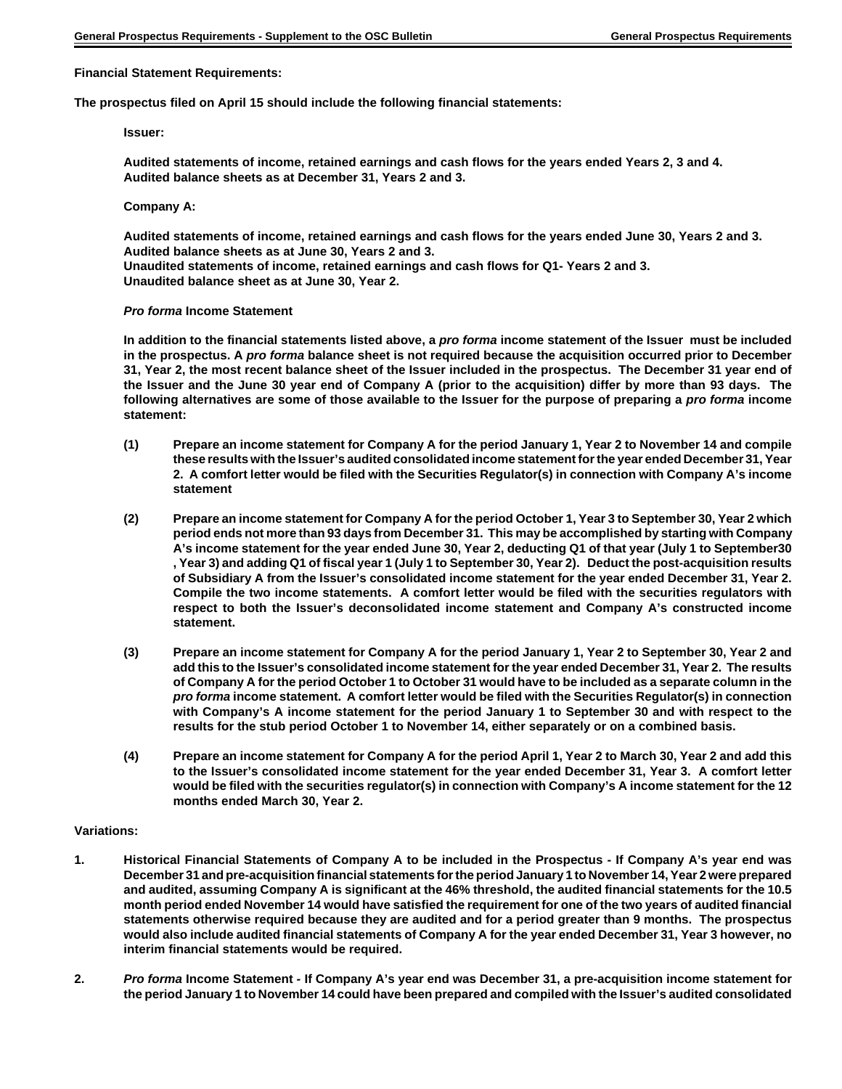#### **Financial Statement Requirements:**

**The prospectus filed on April 15 should include the following financial statements:**

#### **Issuer:**

**Audited statements of income, retained earnings and cash flows for the years ended Years 2, 3 and 4. Audited balance sheets as at December 31, Years 2 and 3.**

**Company A:**

**Audited statements of income, retained earnings and cash flows for the years ended June 30, Years 2 and 3. Audited balance sheets as at June 30, Years 2 and 3. Unaudited statements of income, retained earnings and cash flows for Q1- Years 2 and 3. Unaudited balance sheet as at June 30, Year 2.**

#### *Pro forma* **Income Statement**

**In addition to the financial statements listed above, a** *pro forma* **income statement of the Issuer must be included in the prospectus. A** *pro forma* **balance sheet is not required because the acquisition occurred prior to December 31, Year 2, the most recent balance sheet of the Issuer included in the prospectus. The December 31 year end of the Issuer and the June 30 year end of Company A (prior to the acquisition) differ by more than 93 days. The following alternatives are some of those available to the Issuer for the purpose of preparing a** *pro forma* **income statement:**

- **(1) Prepare an income statement for Company A for the period January 1, Year 2 to November 14 and compile these results with the Issuer's audited consolidated income statement for the year ended December 31, Year 2. A comfort letter would be filed with the Securities Regulator(s) in connection with Company A's income statement**
- **(2) Prepare an income statement for Company A for the period October 1, Year 3 to September 30, Year 2 which period ends not more than 93 days from December 31. This may be accomplished by starting with Company A's income statement for the year ended June 30, Year 2, deducting Q1 of that year (July 1 to September30 , Year 3) and adding Q1 of fiscal year 1 (July 1 to September 30, Year 2). Deduct the post-acquisition results of Subsidiary A from the Issuer's consolidated income statement for the year ended December 31, Year 2. Compile the two income statements. A comfort letter would be filed with the securities regulators with respect to both the Issuer's deconsolidated income statement and Company A's constructed income statement.**
- **(3) Prepare an income statement for Company A for the period January 1, Year 2 to September 30, Year 2 and add this to the Issuer's consolidated income statement for the year ended December 31, Year 2. The results of Company A for the period October 1 to October 31 would have to be included as a separate column in the** *pro forma* **income statement. A comfort letter would be filed with the Securities Regulator(s) in connection with Company's A income statement for the period January 1 to September 30 and with respect to the results for the stub period October 1 to November 14, either separately or on a combined basis.**
- **(4) Prepare an income statement for Company A for the period April 1, Year 2 to March 30, Year 2 and add this to the Issuer's consolidated income statement for the year ended December 31, Year 3. A comfort letter would be filed with the securities regulator(s) in connection with Company's A income statement for the 12 months ended March 30, Year 2.**

# **Variations:**

- **1. Historical Financial Statements of Company A to be included in the Prospectus If Company A's year end was December 31 and pre-acquisition financial statements for the period January 1 to November 14, Year 2 were prepared and audited, assuming Company A is significant at the 46% threshold, the audited financial statements for the 10.5 month period ended November 14 would have satisfied the requirement for one of the two years of audited financial statements otherwise required because they are audited and for a period greater than 9 months. The prospectus would also include audited financial statements of Company A for the year ended December 31, Year 3 however, no interim financial statements would be required.**
- **2.** *Pro forma* **Income Statement****If Company A's year end was December 31, a pre-acquisition income statement for the period January 1 to November 14 could have been prepared and compiled with the Issuer's audited consolidated**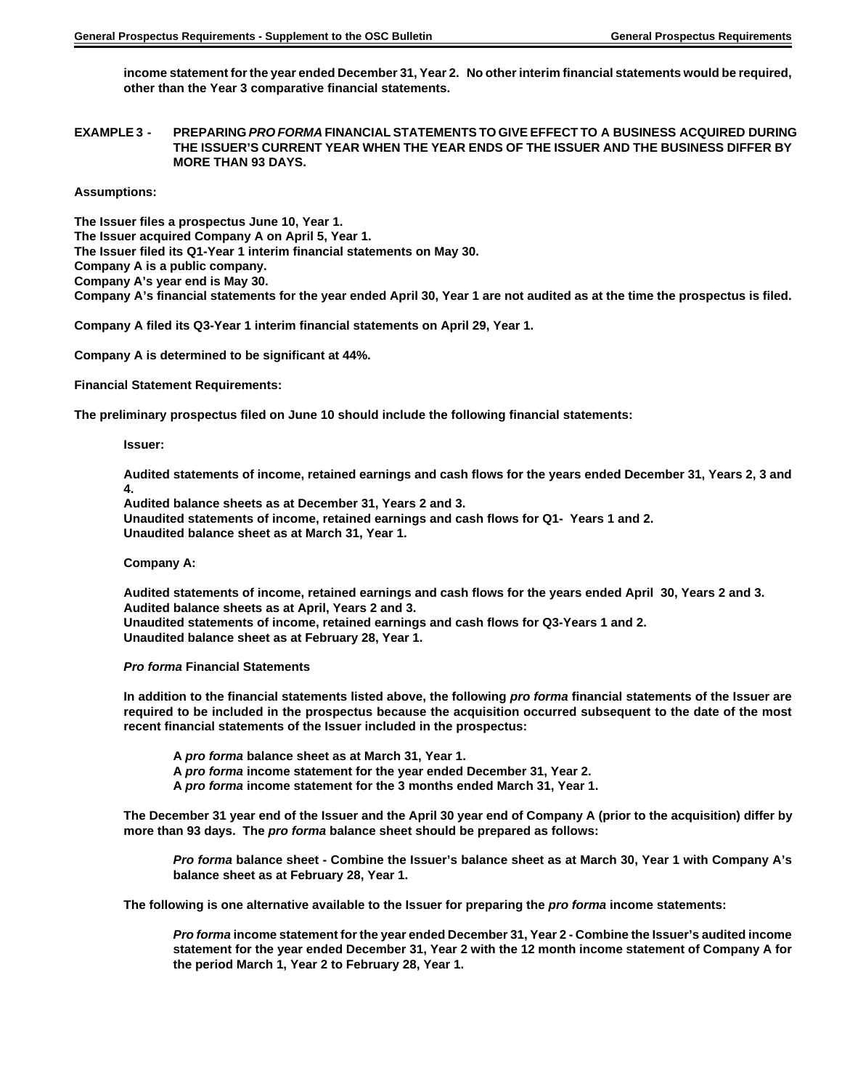**income statement for the year ended December 31, Year 2. No other interim financial statements would be required, other than the Year 3 comparative financial statements.**

**EXAMPLE 3 - PREPARING** *PRO FORMA* **FINANCIAL STATEMENTS TO GIVE EFFECT TO A BUSINESS ACQUIRED DURING THE ISSUER'S CURRENT YEAR WHEN THE YEAR ENDS OF THE ISSUER AND THE BUSINESS DIFFER BY MORE THAN 93 DAYS.** 

**Assumptions:**

**The Issuer files a prospectus June 10, Year 1. The Issuer acquired Company A on April 5, Year 1. The Issuer filed its Q1-Year 1 interim financial statements on May 30. Company A is a public company. Company A's year end is May 30. Company A's financial statements for the year ended April 30, Year 1 are not audited as at the time the prospectus is filed.**

**Company A filed its Q3-Year 1 interim financial statements on April 29, Year 1.** 

**Company A is determined to be significant at 44%.**

**Financial Statement Requirements:**

**The preliminary prospectus filed on June 10 should include the following financial statements:**

**Issuer:**

**Audited statements of income, retained earnings and cash flows for the years ended December 31, Years 2, 3 and 4.**

**Audited balance sheets as at December 31, Years 2 and 3. Unaudited statements of income, retained earnings and cash flows for Q1- Years 1 and 2. Unaudited balance sheet as at March 31, Year 1.**

**Company A:**

**Audited statements of income, retained earnings and cash flows for the years ended April 30, Years 2 and 3. Audited balance sheets as at April, Years 2 and 3. Unaudited statements of income, retained earnings and cash flows for Q3-Years 1 and 2. Unaudited balance sheet as at February 28, Year 1.**

*Pro forma* **Financial Statements**

**In addition to the financial statements listed above, the following** *pro forma* **financial statements of the Issuer are required to be included in the prospectus because the acquisition occurred subsequent to the date of the most recent financial statements of the Issuer included in the prospectus:**

**A** *pro forma* **balance sheet as at March 31, Year 1.**

**A** *pro forma* **income statement for the year ended December 31, Year 2.**

**A** *pro forma* **income statement for the 3 months ended March 31, Year 1.**

**The December 31 year end of the Issuer and the April 30 year end of Company A (prior to the acquisition) differ by more than 93 days. The** *pro forma* **balance sheet should be prepared as follows:**

*Pro forma* **balance sheet - Combine the Issuer's balance sheet as at March 30, Year 1 with Company A's balance sheet as at February 28, Year 1.**

**The following is one alternative available to the Issuer for preparing the** *pro forma* **income statements:** 

*Pro forma* **income statement for the year ended December 31, Year 2 - Combine the Issuer's audited income statement for the year ended December 31, Year 2 with the 12 month income statement of Company A for the period March 1, Year 2 to February 28, Year 1.**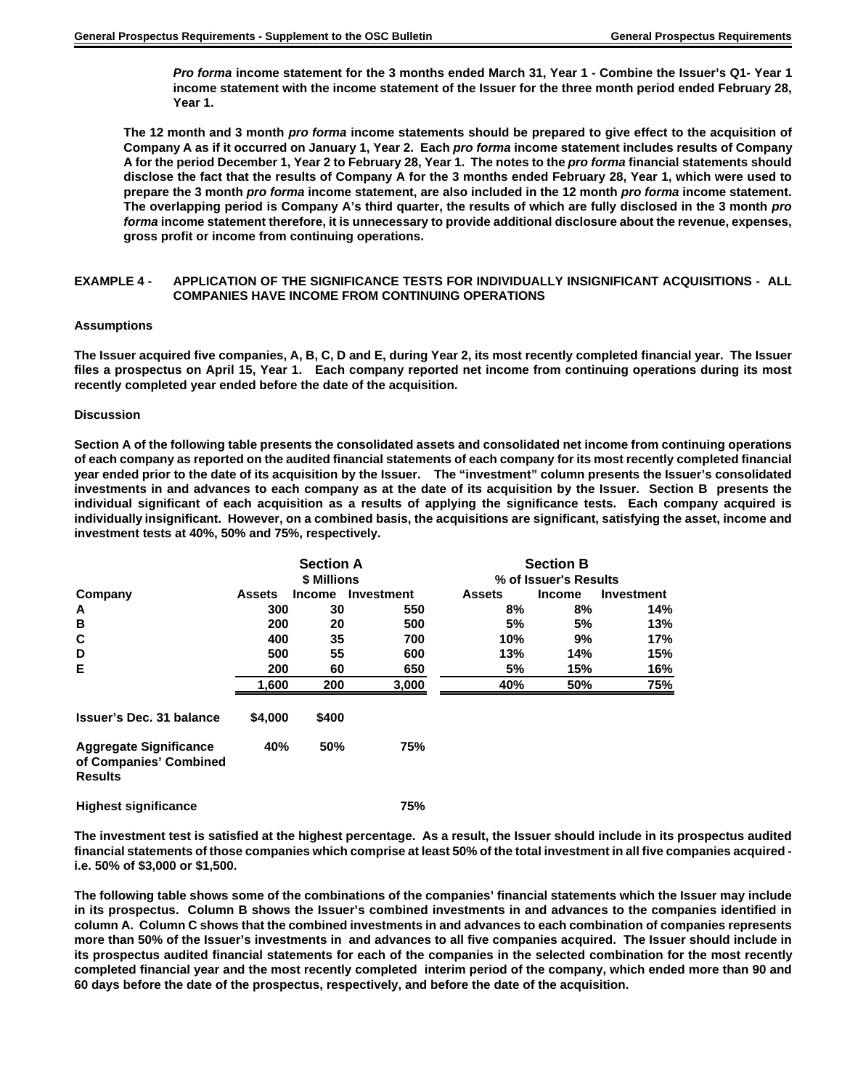*Pro forma* **income statement for the 3 months ended March 31, Year 1 - Combine the Issuer's Q1- Year 1 income statement with the income statement of the Issuer for the three month period ended February 28, Year 1.** 

**The 12 month and 3 month** *pro forma* **income statements should be prepared to give effect to the acquisition of Company A as if it occurred on January 1, Year 2. Each** *pro forma* **income statement includes results of Company A for the period December 1, Year 2 to February 28, Year 1. The notes to the** *pro forma* **financial statements should disclose the fact that the results of Company A for the 3 months ended February 28, Year 1, which were used to prepare the 3 month** *pro forma* **income statement, are also included in the 12 month** *pro forma* **income statement. The overlapping period is Company A's third quarter, the results of which are fully disclosed in the 3 month** *pro forma* **income statement therefore, it is unnecessary to provide additional disclosure about the revenue, expenses, gross profit or income from continuing operations.** 

#### **EXAMPLE 4 - APPLICATION OF THE SIGNIFICANCE TESTS FOR INDIVIDUALLY INSIGNIFICANT ACQUISITIONS - ALL COMPANIES HAVE INCOME FROM CONTINUING OPERATIONS**

#### **Assumptions**

**The Issuer acquired five companies, A, B, C, D and E, during Year 2, its most recently completed financial year. The Issuer files a prospectus on April 15, Year 1. Each company reported net income from continuing operations during its most recently completed year ended before the date of the acquisition.**

#### **Discussion**

**Section A of the following table presents the consolidated assets and consolidated net income from continuing operations of each company as reported on the audited financial statements of each company for its most recently completed financial year ended prior to the date of its acquisition by the Issuer. The "investment" column presents the Issuer's consolidated investments in and advances to each company as at the date of its acquisition by the Issuer. Section B presents the individual significant of each acquisition as a results of applying the significance tests. Each company acquired is individually insignificant. However, on a combined basis, the acquisitions are significant, satisfying the asset, income and investment tests at 40%, 50% and 75%, respectively.** 

| <b>Section A</b>                                                          |               |             |            | <b>Section B</b> |                       |            |  |
|---------------------------------------------------------------------------|---------------|-------------|------------|------------------|-----------------------|------------|--|
|                                                                           |               | \$ Millions |            |                  | % of Issuer's Results |            |  |
| Company                                                                   | <b>Assets</b> | Income      | Investment | <b>Assets</b>    | <b>Income</b>         | Investment |  |
| A                                                                         | 300           | 30          | 550        | 8%               | 8%                    | 14%        |  |
| в                                                                         | 200           | 20          | 500        | 5%               | 5%                    | 13%        |  |
| C                                                                         | 400           | 35          | 700        | 10%              | 9%                    | 17%        |  |
| D                                                                         | 500           | 55          | 600        | 13%              | 14%                   | 15%        |  |
| Е                                                                         | 200           | 60          | 650        | 5%               | 15%                   | 16%        |  |
|                                                                           | 1,600         | 200         | 3,000      | 40%              | 50%                   | 75%        |  |
| <b>Issuer's Dec. 31 balance</b>                                           | \$4,000       | \$400       |            |                  |                       |            |  |
| <b>Aggregate Significance</b><br>of Companies' Combined<br><b>Results</b> | 40%           | 50%         | 75%        |                  |                       |            |  |
| <b>Highest significance</b>                                               |               |             | 75%        |                  |                       |            |  |

**The investment test is satisfied at the highest percentage. As a result, the Issuer should include in its prospectus audited financial statements of those companies which comprise at least 50% of the total investment in all five companies acquired i.e. 50% of \$3,000 or \$1,500.** 

**The following table shows some of the combinations of the companies' financial statements which the Issuer may include in its prospectus. Column B shows the Issuer's combined investments in and advances to the companies identified in column A. Column C shows that the combined investments in and advances to each combination of companies represents more than 50% of the Issuer's investments in and advances to all five companies acquired. The Issuer should include in its prospectus audited financial statements for each of the companies in the selected combination for the most recently completed financial year and the most recently completed interim period of the company, which ended more than 90 and 60 days before the date of the prospectus, respectively, and before the date of the acquisition.**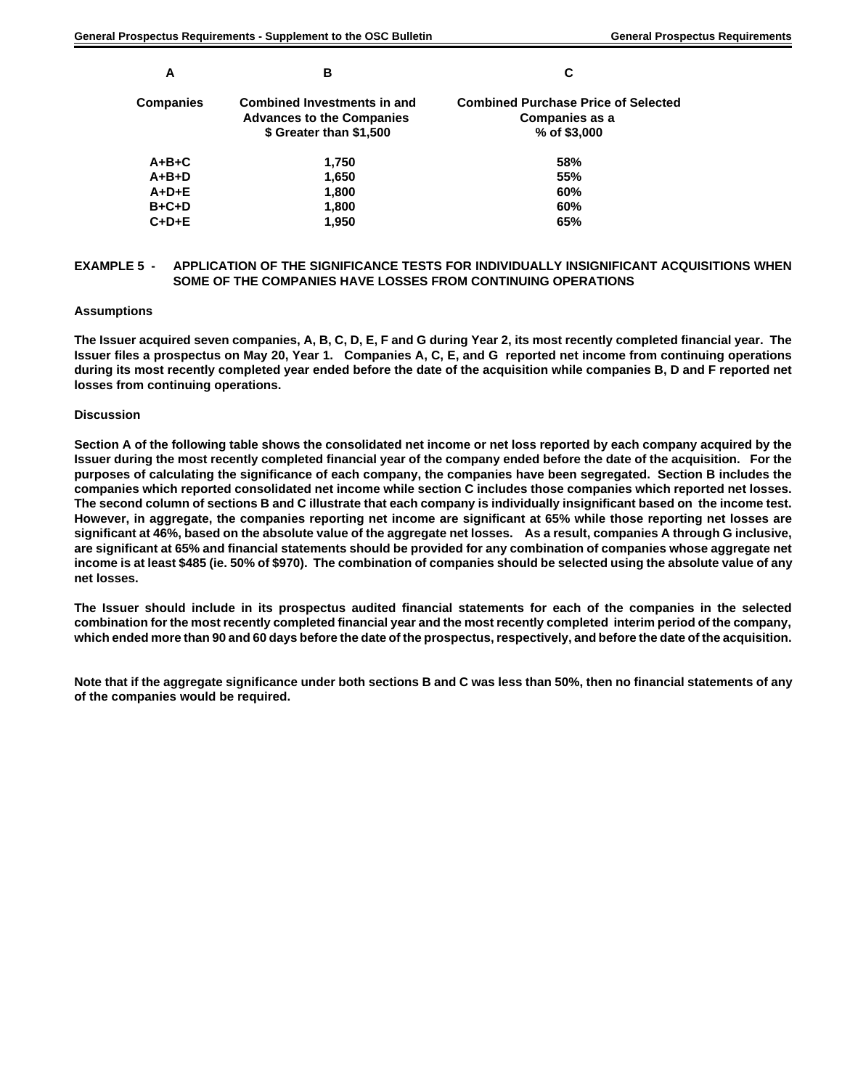| A           | в                                                                      | C                                                            |  |  |
|-------------|------------------------------------------------------------------------|--------------------------------------------------------------|--|--|
| Companies   | <b>Combined Investments in and</b><br><b>Advances to the Companies</b> | <b>Combined Purchase Price of Selected</b><br>Companies as a |  |  |
|             | \$ Greater than \$1,500                                                | % of \$3,000                                                 |  |  |
| $A + B + C$ | 1.750                                                                  | 58%                                                          |  |  |
| $A + B + D$ | 1,650                                                                  | 55%                                                          |  |  |
| $A+D+E$     | 1,800                                                                  | 60%                                                          |  |  |
| $B+C+D$     | 1,800                                                                  | 60%                                                          |  |  |
| $C+D+E$     | 1.950                                                                  | 65%                                                          |  |  |

## **EXAMPLE 5 - APPLICATION OF THE SIGNIFICANCE TESTS FOR INDIVIDUALLY INSIGNIFICANT ACQUISITIONS WHEN SOME OF THE COMPANIES HAVE LOSSES FROM CONTINUING OPERATIONS**

#### **Assumptions**

**The Issuer acquired seven companies, A, B, C, D, E, F and G during Year 2, its most recently completed financial year. The Issuer files a prospectus on May 20, Year 1. Companies A, C, E, and G reported net income from continuing operations during its most recently completed year ended before the date of the acquisition while companies B, D and F reported net losses from continuing operations.**

#### **Discussion**

**Section A of the following table shows the consolidated net income or net loss reported by each company acquired by the Issuer during the most recently completed financial year of the company ended before the date of the acquisition. For the purposes of calculating the significance of each company, the companies have been segregated. Section B includes the companies which reported consolidated net income while section C includes those companies which reported net losses. The second column of sections B and C illustrate that each company is individually insignificant based on the income test. However, in aggregate, the companies reporting net income are significant at 65% while those reporting net losses are significant at 46%, based on the absolute value of the aggregate net losses. As a result, companies A through G inclusive, are significant at 65% and financial statements should be provided for any combination of companies whose aggregate net income is at least \$485 (ie. 50% of \$970). The combination of companies should be selected using the absolute value of any net losses.** 

**The Issuer should include in its prospectus audited financial statements for each of the companies in the selected combination for the most recently completed financial year and the most recently completed interim period of the company, which ended more than 90 and 60 days before the date of the prospectus, respectively, and before the date of the acquisition.**

**Note that if the aggregate significance under both sections B and C was less than 50%, then no financial statements of any of the companies would be required.**